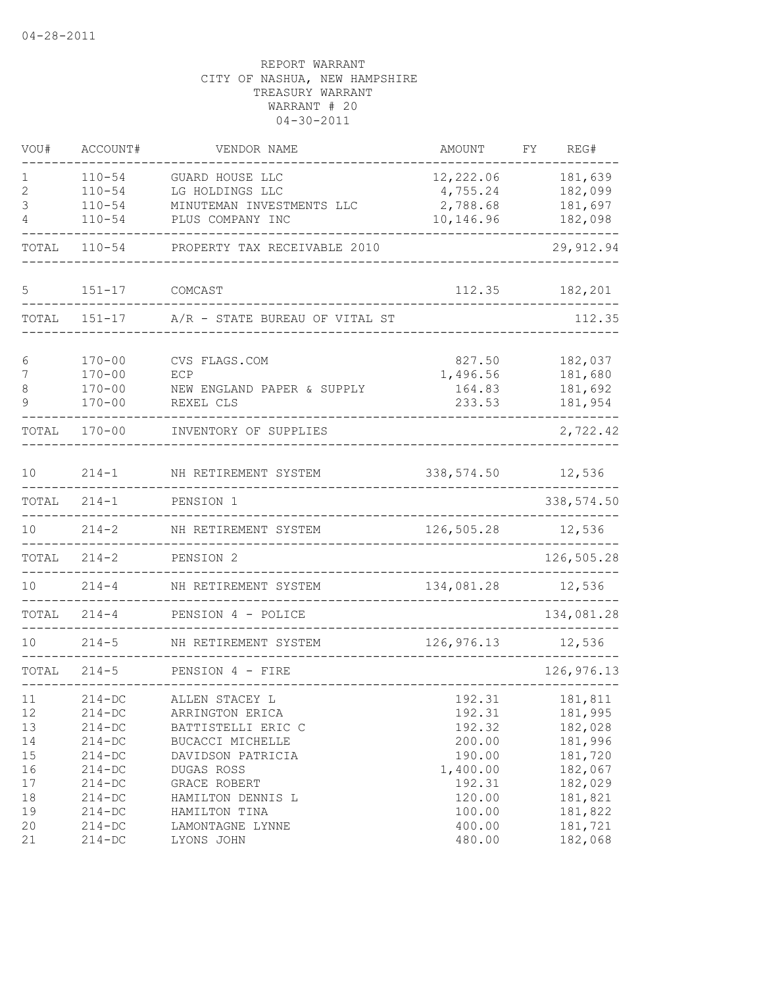| VOU#     | ACCOUNT#               | VENDOR NAME                           | AMOUNT           | FΥ | REG#               |
|----------|------------------------|---------------------------------------|------------------|----|--------------------|
| ı        | $110 - 54$             | GUARD HOUSE LLC                       | 12,222.06        |    | 181,639            |
| 2        | $110 - 54$             | LG HOLDINGS LLC                       | 4,755.24         |    | 182,099            |
| 3        | $110 - 54$             | MINUTEMAN INVESTMENTS LLC             | 2,788.68         |    | 181,697            |
| 4        | $110 - 54$             | PLUS COMPANY INC                      | 10,146.96        |    | 182,098            |
| TOTAL    | $110 - 54$             | PROPERTY TAX RECEIVABLE 2010          |                  |    | 29, 912.94         |
| 5        | $151 - 17$             | COMCAST                               | 112.35           |    | 182,201            |
| TOTAL    | $151 - 17$             | A/R - STATE BUREAU OF VITAL ST        |                  |    | 112.35             |
| 6        | $170 - 00$             | CVS FLAGS.COM                         | 827.50           |    | 182,037            |
| 7        | $170 - 00$             | ECP                                   | 1,496.56         |    | 181,680            |
| 8        | $170 - 00$             | NEW ENGLAND PAPER & SUPPLY            | 164.83           |    | 181,692            |
| 9        | $170 - 00$             | REXEL CLS                             | 233.53           |    | 181,954            |
| TOTAL    | $170 - 00$             | INVENTORY OF SUPPLIES                 |                  |    | 2,722.42           |
| 10       | $214 - 1$              | NH RETIREMENT SYSTEM                  | 338,574.50       |    | 12,536             |
| TOTAL    | $214 - 1$              | PENSION 1                             |                  |    | 338,574.50         |
| 10       | $214 - 2$              | NH RETIREMENT SYSTEM                  | 126,505.28       |    | 12,536             |
| TOTAL    | $214 - 2$              | PENSION 2                             |                  |    | 126,505.28         |
| 10       | $214 - 4$              | NH RETIREMENT SYSTEM                  | 134,081.28       |    | 12,536             |
| TOTAL    | $214 - 4$              | PENSION 4 - POLICE<br>_______________ |                  |    | 134,081.28         |
| 10       | $214 - 5$              | NH RETIREMENT SYSTEM                  | 126,976.13       |    | 12,536             |
| TOTAL    | $214 - 5$              | PENSION 4 - FIRE                      |                  |    | 126, 976.13        |
| 11       | $214 - DC$             | ALLEN STACEY L                        | 192.31           |    | 181,811            |
| 12       | $214 - DC$             | ARRINGTON ERICA                       | 192.31           |    | 181,995            |
| 13       | $214 - DC$             | BATTISTELLI ERIC C                    | 192.32           |    | 182,028            |
| 14       | $214 - DC$             | BUCACCI MICHELLE                      | 200.00           |    | 181,996            |
| 15       | $214-DC$               | DAVIDSON PATRICIA                     | 190.00           |    | 181,720            |
| 16       | $214 - DC$             | DUGAS ROSS                            | 1,400.00         |    | 182,067            |
| 17       | $214 - DC$             | GRACE ROBERT                          | 192.31           |    | 182,029            |
| 18       | $214-DC$               | HAMILTON DENNIS L                     | 120.00<br>100.00 |    | 181,821            |
| 19<br>20 | $214-DC$<br>$214 - DC$ | HAMILTON TINA<br>LAMONTAGNE LYNNE     | 400.00           |    | 181,822<br>181,721 |
| 21       | $214 - DC$             | LYONS JOHN                            | 480.00           |    | 182,068            |
|          |                        |                                       |                  |    |                    |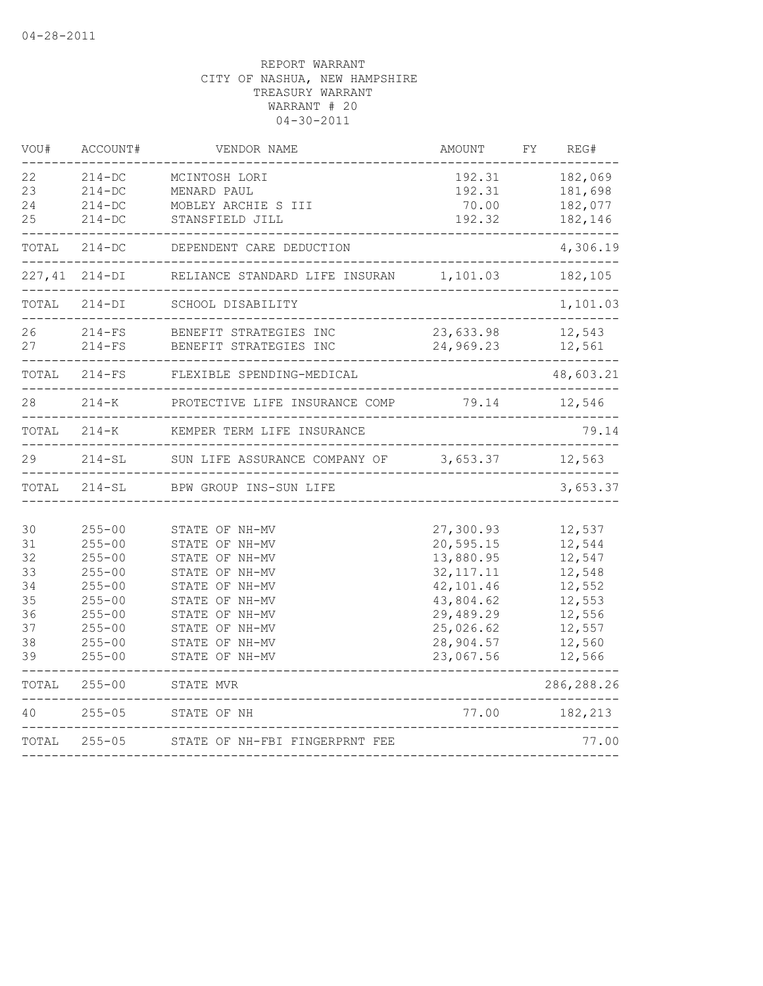| VOU#                                                     | ACCOUNT#                                                                                                                                 | VENDOR NAME                                                                                                                                                                      | AMOUNT                                                                                                                           | FΥ | REG#                                                                                             |
|----------------------------------------------------------|------------------------------------------------------------------------------------------------------------------------------------------|----------------------------------------------------------------------------------------------------------------------------------------------------------------------------------|----------------------------------------------------------------------------------------------------------------------------------|----|--------------------------------------------------------------------------------------------------|
| 22<br>23<br>24                                           | $214 - DC$<br>$214 - DC$<br>$214 - DC$                                                                                                   | MCINTOSH LORI<br>MENARD PAUL<br>MOBLEY ARCHIE S III                                                                                                                              | 192.31<br>192.31<br>70.00                                                                                                        |    | 182,069<br>181,698<br>182,077                                                                    |
| 25                                                       | $214 - DC$                                                                                                                               | STANSFIELD JILL                                                                                                                                                                  | 192.32                                                                                                                           |    | 182,146                                                                                          |
| TOTAL                                                    | $214-DC$                                                                                                                                 | DEPENDENT CARE DEDUCTION                                                                                                                                                         |                                                                                                                                  |    | 4,306.19                                                                                         |
| 227,41                                                   | $214-DI$                                                                                                                                 | RELIANCE STANDARD LIFE INSURAN                                                                                                                                                   | 1,101.03                                                                                                                         |    | 182,105                                                                                          |
| TOTAL                                                    | $214-DI$                                                                                                                                 | SCHOOL DISABILITY                                                                                                                                                                |                                                                                                                                  |    | 1,101.03                                                                                         |
| 26<br>27                                                 | $214-FS$<br>$214-FS$                                                                                                                     | BENEFIT STRATEGIES INC<br>BENEFIT STRATEGIES INC                                                                                                                                 | 23,633.98<br>24,969.23                                                                                                           |    | 12,543<br>12,561                                                                                 |
| TOTAL                                                    | $214-FS$                                                                                                                                 | FLEXIBLE SPENDING-MEDICAL                                                                                                                                                        |                                                                                                                                  |    | 48,603.21                                                                                        |
| 28                                                       | $214 - K$                                                                                                                                | PROTECTIVE LIFE INSURANCE COMP                                                                                                                                                   | 79.14                                                                                                                            |    | 12,546                                                                                           |
| TOTAL                                                    | $214 - K$                                                                                                                                | KEMPER TERM LIFE INSURANCE                                                                                                                                                       |                                                                                                                                  |    | 79.14                                                                                            |
| 29                                                       | $214 - SL$                                                                                                                               | SUN LIFE ASSURANCE COMPANY OF                                                                                                                                                    | 3,653.37                                                                                                                         |    | 12,563                                                                                           |
| TOTAL                                                    | $214 - SL$                                                                                                                               | BPW GROUP INS-SUN LIFE                                                                                                                                                           |                                                                                                                                  |    | 3,653.37                                                                                         |
| 30<br>31<br>32<br>33<br>34<br>35<br>36<br>37<br>38<br>39 | $255 - 00$<br>$255 - 00$<br>$255 - 00$<br>$255 - 00$<br>$255 - 00$<br>$255 - 00$<br>$255 - 00$<br>$255 - 00$<br>$255 - 00$<br>$255 - 00$ | STATE OF NH-MV<br>STATE OF NH-MV<br>STATE OF NH-MV<br>STATE OF NH-MV<br>STATE OF NH-MV<br>STATE OF NH-MV<br>STATE OF NH-MV<br>STATE OF NH-MV<br>STATE OF NH-MV<br>STATE OF NH-MV | 27,300.93<br>20,595.15<br>13,880.95<br>32, 117. 11<br>42,101.46<br>43,804.62<br>29,489.29<br>25,026.62<br>28,904.57<br>23,067.56 |    | 12,537<br>12,544<br>12,547<br>12,548<br>12,552<br>12,553<br>12,556<br>12,557<br>12,560<br>12,566 |
| TOTAL                                                    | $255 - 00$                                                                                                                               | STATE MVR                                                                                                                                                                        |                                                                                                                                  |    | 286, 288.26                                                                                      |
| 40                                                       | $255 - 05$                                                                                                                               | STATE OF NH                                                                                                                                                                      | 77.00                                                                                                                            |    | 182,213                                                                                          |
| TOTAL                                                    | $255 - 05$                                                                                                                               | STATE OF NH-FBI FINGERPRNT FEE                                                                                                                                                   |                                                                                                                                  |    | 77.00                                                                                            |
|                                                          |                                                                                                                                          |                                                                                                                                                                                  |                                                                                                                                  |    |                                                                                                  |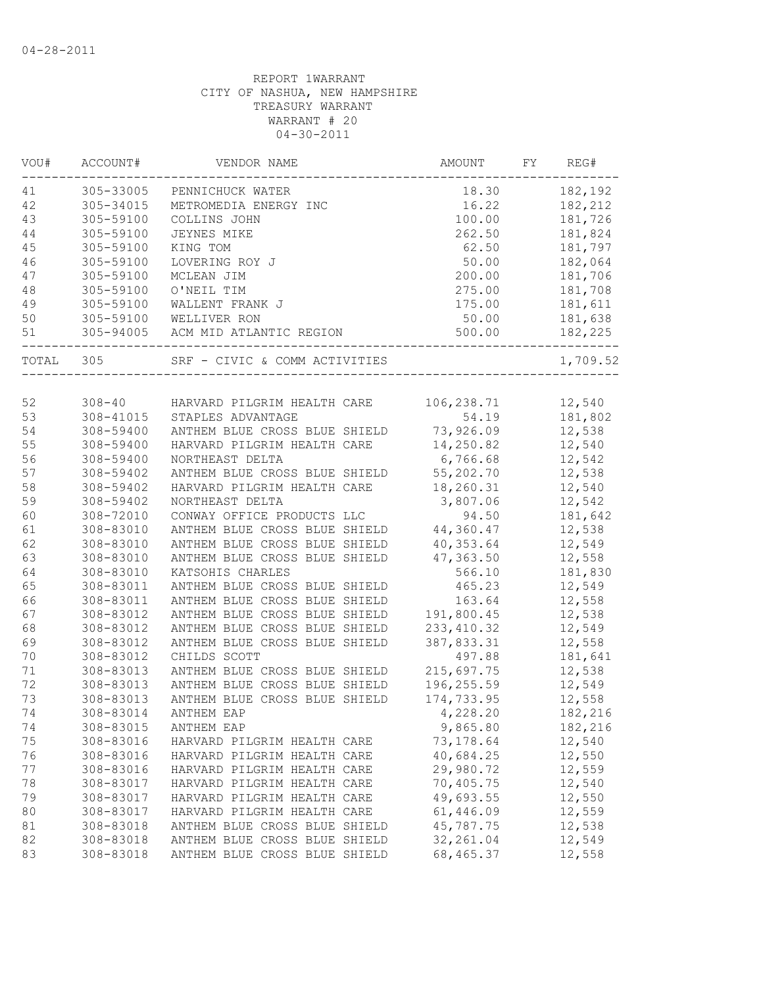| VOU#   | ACCOUNT#   | VENDOR NAME                   | AMOUNT      | FY. | REG#     |
|--------|------------|-------------------------------|-------------|-----|----------|
| 41     | 305-33005  | PENNICHUCK WATER              | 18.30       |     | 182,192  |
| 42     | 305-34015  | METROMEDIA ENERGY INC         | 16.22       |     | 182,212  |
| 43     | 305-59100  | COLLINS JOHN                  | 100.00      |     | 181,726  |
| $4\,4$ | 305-59100  | JEYNES MIKE                   | 262.50      |     | 181,824  |
| 45     | 305-59100  | KING TOM                      | 62.50       |     | 181,797  |
| 46     | 305-59100  | LOVERING ROY J                | 50.00       |     | 182,064  |
| 47     | 305-59100  | MCLEAN JIM                    | 200.00      |     | 181,706  |
| 48     | 305-59100  | O'NEIL TIM                    | 275.00      |     | 181,708  |
| 49     | 305-59100  | WALLENT FRANK J               | 175.00      |     | 181,611  |
| 50     | 305-59100  | WELLIVER RON                  | 50.00       |     | 181,638  |
| 51     | 305-94005  | ACM MID ATLANTIC REGION       | 500.00      |     | 182,225  |
| TOTAL  | 305        | SRF - CIVIC & COMM ACTIVITIES |             |     | 1,709.52 |
|        |            |                               |             |     |          |
| 52     | $308 - 40$ | HARVARD PILGRIM HEALTH CARE   | 106,238.71  |     | 12,540   |
| 53     | 308-41015  | STAPLES ADVANTAGE             | 54.19       |     | 181,802  |
| 54     | 308-59400  | ANTHEM BLUE CROSS BLUE SHIELD | 73,926.09   |     | 12,538   |
| 55     | 308-59400  | HARVARD PILGRIM HEALTH CARE   | 14,250.82   |     | 12,540   |
| 56     | 308-59400  | NORTHEAST DELTA               | 6,766.68    |     | 12,542   |
| 57     | 308-59402  | ANTHEM BLUE CROSS BLUE SHIELD | 55,202.70   |     | 12,538   |
| 58     | 308-59402  | HARVARD PILGRIM HEALTH CARE   | 18,260.31   |     | 12,540   |
| 59     | 308-59402  | NORTHEAST DELTA               | 3,807.06    |     | 12,542   |
| 60     | 308-72010  | CONWAY OFFICE PRODUCTS LLC    | 94.50       |     | 181,642  |
| 61     | 308-83010  | ANTHEM BLUE CROSS BLUE SHIELD | 44,360.47   |     | 12,538   |
| 62     | 308-83010  | ANTHEM BLUE CROSS BLUE SHIELD | 40,353.64   |     | 12,549   |
| 63     | 308-83010  | ANTHEM BLUE CROSS BLUE SHIELD | 47,363.50   |     | 12,558   |
| 64     | 308-83010  | KATSOHIS CHARLES              | 566.10      |     | 181,830  |
| 65     | 308-83011  | ANTHEM BLUE CROSS BLUE SHIELD | 465.23      |     | 12,549   |
| 66     | 308-83011  | ANTHEM BLUE CROSS BLUE SHIELD | 163.64      |     | 12,558   |
| 67     | 308-83012  | ANTHEM BLUE CROSS BLUE SHIELD | 191,800.45  |     | 12,538   |
| 68     | 308-83012  | ANTHEM BLUE CROSS BLUE SHIELD | 233, 410.32 |     | 12,549   |
| 69     | 308-83012  | ANTHEM BLUE CROSS BLUE SHIELD | 387,833.31  |     | 12,558   |
| 70     | 308-83012  | CHILDS SCOTT                  | 497.88      |     | 181,641  |
| 71     | 308-83013  | ANTHEM BLUE CROSS BLUE SHIELD | 215,697.75  |     | 12,538   |
| 72     | 308-83013  | ANTHEM BLUE CROSS BLUE SHIELD | 196,255.59  |     | 12,549   |
| 73     | 308-83013  | ANTHEM BLUE CROSS BLUE SHIELD | 174,733.95  |     | 12,558   |
| 74     | 308-83014  | ANTHEM EAP                    | 4,228.20    |     | 182,216  |
| 74     | 308-83015  | ANTHEM EAP                    | 9,865.80    |     | 182,216  |
| 75     | 308-83016  | HARVARD PILGRIM HEALTH CARE   | 73, 178.64  |     | 12,540   |
| 76     | 308-83016  | HARVARD PILGRIM HEALTH CARE   | 40,684.25   |     | 12,550   |
| 77     | 308-83016  | HARVARD PILGRIM HEALTH CARE   | 29,980.72   |     | 12,559   |
| 78     | 308-83017  | HARVARD PILGRIM HEALTH CARE   | 70,405.75   |     | 12,540   |
| 79     | 308-83017  | HARVARD PILGRIM HEALTH CARE   | 49,693.55   |     | 12,550   |
| 80     | 308-83017  | HARVARD PILGRIM HEALTH CARE   | 61,446.09   |     | 12,559   |
|        | 308-83018  | ANTHEM BLUE CROSS BLUE SHIELD | 45,787.75   |     | 12,538   |
| 81     |            |                               |             |     |          |
| 82     | 308-83018  | ANTHEM BLUE CROSS BLUE SHIELD | 32, 261.04  |     | 12,549   |
| 83     | 308-83018  | ANTHEM BLUE CROSS BLUE SHIELD | 68,465.37   |     | 12,558   |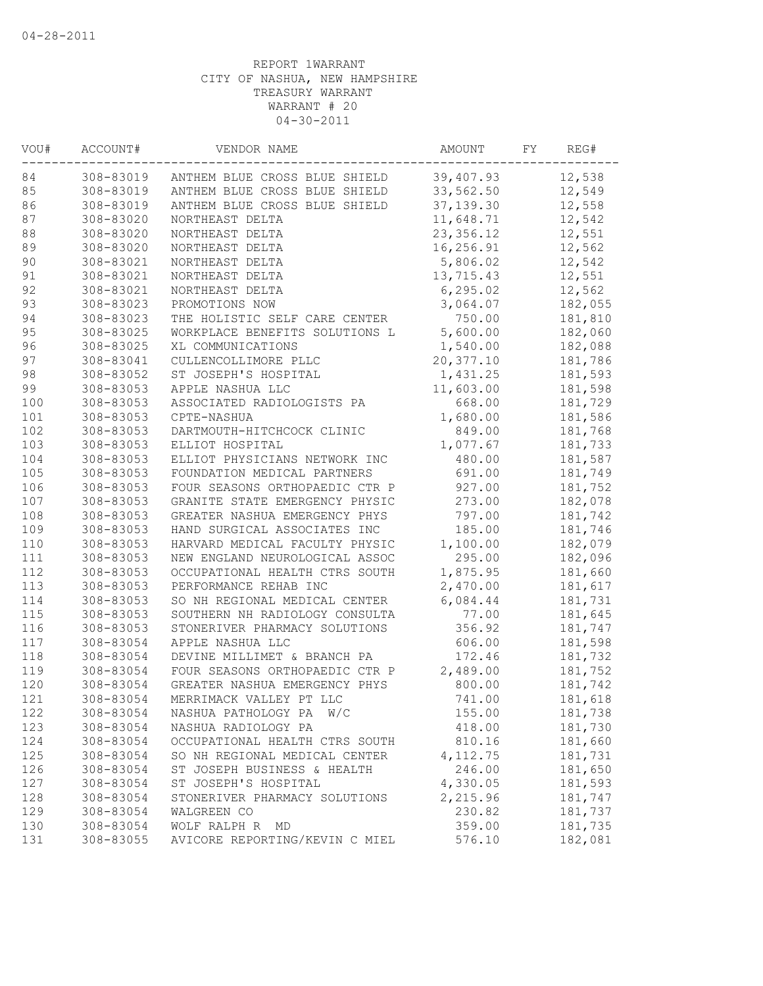| VOU# | ACCOUNT#  | VENDOR NAME                    | AMOUNT     | FY. | REG#    |
|------|-----------|--------------------------------|------------|-----|---------|
| 84   | 308-83019 | ANTHEM BLUE CROSS BLUE SHIELD  | 39,407.93  |     | 12,538  |
| 85   | 308-83019 | ANTHEM BLUE CROSS BLUE SHIELD  | 33,562.50  |     | 12,549  |
| 86   | 308-83019 | ANTHEM BLUE CROSS BLUE SHIELD  | 37, 139.30 |     | 12,558  |
| 87   | 308-83020 | NORTHEAST DELTA                | 11,648.71  |     | 12,542  |
| 88   | 308-83020 | NORTHEAST DELTA                | 23, 356.12 |     | 12,551  |
| 89   | 308-83020 | NORTHEAST DELTA                | 16,256.91  |     | 12,562  |
| 90   | 308-83021 | NORTHEAST DELTA                | 5,806.02   |     | 12,542  |
| 91   | 308-83021 | NORTHEAST DELTA                | 13,715.43  |     | 12,551  |
| 92   | 308-83021 | NORTHEAST DELTA                | 6, 295.02  |     | 12,562  |
| 93   | 308-83023 | PROMOTIONS NOW                 | 3,064.07   |     | 182,055 |
| 94   | 308-83023 | THE HOLISTIC SELF CARE CENTER  | 750.00     |     | 181,810 |
| 95   | 308-83025 | WORKPLACE BENEFITS SOLUTIONS L | 5,600.00   |     | 182,060 |
| 96   | 308-83025 | XL COMMUNICATIONS              | 1,540.00   |     | 182,088 |
| 97   | 308-83041 | CULLENCOLLIMORE PLLC           | 20,377.10  |     | 181,786 |
| 98   | 308-83052 | ST JOSEPH'S HOSPITAL           | 1,431.25   |     | 181,593 |
| 99   | 308-83053 | APPLE NASHUA LLC               | 11,603.00  |     | 181,598 |
| 100  | 308-83053 | ASSOCIATED RADIOLOGISTS PA     | 668.00     |     | 181,729 |
| 101  | 308-83053 | CPTE-NASHUA                    | 1,680.00   |     | 181,586 |
| 102  | 308-83053 | DARTMOUTH-HITCHCOCK CLINIC     | 849.00     |     | 181,768 |
| 103  | 308-83053 | ELLIOT HOSPITAL                | 1,077.67   |     | 181,733 |
| 104  | 308-83053 | ELLIOT PHYSICIANS NETWORK INC  | 480.00     |     | 181,587 |
| 105  | 308-83053 | FOUNDATION MEDICAL PARTNERS    | 691.00     |     | 181,749 |
| 106  | 308-83053 | FOUR SEASONS ORTHOPAEDIC CTR P | 927.00     |     | 181,752 |
| 107  | 308-83053 | GRANITE STATE EMERGENCY PHYSIC | 273.00     |     | 182,078 |
| 108  | 308-83053 | GREATER NASHUA EMERGENCY PHYS  | 797.00     |     | 181,742 |
| 109  | 308-83053 | HAND SURGICAL ASSOCIATES INC   | 185.00     |     | 181,746 |
| 110  | 308-83053 | HARVARD MEDICAL FACULTY PHYSIC | 1,100.00   |     | 182,079 |
| 111  | 308-83053 | NEW ENGLAND NEUROLOGICAL ASSOC | 295.00     |     | 182,096 |
| 112  | 308-83053 | OCCUPATIONAL HEALTH CTRS SOUTH | 1,875.95   |     | 181,660 |
| 113  | 308-83053 | PERFORMANCE REHAB INC          | 2,470.00   |     | 181,617 |
| 114  | 308-83053 | SO NH REGIONAL MEDICAL CENTER  | 6,084.44   |     | 181,731 |
| 115  | 308-83053 | SOUTHERN NH RADIOLOGY CONSULTA | 77.00      |     | 181,645 |
| 116  | 308-83053 | STONERIVER PHARMACY SOLUTIONS  | 356.92     |     | 181,747 |
|      |           | APPLE NASHUA LLC               |            |     | 181,598 |
| 117  | 308-83054 |                                | 606.00     |     |         |
| 118  | 308-83054 | DEVINE MILLIMET & BRANCH PA    | 172.46     |     | 181,732 |
| 119  | 308-83054 | FOUR SEASONS ORTHOPAEDIC CTR P | 2,489.00   |     | 181,752 |
| 120  | 308-83054 | GREATER NASHUA EMERGENCY PHYS  | 800.00     |     | 181,742 |
| 121  | 308-83054 | MERRIMACK VALLEY PT LLC        | 741.00     |     | 181,618 |
| 122  | 308-83054 | NASHUA PATHOLOGY PA<br>W/C     | 155.00     |     | 181,738 |
| 123  | 308-83054 | NASHUA RADIOLOGY PA            | 418.00     |     | 181,730 |
| 124  | 308-83054 | OCCUPATIONAL HEALTH CTRS SOUTH | 810.16     |     | 181,660 |
| 125  | 308-83054 | SO NH REGIONAL MEDICAL CENTER  | 4, 112.75  |     | 181,731 |
| 126  | 308-83054 | ST JOSEPH BUSINESS & HEALTH    | 246.00     |     | 181,650 |
| 127  | 308-83054 | ST JOSEPH'S HOSPITAL           | 4,330.05   |     | 181,593 |
| 128  | 308-83054 | STONERIVER PHARMACY SOLUTIONS  | 2,215.96   |     | 181,747 |
| 129  | 308-83054 | WALGREEN CO                    | 230.82     |     | 181,737 |
| 130  | 308-83054 | WOLF RALPH R<br>MD             | 359.00     |     | 181,735 |
| 131  | 308-83055 | AVICORE REPORTING/KEVIN C MIEL | 576.10     |     | 182,081 |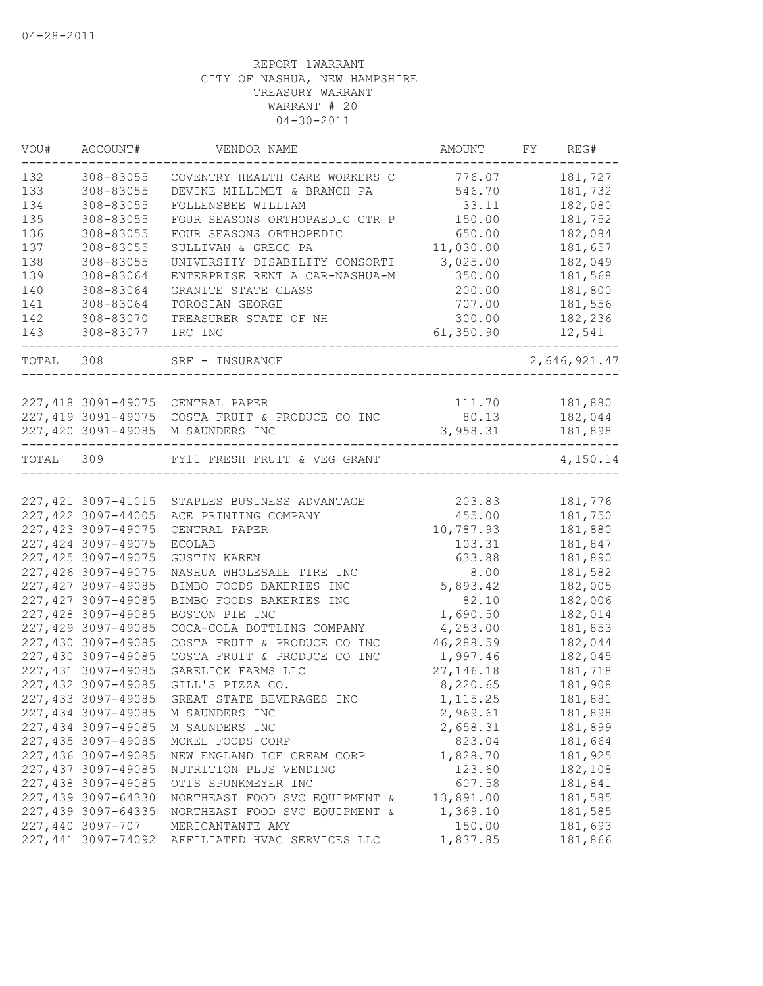| VOU#  | ACCOUNT#            | VENDOR NAME                                                      | AMOUNT      | FY. | REG#         |
|-------|---------------------|------------------------------------------------------------------|-------------|-----|--------------|
| 132   | 308-83055           | COVENTRY HEALTH CARE WORKERS C                                   | 776.07      |     | 181,727      |
| 133   | 308-83055           | DEVINE MILLIMET & BRANCH PA                                      | 546.70      |     | 181,732      |
| 134   | 308-83055           | FOLLENSBEE WILLIAM                                               | 33.11       |     | 182,080      |
| 135   | 308-83055           | FOUR SEASONS ORTHOPAEDIC CTR P                                   | 150.00      |     | 181,752      |
| 136   | 308-83055           | FOUR SEASONS ORTHOPEDIC                                          | 650.00      |     | 182,084      |
| 137   | 308-83055           | SULLIVAN & GREGG PA                                              | 11,030.00   |     | 181,657      |
| 138   | 308-83055           | UNIVERSITY DISABILITY CONSORTI                                   | 3,025.00    |     | 182,049      |
| 139   | 308-83064           | ENTERPRISE RENT A CAR-NASHUA-M                                   | 350.00      |     | 181,568      |
| 140   | 308-83064           | GRANITE STATE GLASS                                              | 200.00      |     | 181,800      |
| 141   | 308-83064           | TOROSIAN GEORGE                                                  | 707.00      |     | 181,556      |
| 142   | 308-83070           | TREASURER STATE OF NH                                            | 300.00      |     | 182,236      |
| 143   | 308-83077           | IRC INC                                                          | 61,350.90   |     | 12,541       |
| TOTAL | 308                 | SRF - INSURANCE                                                  |             |     | 2,646,921.47 |
|       |                     |                                                                  |             |     |              |
|       |                     | 227,418 3091-49075 CENTRAL PAPER                                 | 111.70      |     | 181,880      |
|       | 227,419 3091-49075  | COSTA FRUIT & PRODUCE CO INC                                     | 80.13       |     | 182,044      |
|       |                     | 227,420 3091-49085 M SAUNDERS INC<br>--------------------------- | 3,958.31    |     | 181,898      |
| TOTAL | 309                 | FY11 FRESH FRUIT & VEG GRANT                                     |             |     | 4,150.14     |
|       |                     |                                                                  |             |     |              |
|       | 227, 421 3097-41015 | STAPLES BUSINESS ADVANTAGE                                       | 203.83      |     | 181,776      |
|       | 227,422 3097-44005  | ACE PRINTING COMPANY                                             | 455.00      |     | 181,750      |
|       | 227, 423 3097-49075 | CENTRAL PAPER                                                    | 10,787.93   |     | 181,880      |
|       | 227,424 3097-49075  | <b>ECOLAB</b>                                                    | 103.31      |     | 181,847      |
|       | 227, 425 3097-49075 | <b>GUSTIN KAREN</b>                                              | 633.88      |     | 181,890      |
|       | 227,426 3097-49075  | NASHUA WHOLESALE TIRE INC                                        | 8.00        |     | 181,582      |
|       | 227, 427 3097-49085 | BIMBO FOODS BAKERIES INC                                         | 5,893.42    |     | 182,005      |
|       | 227, 427 3097-49085 | BIMBO FOODS BAKERIES INC                                         | 82.10       |     | 182,006      |
|       | 227,428 3097-49085  | BOSTON PIE INC                                                   | 1,690.50    |     | 182,014      |
|       | 227,429 3097-49085  | COCA-COLA BOTTLING COMPANY                                       | 4,253.00    |     | 181,853      |
|       | 227,430 3097-49085  | COSTA FRUIT & PRODUCE CO INC                                     | 46,288.59   |     | 182,044      |
|       | 227,430 3097-49085  | COSTA FRUIT & PRODUCE CO INC                                     | 1,997.46    |     | 182,045      |
|       | 227, 431 3097-49085 | GARELICK FARMS LLC                                               | 27, 146. 18 |     | 181,718      |
|       | 227,432 3097-49085  | GILL'S PIZZA CO.                                                 | 8,220.65    |     | 181,908      |
|       | 227,433 3097-49085  | GREAT STATE BEVERAGES INC                                        | 1,115.25    |     | 181,881      |
|       | 227,434 3097-49085  | M SAUNDERS INC                                                   | 2,969.61    |     | 181,898      |
|       | 227,434 3097-49085  | M SAUNDERS INC                                                   | 2,658.31    |     | 181,899      |
|       | 227,435 3097-49085  | MCKEE FOODS CORP                                                 | 823.04      |     | 181,664      |
|       | 227,436 3097-49085  | NEW ENGLAND ICE CREAM CORP                                       | 1,828.70    |     | 181,925      |
|       | 227,437 3097-49085  | NUTRITION PLUS VENDING                                           | 123.60      |     | 182,108      |
|       | 227,438 3097-49085  | OTIS SPUNKMEYER INC                                              | 607.58      |     | 181,841      |
|       | 227,439 3097-64330  | NORTHEAST FOOD SVC EQUIPMENT &                                   | 13,891.00   |     | 181,585      |
|       | 227,439 3097-64335  | NORTHEAST FOOD SVC EQUIPMENT &                                   | 1,369.10    |     | 181,585      |
|       | 227,440 3097-707    | MERICANTANTE AMY                                                 | 150.00      |     | 181,693      |
|       | 227,441 3097-74092  | AFFILIATED HVAC SERVICES LLC                                     | 1,837.85    |     | 181,866      |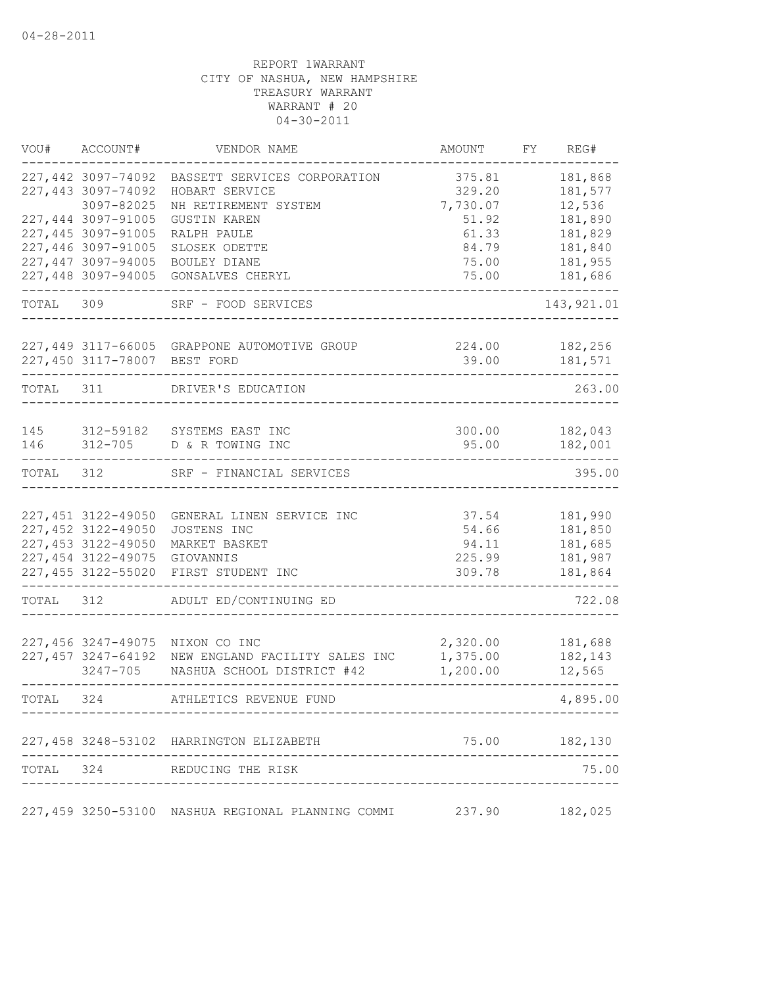| VOU#       | ACCOUNT#                                 | VENDOR NAME                                       | AMOUNT          | FY | REG#               |
|------------|------------------------------------------|---------------------------------------------------|-----------------|----|--------------------|
|            | 227,442 3097-74092                       | BASSETT SERVICES CORPORATION                      | 375.81          |    | 181,868            |
|            | 227,443 3097-74092                       | HOBART SERVICE                                    | 329.20          |    | 181,577            |
|            | 3097-82025                               | NH RETIREMENT SYSTEM                              | 7,730.07        |    | 12,536             |
|            | 227,444 3097-91005                       | <b>GUSTIN KAREN</b>                               | 51.92           |    | 181,890            |
|            | 227,445 3097-91005                       | RALPH PAULE                                       | 61.33           |    | 181,829            |
|            | 227,446 3097-91005                       | SLOSEK ODETTE                                     | 84.79           |    | 181,840            |
|            | 227,447 3097-94005                       | BOULEY DIANE                                      | 75.00           |    | 181,955            |
|            | 227,448 3097-94005                       | GONSALVES CHERYL                                  | 75.00           |    | 181,686            |
| TOTAL      | 309                                      | SRF - FOOD SERVICES                               |                 |    | 143, 921.01        |
|            |                                          | 227,449 3117-66005 GRAPPONE AUTOMOTIVE GROUP      | 224.00          |    | 182,256            |
|            | 227,450 3117-78007 BEST FORD             |                                                   | 39.00           |    | 181,571            |
| TOTAL      | 311                                      | DRIVER'S EDUCATION                                |                 |    | 263.00             |
|            |                                          |                                                   |                 |    |                    |
| 145<br>146 | 312-59182<br>$312 - 705$                 | SYSTEMS EAST INC<br>D & R TOWING INC              | 300.00<br>95.00 |    | 182,043<br>182,001 |
| TOTAL      | 312                                      | SRF - FINANCIAL SERVICES                          |                 |    | 395.00             |
|            |                                          |                                                   |                 |    |                    |
|            | 227,451 3122-49050<br>227,452 3122-49050 | GENERAL LINEN SERVICE INC                         | 37.54<br>54.66  |    | 181,990            |
|            | 227,453 3122-49050                       | JOSTENS INC<br>MARKET BASKET                      | 94.11           |    | 181,850<br>181,685 |
|            | 227,454 3122-49075                       |                                                   | 225.99          |    | 181,987            |
|            | 227,455 3122-55020                       | GIOVANNIS<br>FIRST STUDENT INC                    | 309.78          |    | 181,864            |
| TOTAL      | 312                                      | ADULT ED/CONTINUING ED                            |                 |    | 722.08             |
|            |                                          |                                                   |                 |    |                    |
|            | 227,456 3247-49075                       | NIXON CO INC                                      | 2,320.00        |    | 181,688            |
|            | 227,457 3247-64192                       | NEW ENGLAND FACILITY SALES INC                    | 1,375.00        |    | 182,143            |
|            | 3247-705                                 | NASHUA SCHOOL DISTRICT #42                        | 1,200.00        |    | 12,565             |
| TOTAL      | 324                                      | ATHLETICS REVENUE FUND                            |                 |    | 4,895.00           |
|            |                                          | 227,458 3248-53102 HARRINGTON ELIZABETH           |                 |    | 75.00 182,130      |
| TOTAL 324  |                                          | REDUCING THE RISK                                 |                 |    | 75.00              |
|            |                                          |                                                   |                 |    |                    |
|            |                                          | 227,459 3250-53100 NASHUA REGIONAL PLANNING COMMI | 237.90          |    | 182,025            |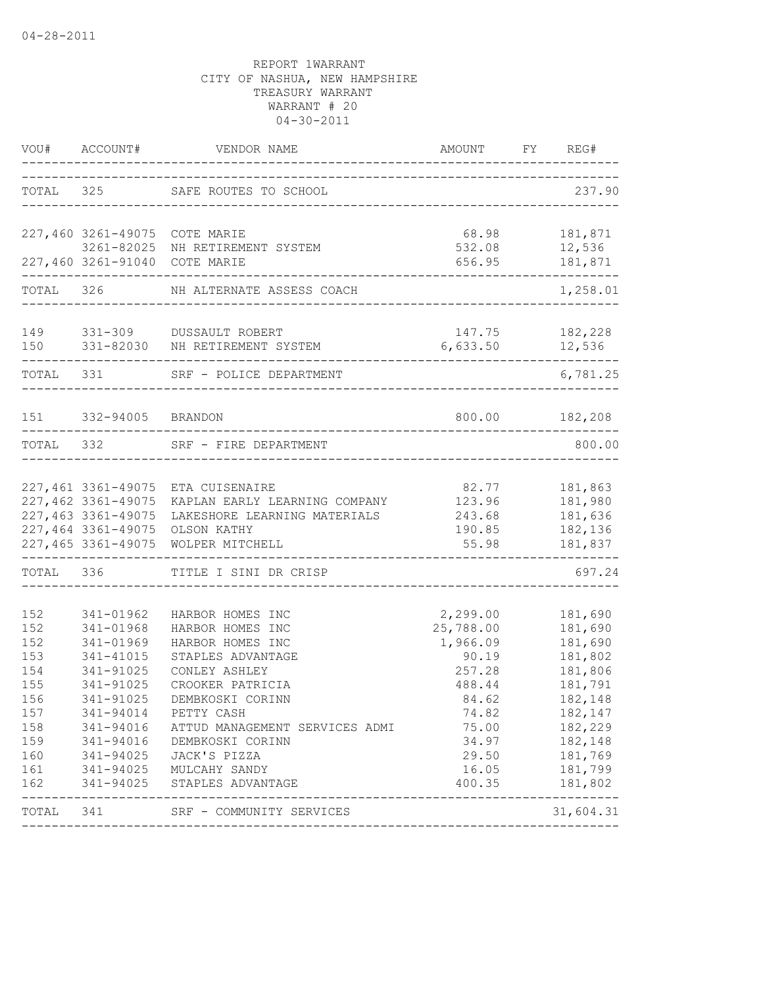|                                                                                  | VOU# ACCOUNT#                                                                           | VENDOR NAME                                                                                                                                                                                                                                                                                                                      | AMOUNT                                                                                                                         | FY | REG#                                                                                                                                        |
|----------------------------------------------------------------------------------|-----------------------------------------------------------------------------------------|----------------------------------------------------------------------------------------------------------------------------------------------------------------------------------------------------------------------------------------------------------------------------------------------------------------------------------|--------------------------------------------------------------------------------------------------------------------------------|----|---------------------------------------------------------------------------------------------------------------------------------------------|
|                                                                                  |                                                                                         | TOTAL 325 SAFE ROUTES TO SCHOOL                                                                                                                                                                                                                                                                                                  | -----------------------------------                                                                                            |    | 237.90                                                                                                                                      |
|                                                                                  | 227,460 3261-49075 COTE MARIE                                                           |                                                                                                                                                                                                                                                                                                                                  | 68.98                                                                                                                          |    | 181,871                                                                                                                                     |
|                                                                                  | 227,460 3261-91040 COTE MARIE                                                           | 3261-82025 NH RETIREMENT SYSTEM                                                                                                                                                                                                                                                                                                  | 532.08<br>656.95                                                                                                               |    | 12,536<br>181,871                                                                                                                           |
|                                                                                  |                                                                                         | --------------------------<br>TOTAL 326 NH ALTERNATE ASSESS COACH                                                                                                                                                                                                                                                                |                                                                                                                                |    | 1,258.01                                                                                                                                    |
|                                                                                  |                                                                                         | 149 331-309 DUSSAULT ROBERT<br>150 331-82030 NH RETIREMENT SYSTEM                                                                                                                                                                                                                                                                | 147.75<br>6,633.50 12,536                                                                                                      |    | 182,228                                                                                                                                     |
| TOTAL 331                                                                        |                                                                                         | SRF - POLICE DEPARTMENT                                                                                                                                                                                                                                                                                                          |                                                                                                                                |    | 6,781.25                                                                                                                                    |
|                                                                                  | 151 332-94005 BRANDON                                                                   |                                                                                                                                                                                                                                                                                                                                  |                                                                                                                                |    | 800.00 182,208                                                                                                                              |
| TOTAL 332                                                                        |                                                                                         | SRF - FIRE DEPARTMENT                                                                                                                                                                                                                                                                                                            |                                                                                                                                |    | 800.00                                                                                                                                      |
|                                                                                  | 227,462 3361-49075<br>227,463 3361-49075<br>227,464 3361-49075<br>227,465 3361-49075    | 227,461 3361-49075 ETA CUISENAIRE<br>KAPLAN EARLY LEARNING COMPANY<br>LAKESHORE LEARNING MATERIALS<br>OLSON KATHY<br>WOLPER MITCHELL                                                                                                                                                                                             | 82.77<br>123.96<br>243.68<br>190.85<br>55.98                                                                                   |    | 181,863<br>181,980<br>181,636<br>182,136<br>181,837                                                                                         |
|                                                                                  | TOTAL 336                                                                               | TITLE I SINI DR CRISP                                                                                                                                                                                                                                                                                                            |                                                                                                                                |    | 697.24                                                                                                                                      |
| 152<br>152<br>152<br>153<br>154<br>155<br>156<br>157<br>159<br>160<br>161<br>162 | 341-01962<br>341-01968<br>341-01969<br>341-41015<br>341-91025<br>341-91025<br>341-91025 | HARBOR HOMES INC<br>HARBOR HOMES INC<br>HARBOR HOMES INC<br>STAPLES ADVANTAGE<br>CONLEY ASHLEY<br>CROOKER PATRICIA<br>DEMBKOSKI CORINN<br>341-94014 PETTY CASH<br>158 341-94016 ATTUD MANAGEMENT SERVICES ADMI<br>341-94016 DEMBKOSKI CORINN<br>341-94025 JACK'S PIZZA<br>341-94025 MULCAHY SANDY<br>341-94025 STAPLES ADVANTAGE | 2,299.00<br>25,788.00<br>1,966.09<br>90.19<br>257.28<br>488.44<br>84.62<br>74.82<br>75.00<br>34.97<br>29.50<br>16.05<br>400.35 |    | 181,690<br>181,690<br>181,690<br>181,802<br>181,806<br>181,791<br>182,148<br>182,147<br>182,229<br>182,148<br>181,769<br>181,799<br>181,802 |
|                                                                                  |                                                                                         | TOTAL 341 SRF - COMMUNITY SERVICES                                                                                                                                                                                                                                                                                               |                                                                                                                                |    | 31,604.31                                                                                                                                   |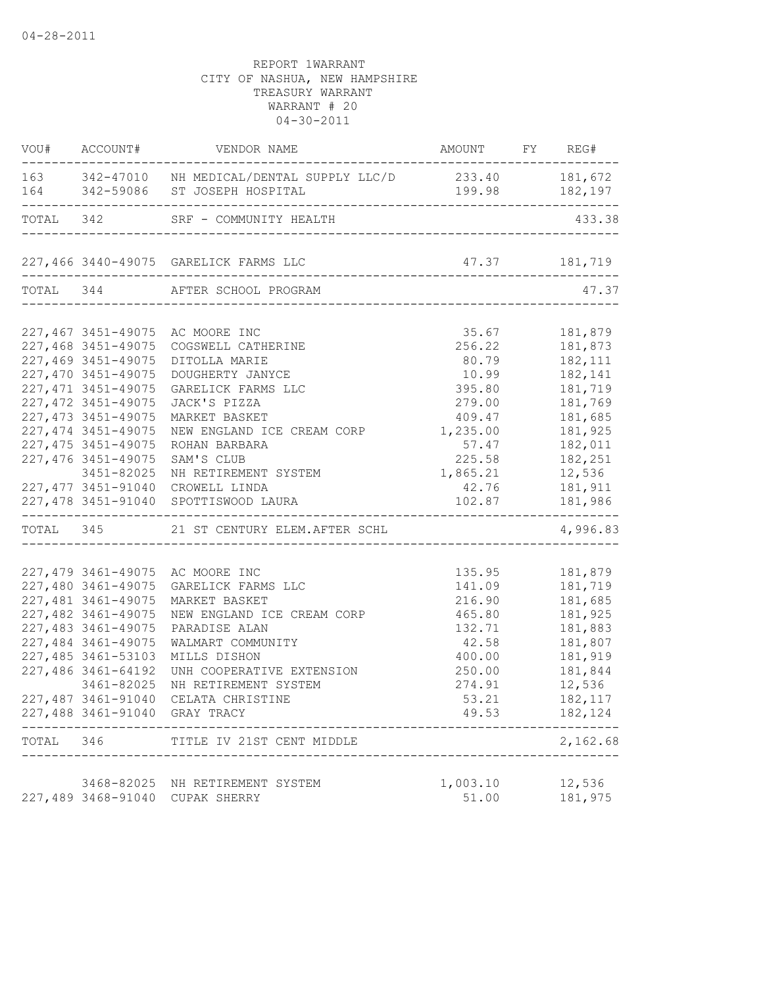|       |                     | VOU# ACCOUNT# VENDOR NAME                                                        | AMOUNT FY REG#                                     | ----------- |                   |
|-------|---------------------|----------------------------------------------------------------------------------|----------------------------------------------------|-------------|-------------------|
|       |                     | 163 342-47010 NH MEDICAL/DENTAL SUPPLY LLC/D 233.40 181,672                      |                                                    |             |                   |
|       |                     | 164 342-59086 ST JOSEPH HOSPITAL                                                 | 199.98 182,197                                     |             |                   |
|       |                     | TOTAL 342 SRF - COMMUNITY HEALTH                                                 |                                                    |             | 433.38            |
|       |                     |                                                                                  |                                                    |             |                   |
|       |                     |                                                                                  |                                                    |             |                   |
|       |                     | TOTAL 344 AFTER SCHOOL PROGRAM<br>_________________________________              |                                                    |             | 47.37             |
|       |                     | 227,467 3451-49075 AC MOORE INC                                                  | 35.67                                              |             | 181,879           |
|       | 227,468 3451-49075  | COGSWELL CATHERINE                                                               | 256.22                                             |             | 181,873           |
|       | 227,469 3451-49075  | DITOLLA MARIE                                                                    | 80.79                                              |             | 182, 111          |
|       | 227,470 3451-49075  | DOUGHERTY JANYCE                                                                 | 10.99                                              |             | 182,141           |
|       | 227, 471 3451-49075 | GARELICK FARMS LLC                                                               | 395.80                                             |             | 181,719           |
|       | 227, 472 3451-49075 | JACK'S PIZZA                                                                     | 279.00                                             |             | 181,769           |
|       | 227, 473 3451-49075 | MARKET BASKET                                                                    | 409.47                                             |             | 181,685           |
|       | 227, 474 3451-49075 | NEW ENGLAND ICE CREAM CORP                                                       | 1,235.00                                           |             | 181,925           |
|       | 227, 475 3451-49075 | ROHAN BARBARA                                                                    | 57.47                                              |             | 182,011           |
|       | 227, 476 3451-49075 | SAM'S CLUB                                                                       | 225.58                                             |             | 182,251           |
|       | 3451-82025          | NH RETIREMENT SYSTEM                                                             | 1,865.21 12,536                                    |             |                   |
|       | 227,477 3451-91040  | CROWELL LINDA                                                                    | 42.76 181,911                                      |             |                   |
|       |                     | 227,478 3451-91040 SPOTTISWOOD LAURA<br>----------------------------------       | 102.87 181,986<br>-------------------------------- |             |                   |
|       |                     | TOTAL 345 21 ST CENTURY ELEM. AFTER SCHL<br>------------------------------------ |                                                    |             | 4,996.83          |
|       |                     |                                                                                  |                                                    |             |                   |
|       |                     | 227,479 3461-49075 AC MOORE INC                                                  |                                                    |             | 135.95 181,879    |
|       | 227,480 3461-49075  | GARELICK FARMS LLC                                                               |                                                    |             | 141.09 181,719    |
|       | 227,481 3461-49075  | MARKET BASKET                                                                    | 216.90                                             |             | 181,685           |
|       | 227,482 3461-49075  | NEW ENGLAND ICE CREAM CORP                                                       | 465.80                                             |             | 181,925           |
|       | 227,483 3461-49075  | PARADISE ALAN                                                                    | 132.71                                             |             | 181,883           |
|       | 227,484 3461-49075  | WALMART COMMUNITY                                                                | 42.58                                              |             | 181,807           |
|       | 227,485 3461-53103  | MILLS DISHON                                                                     | 400.00                                             |             | 181,919           |
|       | 227,486 3461-64192  | UNH COOPERATIVE EXTENSION                                                        | 250.00                                             |             | 181,844           |
|       | 3461-82025          | NH RETIREMENT SYSTEM                                                             | 274.91                                             |             | 12,536            |
|       |                     | 227,487 3461-91040 CELATA CHRISTINE                                              | 53.21                                              |             | 182,117           |
|       |                     | 227,488 3461-91040 GRAY TRACY                                                    | 49.53                                              |             | 182,124           |
| TOTAL | 346                 | TITLE IV 21ST CENT MIDDLE                                                        |                                                    |             | 2,162.68          |
|       |                     |                                                                                  |                                                    |             |                   |
|       |                     | 3468-82025 NH RETIREMENT SYSTEM<br>227,489 3468-91040 CUPAK SHERRY               | 1,003.10<br>51.00                                  |             | 12,536<br>181,975 |
|       |                     |                                                                                  |                                                    |             |                   |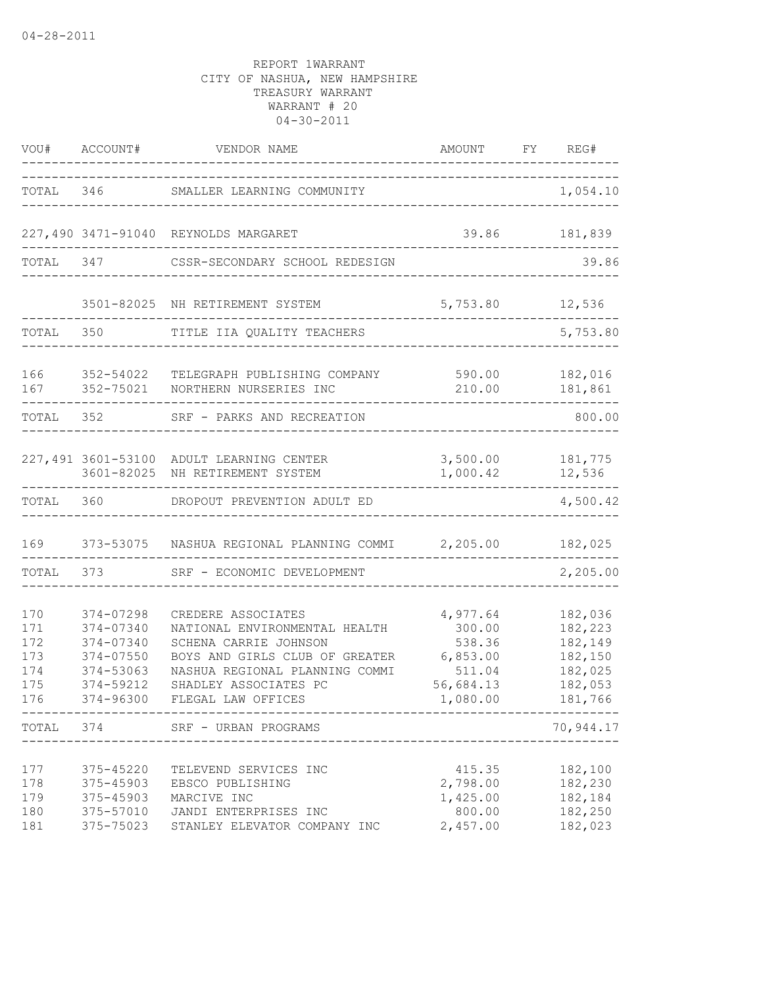|                                               | $\frac{1}{2}$                                                                           | VOU# ACCOUNT# VENDOR NAME                                                                                                                                                                       | AMOUNT FY REG#<br>--------------------------------                          |                                                                           |
|-----------------------------------------------|-----------------------------------------------------------------------------------------|-------------------------------------------------------------------------------------------------------------------------------------------------------------------------------------------------|-----------------------------------------------------------------------------|---------------------------------------------------------------------------|
|                                               |                                                                                         | TOTAL 346 SMALLER LEARNING COMMUNITY                                                                                                                                                            |                                                                             | 1,054.10                                                                  |
|                                               |                                                                                         | 227,490 3471-91040 REYNOLDS MARGARET                                                                                                                                                            |                                                                             | 39.86 181,839                                                             |
|                                               |                                                                                         | TOTAL 347 CSSR-SECONDARY SCHOOL REDESIGN                                                                                                                                                        |                                                                             | 39.86                                                                     |
|                                               |                                                                                         | 3501-82025 NH RETIREMENT SYSTEM                                                                                                                                                                 | 5,753.80 12,536                                                             |                                                                           |
| TOTAL 350                                     |                                                                                         | TITLE IIA QUALITY TEACHERS                                                                                                                                                                      |                                                                             | 5,753.80                                                                  |
| 166                                           | 352-54022<br>167 352-75021                                                              | TELEGRAPH PUBLISHING COMPANY<br>NORTHERN NURSERIES INC                                                                                                                                          | 590.00<br>210.00                                                            | 182,016<br>181,861                                                        |
| TOTAL 352                                     |                                                                                         | SRF - PARKS AND RECREATION                                                                                                                                                                      |                                                                             | 800.00                                                                    |
|                                               |                                                                                         | 227,491 3601-53100 ADULT LEARNING CENTER<br>3601-82025 NH RETIREMENT SYSTEM                                                                                                                     | 1,000.42                                                                    | 3,500.00 181,775<br>12,536                                                |
|                                               |                                                                                         | TOTAL 360 DROPOUT PREVENTION ADULT ED                                                                                                                                                           |                                                                             | 4,500.42                                                                  |
| 169                                           |                                                                                         | 373-53075  NASHUA REGIONAL PLANNING COMMI  2,205.00                           182,025                                                                                                           |                                                                             |                                                                           |
|                                               | TOTAL 373                                                                               | SRF - ECONOMIC DEVELOPMENT                                                                                                                                                                      |                                                                             | 2,205.00                                                                  |
| 170<br>171<br>172<br>173<br>174<br>175<br>176 | 374-07298<br>374-07340<br>374-07340<br>374-07550<br>374-53063<br>374-59212<br>374-96300 | CREDERE ASSOCIATES<br>NATIONAL ENVIRONMENTAL HEALTH<br>SCHENA CARRIE JOHNSON<br>BOYS AND GIRLS CLUB OF GREATER<br>NASHUA REGIONAL PLANNING COMMI<br>SHADLEY ASSOCIATES PC<br>FLEGAL LAW OFFICES | 4,977.64<br>300.00<br>538.36<br>6,853.00<br>511.04<br>56,684.13<br>1,080.00 | 182,036<br>182,223<br>182,149<br>182,150<br>182,025<br>182,053<br>181,766 |
| TOTAL 374                                     |                                                                                         | SRF - URBAN PROGRAMS                                                                                                                                                                            | ------------------------------                                              | 70,944.17                                                                 |
| 177<br>178<br>179<br>180<br>181               | 375-45220<br>375-45903<br>375-45903<br>375-57010<br>375-75023                           | TELEVEND SERVICES INC<br>EBSCO PUBLISHING<br>MARCIVE INC<br>JANDI ENTERPRISES INC<br>STANLEY ELEVATOR COMPANY INC                                                                               | 415.35<br>2,798.00<br>1,425.00<br>800.00<br>2,457.00                        | 182,100<br>182,230<br>182,184<br>182,250<br>182,023                       |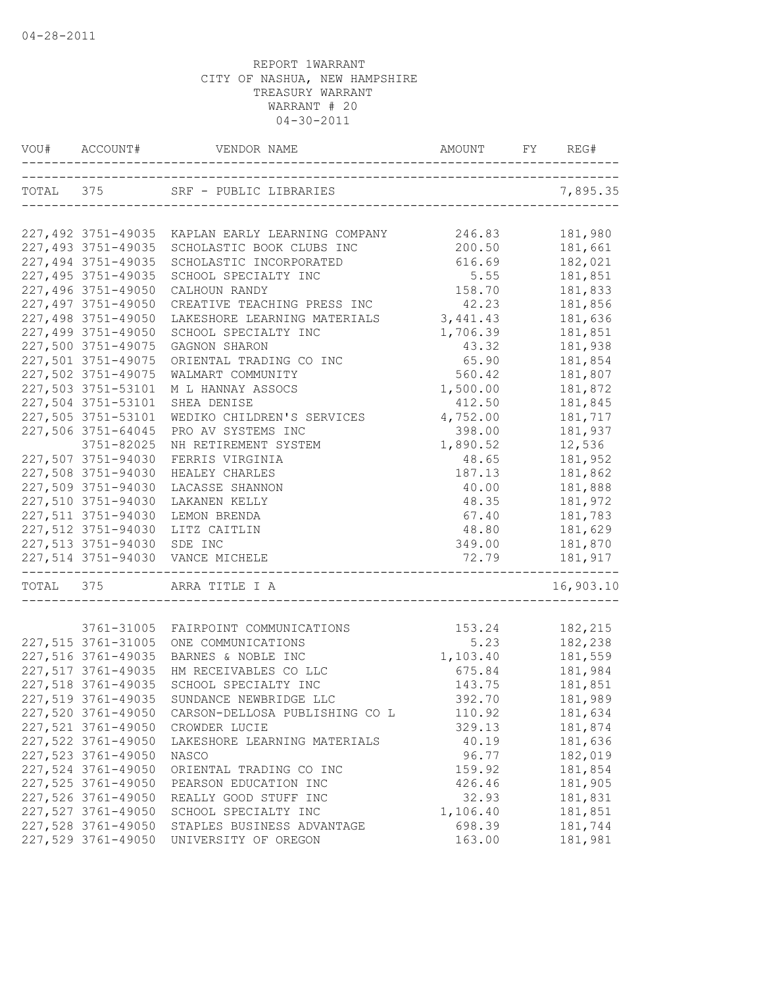|           | VOU# ACCOUNT#      |                                                                                  |          | REG#      |
|-----------|--------------------|----------------------------------------------------------------------------------|----------|-----------|
|           |                    | TOTAL 375 SRF - PUBLIC LIBRARIES<br>ANIDO<br>----------------------------------- |          | 7,895.35  |
|           |                    |                                                                                  |          |           |
|           |                    | 227,492 3751-49035 KAPLAN EARLY LEARNING COMPANY                                 | 246.83   | 181,980   |
|           | 227,493 3751-49035 | SCHOLASTIC BOOK CLUBS INC                                                        | 200.50   | 181,661   |
|           | 227,494 3751-49035 | SCHOLASTIC INCORPORATED                                                          | 616.69   | 182,021   |
|           | 227,495 3751-49035 | SCHOOL SPECIALTY INC                                                             | 5.55     | 181,851   |
|           | 227,496 3751-49050 | CALHOUN RANDY                                                                    | 158.70   | 181,833   |
|           | 227,497 3751-49050 | CREATIVE TEACHING PRESS INC                                                      | 42.23    | 181,856   |
|           | 227,498 3751-49050 | LAKESHORE LEARNING MATERIALS                                                     | 3,441.43 | 181,636   |
|           | 227,499 3751-49050 | SCHOOL SPECIALTY INC                                                             | 1,706.39 | 181,851   |
|           | 227,500 3751-49075 | GAGNON SHARON                                                                    | 43.32    | 181,938   |
|           | 227,501 3751-49075 | ORIENTAL TRADING CO INC                                                          | 65.90    | 181,854   |
|           | 227,502 3751-49075 | WALMART COMMUNITY                                                                | 560.42   | 181,807   |
|           | 227,503 3751-53101 | M L HANNAY ASSOCS                                                                | 1,500.00 | 181,872   |
|           | 227,504 3751-53101 | SHEA DENISE                                                                      | 412.50   | 181,845   |
|           | 227,505 3751-53101 | WEDIKO CHILDREN'S SERVICES                                                       | 4,752.00 | 181,717   |
|           | 227,506 3751-64045 | PRO AV SYSTEMS INC                                                               | 398.00   | 181,937   |
|           | 3751-82025         | NH RETIREMENT SYSTEM                                                             | 1,890.52 | 12,536    |
|           | 227,507 3751-94030 | FERRIS VIRGINIA                                                                  | 48.65    | 181,952   |
|           | 227,508 3751-94030 | HEALEY CHARLES                                                                   | 187.13   | 181,862   |
|           | 227,509 3751-94030 | LACASSE SHANNON                                                                  | 40.00    | 181,888   |
|           | 227,510 3751-94030 | LAKANEN KELLY                                                                    | 48.35    | 181,972   |
|           | 227,511 3751-94030 | LEMON BRENDA                                                                     | 67.40    | 181,783   |
|           | 227,512 3751-94030 | LITZ CAITLIN                                                                     | 48.80    | 181,629   |
|           | 227,513 3751-94030 | SDE INC                                                                          | 349.00   | 181,870   |
|           |                    | 227,514 3751-94030 VANCE MICHELE                                                 | 72.79    | 181,917   |
| TOTAL 375 |                    | ARRA TITLE I A                                                                   |          | 16,903.10 |
|           |                    |                                                                                  |          |           |
|           |                    | 3761-31005 FAIRPOINT COMMUNICATIONS                                              | 153.24   | 182,215   |
|           | 227,515 3761-31005 | ONE COMMUNICATIONS                                                               | 5.23     | 182,238   |
|           | 227,516 3761-49035 | BARNES & NOBLE INC                                                               | 1,103.40 | 181,559   |
|           | 227,517 3761-49035 | HM RECEIVABLES CO LLC                                                            | 675.84   | 181,984   |
|           | 227,518 3761-49035 | SCHOOL SPECIALTY INC                                                             | 143.75   | 181,851   |
|           | 227,519 3761-49035 | SUNDANCE NEWBRIDGE LLC                                                           | 392.70   | 181,989   |
|           | 227,520 3761-49050 | CARSON-DELLOSA PUBLISHING CO L                                                   | 110.92   | 181,634   |
|           | 227,521 3761-49050 | CROWDER LUCIE                                                                    | 329.13   | 181,874   |
|           | 227,522 3761-49050 | LAKESHORE LEARNING MATERIALS                                                     | 40.19    | 181,636   |
|           | 227,523 3761-49050 | NASCO                                                                            | 96.77    | 182,019   |
|           | 227,524 3761-49050 | ORIENTAL TRADING CO INC                                                          | 159.92   | 181,854   |
|           | 227,525 3761-49050 | PEARSON EDUCATION INC                                                            | 426.46   | 181,905   |
|           | 227,526 3761-49050 | REALLY GOOD STUFF INC                                                            | 32.93    | 181,831   |
|           | 227,527 3761-49050 | SCHOOL SPECIALTY INC                                                             | 1,106.40 | 181,851   |
|           | 227,528 3761-49050 | STAPLES BUSINESS ADVANTAGE                                                       | 698.39   | 181,744   |
|           | 227,529 3761-49050 | UNIVERSITY OF OREGON                                                             | 163.00   | 181,981   |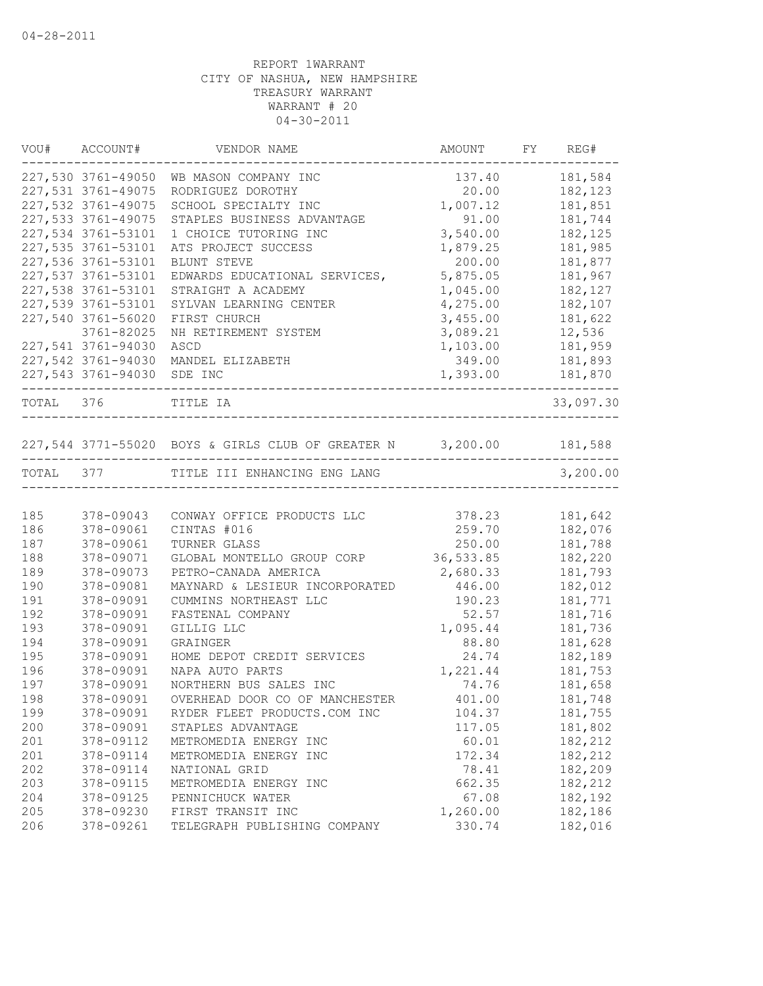|     | VOU# ACCOUNT#             | VENDOR NAME                                                        | AMOUNT   | FY REG#   |
|-----|---------------------------|--------------------------------------------------------------------|----------|-----------|
|     | 227,530 3761-49050        | WB MASON COMPANY INC                                               | 137.40   | 181,584   |
|     | 227,531 3761-49075        | RODRIGUEZ DOROTHY                                                  | 20.00    | 182, 123  |
|     | 227,532 3761-49075        | SCHOOL SPECIALTY INC                                               | 1,007.12 | 181,851   |
|     | 227,533 3761-49075        | STAPLES BUSINESS ADVANTAGE                                         | 91.00    | 181,744   |
|     | 227,534 3761-53101        | 1 CHOICE TUTORING INC                                              | 3,540.00 | 182,125   |
|     | 227,535 3761-53101        | ATS PROJECT SUCCESS                                                | 1,879.25 | 181,985   |
|     | 227,536 3761-53101        | BLUNT STEVE                                                        | 200.00   | 181,877   |
|     | 227,537 3761-53101        | EDWARDS EDUCATIONAL SERVICES,                                      | 5,875.05 | 181,967   |
|     | 227,538 3761-53101        | STRAIGHT A ACADEMY                                                 | 1,045.00 | 182,127   |
|     | 227,539 3761-53101        | SYLVAN LEARNING CENTER                                             | 4,275.00 | 182,107   |
|     | 227,540 3761-56020        | FIRST CHURCH                                                       | 3,455.00 | 181,622   |
|     | 3761-82025                | NH RETIREMENT SYSTEM                                               | 3,089.21 | 12,536    |
|     | 227,541 3761-94030        | ASCD                                                               | 1,103.00 | 181,959   |
|     | 227,542 3761-94030        | MANDEL ELIZABETH                                                   | 349.00   | 181,893   |
|     | ------------------------- | 227,543 3761-94030 SDE INC                                         | 1,393.00 | 181,870   |
|     | TOTAL 376                 | TITLE IA<br>------------------------------                         |          | 33,097.30 |
|     |                           |                                                                    |          |           |
|     |                           | 227,544 3771-55020 BOYS & GIRLS CLUB OF GREATER N 3,200.00 181,588 |          |           |
|     | TOTAL 377                 | TITLE III ENHANCING ENG LANG                                       |          | 3,200.00  |
|     |                           |                                                                    |          |           |
| 185 | 378-09043                 | CONWAY OFFICE PRODUCTS LLC                                         | 378.23   | 181,642   |
| 186 | 378-09061                 | CINTAS #016                                                        | 259.70   | 182,076   |
| 187 | 378-09061                 | TURNER GLASS                                                       | 250.00   | 181,788   |
| 188 | 378-09071                 | GLOBAL MONTELLO GROUP CORP 36,533.85                               |          | 182,220   |
| 189 | 378-09073                 | PETRO-CANADA AMERICA                                               | 2,680.33 | 181,793   |
| 190 | 378-09081                 | MAYNARD & LESIEUR INCORPORATED                                     | 446.00   | 182,012   |
| 191 | 378-09091                 | CUMMINS NORTHEAST LLC                                              | 190.23   | 181,771   |
| 192 | 378-09091                 | FASTENAL COMPANY                                                   | 52.57    | 181,716   |
| 193 | 378-09091                 | GILLIG LLC                                                         | 1,095.44 | 181,736   |
| 194 | 378-09091                 | <b>GRAINGER</b>                                                    | 88.80    | 181,628   |
| 195 | 378-09091                 | HOME DEPOT CREDIT SERVICES                                         | 24.74    | 182,189   |
| 196 | 378-09091                 | NAPA AUTO PARTS                                                    | 1,221.44 | 181,753   |
| 197 | 378-09091                 | NORTHERN BUS SALES INC                                             | 74.76    | 181,658   |
| 198 | 378-09091                 | OVERHEAD DOOR CO OF MANCHESTER                                     | 401.00   | 181,748   |
| 199 | 378-09091                 | RYDER FLEET PRODUCTS.COM INC                                       | 104.37   | 181,755   |
| 200 | 378-09091                 | STAPLES ADVANTAGE                                                  | 117.05   | 181,802   |
| 201 | 378-09112                 | METROMEDIA ENERGY INC                                              | 60.01    | 182,212   |
| 201 | 378-09114                 | METROMEDIA ENERGY INC                                              | 172.34   | 182,212   |
| 202 | 378-09114                 | NATIONAL GRID                                                      | 78.41    | 182,209   |
| 203 | 378-09115                 | METROMEDIA ENERGY INC                                              | 662.35   | 182,212   |
| 204 | 378-09125                 | PENNICHUCK WATER                                                   | 67.08    | 182,192   |
| 205 | 378-09230                 | FIRST TRANSIT INC                                                  | 1,260.00 | 182,186   |
| 206 | 378-09261                 | TELEGRAPH PUBLISHING COMPANY                                       | 330.74   | 182,016   |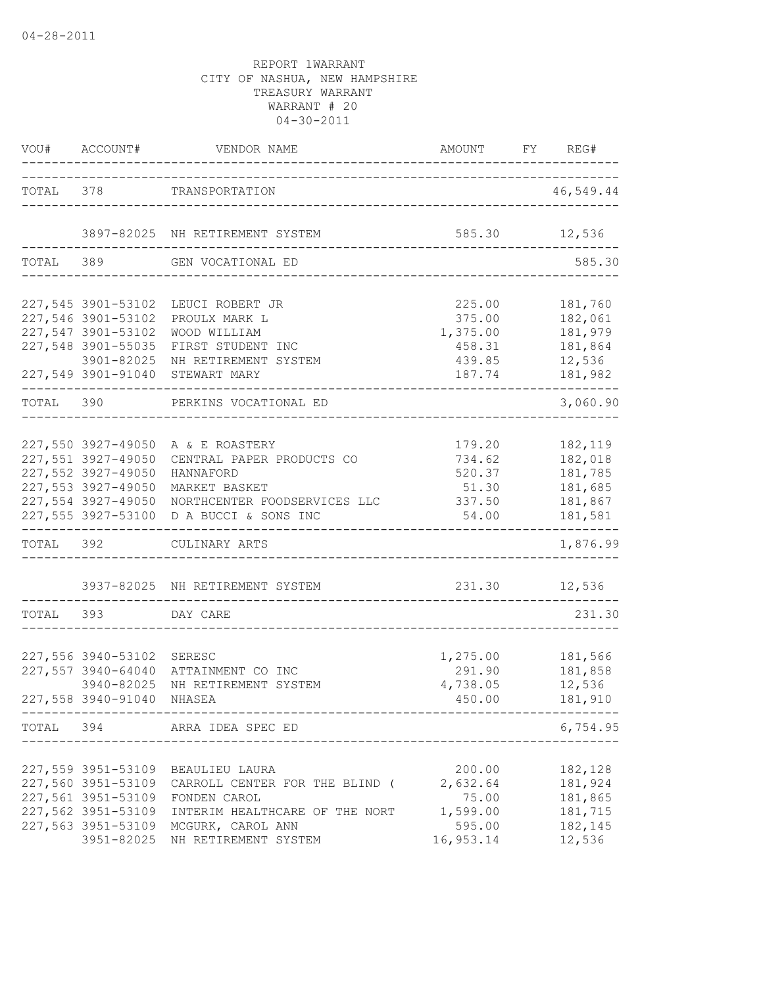|           | VOU# ACCOUNT#                                                                                                            | VENDOR NAME                                                                                                                                                                                      | AMOUNT                                                         | FY REG#                                                        |
|-----------|--------------------------------------------------------------------------------------------------------------------------|--------------------------------------------------------------------------------------------------------------------------------------------------------------------------------------------------|----------------------------------------------------------------|----------------------------------------------------------------|
|           |                                                                                                                          | TOTAL 378 TRANSPORTATION                                                                                                                                                                         |                                                                | 46,549.44                                                      |
|           |                                                                                                                          | 3897-82025 NH RETIREMENT SYSTEM                                                                                                                                                                  |                                                                | 585.30 12,536                                                  |
|           | TOTAL 389                                                                                                                | _________________________<br>GEN VOCATIONAL ED                                                                                                                                                   |                                                                | 585.30                                                         |
|           | 227,545 3901-53102<br>227,546 3901-53102<br>227,547 3901-53102<br>227,548 3901-55035<br>3901-82025<br>227,549 3901-91040 | LEUCI ROBERT JR<br>PROULX MARK L<br>WOOD WILLIAM<br>FIRST STUDENT INC<br>NH RETIREMENT SYSTEM<br>STEWART MARY                                                                                    | 225.00<br>375.00<br>1,375.00<br>458.31<br>439.85<br>187.74     | 181,760<br>182,061<br>181,979<br>181,864<br>12,536<br>181,982  |
| TOTAL 390 |                                                                                                                          | PERKINS VOCATIONAL ED                                                                                                                                                                            |                                                                | 3,060.90                                                       |
|           | 227,551 3927-49050<br>227,552 3927-49050<br>227,553 3927-49050<br>227,554 3927-49050<br>227,555 3927-53100               | 227,550 3927-49050 A & E ROASTERY<br>CENTRAL PAPER PRODUCTS CO<br>HANNAFORD<br>MARKET BASKET<br>NORTHCENTER FOODSERVICES LLC<br>D A BUCCI & SONS INC                                             | 179.20<br>734.62<br>520.37<br>51.30<br>337.50<br>54.00         | 182,119<br>182,018<br>181,785<br>181,685<br>181,867<br>181,581 |
|           |                                                                                                                          | TOTAL 392 CULINARY ARTS                                                                                                                                                                          |                                                                | 1,876.99                                                       |
|           |                                                                                                                          | 3937-82025 NH RETIREMENT SYSTEM                                                                                                                                                                  | 231.30 12,536                                                  |                                                                |
|           | TOTAL 393 DAY CARE                                                                                                       |                                                                                                                                                                                                  |                                                                | 231.30                                                         |
|           | 227,556 3940-53102 SERESC<br>227,557 3940-64040<br>3940-82025<br>227,558 3940-91040                                      | ATTAINMENT CO INC<br>NH RETIREMENT SYSTEM<br>NHASEA                                                                                                                                              | 1,275.00<br>291.90<br>4,738.05<br>450.00                       | 181,566<br>181,858<br>12,536<br>181,910                        |
|           |                                                                                                                          | TOTAL 394 ARRA IDEA SPEC ED                                                                                                                                                                      |                                                                | 6,754.95                                                       |
|           | 227,559 3951-53109<br>227,561 3951-53109<br>227,562 3951-53109                                                           | BEAULIEU LAURA<br>227,560 3951-53109 CARROLL CENTER FOR THE BLIND (<br>FONDEN CAROL<br>INTERIM HEALTHCARE OF THE NORT<br>227,563 3951-53109 MCGURK, CAROL ANN<br>3951-82025 NH RETIREMENT SYSTEM | 200.00<br>2,632.64<br>75.00<br>1,599.00<br>595.00<br>16,953.14 | 182,128<br>181,924<br>181,865<br>181,715<br>182,145<br>12,536  |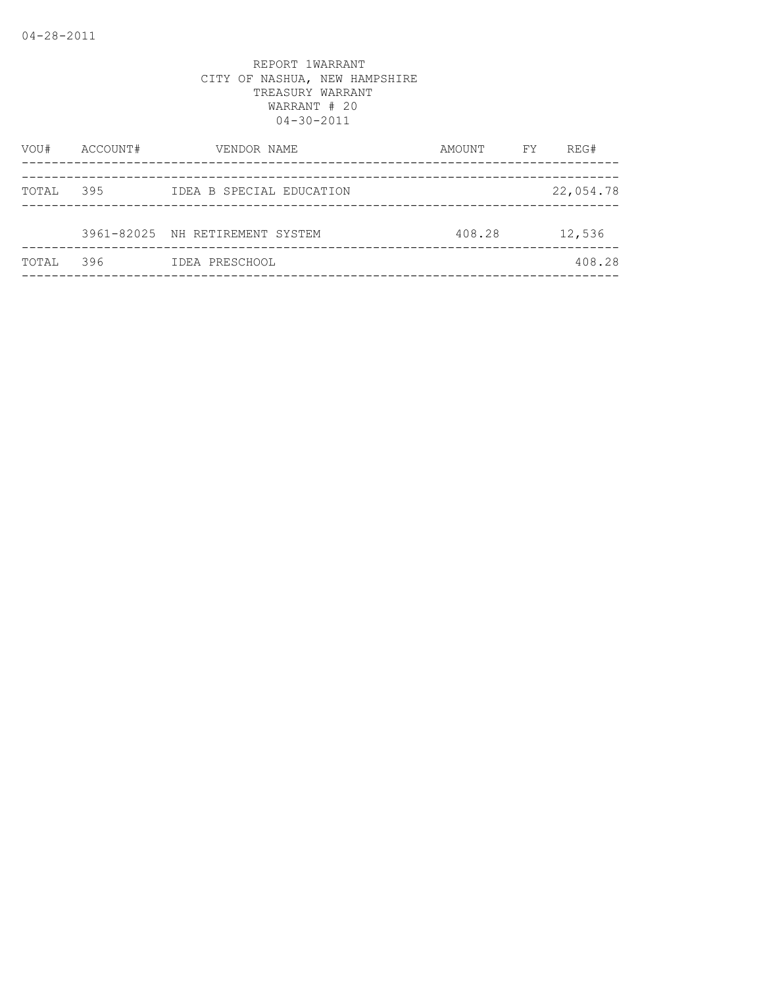| VOU#  | ACCOUNT# | VENDOR NAME                     | AMOUNT | FΥ | REG#      |
|-------|----------|---------------------------------|--------|----|-----------|
|       |          |                                 |        |    |           |
| TOTAL | 395      | IDEA B SPECIAL EDUCATION        |        |    | 22,054.78 |
|       |          | 3961-82025 NH RETIREMENT SYSTEM | 408.28 |    | 12,536    |
| TOTAL | 396      | IDEA PRESCHOOL                  |        |    | 408.28    |
|       |          |                                 |        |    |           |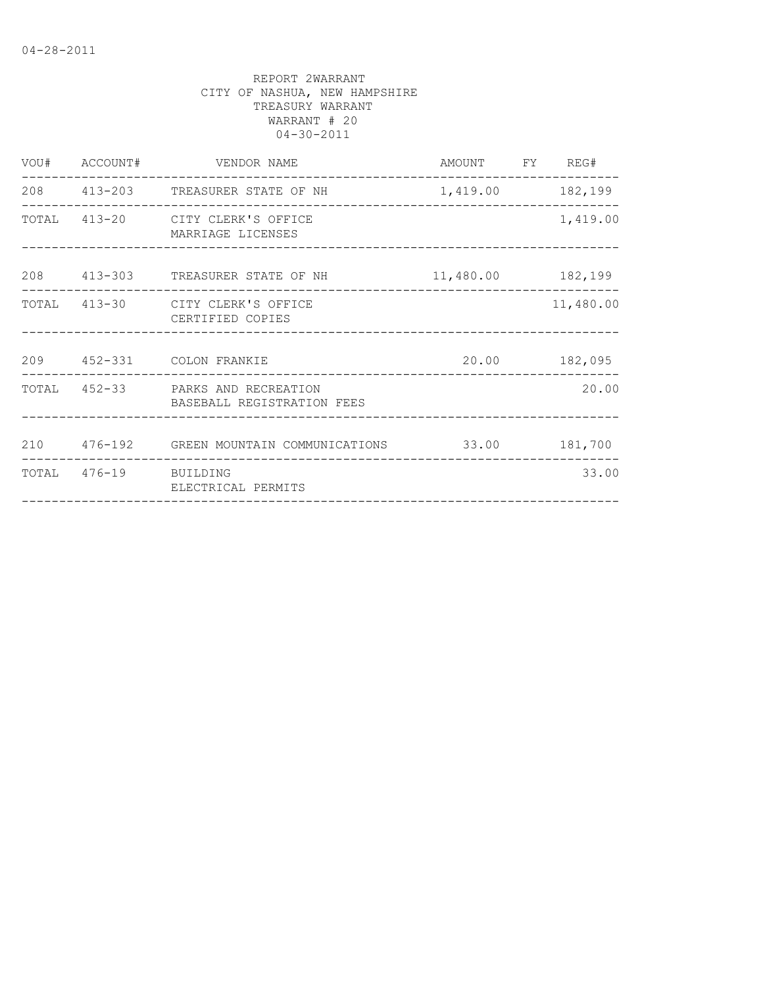|                       | VOU# ACCOUNT# VENDOR NAME                                       | AMOUNT FY REG# |           |
|-----------------------|-----------------------------------------------------------------|----------------|-----------|
|                       | 208 413-203 TREASURER STATE OF NH 1,419.00 182,199              |                |           |
|                       | TOTAL 413-20 CITY CLERK'S OFFICE<br>MARRIAGE LICENSES           |                | 1,419.00  |
|                       | 208 413-303 TREASURER STATE OF NH 11,480.00 182,199             |                |           |
|                       | TOTAL 413-30 CITY CLERK'S OFFICE<br>CERTIFIED COPIES            |                | 11,480.00 |
|                       | 209 452-331 COLON FRANKIE                                       | 20.00 182,095  |           |
|                       | TOTAL 452-33 PARKS AND RECREATION<br>BASEBALL REGISTRATION FEES |                | 20.00     |
|                       | 210  476-192  GREEN MOUNTAIN COMMUNICATIONS  33.00  181,700     |                |           |
| TOTAL 476-19 BUILDING | ELECTRICAL PERMITS                                              |                | 33.00     |
|                       |                                                                 |                |           |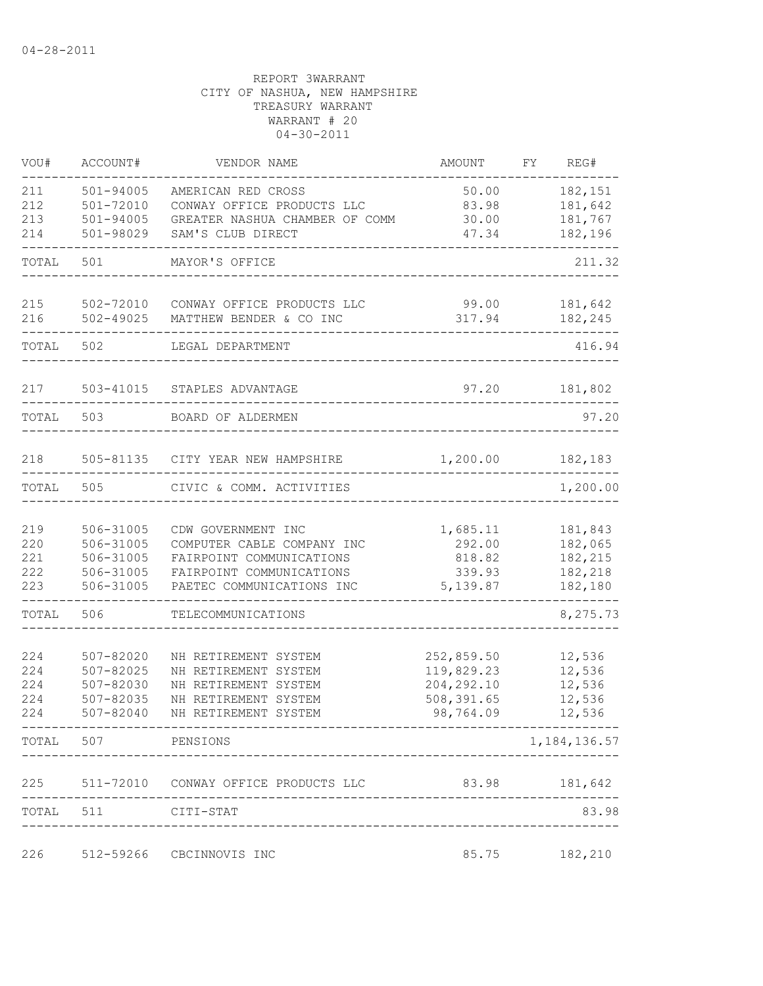| VOU#                            | ACCOUNT#                                                      | VENDOR NAME                                                                                                                           | <b>AMOUNT</b>                                                      | FY. | REG#                                                |
|---------------------------------|---------------------------------------------------------------|---------------------------------------------------------------------------------------------------------------------------------------|--------------------------------------------------------------------|-----|-----------------------------------------------------|
| 211<br>212                      | $501 - 94005$<br>501-72010                                    | AMERICAN RED CROSS<br>CONWAY OFFICE PRODUCTS LLC                                                                                      | 50.00<br>83.98                                                     |     | 182,151<br>181,642                                  |
| 213<br>214                      | $501 - 94005$<br>501-98029                                    | GREATER NASHUA CHAMBER OF COMM<br>SAM'S CLUB DIRECT                                                                                   | 30.00<br>47.34                                                     |     | 181,767<br>182,196                                  |
| TOTAL                           | 501                                                           | MAYOR'S OFFICE                                                                                                                        |                                                                    |     | 211.32                                              |
| 215<br>216                      | 502-72010<br>502-49025                                        | CONWAY OFFICE PRODUCTS LLC<br>MATTHEW BENDER & CO INC                                                                                 | 99.00<br>317.94                                                    |     | 181,642<br>182,245                                  |
| TOTAL                           | 502                                                           | LEGAL DEPARTMENT                                                                                                                      |                                                                    |     | 416.94                                              |
| 217                             | 503-41015                                                     | STAPLES ADVANTAGE                                                                                                                     | 97.20                                                              |     | 181,802                                             |
| TOTAL                           | 503                                                           | BOARD OF ALDERMEN                                                                                                                     |                                                                    |     | 97.20                                               |
| 218                             |                                                               | 505-81135 CITY YEAR NEW HAMPSHIRE                                                                                                     | 1,200.00                                                           |     | 182,183                                             |
| TOTAL                           | 505                                                           | CIVIC & COMM. ACTIVITIES                                                                                                              |                                                                    |     | 1,200.00                                            |
| 219<br>220<br>221<br>222<br>223 | 506-31005<br>506-31005<br>506-31005<br>506-31005<br>506-31005 | CDW GOVERNMENT INC<br>COMPUTER CABLE COMPANY INC<br>FAIRPOINT COMMUNICATIONS<br>FAIRPOINT COMMUNICATIONS<br>PAETEC COMMUNICATIONS INC | 1,685.11<br>292.00<br>818.82<br>339.93<br>5,139.87                 |     | 181,843<br>182,065<br>182,215<br>182,218<br>182,180 |
| TOTAL                           | 506                                                           | TELECOMMUNICATIONS                                                                                                                    |                                                                    |     | 8,275.73                                            |
| 224<br>224<br>224<br>224<br>224 | 507-82020<br>507-82025<br>507-82030<br>507-82035<br>507-82040 | NH RETIREMENT SYSTEM<br>NH RETIREMENT SYSTEM<br>NH RETIREMENT SYSTEM<br>NH RETIREMENT SYSTEM<br>NH RETIREMENT SYSTEM                  | 252,859.50<br>119,829.23<br>204, 292.10<br>508,391.65<br>98,764.09 |     | 12,536<br>12,536<br>12,536<br>12,536<br>12,536      |
|                                 | TOTAL 507 PENSIONS                                            |                                                                                                                                       |                                                                    |     | 1, 184, 136.57                                      |
|                                 |                                                               | 225 511-72010 CONWAY OFFICE PRODUCTS LLC                                                                                              | 83.98 181,642                                                      |     |                                                     |
|                                 | TOTAL 511 CITI-STAT                                           |                                                                                                                                       |                                                                    |     | 83.98                                               |
|                                 |                                                               | 226 512-59266 CBCINNOVIS INC                                                                                                          |                                                                    |     | 85.75 182,210                                       |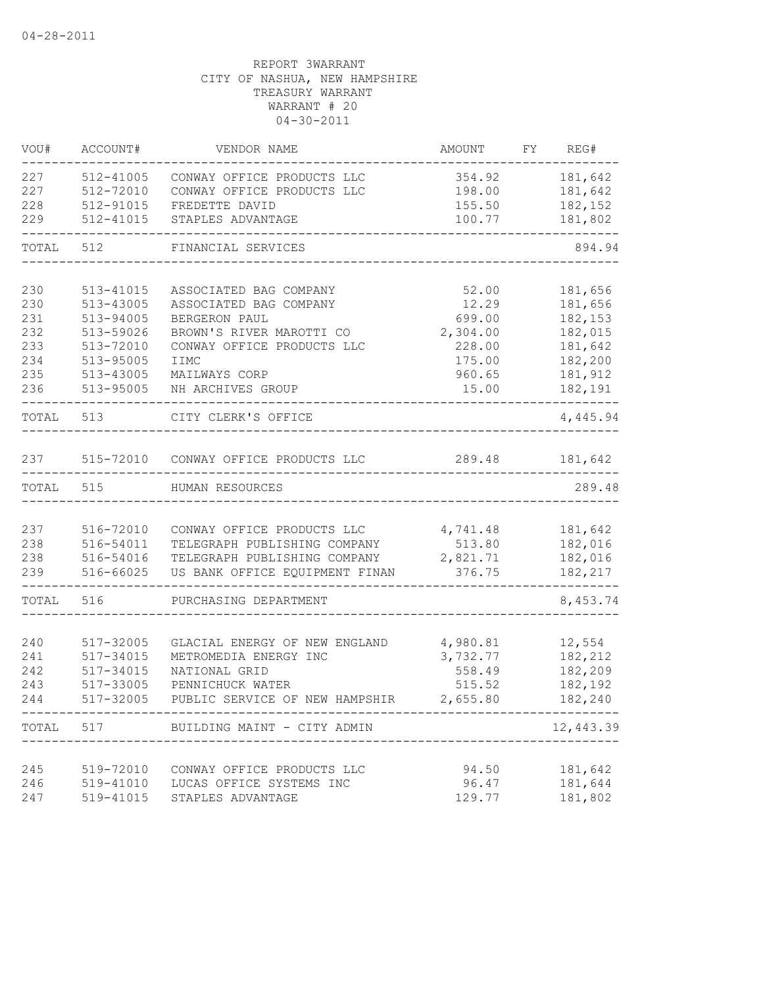| VOU#       | ACCOUNT#               | VENDOR NAME                           | AMOUNT           | FY | REG#               |
|------------|------------------------|---------------------------------------|------------------|----|--------------------|
| 227        | 512-41005              | CONWAY OFFICE PRODUCTS LLC            | 354.92           |    | 181,642            |
| 227        | 512-72010              | CONWAY OFFICE PRODUCTS LLC            | 198.00           |    | 181,642            |
| 228        | 512-91015              | FREDETTE DAVID                        | 155.50           |    | 182,152            |
| 229        | 512-41015              | STAPLES ADVANTAGE                     | 100.77           |    | 181,802            |
| TOTAL      | 512                    | FINANCIAL SERVICES                    |                  |    | 894.94             |
| 230        | 513-41015              | ASSOCIATED BAG COMPANY                | 52.00            |    | 181,656            |
| 230        | 513-43005              | ASSOCIATED BAG COMPANY                | 12.29            |    | 181,656            |
| 231        | 513-94005              | BERGERON PAUL                         | 699.00           |    | 182,153            |
| 232        | 513-59026              | BROWN'S RIVER MAROTTI CO              | 2,304.00         |    | 182,015            |
| 233        | 513-72010              | CONWAY OFFICE PRODUCTS LLC            | 228.00           |    | 181,642            |
| 234        | 513-95005              | <b>IIMC</b>                           | 175.00           |    | 182,200            |
| 235        | 513-43005              | MAILWAYS CORP                         | 960.65           |    | 181,912            |
| 236        | 513-95005              | NH ARCHIVES GROUP                     | 15.00            |    | 182,191            |
|            | TOTAL 513              | CITY CLERK'S OFFICE                   |                  |    | 4,445.94           |
| 237        |                        | 515-72010 CONWAY OFFICE PRODUCTS LLC  | 289.48           |    | 181,642            |
|            |                        |                                       |                  |    |                    |
| TOTAL      | 515                    | HUMAN RESOURCES                       |                  |    | 289.48             |
|            |                        |                                       |                  |    |                    |
| 237        | 516-72010              | CONWAY OFFICE PRODUCTS LLC            | 4,741.48         |    | 181,642            |
| 238        | 516-54011              | TELEGRAPH PUBLISHING COMPANY          | 513.80           |    | 182,016            |
| 238        | 516-54016              | TELEGRAPH PUBLISHING COMPANY          | 2,821.71         |    | 182,016            |
| 239        | 516-66025              | US BANK OFFICE EQUIPMENT FINAN        | 376.75           |    | 182,217            |
| TOTAL      | 516                    | PURCHASING DEPARTMENT                 |                  |    | 8,453.74           |
|            |                        |                                       |                  |    |                    |
| 240        | 517-32005              | GLACIAL ENERGY OF NEW ENGLAND         | 4,980.81         |    | 12,554             |
| 241<br>242 | 517-34015              | METROMEDIA ENERGY INC                 | 3,732.77         |    | 182,212            |
| 243        | 517-34015<br>517-33005 | NATIONAL GRID<br>PENNICHUCK WATER     | 558.49<br>515.52 |    | 182,209<br>182,192 |
| 244        | 517-32005              | PUBLIC SERVICE OF NEW HAMPSHIR        | 2,655.80         |    | 182,240            |
|            |                        | TOTAL 517 BUILDING MAINT - CITY ADMIN |                  |    | 12,443.39          |
|            |                        |                                       |                  |    |                    |
| 245        | 519-72010              | CONWAY OFFICE PRODUCTS LLC            | 94.50            |    | 181,642            |
| 246        | 519-41010              | LUCAS OFFICE SYSTEMS INC              | 96.47            |    | 181,644            |
| 247        | 519-41015              | STAPLES ADVANTAGE                     | 129.77           |    | 181,802            |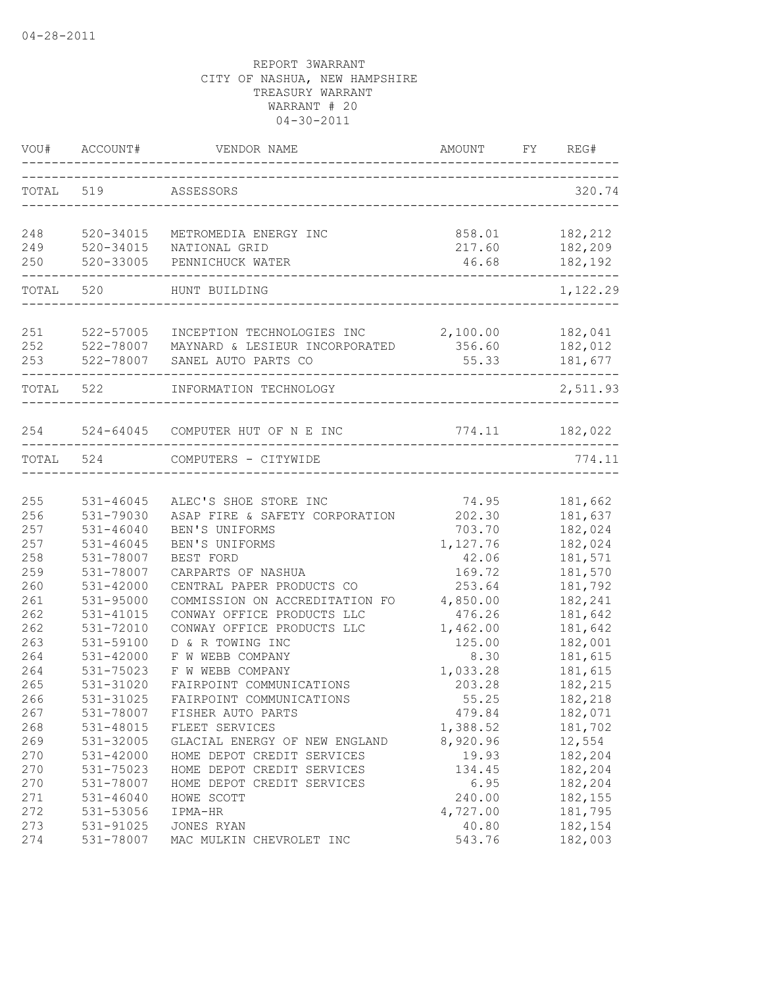| VOU#       | ACCOUNT#                          | VENDOR NAME                                                         | AMOUNT                   | FY | REG#               |
|------------|-----------------------------------|---------------------------------------------------------------------|--------------------------|----|--------------------|
| TOTAL 519  |                                   | ASSESSORS                                                           |                          |    | 320.74             |
| 248        | 520-34015                         | METROMEDIA ENERGY INC                                               | 858.01                   |    | 182,212            |
| 249        | 520-34015                         | NATIONAL GRID                                                       | 217.60                   |    | 182,209            |
| 250        | 520-33005<br>-------------------- | PENNICHUCK WATER<br>-----------                                     | 46.68<br>_______________ |    | 182,192            |
| TOTAL 520  |                                   | HUNT BUILDING                                                       |                          |    | 1,122.29           |
|            |                                   |                                                                     |                          |    |                    |
| 251<br>252 | 522-57005<br>522-78007            | INCEPTION TECHNOLOGIES INC<br>MAYNARD & LESIEUR INCORPORATED 356.60 | 2,100.00                 |    | 182,041<br>182,012 |
| 253        | 522-78007                         | SANEL AUTO PARTS CO                                                 | 55.33                    |    | 181,677            |
| TOTAL 522  |                                   | INFORMATION TECHNOLOGY                                              |                          |    | 2,511.93           |
|            |                                   |                                                                     |                          |    |                    |
|            |                                   | 254 524-64045 COMPUTER HUT OF N E INC                               | 774.11 182,022           |    |                    |
| TOTAL 524  |                                   | COMPUTERS - CITYWIDE                                                |                          |    | 774.11             |
|            |                                   |                                                                     |                          |    |                    |
| 255        | 531-46045                         | ALEC'S SHOE STORE INC                                               | 74.95                    |    | 181,662            |
| 256        | 531-79030                         | ASAP FIRE & SAFETY CORPORATION                                      | 202.30                   |    | 181,637            |
| 257        | $531 - 46040$                     | BEN'S UNIFORMS                                                      | 703.70                   |    | 182,024            |
| 257        | 531-46045                         | BEN'S UNIFORMS                                                      | 1,127.76                 |    | 182,024            |
| 258        | 531-78007                         | BEST FORD                                                           | 42.06                    |    | 181,571            |
| 259        | 531-78007                         | CARPARTS OF NASHUA                                                  | 169.72                   |    | 181,570            |
| 260        | 531-42000                         | CENTRAL PAPER PRODUCTS CO                                           | 253.64                   |    | 181,792            |
| 261        | 531-95000                         | COMMISSION ON ACCREDITATION FO                                      | 4,850.00                 |    | 182,241            |
| 262        | 531-41015                         | CONWAY OFFICE PRODUCTS LLC                                          | 476.26                   |    | 181,642            |
| 262        | 531-72010                         | CONWAY OFFICE PRODUCTS LLC                                          | 1,462.00                 |    | 181,642            |
| 263        | 531-59100                         | D & R TOWING INC                                                    | 125.00                   |    | 182,001            |
| 264        | 531-42000                         | F W WEBB COMPANY                                                    | 8.30                     |    | 181,615            |
| 264        | 531-75023                         | F W WEBB COMPANY                                                    | 1,033.28                 |    | 181,615            |
| 265        | 531-31020                         | FAIRPOINT COMMUNICATIONS                                            | 203.28                   |    | 182,215            |
| 266        | 531-31025                         | FAIRPOINT COMMUNICATIONS                                            | 55.25                    |    | 182,218            |
| 267        | 531-78007                         | FISHER AUTO PARTS                                                   | 479.84                   |    | 182,071            |
| 268        | 531-48015                         | FLEET SERVICES                                                      | 1,388.52                 |    | 181,702            |
| 269        | 531-32005                         | GLACIAL ENERGY OF NEW ENGLAND                                       | 8,920.96                 |    | 12,554             |
| 270        | 531-42000                         | HOME DEPOT CREDIT SERVICES                                          | 19.93                    |    | 182,204            |
| 270        | 531-75023                         | HOME DEPOT CREDIT SERVICES                                          | 134.45                   |    | 182,204            |
| 270        | 531-78007                         | HOME DEPOT CREDIT SERVICES                                          | 6.95                     |    | 182,204            |
| 271        | 531-46040                         | HOWE SCOTT                                                          | 240.00                   |    | 182,155            |
| 272        | 531-53056                         | IPMA-HR                                                             | 4,727.00                 |    | 181,795            |
| 273        | 531-91025                         | JONES RYAN                                                          | 40.80                    |    | 182,154            |
| 274        | 531-78007                         | MAC MULKIN CHEVROLET INC                                            | 543.76                   |    | 182,003            |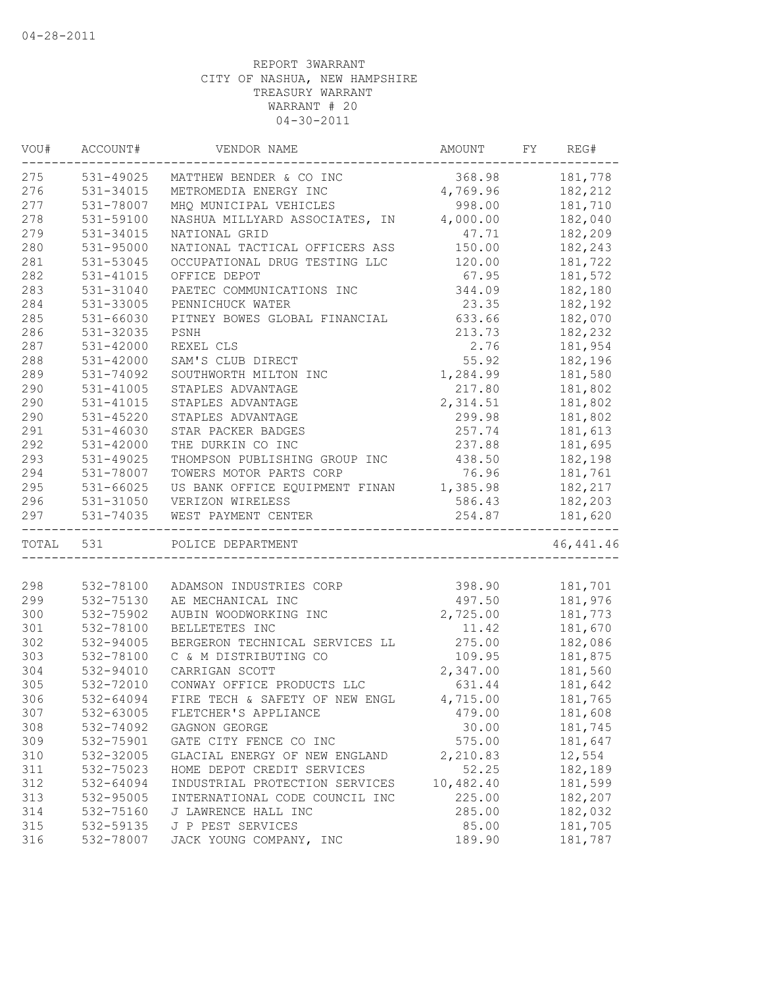| 531-49025<br>181,778<br>368.98<br>MATTHEW BENDER & CO INC<br>4,769.96<br>182,212<br>531-34015<br>METROMEDIA ENERGY INC<br>531-78007<br>998.00<br>MHQ MUNICIPAL VEHICLES<br>181,710<br>NASHUA MILLYARD ASSOCIATES, IN 4,000.00<br>182,040<br>531-59100<br>182,209<br>531-34015<br>NATIONAL GRID<br>47.71<br>531-95000<br>NATIONAL TACTICAL OFFICERS ASS<br>150.00<br>182,243<br>531-53045<br>OCCUPATIONAL DRUG TESTING LLC<br>120.00<br>181,722<br>67.95<br>181,572<br>531-41015<br>OFFICE DEPOT<br>344.09<br>531-31040<br>PAETEC COMMUNICATIONS INC<br>182,180<br>531-33005<br>23.35<br>182,192<br>PENNICHUCK WATER<br>285<br>531-66030<br>PITNEY BOWES GLOBAL FINANCIAL<br>633.66<br>182,070<br>286<br>531-32035<br>213.73<br>182,232<br>PSNH<br>287<br>2.76<br>531-42000<br>REXEL CLS<br>181,954<br>288<br>55.92<br>182,196<br>531-42000<br>SAM'S CLUB DIRECT<br>289<br>181,580<br>531-74092<br>1,284.99<br>SOUTHWORTH MILTON INC<br>290<br>531-41005<br>217.80<br>181,802<br>STAPLES ADVANTAGE<br>290<br>2,314.51<br>181,802<br>531-41015<br>STAPLES ADVANTAGE<br>290<br>299.98<br>531-45220<br>STAPLES ADVANTAGE<br>181,802<br>291<br>531-46030<br>257.74<br>181,613<br>STAR PACKER BADGES<br>292<br>531-42000<br>THE DURKIN CO INC<br>237.88<br>181,695<br>293<br>531-49025<br>THOMPSON PUBLISHING GROUP INC<br>438.50<br>182,198<br>294<br>531-78007<br>TOWERS MOTOR PARTS CORP<br>76.96<br>181,761<br>295<br>US BANK OFFICE EQUIPMENT FINAN 1,385.98<br>531-66025<br>182,217<br>296<br>586.43<br>182,203<br>531-31050<br>VERIZON WIRELESS<br>531-74035<br>254.87<br>181,620<br>WEST PAYMENT CENTER<br>-------------<br>_____________<br>46, 441.46<br>TOTAL<br>531<br>POLICE DEPARTMENT<br>532-78100<br>398.90<br>181,701<br>ADAMSON INDUSTRIES CORP<br>299<br>532-75130<br>497.50<br>181,976<br>AE MECHANICAL INC<br>2,725.00<br>181,773<br>532-75902<br>AUBIN WOODWORKING INC<br>BELLETETES INC<br>11.42<br>181,670<br>532-78100<br>532-94005<br>BERGERON TECHNICAL SERVICES LL<br>275.00<br>182,086<br>532-78100<br>C & M DISTRIBUTING CO<br>109.95<br>181,875<br>2,347.00<br>181,560<br>532-94010<br>CARRIGAN SCOTT<br>532-72010<br>CONWAY OFFICE PRODUCTS LLC<br>631.44<br>181,642<br>532-64094<br>4,715.00<br>181,765<br>FIRE TECH & SAFETY OF NEW ENGL<br>181,608<br>307<br>532-63005<br>FLETCHER'S APPLIANCE<br>479.00<br>308<br>532-74092<br>30.00<br>181,745<br>GAGNON GEORGE<br>309<br>532-75901<br>575.00<br>181,647<br>GATE CITY FENCE CO INC<br>532-32005<br>310<br>GLACIAL ENERGY OF NEW ENGLAND<br>2,210.83<br>12,554<br>52.25<br>311<br>532-75023<br>HOME DEPOT CREDIT SERVICES<br>182,189<br>312<br>10,482.40<br>181,599<br>532-64094<br>INDUSTRIAL PROTECTION SERVICES<br>313<br>225.00<br>532-95005<br>INTERNATIONAL CODE COUNCIL INC<br>182,207<br>314<br>532-75160<br>J LAWRENCE HALL INC<br>285.00<br>182,032<br>315<br>532-59135<br>J P PEST SERVICES<br>85.00<br>181,705 | VOU# | ACCOUNT#  | VENDOR NAME             | AMOUNT | FY. | REG#    |
|----------------------------------------------------------------------------------------------------------------------------------------------------------------------------------------------------------------------------------------------------------------------------------------------------------------------------------------------------------------------------------------------------------------------------------------------------------------------------------------------------------------------------------------------------------------------------------------------------------------------------------------------------------------------------------------------------------------------------------------------------------------------------------------------------------------------------------------------------------------------------------------------------------------------------------------------------------------------------------------------------------------------------------------------------------------------------------------------------------------------------------------------------------------------------------------------------------------------------------------------------------------------------------------------------------------------------------------------------------------------------------------------------------------------------------------------------------------------------------------------------------------------------------------------------------------------------------------------------------------------------------------------------------------------------------------------------------------------------------------------------------------------------------------------------------------------------------------------------------------------------------------------------------------------------------------------------------------------------------------------------------------------------------------------------------------------------------------------------------------------------------------------------------------------------------------------------------------------------------------------------------------------------------------------------------------------------------------------------------------------------------------------------------------------------------------------------------------------------------------------------------------------------------------------------------------------------------------------------------------------------------------------------------------------------------------------------------------------------------------------------------------------------------------------------------------------------------------------------------------------------------------------------------|------|-----------|-------------------------|--------|-----|---------|
|                                                                                                                                                                                                                                                                                                                                                                                                                                                                                                                                                                                                                                                                                                                                                                                                                                                                                                                                                                                                                                                                                                                                                                                                                                                                                                                                                                                                                                                                                                                                                                                                                                                                                                                                                                                                                                                                                                                                                                                                                                                                                                                                                                                                                                                                                                                                                                                                                                                                                                                                                                                                                                                                                                                                                                                                                                                                                                          | 275  |           |                         |        |     |         |
|                                                                                                                                                                                                                                                                                                                                                                                                                                                                                                                                                                                                                                                                                                                                                                                                                                                                                                                                                                                                                                                                                                                                                                                                                                                                                                                                                                                                                                                                                                                                                                                                                                                                                                                                                                                                                                                                                                                                                                                                                                                                                                                                                                                                                                                                                                                                                                                                                                                                                                                                                                                                                                                                                                                                                                                                                                                                                                          | 276  |           |                         |        |     |         |
|                                                                                                                                                                                                                                                                                                                                                                                                                                                                                                                                                                                                                                                                                                                                                                                                                                                                                                                                                                                                                                                                                                                                                                                                                                                                                                                                                                                                                                                                                                                                                                                                                                                                                                                                                                                                                                                                                                                                                                                                                                                                                                                                                                                                                                                                                                                                                                                                                                                                                                                                                                                                                                                                                                                                                                                                                                                                                                          | 277  |           |                         |        |     |         |
|                                                                                                                                                                                                                                                                                                                                                                                                                                                                                                                                                                                                                                                                                                                                                                                                                                                                                                                                                                                                                                                                                                                                                                                                                                                                                                                                                                                                                                                                                                                                                                                                                                                                                                                                                                                                                                                                                                                                                                                                                                                                                                                                                                                                                                                                                                                                                                                                                                                                                                                                                                                                                                                                                                                                                                                                                                                                                                          | 278  |           |                         |        |     |         |
|                                                                                                                                                                                                                                                                                                                                                                                                                                                                                                                                                                                                                                                                                                                                                                                                                                                                                                                                                                                                                                                                                                                                                                                                                                                                                                                                                                                                                                                                                                                                                                                                                                                                                                                                                                                                                                                                                                                                                                                                                                                                                                                                                                                                                                                                                                                                                                                                                                                                                                                                                                                                                                                                                                                                                                                                                                                                                                          | 279  |           |                         |        |     |         |
|                                                                                                                                                                                                                                                                                                                                                                                                                                                                                                                                                                                                                                                                                                                                                                                                                                                                                                                                                                                                                                                                                                                                                                                                                                                                                                                                                                                                                                                                                                                                                                                                                                                                                                                                                                                                                                                                                                                                                                                                                                                                                                                                                                                                                                                                                                                                                                                                                                                                                                                                                                                                                                                                                                                                                                                                                                                                                                          | 280  |           |                         |        |     |         |
|                                                                                                                                                                                                                                                                                                                                                                                                                                                                                                                                                                                                                                                                                                                                                                                                                                                                                                                                                                                                                                                                                                                                                                                                                                                                                                                                                                                                                                                                                                                                                                                                                                                                                                                                                                                                                                                                                                                                                                                                                                                                                                                                                                                                                                                                                                                                                                                                                                                                                                                                                                                                                                                                                                                                                                                                                                                                                                          | 281  |           |                         |        |     |         |
|                                                                                                                                                                                                                                                                                                                                                                                                                                                                                                                                                                                                                                                                                                                                                                                                                                                                                                                                                                                                                                                                                                                                                                                                                                                                                                                                                                                                                                                                                                                                                                                                                                                                                                                                                                                                                                                                                                                                                                                                                                                                                                                                                                                                                                                                                                                                                                                                                                                                                                                                                                                                                                                                                                                                                                                                                                                                                                          | 282  |           |                         |        |     |         |
|                                                                                                                                                                                                                                                                                                                                                                                                                                                                                                                                                                                                                                                                                                                                                                                                                                                                                                                                                                                                                                                                                                                                                                                                                                                                                                                                                                                                                                                                                                                                                                                                                                                                                                                                                                                                                                                                                                                                                                                                                                                                                                                                                                                                                                                                                                                                                                                                                                                                                                                                                                                                                                                                                                                                                                                                                                                                                                          | 283  |           |                         |        |     |         |
|                                                                                                                                                                                                                                                                                                                                                                                                                                                                                                                                                                                                                                                                                                                                                                                                                                                                                                                                                                                                                                                                                                                                                                                                                                                                                                                                                                                                                                                                                                                                                                                                                                                                                                                                                                                                                                                                                                                                                                                                                                                                                                                                                                                                                                                                                                                                                                                                                                                                                                                                                                                                                                                                                                                                                                                                                                                                                                          | 284  |           |                         |        |     |         |
|                                                                                                                                                                                                                                                                                                                                                                                                                                                                                                                                                                                                                                                                                                                                                                                                                                                                                                                                                                                                                                                                                                                                                                                                                                                                                                                                                                                                                                                                                                                                                                                                                                                                                                                                                                                                                                                                                                                                                                                                                                                                                                                                                                                                                                                                                                                                                                                                                                                                                                                                                                                                                                                                                                                                                                                                                                                                                                          |      |           |                         |        |     |         |
|                                                                                                                                                                                                                                                                                                                                                                                                                                                                                                                                                                                                                                                                                                                                                                                                                                                                                                                                                                                                                                                                                                                                                                                                                                                                                                                                                                                                                                                                                                                                                                                                                                                                                                                                                                                                                                                                                                                                                                                                                                                                                                                                                                                                                                                                                                                                                                                                                                                                                                                                                                                                                                                                                                                                                                                                                                                                                                          |      |           |                         |        |     |         |
|                                                                                                                                                                                                                                                                                                                                                                                                                                                                                                                                                                                                                                                                                                                                                                                                                                                                                                                                                                                                                                                                                                                                                                                                                                                                                                                                                                                                                                                                                                                                                                                                                                                                                                                                                                                                                                                                                                                                                                                                                                                                                                                                                                                                                                                                                                                                                                                                                                                                                                                                                                                                                                                                                                                                                                                                                                                                                                          |      |           |                         |        |     |         |
|                                                                                                                                                                                                                                                                                                                                                                                                                                                                                                                                                                                                                                                                                                                                                                                                                                                                                                                                                                                                                                                                                                                                                                                                                                                                                                                                                                                                                                                                                                                                                                                                                                                                                                                                                                                                                                                                                                                                                                                                                                                                                                                                                                                                                                                                                                                                                                                                                                                                                                                                                                                                                                                                                                                                                                                                                                                                                                          |      |           |                         |        |     |         |
|                                                                                                                                                                                                                                                                                                                                                                                                                                                                                                                                                                                                                                                                                                                                                                                                                                                                                                                                                                                                                                                                                                                                                                                                                                                                                                                                                                                                                                                                                                                                                                                                                                                                                                                                                                                                                                                                                                                                                                                                                                                                                                                                                                                                                                                                                                                                                                                                                                                                                                                                                                                                                                                                                                                                                                                                                                                                                                          |      |           |                         |        |     |         |
|                                                                                                                                                                                                                                                                                                                                                                                                                                                                                                                                                                                                                                                                                                                                                                                                                                                                                                                                                                                                                                                                                                                                                                                                                                                                                                                                                                                                                                                                                                                                                                                                                                                                                                                                                                                                                                                                                                                                                                                                                                                                                                                                                                                                                                                                                                                                                                                                                                                                                                                                                                                                                                                                                                                                                                                                                                                                                                          |      |           |                         |        |     |         |
|                                                                                                                                                                                                                                                                                                                                                                                                                                                                                                                                                                                                                                                                                                                                                                                                                                                                                                                                                                                                                                                                                                                                                                                                                                                                                                                                                                                                                                                                                                                                                                                                                                                                                                                                                                                                                                                                                                                                                                                                                                                                                                                                                                                                                                                                                                                                                                                                                                                                                                                                                                                                                                                                                                                                                                                                                                                                                                          |      |           |                         |        |     |         |
|                                                                                                                                                                                                                                                                                                                                                                                                                                                                                                                                                                                                                                                                                                                                                                                                                                                                                                                                                                                                                                                                                                                                                                                                                                                                                                                                                                                                                                                                                                                                                                                                                                                                                                                                                                                                                                                                                                                                                                                                                                                                                                                                                                                                                                                                                                                                                                                                                                                                                                                                                                                                                                                                                                                                                                                                                                                                                                          |      |           |                         |        |     |         |
|                                                                                                                                                                                                                                                                                                                                                                                                                                                                                                                                                                                                                                                                                                                                                                                                                                                                                                                                                                                                                                                                                                                                                                                                                                                                                                                                                                                                                                                                                                                                                                                                                                                                                                                                                                                                                                                                                                                                                                                                                                                                                                                                                                                                                                                                                                                                                                                                                                                                                                                                                                                                                                                                                                                                                                                                                                                                                                          |      |           |                         |        |     |         |
|                                                                                                                                                                                                                                                                                                                                                                                                                                                                                                                                                                                                                                                                                                                                                                                                                                                                                                                                                                                                                                                                                                                                                                                                                                                                                                                                                                                                                                                                                                                                                                                                                                                                                                                                                                                                                                                                                                                                                                                                                                                                                                                                                                                                                                                                                                                                                                                                                                                                                                                                                                                                                                                                                                                                                                                                                                                                                                          |      |           |                         |        |     |         |
|                                                                                                                                                                                                                                                                                                                                                                                                                                                                                                                                                                                                                                                                                                                                                                                                                                                                                                                                                                                                                                                                                                                                                                                                                                                                                                                                                                                                                                                                                                                                                                                                                                                                                                                                                                                                                                                                                                                                                                                                                                                                                                                                                                                                                                                                                                                                                                                                                                                                                                                                                                                                                                                                                                                                                                                                                                                                                                          |      |           |                         |        |     |         |
|                                                                                                                                                                                                                                                                                                                                                                                                                                                                                                                                                                                                                                                                                                                                                                                                                                                                                                                                                                                                                                                                                                                                                                                                                                                                                                                                                                                                                                                                                                                                                                                                                                                                                                                                                                                                                                                                                                                                                                                                                                                                                                                                                                                                                                                                                                                                                                                                                                                                                                                                                                                                                                                                                                                                                                                                                                                                                                          |      |           |                         |        |     |         |
|                                                                                                                                                                                                                                                                                                                                                                                                                                                                                                                                                                                                                                                                                                                                                                                                                                                                                                                                                                                                                                                                                                                                                                                                                                                                                                                                                                                                                                                                                                                                                                                                                                                                                                                                                                                                                                                                                                                                                                                                                                                                                                                                                                                                                                                                                                                                                                                                                                                                                                                                                                                                                                                                                                                                                                                                                                                                                                          |      |           |                         |        |     |         |
|                                                                                                                                                                                                                                                                                                                                                                                                                                                                                                                                                                                                                                                                                                                                                                                                                                                                                                                                                                                                                                                                                                                                                                                                                                                                                                                                                                                                                                                                                                                                                                                                                                                                                                                                                                                                                                                                                                                                                                                                                                                                                                                                                                                                                                                                                                                                                                                                                                                                                                                                                                                                                                                                                                                                                                                                                                                                                                          |      |           |                         |        |     |         |
|                                                                                                                                                                                                                                                                                                                                                                                                                                                                                                                                                                                                                                                                                                                                                                                                                                                                                                                                                                                                                                                                                                                                                                                                                                                                                                                                                                                                                                                                                                                                                                                                                                                                                                                                                                                                                                                                                                                                                                                                                                                                                                                                                                                                                                                                                                                                                                                                                                                                                                                                                                                                                                                                                                                                                                                                                                                                                                          | 297  |           |                         |        |     |         |
|                                                                                                                                                                                                                                                                                                                                                                                                                                                                                                                                                                                                                                                                                                                                                                                                                                                                                                                                                                                                                                                                                                                                                                                                                                                                                                                                                                                                                                                                                                                                                                                                                                                                                                                                                                                                                                                                                                                                                                                                                                                                                                                                                                                                                                                                                                                                                                                                                                                                                                                                                                                                                                                                                                                                                                                                                                                                                                          |      |           |                         |        |     |         |
|                                                                                                                                                                                                                                                                                                                                                                                                                                                                                                                                                                                                                                                                                                                                                                                                                                                                                                                                                                                                                                                                                                                                                                                                                                                                                                                                                                                                                                                                                                                                                                                                                                                                                                                                                                                                                                                                                                                                                                                                                                                                                                                                                                                                                                                                                                                                                                                                                                                                                                                                                                                                                                                                                                                                                                                                                                                                                                          |      |           |                         |        |     |         |
|                                                                                                                                                                                                                                                                                                                                                                                                                                                                                                                                                                                                                                                                                                                                                                                                                                                                                                                                                                                                                                                                                                                                                                                                                                                                                                                                                                                                                                                                                                                                                                                                                                                                                                                                                                                                                                                                                                                                                                                                                                                                                                                                                                                                                                                                                                                                                                                                                                                                                                                                                                                                                                                                                                                                                                                                                                                                                                          | 298  |           |                         |        |     |         |
|                                                                                                                                                                                                                                                                                                                                                                                                                                                                                                                                                                                                                                                                                                                                                                                                                                                                                                                                                                                                                                                                                                                                                                                                                                                                                                                                                                                                                                                                                                                                                                                                                                                                                                                                                                                                                                                                                                                                                                                                                                                                                                                                                                                                                                                                                                                                                                                                                                                                                                                                                                                                                                                                                                                                                                                                                                                                                                          |      |           |                         |        |     |         |
|                                                                                                                                                                                                                                                                                                                                                                                                                                                                                                                                                                                                                                                                                                                                                                                                                                                                                                                                                                                                                                                                                                                                                                                                                                                                                                                                                                                                                                                                                                                                                                                                                                                                                                                                                                                                                                                                                                                                                                                                                                                                                                                                                                                                                                                                                                                                                                                                                                                                                                                                                                                                                                                                                                                                                                                                                                                                                                          | 300  |           |                         |        |     |         |
|                                                                                                                                                                                                                                                                                                                                                                                                                                                                                                                                                                                                                                                                                                                                                                                                                                                                                                                                                                                                                                                                                                                                                                                                                                                                                                                                                                                                                                                                                                                                                                                                                                                                                                                                                                                                                                                                                                                                                                                                                                                                                                                                                                                                                                                                                                                                                                                                                                                                                                                                                                                                                                                                                                                                                                                                                                                                                                          | 301  |           |                         |        |     |         |
|                                                                                                                                                                                                                                                                                                                                                                                                                                                                                                                                                                                                                                                                                                                                                                                                                                                                                                                                                                                                                                                                                                                                                                                                                                                                                                                                                                                                                                                                                                                                                                                                                                                                                                                                                                                                                                                                                                                                                                                                                                                                                                                                                                                                                                                                                                                                                                                                                                                                                                                                                                                                                                                                                                                                                                                                                                                                                                          | 302  |           |                         |        |     |         |
|                                                                                                                                                                                                                                                                                                                                                                                                                                                                                                                                                                                                                                                                                                                                                                                                                                                                                                                                                                                                                                                                                                                                                                                                                                                                                                                                                                                                                                                                                                                                                                                                                                                                                                                                                                                                                                                                                                                                                                                                                                                                                                                                                                                                                                                                                                                                                                                                                                                                                                                                                                                                                                                                                                                                                                                                                                                                                                          | 303  |           |                         |        |     |         |
|                                                                                                                                                                                                                                                                                                                                                                                                                                                                                                                                                                                                                                                                                                                                                                                                                                                                                                                                                                                                                                                                                                                                                                                                                                                                                                                                                                                                                                                                                                                                                                                                                                                                                                                                                                                                                                                                                                                                                                                                                                                                                                                                                                                                                                                                                                                                                                                                                                                                                                                                                                                                                                                                                                                                                                                                                                                                                                          | 304  |           |                         |        |     |         |
|                                                                                                                                                                                                                                                                                                                                                                                                                                                                                                                                                                                                                                                                                                                                                                                                                                                                                                                                                                                                                                                                                                                                                                                                                                                                                                                                                                                                                                                                                                                                                                                                                                                                                                                                                                                                                                                                                                                                                                                                                                                                                                                                                                                                                                                                                                                                                                                                                                                                                                                                                                                                                                                                                                                                                                                                                                                                                                          | 305  |           |                         |        |     |         |
|                                                                                                                                                                                                                                                                                                                                                                                                                                                                                                                                                                                                                                                                                                                                                                                                                                                                                                                                                                                                                                                                                                                                                                                                                                                                                                                                                                                                                                                                                                                                                                                                                                                                                                                                                                                                                                                                                                                                                                                                                                                                                                                                                                                                                                                                                                                                                                                                                                                                                                                                                                                                                                                                                                                                                                                                                                                                                                          | 306  |           |                         |        |     |         |
|                                                                                                                                                                                                                                                                                                                                                                                                                                                                                                                                                                                                                                                                                                                                                                                                                                                                                                                                                                                                                                                                                                                                                                                                                                                                                                                                                                                                                                                                                                                                                                                                                                                                                                                                                                                                                                                                                                                                                                                                                                                                                                                                                                                                                                                                                                                                                                                                                                                                                                                                                                                                                                                                                                                                                                                                                                                                                                          |      |           |                         |        |     |         |
|                                                                                                                                                                                                                                                                                                                                                                                                                                                                                                                                                                                                                                                                                                                                                                                                                                                                                                                                                                                                                                                                                                                                                                                                                                                                                                                                                                                                                                                                                                                                                                                                                                                                                                                                                                                                                                                                                                                                                                                                                                                                                                                                                                                                                                                                                                                                                                                                                                                                                                                                                                                                                                                                                                                                                                                                                                                                                                          |      |           |                         |        |     |         |
|                                                                                                                                                                                                                                                                                                                                                                                                                                                                                                                                                                                                                                                                                                                                                                                                                                                                                                                                                                                                                                                                                                                                                                                                                                                                                                                                                                                                                                                                                                                                                                                                                                                                                                                                                                                                                                                                                                                                                                                                                                                                                                                                                                                                                                                                                                                                                                                                                                                                                                                                                                                                                                                                                                                                                                                                                                                                                                          |      |           |                         |        |     |         |
|                                                                                                                                                                                                                                                                                                                                                                                                                                                                                                                                                                                                                                                                                                                                                                                                                                                                                                                                                                                                                                                                                                                                                                                                                                                                                                                                                                                                                                                                                                                                                                                                                                                                                                                                                                                                                                                                                                                                                                                                                                                                                                                                                                                                                                                                                                                                                                                                                                                                                                                                                                                                                                                                                                                                                                                                                                                                                                          |      |           |                         |        |     |         |
|                                                                                                                                                                                                                                                                                                                                                                                                                                                                                                                                                                                                                                                                                                                                                                                                                                                                                                                                                                                                                                                                                                                                                                                                                                                                                                                                                                                                                                                                                                                                                                                                                                                                                                                                                                                                                                                                                                                                                                                                                                                                                                                                                                                                                                                                                                                                                                                                                                                                                                                                                                                                                                                                                                                                                                                                                                                                                                          |      |           |                         |        |     |         |
|                                                                                                                                                                                                                                                                                                                                                                                                                                                                                                                                                                                                                                                                                                                                                                                                                                                                                                                                                                                                                                                                                                                                                                                                                                                                                                                                                                                                                                                                                                                                                                                                                                                                                                                                                                                                                                                                                                                                                                                                                                                                                                                                                                                                                                                                                                                                                                                                                                                                                                                                                                                                                                                                                                                                                                                                                                                                                                          |      |           |                         |        |     |         |
|                                                                                                                                                                                                                                                                                                                                                                                                                                                                                                                                                                                                                                                                                                                                                                                                                                                                                                                                                                                                                                                                                                                                                                                                                                                                                                                                                                                                                                                                                                                                                                                                                                                                                                                                                                                                                                                                                                                                                                                                                                                                                                                                                                                                                                                                                                                                                                                                                                                                                                                                                                                                                                                                                                                                                                                                                                                                                                          |      |           |                         |        |     |         |
|                                                                                                                                                                                                                                                                                                                                                                                                                                                                                                                                                                                                                                                                                                                                                                                                                                                                                                                                                                                                                                                                                                                                                                                                                                                                                                                                                                                                                                                                                                                                                                                                                                                                                                                                                                                                                                                                                                                                                                                                                                                                                                                                                                                                                                                                                                                                                                                                                                                                                                                                                                                                                                                                                                                                                                                                                                                                                                          |      |           |                         |        |     |         |
|                                                                                                                                                                                                                                                                                                                                                                                                                                                                                                                                                                                                                                                                                                                                                                                                                                                                                                                                                                                                                                                                                                                                                                                                                                                                                                                                                                                                                                                                                                                                                                                                                                                                                                                                                                                                                                                                                                                                                                                                                                                                                                                                                                                                                                                                                                                                                                                                                                                                                                                                                                                                                                                                                                                                                                                                                                                                                                          |      |           |                         |        |     |         |
|                                                                                                                                                                                                                                                                                                                                                                                                                                                                                                                                                                                                                                                                                                                                                                                                                                                                                                                                                                                                                                                                                                                                                                                                                                                                                                                                                                                                                                                                                                                                                                                                                                                                                                                                                                                                                                                                                                                                                                                                                                                                                                                                                                                                                                                                                                                                                                                                                                                                                                                                                                                                                                                                                                                                                                                                                                                                                                          | 316  | 532-78007 | JACK YOUNG COMPANY, INC | 189.90 |     | 181,787 |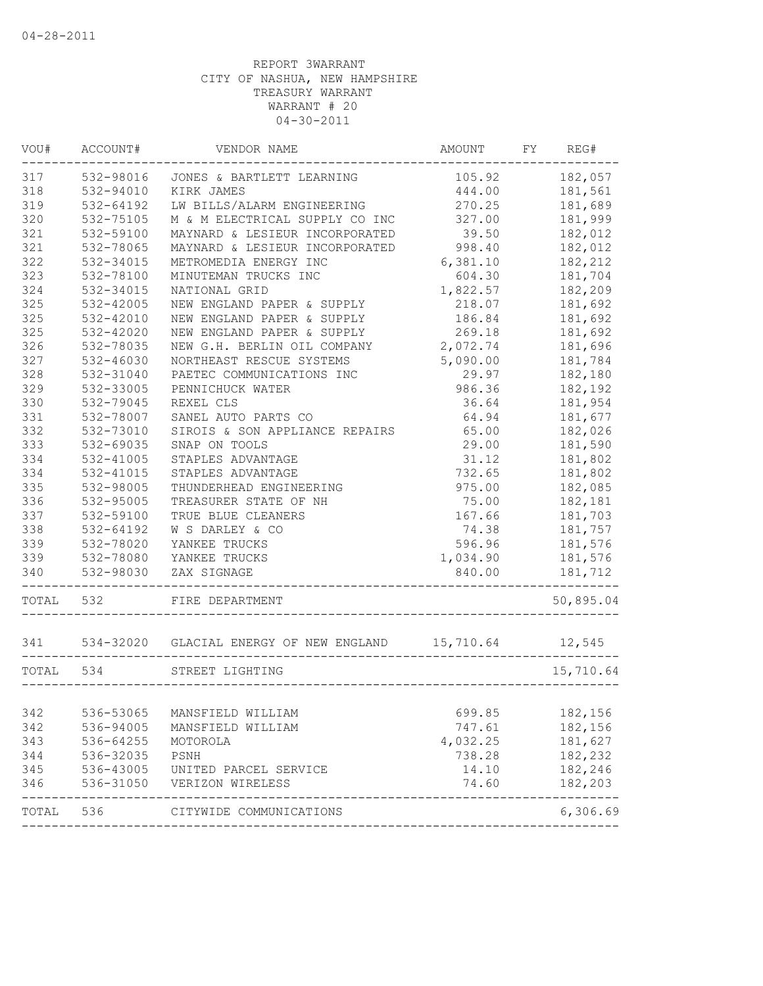| VOU#      | ACCOUNT#  | VENDOR NAME                             | AMOUNT    | FY | REG#      |
|-----------|-----------|-----------------------------------------|-----------|----|-----------|
| 317       | 532-98016 | JONES & BARTLETT LEARNING               | 105.92    |    | 182,057   |
| 318       | 532-94010 | KIRK JAMES                              | 444.00    |    | 181,561   |
| 319       | 532-64192 | LW BILLS/ALARM ENGINEERING              | 270.25    |    | 181,689   |
| 320       | 532-75105 | M & M ELECTRICAL SUPPLY CO INC          | 327.00    |    | 181,999   |
| 321       | 532-59100 | MAYNARD & LESIEUR INCORPORATED          | 39.50     |    | 182,012   |
| 321       | 532-78065 | MAYNARD & LESIEUR INCORPORATED          | 998.40    |    | 182,012   |
| 322       | 532-34015 | METROMEDIA ENERGY INC                   | 6,381.10  |    | 182,212   |
| 323       | 532-78100 | MINUTEMAN TRUCKS INC                    | 604.30    |    | 181,704   |
| 324       | 532-34015 | NATIONAL GRID                           | 1,822.57  |    | 182,209   |
| 325       | 532-42005 | NEW ENGLAND PAPER & SUPPLY              | 218.07    |    | 181,692   |
| 325       | 532-42010 | NEW ENGLAND PAPER & SUPPLY              | 186.84    |    | 181,692   |
| 325       | 532-42020 | NEW ENGLAND PAPER & SUPPLY              | 269.18    |    | 181,692   |
| 326       | 532-78035 | NEW G.H. BERLIN OIL COMPANY             | 2,072.74  |    | 181,696   |
| 327       | 532-46030 | NORTHEAST RESCUE SYSTEMS                | 5,090.00  |    | 181,784   |
| 328       | 532-31040 | PAETEC COMMUNICATIONS INC               | 29.97     |    | 182,180   |
| 329       | 532-33005 | PENNICHUCK WATER                        | 986.36    |    | 182,192   |
| 330       | 532-79045 | REXEL CLS                               | 36.64     |    | 181,954   |
| 331       | 532-78007 | SANEL AUTO PARTS CO                     | 64.94     |    | 181,677   |
| 332       | 532-73010 | SIROIS & SON APPLIANCE REPAIRS          | 65.00     |    | 182,026   |
| 333       | 532-69035 | SNAP ON TOOLS                           | 29.00     |    | 181,590   |
| 334       | 532-41005 | STAPLES ADVANTAGE                       | 31.12     |    | 181,802   |
| 334       | 532-41015 | STAPLES ADVANTAGE                       | 732.65    |    | 181,802   |
| 335       | 532-98005 | THUNDERHEAD ENGINEERING                 | 975.00    |    | 182,085   |
| 336       | 532-95005 | TREASURER STATE OF NH                   | 75.00     |    | 182,181   |
| 337       | 532-59100 | TRUE BLUE CLEANERS                      | 167.66    |    | 181,703   |
| 338       | 532-64192 | W S DARLEY & CO                         | 74.38     |    | 181,757   |
| 339       | 532-78020 | YANKEE TRUCKS                           | 596.96    |    | 181,576   |
| 339       | 532-78080 | YANKEE TRUCKS                           | 1,034.90  |    | 181,576   |
| 340       | 532-98030 | ZAX SIGNAGE                             | 840.00    |    | 181,712   |
|           |           |                                         |           |    |           |
| TOTAL     | 532       | FIRE DEPARTMENT                         |           |    | 50,895.04 |
| 341       |           | 534-32020 GLACIAL ENERGY OF NEW ENGLAND | 15,710.64 |    | 12,545    |
| TOTAL 534 |           | STREET LIGHTING                         |           |    | 15,710.64 |
|           |           |                                         |           |    |           |
| 342       | 536-53065 | MANSFIELD WILLIAM                       | 699.85    |    | 182,156   |
| 342       | 536-94005 | MANSFIELD WILLIAM                       | 747.61    |    | 182,156   |
| 343       | 536-64255 | MOTOROLA                                | 4,032.25  |    | 181,627   |
| 344       | 536-32035 | PSNH                                    | 738.28    |    | 182,232   |
| 345       | 536-43005 | UNITED PARCEL SERVICE                   | 14.10     |    | 182,246   |
| 346       | 536-31050 | VERIZON WIRELESS                        | 74.60     |    | 182,203   |
| TOTAL 536 |           | CITYWIDE COMMUNICATIONS                 |           |    | 6,306.69  |
|           |           |                                         |           |    |           |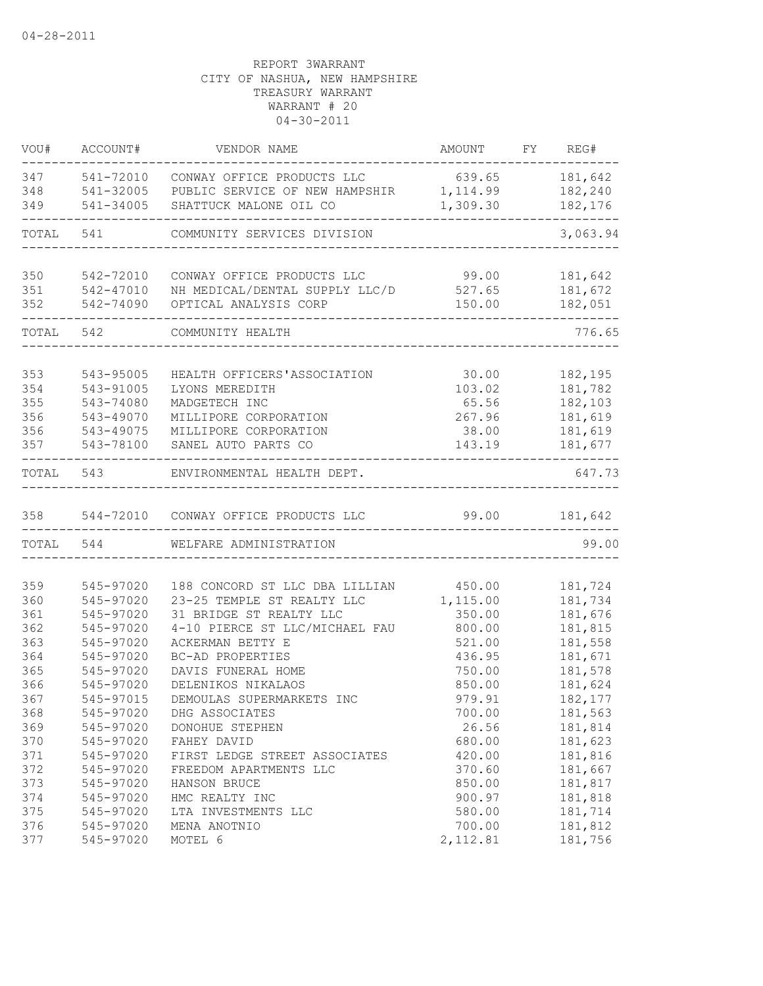| VOU#       | ACCOUNT#               | VENDOR NAME                                       | AMOUNT           | FY REG#            |
|------------|------------------------|---------------------------------------------------|------------------|--------------------|
| 347        |                        | 541-72010 CONWAY OFFICE PRODUCTS LLC              | 639.65           | 181,642            |
| 348        |                        | 541-32005 PUBLIC SERVICE OF NEW HAMPSHIR 1,114.99 |                  | 182,240            |
| 349        | 541-34005              | SHATTUCK MALONE OIL CO                            | 1,309.30         | 182,176            |
| TOTAL      | 541                    | COMMUNITY SERVICES DIVISION                       |                  | 3,063.94           |
|            |                        |                                                   |                  |                    |
| 350        | 542-72010              | CONWAY OFFICE PRODUCTS LLC                        | 99.00            | 181,642            |
| 351        | 542-47010              | NH MEDICAL/DENTAL SUPPLY LLC/D                    | 527.65           | 181,672<br>182,051 |
| 352        | 542-74090              | OPTICAL ANALYSIS CORP                             | 150.00           |                    |
| TOTAL      | 542                    | COMMUNITY HEALTH                                  |                  | 776.65             |
| 353        | 543-95005              | HEALTH OFFICERS'ASSOCIATION                       | 30.00            | 182,195            |
| 354        | 543-91005              | LYONS MEREDITH                                    | 103.02           | 181,782            |
| 355        | 543-74080              | MADGETECH INC                                     | 65.56            | 182,103            |
| 356        | 543-49070              | MILLIPORE CORPORATION                             | 267.96           | 181,619            |
| 356        | 543-49075              | MILLIPORE CORPORATION                             | 38.00            | 181,619            |
| 357        | 543-78100              | SANEL AUTO PARTS CO                               | 143.19           | 181,677            |
| TOTAL      | 543                    | ENVIRONMENTAL HEALTH DEPT.                        |                  | 647.73             |
| 358        |                        | 544-72010 CONWAY OFFICE PRODUCTS LLC              | 99.00            | 181,642            |
|            | TOTAL 544              | WELFARE ADMINISTRATION                            |                  | 99.00              |
|            |                        |                                                   |                  |                    |
| 359        | 545-97020              | 188 CONCORD ST LLC DBA LILLIAN                    | 450.00           | 181,724            |
| 360        | 545-97020              | 23-25 TEMPLE ST REALTY LLC                        | 1,115.00         | 181,734            |
| 361        | 545-97020              | 31 BRIDGE ST REALTY LLC                           | 350.00           | 181,676            |
| 362        | 545-97020              | 4-10 PIERCE ST LLC/MICHAEL FAU                    | 800.00           | 181,815            |
| 363        | 545-97020              | ACKERMAN BETTY E                                  | 521.00           | 181,558            |
| 364        | 545-97020              | BC-AD PROPERTIES                                  | 436.95           | 181,671            |
| 365<br>366 | 545-97020<br>545-97020 | DAVIS FUNERAL HOME                                | 750.00           | 181,578            |
|            |                        | DELENIKOS NIKALAOS                                | 850.00           | 181,624            |
| 367        | 545-97015              | DEMOULAS SUPERMARKETS INC                         | 979.91           | 182, 177           |
| 368        | 545-97020              | DHG ASSOCIATES                                    | 700.00           | 181,563<br>181,814 |
| 369        | 545-97020              | DONOHUE STEPHEN                                   | 26.56            |                    |
| 370        | 545-97020              | FAHEY DAVID                                       | 680.00           | 181,623            |
| 371<br>372 | 545-97020<br>545-97020 | FIRST LEDGE STREET ASSOCIATES                     | 420.00           | 181,816            |
|            |                        | FREEDOM APARTMENTS LLC                            | 370.60           | 181,667            |
| 373        | 545-97020              | HANSON BRUCE                                      | 850.00           | 181,817            |
| 374        | 545-97020              | HMC REALTY INC                                    | 900.97           | 181,818            |
| 375<br>376 | 545-97020<br>545-97020 | LTA INVESTMENTS LLC<br>MENA ANOTNIO               | 580.00<br>700.00 | 181,714<br>181,812 |
| 377        | 545-97020              | MOTEL 6                                           | 2,112.81         | 181,756            |
|            |                        |                                                   |                  |                    |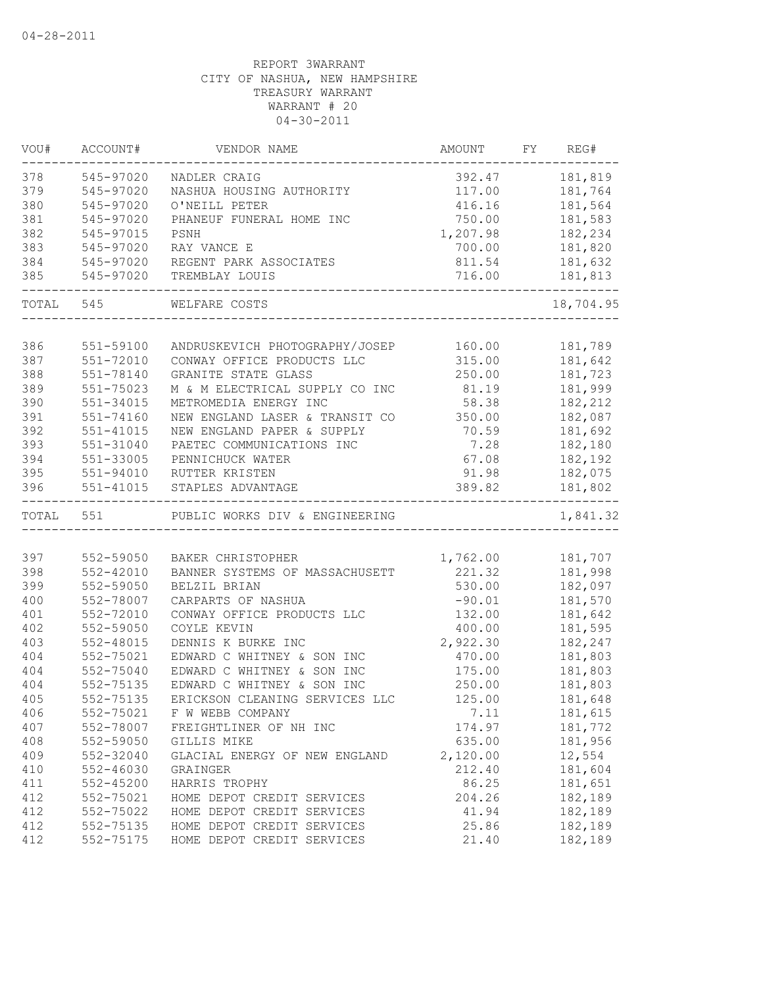| VOU#  | ACCOUNT#      | VENDOR NAME                    | AMOUNT                    | FY REG#   |
|-------|---------------|--------------------------------|---------------------------|-----------|
| 378   | 545-97020     | NADLER CRAIG                   | 392.47                    | 181,819   |
| 379   | 545-97020     | NASHUA HOUSING AUTHORITY       | 117.00                    | 181,764   |
| 380   | 545-97020     | O'NEILL PETER                  | 416.16                    | 181,564   |
| 381   | 545-97020     | PHANEUF FUNERAL HOME INC       | 750.00                    | 181,583   |
| 382   | 545-97015     | PSNH                           | 1,207.98                  | 182,234   |
| 383   | 545-97020     | RAY VANCE E                    | 700.00                    | 181,820   |
| 384   | 545-97020     | REGENT PARK ASSOCIATES         | 811.54                    | 181,632   |
| 385   | 545-97020     | TREMBLAY LOUIS                 | 716.00<br>_______________ | 181,813   |
|       | TOTAL 545     | WELFARE COSTS                  |                           | 18,704.95 |
|       |               |                                |                           |           |
| 386   | 551-59100     | ANDRUSKEVICH PHOTOGRAPHY/JOSEP | 160.00                    | 181,789   |
| 387   | 551-72010     | CONWAY OFFICE PRODUCTS LLC     | 315.00                    | 181,642   |
| 388   | 551-78140     | GRANITE STATE GLASS            | 250.00                    | 181,723   |
| 389   | $551 - 75023$ | M & M ELECTRICAL SUPPLY CO INC | 81.19                     | 181,999   |
| 390   | 551-34015     | METROMEDIA ENERGY INC          | 58.38                     | 182,212   |
| 391   | 551-74160     | NEW ENGLAND LASER & TRANSIT CO | 350.00                    | 182,087   |
| 392   | 551-41015     | NEW ENGLAND PAPER & SUPPLY     | 70.59                     | 181,692   |
| 393   | 551-31040     | PAETEC COMMUNICATIONS INC      | 7.28                      | 182,180   |
| 394   | 551-33005     | PENNICHUCK WATER               | 67.08                     | 182,192   |
| 395   | 551-94010     | RUTTER KRISTEN                 | 91.98                     | 182,075   |
| 396   | 551-41015     | STAPLES ADVANTAGE              | 389.82                    | 181,802   |
| TOTAL | 551           | PUBLIC WORKS DIV & ENGINEERING |                           | 1,841.32  |
|       |               |                                |                           |           |
| 397   | 552-59050     | BAKER CHRISTOPHER              | 1,762.00                  | 181,707   |
| 398   | 552-42010     | BANNER SYSTEMS OF MASSACHUSETT | 221.32                    | 181,998   |
| 399   | 552-59050     | BELZIL BRIAN                   | 530.00                    | 182,097   |
| 400   | 552-78007     | CARPARTS OF NASHUA             | $-90.01$                  | 181,570   |
| 401   | 552-72010     | CONWAY OFFICE PRODUCTS LLC     | 132.00                    | 181,642   |
| 402   | 552-59050     | COYLE KEVIN                    | 400.00                    | 181,595   |
| 403   | 552-48015     | DENNIS K BURKE INC             | 2,922.30                  | 182,247   |
| 404   | 552-75021     | EDWARD C WHITNEY & SON INC     | 470.00                    | 181,803   |
| 404   | 552-75040     | EDWARD C WHITNEY & SON INC     | 175.00                    | 181,803   |
| 404   | 552-75135     | EDWARD C WHITNEY & SON INC     | 250.00                    | 181,803   |
| 405   | 552-75135     | ERICKSON CLEANING SERVICES LLC | 125.00                    | 181,648   |
| 406   | 552-75021     | F W WEBB COMPANY               | 7.11                      | 181,615   |
| 407   | 552-78007     | FREIGHTLINER OF NH INC         | 174.97                    | 181,772   |
| 408   | 552-59050     | GILLIS MIKE                    | 635.00                    | 181,956   |
| 409   | 552-32040     | GLACIAL ENERGY OF NEW ENGLAND  | 2,120.00                  | 12,554    |
| 410   | 552-46030     | GRAINGER                       | 212.40                    | 181,604   |
| 411   | 552-45200     | HARRIS TROPHY                  | 86.25                     | 181,651   |
| 412   | 552-75021     | HOME DEPOT CREDIT SERVICES     | 204.26                    | 182,189   |
| 412   | 552-75022     | HOME DEPOT CREDIT SERVICES     | 41.94                     | 182,189   |
| 412   | 552-75135     | HOME DEPOT CREDIT SERVICES     | 25.86                     | 182,189   |
| 412   | 552-75175     | HOME DEPOT CREDIT SERVICES     | 21.40                     | 182,189   |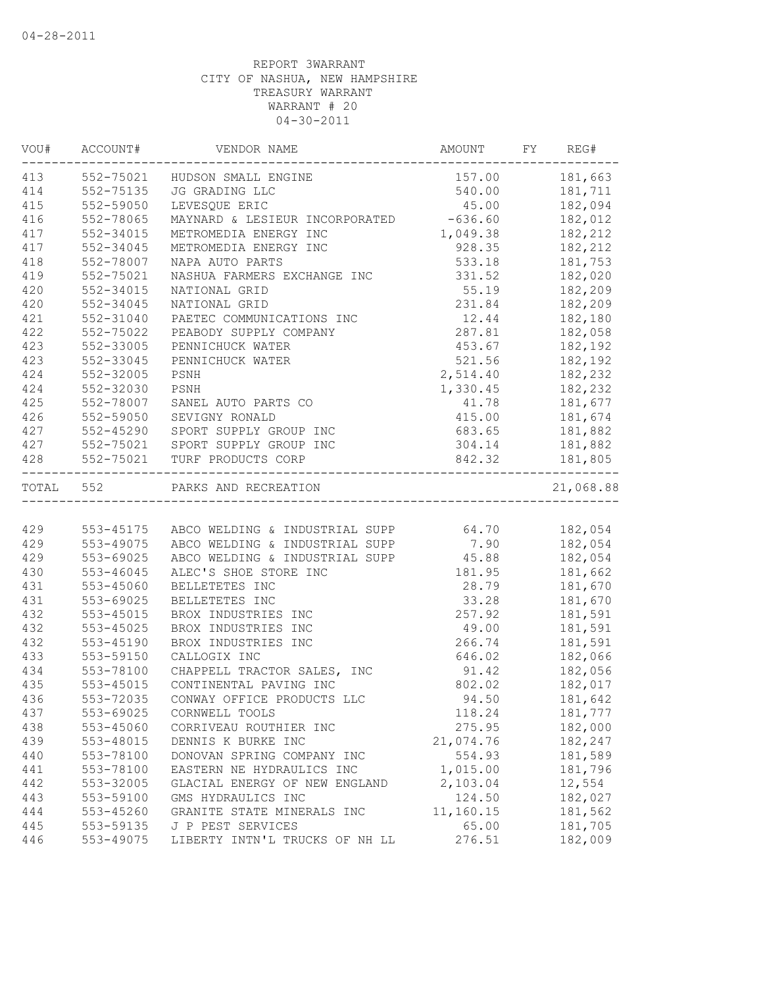| VOU#      | ACCOUNT#      | VENDOR NAME                                            | AMOUNT         | FY REG#      |
|-----------|---------------|--------------------------------------------------------|----------------|--------------|
| 413       | 552-75021     | HUDSON SMALL ENGINE                                    | 157.00 181,663 |              |
| 414       | 552-75135     | JG GRADING LLC                                         | 540.00 181,711 |              |
| 415       | 552-59050     | LEVESQUE ERIC                                          | 45.00          | 182,094      |
| 416       | 552-78065     | MAYNARD & LESIEUR INCORPORATED                         | $-636.60$      | 182,012      |
| 417       | 552-34015     | METROMEDIA ENERGY INC                                  | 1,049.38       | 182,212      |
| 417       | 552-34045     | METROMEDIA ENERGY INC                                  | 928.35         | 182,212      |
| 418       | 552-78007     | NAPA AUTO PARTS                                        | 533.18         | 181,753      |
| 419       | 552-75021     | NASHUA FARMERS EXCHANGE INC                            | 331.52         | 182,020      |
| 420       | 552-34015     | NATIONAL GRID                                          | 55.19          | 182,209      |
| 420       | 552-34045     | NATIONAL GRID                                          | 231.84         | 182,209      |
| 421       | 552-31040     | PAETEC COMMUNICATIONS INC                              | 12.44          | 182,180      |
| 422       | 552-75022     | PEABODY SUPPLY COMPANY                                 | 287.81         | 182,058      |
| 423       | 552-33005     | PENNICHUCK WATER                                       | 453.67         | 182,192      |
| 423       | 552-33045     | PENNICHUCK WATER                                       | 521.56         | 182,192      |
| 424       | 552-32005     | PSNH                                                   | 2,514.40       | 182,232      |
| 424       | 552-32030     | PSNH                                                   | 1,330.45       | 182,232      |
| 425       | 552-78007     | SANEL AUTO PARTS CO                                    | 41.78          | 181,677      |
| 426       | 552-59050     | SEVIGNY RONALD                                         | 415.00         | 181,674      |
| 427       |               | 552-45290 SPORT SUPPLY GROUP INC                       | 683.65         | 181,882      |
| 427       |               | 552-75021 SPORT SUPPLY GROUP INC                       | 304.14         | 181,882      |
| 428       | 552-75021     | TURF PRODUCTS CORP                                     | 842.32         | 181,805      |
| TOTAL 552 |               | PARKS AND RECREATION                                   |                | 21,068.88    |
|           |               |                                                        |                |              |
| 429       |               | 553-45175 ABCO WELDING & INDUSTRIAL SUPP 64.70 182,054 |                |              |
| 429       | 553-49075     | ABCO WELDING & INDUSTRIAL SUPP                         |                | 7.90 182,054 |
| 429       | 553-69025     | ABCO WELDING & INDUSTRIAL SUPP 45.88 182,054           |                |              |
| 430       | $553 - 46045$ | ALEC'S SHOE STORE INC                                  | 181.95         | 181,662      |
| 431       | 553-45060     | BELLETETES INC                                         | 28.79          | 181,670      |
| 431       | 553-69025     | BELLETETES INC                                         | 33.28          | 181,670      |
| 432       | 553-45015     | BROX INDUSTRIES INC                                    | 257.92         | 181,591      |
| 432       | 553-45025     | BROX INDUSTRIES INC                                    | 49.00          | 181,591      |
| 432       | 553-45190     | BROX INDUSTRIES INC                                    | 266.74         | 181,591      |
| 433       | 553-59150     | CALLOGIX INC                                           | 646.02         | 182,066      |
| 434       | 553-78100     | CHAPPELL TRACTOR SALES, INC                            | 91.42          | 182,056      |
| 435       | 553-45015     | CONTINENTAL PAVING INC                                 | 802.02         | 182,017      |
| 436       | 553-72035     | CONWAY OFFICE PRODUCTS LLC                             | 94.50          | 181,642      |
| 437       | 553-69025     | CORNWELL TOOLS                                         | 118.24         | 181,777      |
| 438       | 553-45060     | CORRIVEAU ROUTHIER INC                                 | 275.95         | 182,000      |
| 439       | 553-48015     | DENNIS K BURKE INC                                     | 21,074.76      | 182,247      |
| 440       | 553-78100     | DONOVAN SPRING COMPANY INC                             | 554.93         | 181,589      |
| 441       | 553-78100     | EASTERN NE HYDRAULICS INC                              | 1,015.00       | 181,796      |
| 442       | 553-32005     | GLACIAL ENERGY OF NEW ENGLAND                          | 2,103.04       | 12,554       |
| 443       | 553-59100     | GMS HYDRAULICS INC                                     | 124.50         | 182,027      |
| 444       | 553-45260     | GRANITE STATE MINERALS INC                             | 11,160.15      | 181,562      |
| 445       | 553-59135     | J P PEST SERVICES                                      | 65.00          | 181,705      |
| 446       | 553-49075     | LIBERTY INTN'L TRUCKS OF NH LL                         | 276.51         | 182,009      |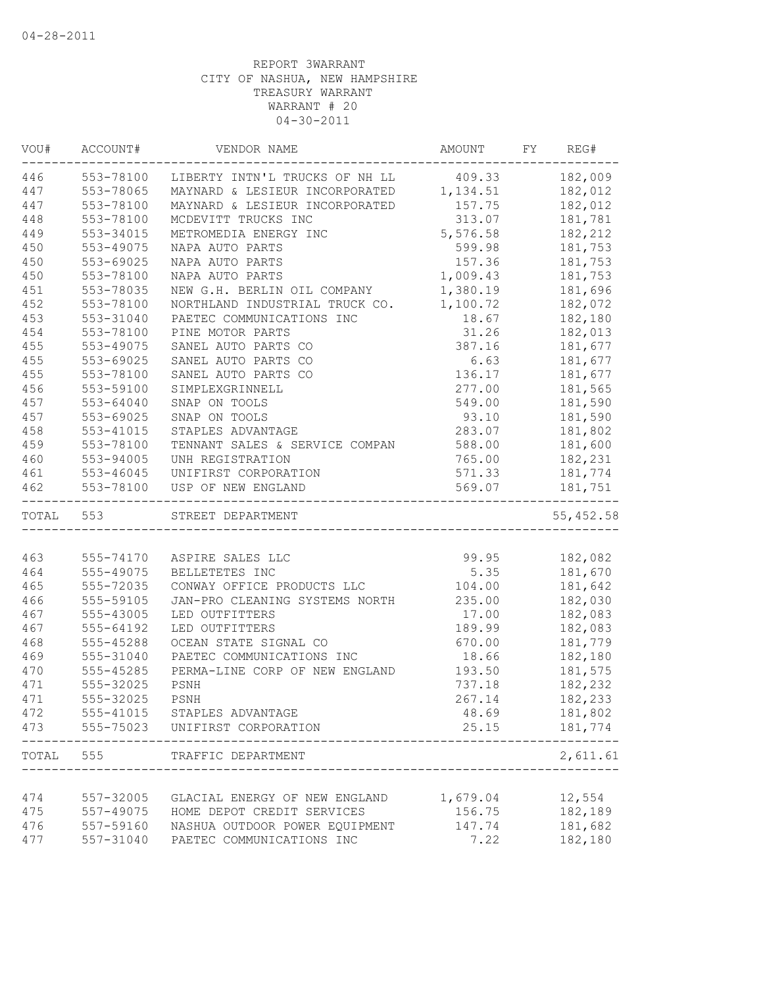| VOU#  | ACCOUNT#      | VENDOR NAME                                   | AMOUNT FY REG# |              |
|-------|---------------|-----------------------------------------------|----------------|--------------|
| 446   | 553-78100     | LIBERTY INTN'L TRUCKS OF NH LL 409.33 182,009 |                |              |
| 447   | 553-78065     | MAYNARD & LESIEUR INCORPORATED 1,134.51       |                | 182,012      |
| 447   | 553-78100     | MAYNARD & LESIEUR INCORPORATED 157.75         |                | 182,012      |
| 448   | 553-78100     | MCDEVITT TRUCKS INC                           | 313.07         | 181,781      |
| 449   | 553-34015     | METROMEDIA ENERGY INC                         | 5,576.58       | 182,212      |
| 450   | 553-49075     | NAPA AUTO PARTS                               | 599.98         | 181,753      |
| 450   | 553-69025     | NAPA AUTO PARTS                               | 157.36         | 181,753      |
| 450   | 553-78100     | NAPA AUTO PARTS                               | 1,009.43       | 181,753      |
| 451   | 553-78035     | NEW G.H. BERLIN OIL COMPANY                   | 1,380.19       | 181,696      |
| 452   | 553-78100     | NORTHLAND INDUSTRIAL TRUCK CO.                | 1,100.72       | 182,072      |
| 453   | 553-31040     | PAETEC COMMUNICATIONS INC                     | 18.67          | 182,180      |
| 454   | 553-78100     | PINE MOTOR PARTS                              | 31.26          | 182,013      |
| 455   | 553-49075     | SANEL AUTO PARTS CO                           | 387.16         | 181,677      |
| 455   | 553-69025     | SANEL AUTO PARTS CO                           | 6.63           | 181,677      |
| 455   | 553-78100     | SANEL AUTO PARTS CO                           | 136.17         | 181,677      |
| 456   | 553-59100     | SIMPLEXGRINNELL                               | 277.00         | 181,565      |
| 457   | $553 - 64040$ | SNAP ON TOOLS                                 | 549.00         | 181,590      |
| 457   | 553-69025     | SNAP ON TOOLS                                 | 93.10          | 181,590      |
| 458   | 553-41015     | STAPLES ADVANTAGE                             | 283.07         | 181,802      |
| 459   | 553-78100     | TENNANT SALES & SERVICE COMPAN                | 588.00         | 181,600      |
| 460   | 553-94005     | UNH REGISTRATION                              | 765.00         | 182,231      |
| 461   | $553 - 46045$ | UNIFIRST CORPORATION                          | 571.33         | 181,774      |
| 462   | 553-78100     | USP OF NEW ENGLAND                            | 569.07         | 181,751      |
|       | TOTAL 553     | STREET DEPARTMENT                             |                | 55,452.58    |
|       |               |                                               |                |              |
| 463   | 555-74170     | ASPIRE SALES LLC                              | 99.95          | 182,082      |
| 464   | 555-49075     | BELLETETES INC                                |                | 5.35 181,670 |
| 465   | 555-72035     | CONWAY OFFICE PRODUCTS LLC                    | 104.00         | 181,642      |
| 466   | 555-59105     | JAN-PRO CLEANING SYSTEMS NORTH                | 235.00         | 182,030      |
| 467   | 555-43005     | LED OUTFITTERS                                | 17.00          | 182,083      |
| 467   | 555-64192     | LED OUTFITTERS                                | 189.99         | 182,083      |
| 468   | 555-45288     | OCEAN STATE SIGNAL CO                         | 670.00         | 181,779      |
| 469   | 555-31040     | PAETEC COMMUNICATIONS INC                     | 18.66          | 182,180      |
| 470   | 555-45285     | PERMA-LINE CORP OF NEW ENGLAND                | 193.50         | 181,575      |
| 471   | 555-32025     | PSNH                                          | 737.18         | 182,232      |
| 471   | 555-32025     | PSNH                                          | 267.14         | 182,233      |
| 472   |               | 555-41015 STAPLES ADVANTAGE                   | 48.69          | 181,802      |
| 473   | 555-75023     | UNIFIRST CORPORATION                          | 25.15          | 181,774      |
| TOTAL | 555           | TRAFFIC DEPARTMENT                            |                | 2,611.61     |
|       |               |                                               |                |              |
| 474   | 557-32005     | GLACIAL ENERGY OF NEW ENGLAND                 | 1,679.04       | 12,554       |
| 475   | 557-49075     | HOME DEPOT CREDIT SERVICES                    | 156.75         | 182,189      |
| 476   | 557-59160     | NASHUA OUTDOOR POWER EQUIPMENT                | 147.74         | 181,682      |
| 477   | 557-31040     | PAETEC COMMUNICATIONS INC                     | 7.22           | 182,180      |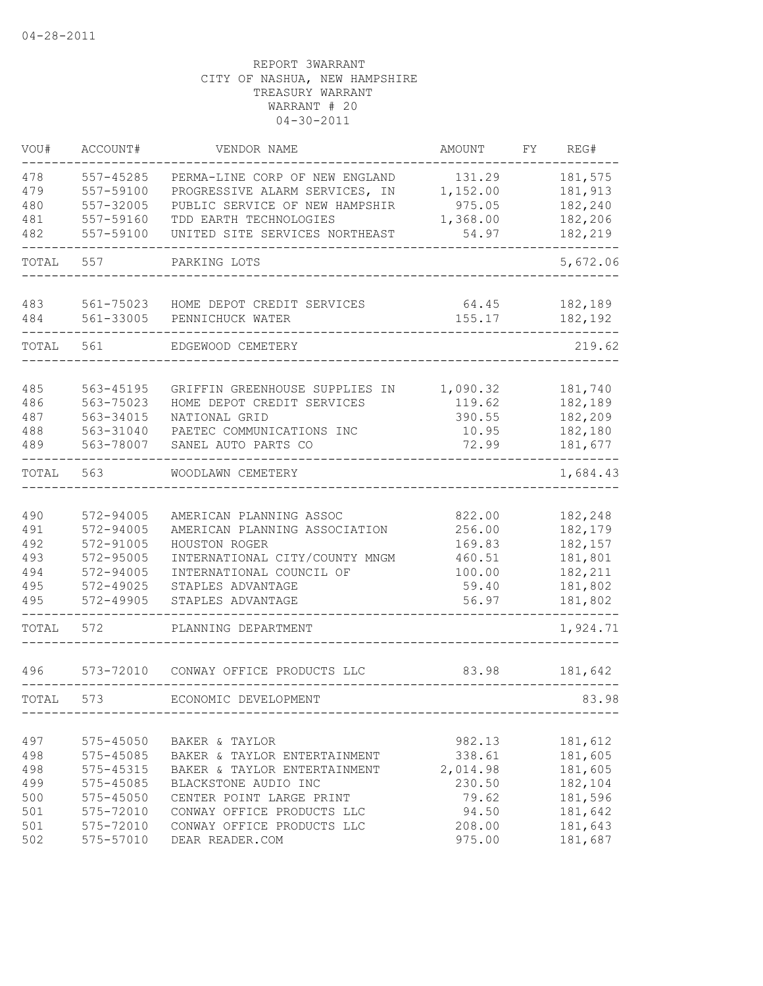| VOU#                                                 | ACCOUNT#                                                                                             | VENDOR NAME                                                                                                                                                                                                       | AMOUNT                                                                       | FY. | REG#                                                                                 |
|------------------------------------------------------|------------------------------------------------------------------------------------------------------|-------------------------------------------------------------------------------------------------------------------------------------------------------------------------------------------------------------------|------------------------------------------------------------------------------|-----|--------------------------------------------------------------------------------------|
| 478<br>479<br>480<br>481<br>482                      | 557-45285<br>557-59100<br>557-32005<br>557-59160<br>557-59100                                        | PERMA-LINE CORP OF NEW ENGLAND<br>PROGRESSIVE ALARM SERVICES, IN<br>PUBLIC SERVICE OF NEW HAMPSHIR<br>TDD EARTH TECHNOLOGIES<br>UNITED SITE SERVICES NORTHEAST                                                    | 131.29<br>1,152.00<br>975.05<br>1,368.00<br>54.97                            |     | 181,575<br>181,913<br>182,240<br>182,206<br>182,219                                  |
| TOTAL                                                | 557                                                                                                  | PARKING LOTS                                                                                                                                                                                                      |                                                                              |     | 5,672.06                                                                             |
| 483<br>484                                           | 561-75023<br>561-33005                                                                               | HOME DEPOT CREDIT SERVICES<br>PENNICHUCK WATER                                                                                                                                                                    | 64.45<br>155.17                                                              |     | 182,189<br>182,192                                                                   |
| TOTAL                                                | 561                                                                                                  | EDGEWOOD CEMETERY                                                                                                                                                                                                 |                                                                              |     | 219.62                                                                               |
| 485<br>486<br>487<br>488<br>489                      | 563-45195<br>563-75023<br>563-34015<br>563-31040<br>563-78007                                        | GRIFFIN GREENHOUSE SUPPLIES IN<br>HOME DEPOT CREDIT SERVICES<br>NATIONAL GRID<br>PAETEC COMMUNICATIONS INC<br>SANEL AUTO PARTS CO                                                                                 | 1,090.32<br>119.62<br>390.55<br>10.95<br>72.99                               |     | 181,740<br>182,189<br>182,209<br>182,180<br>181,677                                  |
| TOTAL                                                | 563                                                                                                  | WOODLAWN CEMETERY                                                                                                                                                                                                 |                                                                              |     | 1,684.43                                                                             |
| 490<br>491<br>492<br>493<br>494<br>495<br>495        | 572-94005<br>572-94005<br>572-91005<br>572-95005<br>572-94005<br>572-49025<br>572-49905              | AMERICAN PLANNING ASSOC<br>AMERICAN PLANNING ASSOCIATION<br>HOUSTON ROGER<br>INTERNATIONAL CITY/COUNTY MNGM<br>INTERNATIONAL COUNCIL OF<br>STAPLES ADVANTAGE<br>STAPLES ADVANTAGE                                 | 822.00<br>256.00<br>169.83<br>460.51<br>100.00<br>59.40<br>56.97             |     | 182,248<br>182,179<br>182,157<br>181,801<br>182,211<br>181,802<br>181,802            |
| TOTAL                                                | 572                                                                                                  | PLANNING DEPARTMENT                                                                                                                                                                                               |                                                                              |     | 1,924.71                                                                             |
| 496                                                  | 573-72010                                                                                            | CONWAY OFFICE PRODUCTS LLC                                                                                                                                                                                        | 83.98                                                                        |     | 181,642                                                                              |
| TOTAL                                                | 573                                                                                                  | ECONOMIC DEVELOPMENT                                                                                                                                                                                              |                                                                              |     | 83.98                                                                                |
| 497<br>498<br>498<br>499<br>500<br>501<br>501<br>502 | 575-45050<br>575-45085<br>575-45315<br>575-45085<br>575-45050<br>575-72010<br>575-72010<br>575-57010 | BAKER & TAYLOR<br>BAKER & TAYLOR ENTERTAINMENT<br>BAKER & TAYLOR ENTERTAINMENT<br>BLACKSTONE AUDIO INC<br>CENTER POINT LARGE PRINT<br>CONWAY OFFICE PRODUCTS LLC<br>CONWAY OFFICE PRODUCTS LLC<br>DEAR READER.COM | 982.13<br>338.61<br>2,014.98<br>230.50<br>79.62<br>94.50<br>208.00<br>975.00 |     | 181,612<br>181,605<br>181,605<br>182,104<br>181,596<br>181,642<br>181,643<br>181,687 |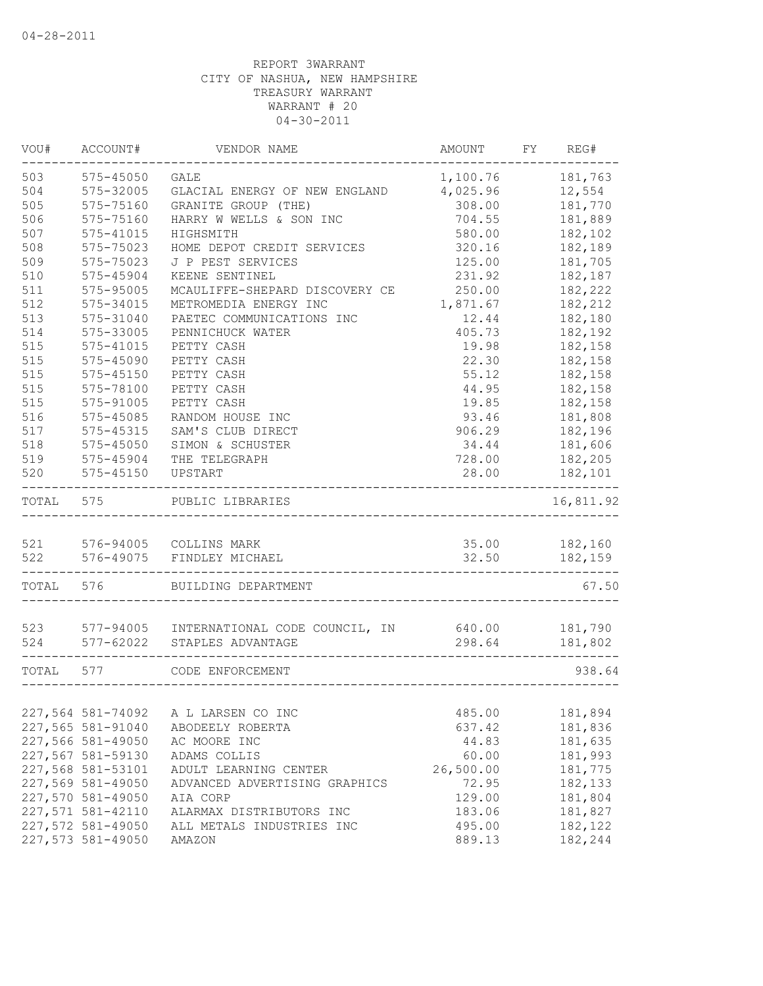| VOU#      | ACCOUNT#          | VENDOR NAME                              | AMOUNT     | FY REG#       |
|-----------|-------------------|------------------------------------------|------------|---------------|
| 503       | 575-45050         | <b>GALE</b>                              | 1,100.76   | 181,763       |
| 504       | 575-32005         | GLACIAL ENERGY OF NEW ENGLAND            | 4,025.96   | 12,554        |
| 505       | 575-75160         | GRANITE GROUP (THE)                      | 308.00     | 181,770       |
| 506       | 575-75160         | HARRY W WELLS & SON INC                  | 704.55     | 181,889       |
| 507       | 575-41015         | HIGHSMITH                                | 580.00     | 182,102       |
| 508       | 575-75023         | HOME DEPOT CREDIT SERVICES               | 320.16     | 182,189       |
| 509       | 575-75023         | J P PEST SERVICES                        | 125.00     | 181,705       |
| 510       | 575-45904         | KEENE SENTINEL                           | 231.92     | 182,187       |
| 511       | 575-95005         | MCAULIFFE-SHEPARD DISCOVERY CE           | 250.00     | 182,222       |
| 512       | 575-34015         | METROMEDIA ENERGY INC                    | 1,871.67   | 182,212       |
| 513       | 575-31040         | PAETEC COMMUNICATIONS INC                | 12.44      | 182,180       |
| 514       | 575-33005         | PENNICHUCK WATER                         | 405.73     | 182,192       |
| 515       | 575-41015         | PETTY CASH                               | 19.98      | 182,158       |
| 515       | 575-45090         | PETTY CASH                               | 22.30      | 182,158       |
| 515       | 575-45150         | PETTY CASH                               | 55.12      | 182,158       |
| 515       | 575-78100         | PETTY CASH                               | 44.95      | 182,158       |
| 515       | 575-91005         | PETTY CASH                               | 19.85      | 182,158       |
| 516       | 575-45085         | RANDOM HOUSE INC                         | 93.46      | 181,808       |
| 517       | 575-45315         | SAM'S CLUB DIRECT                        | 906.29     | 182,196       |
| 518       | 575-45050         | SIMON & SCHUSTER                         | 34.44      | 181,606       |
| 519       | 575-45904         | THE TELEGRAPH                            | 728.00     | 182,205       |
| 520       | 575-45150         | UPSTART                                  | 28.00      | 182,101       |
| TOTAL     | 575               | PUBLIC LIBRARIES                         |            | 16,811.92     |
|           |                   | 521 576-94005 COLLINS MARK               |            | 35.00 182,160 |
|           |                   | 522 576-49075 FINDLEY MICHAEL            | 32.50      | 182,159       |
| TOTAL 576 |                   | BUILDING DEPARTMENT                      | ---------- | 67.50         |
|           |                   |                                          |            |               |
| 523       |                   | 577-94005 INTERNATIONAL CODE COUNCIL, IN | 640.00     | 181,790       |
| 524       |                   | 577-62022 STAPLES ADVANTAGE              | 298.64     | 181,802       |
| TOTAL 577 |                   | CODE ENFORCEMENT                         |            | 938.64        |
|           |                   |                                          |            |               |
|           | 227,564 581-74092 | A L LARSEN CO INC                        | 485.00     | 181,894       |
|           | 227,565 581-91040 | ABODEELY ROBERTA                         | 637.42     | 181,836       |
|           | 227,566 581-49050 | AC MOORE INC                             | 44.83      | 181,635       |
|           | 227,567 581-59130 | ADAMS COLLIS                             | 60.00      | 181,993       |
|           | 227,568 581-53101 | ADULT LEARNING CENTER                    | 26,500.00  | 181,775       |
|           | 227,569 581-49050 | ADVANCED ADVERTISING GRAPHICS            | 72.95      | 182,133       |
|           | 227,570 581-49050 | AIA CORP                                 | 129.00     | 181,804       |
|           | 227,571 581-42110 | ALARMAX DISTRIBUTORS INC                 | 183.06     | 181,827       |
|           | 227,572 581-49050 | ALL METALS INDUSTRIES INC                | 495.00     | 182,122       |
|           | 227,573 581-49050 | AMAZON                                   | 889.13     | 182,244       |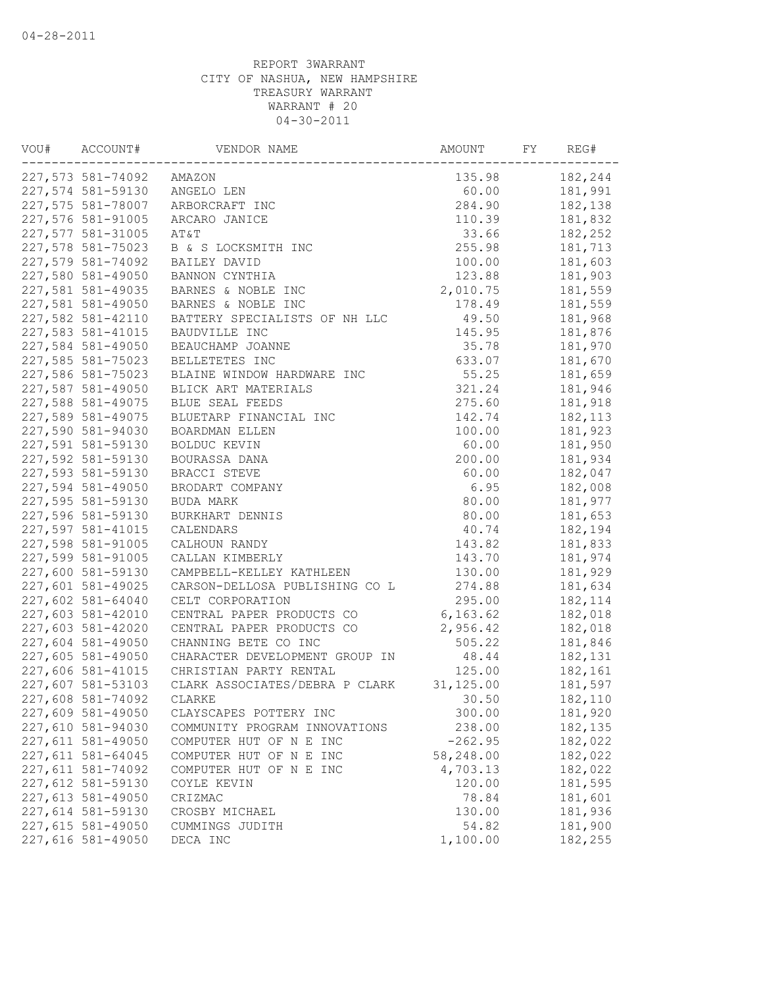| VOU# | ACCOUNT#                               | VENDOR NAME                    | AMOUNT     | FY | REG#     |
|------|----------------------------------------|--------------------------------|------------|----|----------|
|      | 227,573 581-74092                      | AMAZON                         | 135.98     |    | 182,244  |
|      | 227,574 581-59130                      | ANGELO LEN                     | 60.00      |    | 181,991  |
|      | 227,575 581-78007                      | ARBORCRAFT INC                 | 284.90     |    | 182,138  |
|      | 227,576 581-91005                      | ARCARO JANICE                  | 110.39     |    | 181,832  |
|      | 227,577 581-31005                      | AT&T                           | 33.66      |    | 182,252  |
|      | 227,578 581-75023                      | B & S LOCKSMITH INC            | 255.98     |    | 181,713  |
|      | 227,579 581-74092                      | BAILEY DAVID                   | 100.00     |    | 181,603  |
|      | 227,580 581-49050                      | BANNON CYNTHIA                 | 123.88     |    | 181,903  |
|      | 227,581 581-49035                      | BARNES & NOBLE INC             | 2,010.75   |    | 181,559  |
|      | 227,581 581-49050                      | BARNES & NOBLE INC             | 178.49     |    | 181,559  |
|      | 227,582 581-42110                      | BATTERY SPECIALISTS OF NH LLC  | 49.50      |    | 181,968  |
|      | 227,583 581-41015                      | BAUDVILLE INC                  | 145.95     |    | 181,876  |
|      | 227,584 581-49050                      | BEAUCHAMP JOANNE               | 35.78      |    | 181,970  |
|      | 227,585 581-75023                      | BELLETETES INC                 | 633.07     |    | 181,670  |
|      | 227,586 581-75023                      | BLAINE WINDOW HARDWARE INC     | 55.25      |    | 181,659  |
|      | 227,587 581-49050                      | BLICK ART MATERIALS            | 321.24     |    | 181,946  |
|      | 227,588 581-49075                      | BLUE SEAL FEEDS                | 275.60     |    | 181,918  |
|      | 227,589 581-49075                      | BLUETARP FINANCIAL INC         | 142.74     |    | 182, 113 |
|      | 227,590 581-94030                      | <b>BOARDMAN ELLEN</b>          | 100.00     |    | 181,923  |
|      | 227,591 581-59130                      | BOLDUC KEVIN                   | 60.00      |    | 181,950  |
|      | 227,592 581-59130                      | BOURASSA DANA                  | 200.00     |    | 181,934  |
|      | 227,593 581-59130                      | BRACCI STEVE                   | 60.00      |    | 182,047  |
|      | 227,594 581-49050                      | BRODART COMPANY                | 6.95       |    | 182,008  |
|      | 227,595 581-59130                      | BUDA MARK                      | 80.00      |    | 181,977  |
|      | 227,596 581-59130                      | BURKHART DENNIS                | 80.00      |    | 181,653  |
|      | 227,597 581-41015                      | CALENDARS                      | 40.74      |    | 182,194  |
|      | 227,598 581-91005                      | CALHOUN RANDY                  | 143.82     |    | 181,833  |
|      | 227,599 581-91005                      | CALLAN KIMBERLY                | 143.70     |    | 181,974  |
|      | 227,600 581-59130                      | CAMPBELL-KELLEY KATHLEEN       | 130.00     |    | 181,929  |
|      | 227,601 581-49025                      | CARSON-DELLOSA PUBLISHING CO L | 274.88     |    | 181,634  |
|      |                                        |                                | 295.00     |    |          |
|      | 227,602 581-64040                      | CELT CORPORATION               |            |    | 182, 114 |
|      | 227,603 581-42010<br>227,603 581-42020 | CENTRAL PAPER PRODUCTS CO      | 6, 163.62  |    | 182,018  |
|      |                                        | CENTRAL PAPER PRODUCTS CO      | 2,956.42   |    | 182,018  |
|      | 227,604 581-49050                      | CHANNING BETE CO INC           | 505.22     |    | 181,846  |
|      | 227,605 581-49050                      | CHARACTER DEVELOPMENT GROUP IN | 48.44      |    | 182,131  |
|      | 227,606 581-41015                      | CHRISTIAN PARTY RENTAL         | 125.00     |    | 182,161  |
|      | 227,607 581-53103                      | CLARK ASSOCIATES/DEBRA P CLARK | 31, 125.00 |    | 181,597  |
|      | 227,608 581-74092                      | CLARKE                         | 30.50      |    | 182,110  |
|      | 227,609 581-49050                      | CLAYSCAPES POTTERY INC         | 300.00     |    | 181,920  |
|      | 227,610 581-94030                      | COMMUNITY PROGRAM INNOVATIONS  | 238.00     |    | 182,135  |
|      | 227,611 581-49050                      | COMPUTER HUT OF N E INC        | $-262.95$  |    | 182,022  |
|      | 227,611 581-64045                      | COMPUTER HUT OF N E INC        | 58,248.00  |    | 182,022  |
|      | 227,611 581-74092                      | COMPUTER HUT OF N E INC        | 4,703.13   |    | 182,022  |
|      | 227,612 581-59130                      | COYLE KEVIN                    | 120.00     |    | 181,595  |
|      | 227,613 581-49050                      | CRIZMAC                        | 78.84      |    | 181,601  |
|      | 227,614 581-59130                      | CROSBY MICHAEL                 | 130.00     |    | 181,936  |
|      | 227,615 581-49050                      | CUMMINGS JUDITH                | 54.82      |    | 181,900  |
|      | 227,616 581-49050                      | DECA INC                       | 1,100.00   |    | 182,255  |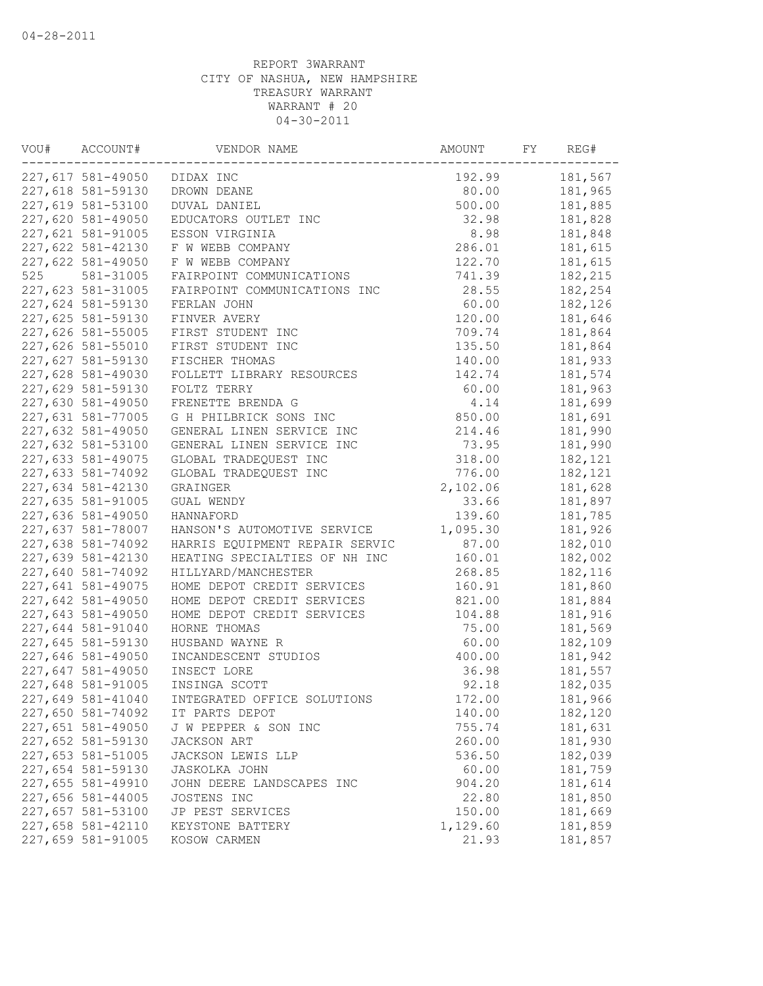| VOU# | ACCOUNT#          | VENDOR NAME                    | AMOUNT   | FY | REG#    |
|------|-------------------|--------------------------------|----------|----|---------|
|      | 227,617 581-49050 | DIDAX INC                      | 192.99   |    | 181,567 |
|      | 227,618 581-59130 | DROWN DEANE                    | 80.00    |    | 181,965 |
|      | 227,619 581-53100 | DUVAL DANIEL                   | 500.00   |    | 181,885 |
|      | 227,620 581-49050 | EDUCATORS OUTLET INC           | 32.98    |    | 181,828 |
|      | 227,621 581-91005 | ESSON VIRGINIA                 | 8.98     |    | 181,848 |
|      | 227,622 581-42130 | F W WEBB COMPANY               | 286.01   |    | 181,615 |
|      | 227,622 581-49050 | F W WEBB COMPANY               | 122.70   |    | 181,615 |
| 525  | 581-31005         | FAIRPOINT COMMUNICATIONS       | 741.39   |    | 182,215 |
|      | 227,623 581-31005 | FAIRPOINT COMMUNICATIONS INC   | 28.55    |    | 182,254 |
|      | 227,624 581-59130 | FERLAN JOHN                    | 60.00    |    | 182,126 |
|      | 227,625 581-59130 | FINVER AVERY                   | 120.00   |    | 181,646 |
|      | 227,626 581-55005 | FIRST STUDENT INC              | 709.74   |    | 181,864 |
|      | 227,626 581-55010 | FIRST STUDENT INC              | 135.50   |    | 181,864 |
|      | 227,627 581-59130 | FISCHER THOMAS                 | 140.00   |    | 181,933 |
|      | 227,628 581-49030 | FOLLETT LIBRARY RESOURCES      | 142.74   |    | 181,574 |
|      | 227,629 581-59130 | FOLTZ TERRY                    | 60.00    |    | 181,963 |
|      | 227,630 581-49050 | FRENETTE BRENDA G              | 4.14     |    | 181,699 |
|      | 227,631 581-77005 | G H PHILBRICK SONS INC         | 850.00   |    | 181,691 |
|      | 227,632 581-49050 | GENERAL LINEN SERVICE INC      | 214.46   |    | 181,990 |
|      | 227,632 581-53100 | GENERAL LINEN SERVICE INC      | 73.95    |    | 181,990 |
|      | 227,633 581-49075 | GLOBAL TRADEQUEST INC          | 318.00   |    | 182,121 |
|      | 227,633 581-74092 | GLOBAL TRADEQUEST INC          | 776.00   |    | 182,121 |
|      | 227,634 581-42130 | GRAINGER                       | 2,102.06 |    | 181,628 |
|      | 227,635 581-91005 | GUAL WENDY                     | 33.66    |    | 181,897 |
|      | 227,636 581-49050 | HANNAFORD                      | 139.60   |    | 181,785 |
|      | 227,637 581-78007 | HANSON'S AUTOMOTIVE SERVICE    | 1,095.30 |    | 181,926 |
|      | 227,638 581-74092 | HARRIS EQUIPMENT REPAIR SERVIC | 87.00    |    | 182,010 |
|      | 227,639 581-42130 | HEATING SPECIALTIES OF NH INC  | 160.01   |    | 182,002 |
|      | 227,640 581-74092 | HILLYARD/MANCHESTER            | 268.85   |    | 182,116 |
|      | 227,641 581-49075 | HOME DEPOT CREDIT SERVICES     | 160.91   |    | 181,860 |
|      | 227,642 581-49050 | HOME DEPOT CREDIT SERVICES     | 821.00   |    | 181,884 |
|      | 227,643 581-49050 | HOME DEPOT CREDIT SERVICES     | 104.88   |    | 181,916 |
|      | 227,644 581-91040 | HORNE THOMAS                   | 75.00    |    | 181,569 |
|      | 227,645 581-59130 | HUSBAND WAYNE R                | 60.00    |    | 182,109 |
|      | 227,646 581-49050 | INCANDESCENT STUDIOS           | 400.00   |    | 181,942 |
|      | 227,647 581-49050 | INSECT LORE                    | 36.98    |    | 181,557 |
|      | 227,648 581-91005 | INSINGA SCOTT                  | 92.18    |    | 182,035 |
|      | 227,649 581-41040 | INTEGRATED OFFICE SOLUTIONS    | 172.00   |    | 181,966 |
|      | 227,650 581-74092 | IT PARTS DEPOT                 | 140.00   |    | 182,120 |
|      | 227,651 581-49050 | J W PEPPER & SON INC           | 755.74   |    | 181,631 |
|      | 227,652 581-59130 | JACKSON ART                    | 260.00   |    | 181,930 |
|      | 227,653 581-51005 | JACKSON LEWIS LLP              | 536.50   |    | 182,039 |
|      | 227,654 581-59130 | <b>JASKOLKA JOHN</b>           | 60.00    |    | 181,759 |
|      | 227,655 581-49910 | JOHN DEERE LANDSCAPES INC      | 904.20   |    | 181,614 |
|      | 227,656 581-44005 | JOSTENS INC                    | 22.80    |    | 181,850 |
|      | 227,657 581-53100 | JP PEST SERVICES               | 150.00   |    | 181,669 |
|      | 227,658 581-42110 | KEYSTONE BATTERY               | 1,129.60 |    | 181,859 |
|      | 227,659 581-91005 | KOSOW CARMEN                   | 21.93    |    | 181,857 |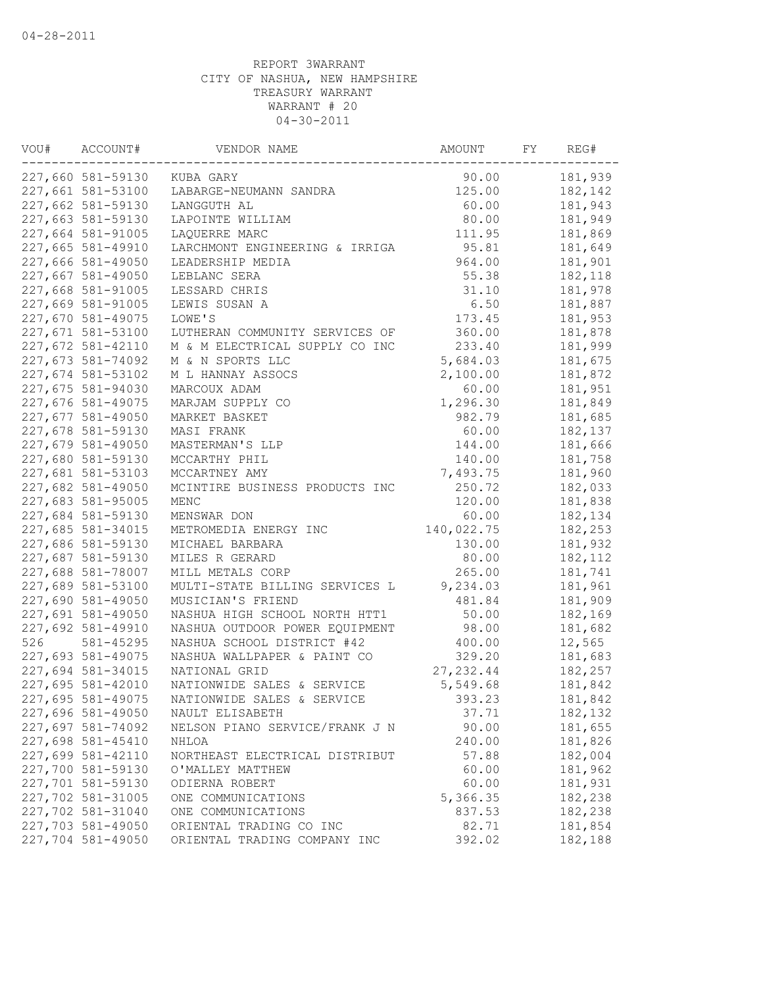| VOU# | ACCOUNT#          | VENDOR NAME                    | AMOUNT     | FY | REG#     |
|------|-------------------|--------------------------------|------------|----|----------|
|      | 227,660 581-59130 | KUBA GARY                      | 90.00      |    | 181,939  |
|      | 227,661 581-53100 | LABARGE-NEUMANN SANDRA         | 125.00     |    | 182,142  |
|      | 227,662 581-59130 | LANGGUTH AL                    | 60.00      |    | 181,943  |
|      | 227,663 581-59130 | LAPOINTE WILLIAM               | 80.00      |    | 181,949  |
|      | 227,664 581-91005 | LAOUERRE MARC                  | 111.95     |    | 181,869  |
|      | 227,665 581-49910 | LARCHMONT ENGINEERING & IRRIGA | 95.81      |    | 181,649  |
|      | 227,666 581-49050 | LEADERSHIP MEDIA               | 964.00     |    | 181,901  |
|      | 227,667 581-49050 | LEBLANC SERA                   | 55.38      |    | 182,118  |
|      | 227,668 581-91005 | LESSARD CHRIS                  | 31.10      |    | 181,978  |
|      | 227,669 581-91005 | LEWIS SUSAN A                  | 6.50       |    | 181,887  |
|      | 227,670 581-49075 | LOWE'S                         | 173.45     |    | 181,953  |
|      | 227,671 581-53100 | LUTHERAN COMMUNITY SERVICES OF | 360.00     |    | 181,878  |
|      | 227,672 581-42110 | M & M ELECTRICAL SUPPLY CO INC | 233.40     |    | 181,999  |
|      | 227,673 581-74092 | M & N SPORTS LLC               | 5,684.03   |    | 181,675  |
|      | 227,674 581-53102 | M L HANNAY ASSOCS              | 2,100.00   |    | 181,872  |
|      | 227,675 581-94030 | MARCOUX ADAM                   | 60.00      |    | 181,951  |
|      | 227,676 581-49075 | MARJAM SUPPLY CO               | 1,296.30   |    | 181,849  |
|      | 227,677 581-49050 | MARKET BASKET                  | 982.79     |    | 181,685  |
|      | 227,678 581-59130 | MASI FRANK                     | 60.00      |    | 182,137  |
|      | 227,679 581-49050 | MASTERMAN'S LLP                | 144.00     |    | 181,666  |
|      | 227,680 581-59130 | MCCARTHY PHIL                  | 140.00     |    | 181,758  |
|      | 227,681 581-53103 | MCCARTNEY AMY                  | 7,493.75   |    | 181,960  |
|      | 227,682 581-49050 | MCINTIRE BUSINESS PRODUCTS INC | 250.72     |    | 182,033  |
|      | 227,683 581-95005 | MENC                           | 120.00     |    | 181,838  |
|      | 227,684 581-59130 | MENSWAR DON                    | 60.00      |    | 182,134  |
|      | 227,685 581-34015 | METROMEDIA ENERGY INC          | 140,022.75 |    | 182,253  |
|      | 227,686 581-59130 | MICHAEL BARBARA                | 130.00     |    | 181,932  |
|      | 227,687 581-59130 | MILES R GERARD                 | 80.00      |    | 182, 112 |
|      | 227,688 581-78007 | MILL METALS CORP               | 265.00     |    | 181,741  |
|      | 227,689 581-53100 | MULTI-STATE BILLING SERVICES L | 9,234.03   |    | 181,961  |
|      | 227,690 581-49050 | MUSICIAN'S FRIEND              | 481.84     |    | 181,909  |
|      | 227,691 581-49050 | NASHUA HIGH SCHOOL NORTH HTT1  | 50.00      |    | 182,169  |
|      | 227,692 581-49910 | NASHUA OUTDOOR POWER EQUIPMENT | 98.00      |    | 181,682  |
| 526  |                   | NASHUA SCHOOL DISTRICT #42     | 400.00     |    |          |
|      | 581-45295         |                                |            |    | 12,565   |
|      | 227,693 581-49075 | NASHUA WALLPAPER & PAINT CO    | 329.20     |    | 181,683  |
|      | 227,694 581-34015 | NATIONAL GRID                  | 27, 232.44 |    | 182,257  |
|      | 227,695 581-42010 | NATIONWIDE SALES & SERVICE     | 5,549.68   |    | 181,842  |
|      | 227,695 581-49075 | NATIONWIDE SALES & SERVICE     | 393.23     |    | 181,842  |
|      | 227,696 581-49050 | NAULT ELISABETH                | 37.71      |    | 182, 132 |
|      | 227,697 581-74092 | NELSON PIANO SERVICE/FRANK J N | 90.00      |    | 181,655  |
|      | 227,698 581-45410 | NHLOA                          | 240.00     |    | 181,826  |
|      | 227,699 581-42110 | NORTHEAST ELECTRICAL DISTRIBUT | 57.88      |    | 182,004  |
|      | 227,700 581-59130 | O'MALLEY MATTHEW               | 60.00      |    | 181,962  |
|      | 227,701 581-59130 | ODIERNA ROBERT                 | 60.00      |    | 181,931  |
|      | 227,702 581-31005 | ONE COMMUNICATIONS             | 5,366.35   |    | 182,238  |
|      | 227,702 581-31040 | ONE COMMUNICATIONS             | 837.53     |    | 182,238  |
|      | 227,703 581-49050 | ORIENTAL TRADING CO INC        | 82.71      |    | 181,854  |
|      | 227,704 581-49050 | ORIENTAL TRADING COMPANY INC   | 392.02     |    | 182,188  |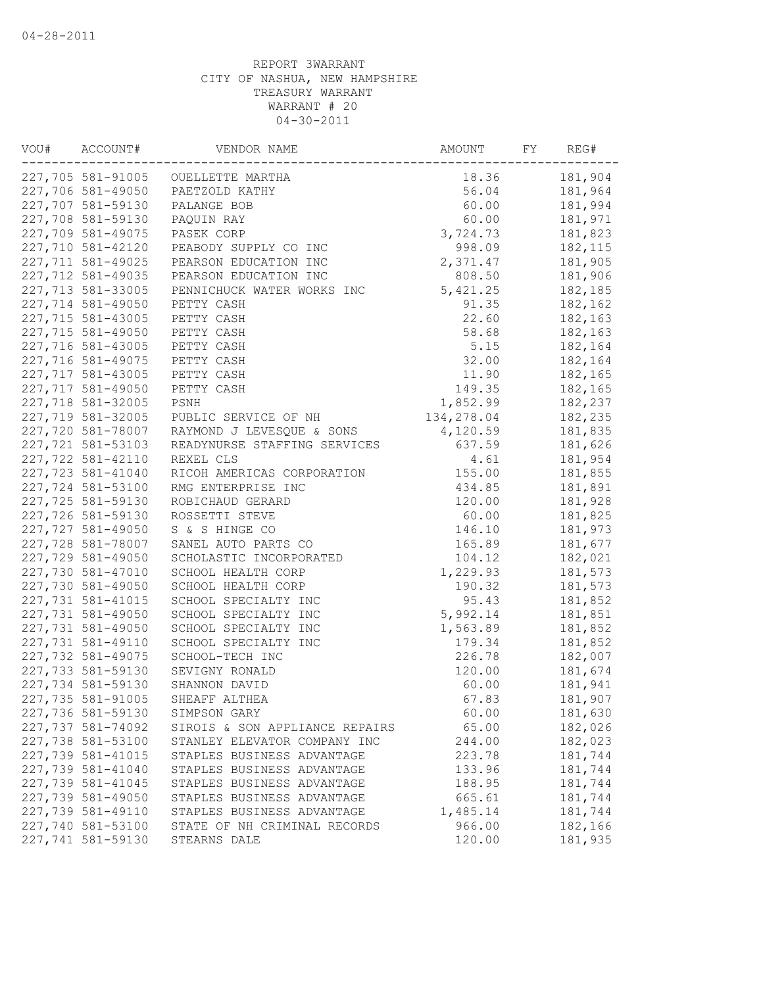| VOU# | ACCOUNT#          | VENDOR NAME                        | AMOUNT     | FY | REG#    |
|------|-------------------|------------------------------------|------------|----|---------|
|      |                   | 227,705 581-91005 OUELLETTE MARTHA | 18.36      |    | 181,904 |
|      | 227,706 581-49050 | PAETZOLD KATHY                     | 56.04      |    | 181,964 |
|      | 227,707 581-59130 | PALANGE BOB                        | 60.00      |    | 181,994 |
|      | 227,708 581-59130 | PAQUIN RAY                         | 60.00      |    | 181,971 |
|      | 227,709 581-49075 | PASEK CORP                         | 3,724.73   |    | 181,823 |
|      | 227,710 581-42120 | PEABODY SUPPLY CO INC              | 998.09     |    | 182,115 |
|      | 227,711 581-49025 | PEARSON EDUCATION INC              | 2,371.47   |    | 181,905 |
|      | 227,712 581-49035 | PEARSON EDUCATION INC              | 808.50     |    | 181,906 |
|      | 227,713 581-33005 | PENNICHUCK WATER WORKS INC         | 5,421.25   |    | 182,185 |
|      | 227,714 581-49050 | PETTY CASH                         | 91.35      |    | 182,162 |
|      | 227,715 581-43005 | PETTY CASH                         | 22.60      |    | 182,163 |
|      | 227,715 581-49050 | PETTY CASH                         | 58.68      |    | 182,163 |
|      | 227,716 581-43005 | PETTY CASH                         | 5.15       |    | 182,164 |
|      | 227,716 581-49075 | PETTY CASH                         | 32.00      |    | 182,164 |
|      | 227,717 581-43005 | PETTY CASH                         | 11.90      |    | 182,165 |
|      | 227,717 581-49050 | PETTY CASH                         | 149.35     |    | 182,165 |
|      | 227,718 581-32005 | PSNH                               | 1,852.99   |    | 182,237 |
|      | 227,719 581-32005 | PUBLIC SERVICE OF NH               | 134,278.04 |    | 182,235 |
|      | 227,720 581-78007 | RAYMOND J LEVESQUE & SONS          | 4,120.59   |    | 181,835 |
|      | 227,721 581-53103 | READYNURSE STAFFING SERVICES       | 637.59     |    | 181,626 |
|      | 227,722 581-42110 | REXEL CLS                          | 4.61       |    | 181,954 |
|      | 227,723 581-41040 | RICOH AMERICAS CORPORATION         | 155.00     |    | 181,855 |
|      | 227,724 581-53100 | RMG ENTERPRISE INC                 | 434.85     |    | 181,891 |
|      | 227,725 581-59130 | ROBICHAUD GERARD                   | 120.00     |    | 181,928 |
|      | 227,726 581-59130 | ROSSETTI STEVE                     | 60.00      |    | 181,825 |
|      | 227,727 581-49050 | S & S HINGE CO                     | 146.10     |    | 181,973 |
|      | 227,728 581-78007 | SANEL AUTO PARTS CO                | 165.89     |    | 181,677 |
|      | 227,729 581-49050 | SCHOLASTIC INCORPORATED            | 104.12     |    | 182,021 |
|      |                   |                                    |            |    |         |
|      | 227,730 581-47010 | SCHOOL HEALTH CORP                 | 1,229.93   |    | 181,573 |
|      | 227,730 581-49050 | SCHOOL HEALTH CORP                 | 190.32     |    | 181,573 |
|      | 227,731 581-41015 | SCHOOL SPECIALTY INC               | 95.43      |    | 181,852 |
|      | 227,731 581-49050 | SCHOOL SPECIALTY INC               | 5,992.14   |    | 181,851 |
|      | 227,731 581-49050 | SCHOOL SPECIALTY INC               | 1,563.89   |    | 181,852 |
|      | 227,731 581-49110 | SCHOOL SPECIALTY INC               | 179.34     |    | 181,852 |
|      | 227,732 581-49075 | SCHOOL-TECH INC                    | 226.78     |    | 182,007 |
|      | 227,733 581-59130 | SEVIGNY RONALD                     | 120.00     |    | 181,674 |
|      | 227,734 581-59130 | SHANNON DAVID                      | 60.00      |    | 181,941 |
|      | 227,735 581-91005 | SHEAFF ALTHEA                      | 67.83      |    | 181,907 |
|      | 227,736 581-59130 | SIMPSON GARY                       | 60.00      |    | 181,630 |
|      | 227,737 581-74092 | SIROIS & SON APPLIANCE REPAIRS     | 65.00      |    | 182,026 |
|      | 227,738 581-53100 | STANLEY ELEVATOR COMPANY INC       | 244.00     |    | 182,023 |
|      | 227,739 581-41015 | STAPLES BUSINESS ADVANTAGE         | 223.78     |    | 181,744 |
|      | 227,739 581-41040 | STAPLES BUSINESS ADVANTAGE         | 133.96     |    | 181,744 |
|      | 227,739 581-41045 | STAPLES BUSINESS ADVANTAGE         | 188.95     |    | 181,744 |
|      | 227,739 581-49050 | STAPLES BUSINESS ADVANTAGE         | 665.61     |    | 181,744 |
|      | 227,739 581-49110 | STAPLES BUSINESS ADVANTAGE         | 1,485.14   |    | 181,744 |
|      | 227,740 581-53100 | STATE OF NH CRIMINAL RECORDS       | 966.00     |    | 182,166 |
|      | 227,741 581-59130 | STEARNS DALE                       | 120.00     |    | 181,935 |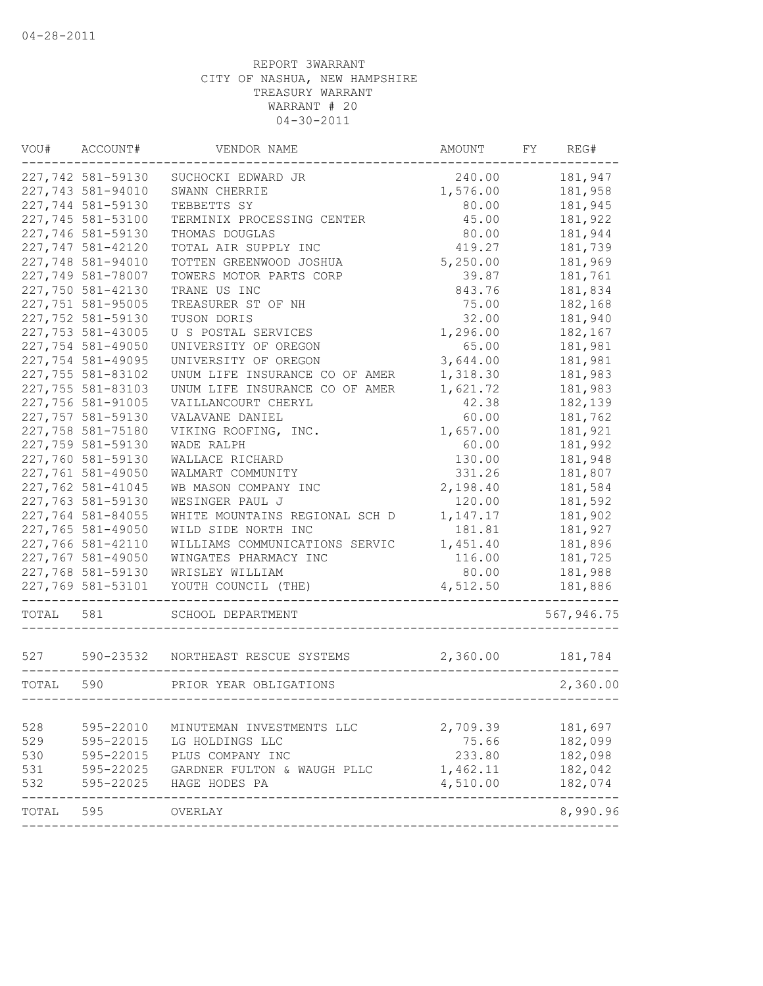| VOU#  | ACCOUNT#                               | VENDOR NAME                                           | AMOUNT            | FY | REG#               |
|-------|----------------------------------------|-------------------------------------------------------|-------------------|----|--------------------|
|       | 227,742 581-59130                      | SUCHOCKI EDWARD JR                                    | 240.00            |    | 181,947            |
|       | 227,743 581-94010                      | SWANN CHERRIE                                         | 1,576.00          |    | 181,958            |
|       | 227,744 581-59130                      | TEBBETTS SY                                           | 80.00             |    | 181,945            |
|       | 227,745 581-53100                      | TERMINIX PROCESSING CENTER                            | 45.00             |    | 181,922            |
|       | 227,746 581-59130                      | THOMAS DOUGLAS                                        | 80.00             |    | 181,944            |
|       | 227,747 581-42120                      | TOTAL AIR SUPPLY INC                                  | 419.27            |    | 181,739            |
|       | 227,748 581-94010                      | TOTTEN GREENWOOD JOSHUA                               | 5,250.00          |    | 181,969            |
|       | 227,749 581-78007                      | TOWERS MOTOR PARTS CORP                               | 39.87             |    | 181,761            |
|       | 227,750 581-42130                      | TRANE US INC                                          | 843.76            |    | 181,834            |
|       | 227,751 581-95005                      | TREASURER ST OF NH                                    | 75.00             |    | 182,168            |
|       | 227,752 581-59130                      | TUSON DORIS                                           | 32.00             |    | 181,940            |
|       | 227,753 581-43005                      | U S POSTAL SERVICES                                   | 1,296.00          |    | 182,167            |
|       | 227,754 581-49050                      | UNIVERSITY OF OREGON                                  | 65.00             |    | 181,981            |
|       | 227,754 581-49095                      | UNIVERSITY OF OREGON                                  | 3,644.00          |    | 181,981            |
|       | 227,755 581-83102                      | UNUM LIFE INSURANCE CO OF AMER                        | 1,318.30          |    | 181,983            |
|       | 227,755 581-83103                      | UNUM LIFE INSURANCE CO OF AMER                        | 1,621.72          |    | 181,983            |
|       | 227,756 581-91005                      | VAILLANCOURT CHERYL                                   | 42.38             |    | 182,139            |
|       | 227,757 581-59130                      | VALAVANE DANIEL                                       | 60.00             |    | 181,762            |
|       | 227,758 581-75180                      | VIKING ROOFING, INC.                                  | 1,657.00          |    | 181,921            |
|       | 227,759 581-59130                      | WADE RALPH                                            | 60.00             |    | 181,992            |
|       | 227,760 581-59130                      | WALLACE RICHARD                                       | 130.00            |    | 181,948            |
|       | 227,761 581-49050                      | WALMART COMMUNITY                                     | 331.26            |    | 181,807            |
|       | 227,762 581-41045                      | WB MASON COMPANY INC                                  | 2,198.40          |    | 181,584            |
|       | 227,763 581-59130                      | WESINGER PAUL J                                       | 120.00            |    | 181,592            |
|       | 227,764 581-84055                      | WHITE MOUNTAINS REGIONAL SCH D                        | 1,147.17          |    | 181,902            |
|       | 227,765 581-49050<br>227,766 581-42110 | WILD SIDE NORTH INC                                   | 181.81            |    | 181,927            |
|       | 227,767 581-49050                      | WILLIAMS COMMUNICATIONS SERVIC                        | 1,451.40          |    | 181,896            |
|       | 227,768 581-59130                      | WINGATES PHARMACY INC                                 | 116.00            |    | 181,725            |
|       | 227,769 581-53101                      | WRISLEY WILLIAM<br>YOUTH COUNCIL (THE)                | 80.00<br>4,512.50 |    | 181,988<br>181,886 |
|       |                                        |                                                       |                   |    |                    |
| TOTAL | 581                                    | SCHOOL DEPARTMENT                                     |                   |    | 567,946.75         |
| 527   |                                        | 590-23532 NORTHEAST RESCUE SYSTEMS                    | 2,360.00          |    | 181,784            |
| TOTAL | 590                                    | PRIOR YEAR OBLIGATIONS<br>--------------------------- |                   |    | 2,360.00           |
|       |                                        |                                                       |                   |    |                    |
| 528   | 595-22010                              | MINUTEMAN INVESTMENTS LLC                             | 2,709.39          |    | 181,697            |
| 529   | 595-22015                              | LG HOLDINGS LLC                                       | 75.66             |    | 182,099            |
| 530   | 595-22015                              | PLUS COMPANY INC                                      | 233.80            |    | 182,098            |
| 531   | 595-22025                              | GARDNER FULTON & WAUGH PLLC                           | 1,462.11          |    | 182,042            |
| 532   | 595-22025                              | HAGE HODES PA                                         | 4,510.00          |    | 182,074            |
| TOTAL | 595                                    | OVERLAY                                               |                   |    | 8,990.96           |
|       |                                        |                                                       |                   |    |                    |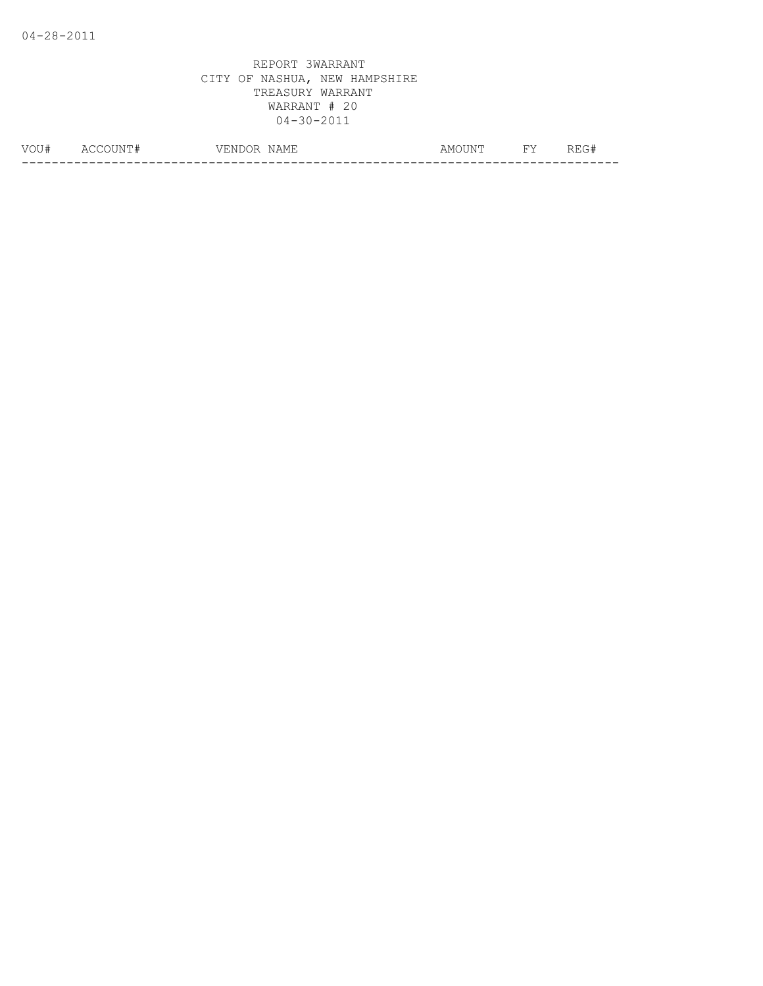| VOU# | N<br>Δſ | $-$<br>NAMF<br>ہر<br>, ⊥⊥⊥⊥ | ⊣ ∆⊺ਾ⊤<br>AMO<br>, <b>. .</b> . | <b>TTT</b> . | ---<br>____ |
|------|---------|-----------------------------|---------------------------------|--------------|-------------|
|      |         |                             |                                 |              |             |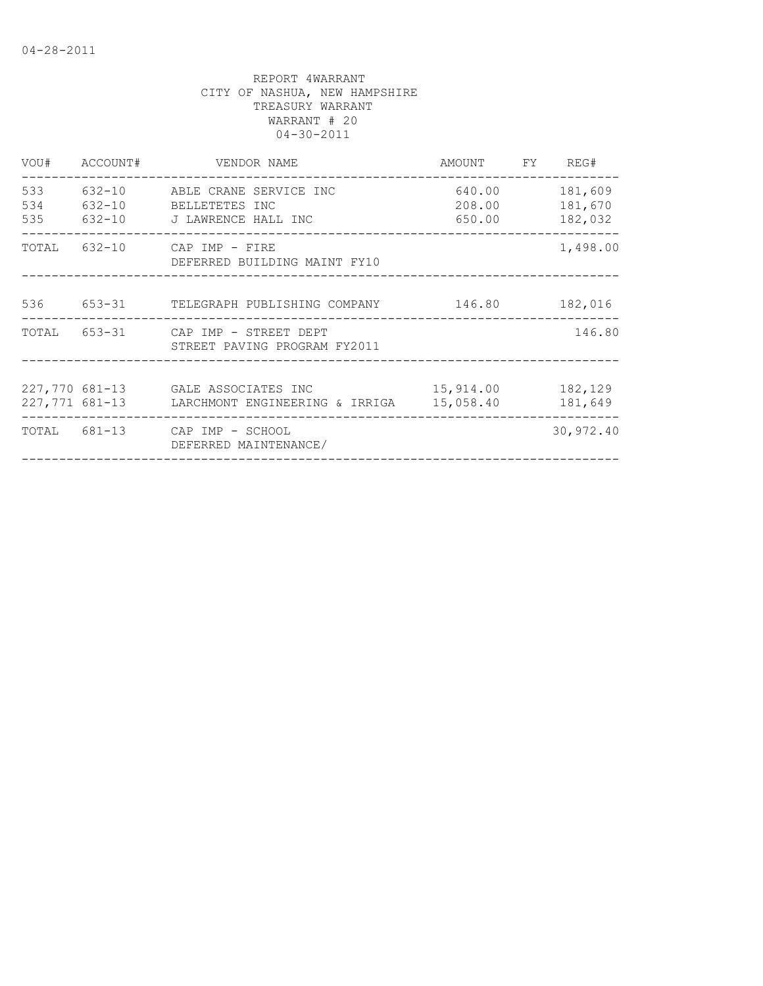|                | VOU# ACCOUNT#            | VENDOR NAME                                                                | AMOUNT FY REG#                      |                               |
|----------------|--------------------------|----------------------------------------------------------------------------|-------------------------------------|-------------------------------|
| 533<br>534     | $632 - 10$<br>$632 - 10$ | ABLE CRANE SERVICE INC<br>BELLETETES INC<br>535 632-10 J LAWRENCE HALL INC | 640.00<br>208.00<br>650.00          | 181,609<br>181,670<br>182,032 |
|                |                          | TOTAL 632-10 CAP IMP - FIRE<br>DEFERRED BUILDING MAINT FY10                | ___________________________________ | 1,498.00                      |
|                |                          | 536 653-31 TELEGRAPH PUBLISHING COMPANY                                    | 146.80                              | 182,016                       |
| TOTAL          |                          | 653-31 CAP IMP - STREET DEPT<br>STREET PAVING PROGRAM FY2011               |                                     | 146.80                        |
| 227,771 681-13 |                          | 227,770 681-13 GALE ASSOCIATES INC<br>LARCHMONT ENGINEERING & IRRIGA       | 15,914.00<br>15,058.40              | 182,129<br>181,649            |
| TOTAL 681-13   |                          | CAP IMP - SCHOOL<br>DEFERRED MAINTENANCE/                                  |                                     | 30,972.40                     |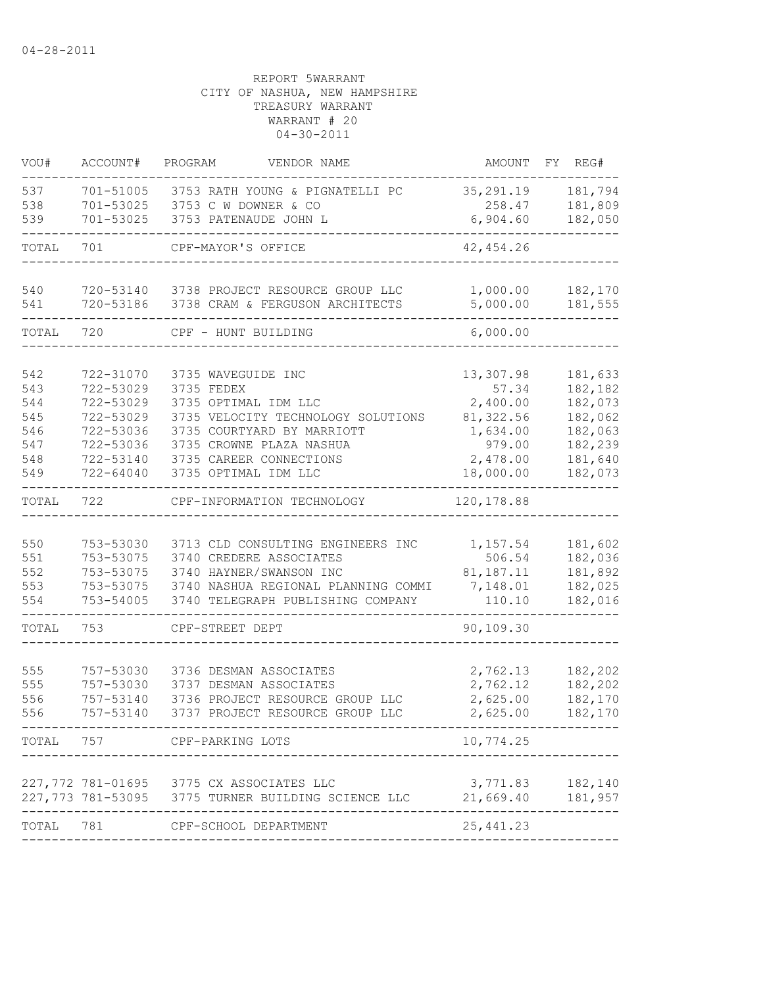| VOU#  | ACCOUNT#           | PROGRAM<br>VENDOR NAME                                                                         | AMOUNT                | FY<br>REG#                  |
|-------|--------------------|------------------------------------------------------------------------------------------------|-----------------------|-----------------------------|
| 537   | 701-51005          | 3753 RATH YOUNG & PIGNATELLI PC                                                                | 35, 291.19            | 181,794                     |
| 538   | 701-53025          | 3753 C W DOWNER & CO                                                                           | 258.47                | 181,809                     |
| 539   | 701-53025          | 3753 PATENAUDE JOHN L                                                                          | 6,904.60              | 182,050                     |
| TOTAL | 701                | CPF-MAYOR'S OFFICE                                                                             | 42, 454.26            |                             |
| 540   | 720-53140          | 3738 PROJECT RESOURCE GROUP LLC                                                                | 1,000.00              | 182,170                     |
| 541   | 720-53186          | 3738 CRAM & FERGUSON ARCHITECTS                                                                | 5,000.00              | 181,555                     |
| TOTAL | 720                | CPF - HUNT BUILDING                                                                            | 6,000.00              |                             |
| 542   | 722-31070          | 3735 WAVEGUIDE INC                                                                             | 13,307.98             | 181,633                     |
| 543   | 722-53029          | 3735 FEDEX                                                                                     | 57.34                 | 182,182                     |
| 544   | 722-53029          | 3735 OPTIMAL IDM LLC                                                                           | 2,400.00              | 182,073                     |
| 545   | 722-53029          | 3735 VELOCITY TECHNOLOGY SOLUTIONS                                                             | 81,322.56             | 182,062                     |
| 546   | 722-53036          | 3735 COURTYARD BY MARRIOTT                                                                     | 1,634.00              | 182,063                     |
| 547   | 722-53036          | 3735 CROWNE PLAZA NASHUA                                                                       | 979.00                | 182,239                     |
| 548   | 722-53140          | 3735 CAREER CONNECTIONS                                                                        | 2,478.00              | 181,640                     |
| 549   | 722-64040          | 3735 OPTIMAL IDM LLC                                                                           | 18,000.00             | 182,073                     |
| TOTAL | 722                | CPF-INFORMATION TECHNOLOGY                                                                     | 120, 178.88           |                             |
|       |                    |                                                                                                |                       |                             |
| 550   | 753-53030          | 3713 CLD CONSULTING ENGINEERS INC                                                              | 1,157.54              | 181,602                     |
| 551   | 753-53075          | 3740 CREDERE ASSOCIATES                                                                        | 506.54                | 182,036                     |
| 552   | 753-53075          | 3740 HAYNER/SWANSON INC                                                                        | 81, 187. 11           | 181,892                     |
| 553   | 753-53075          | 3740 NASHUA REGIONAL PLANNING COMMI                                                            | 7,148.01              | 182,025                     |
| 554   | 753-54005          | 3740 TELEGRAPH PUBLISHING COMPANY                                                              | 110.10                | 182,016                     |
| TOTAL | 753                | CPF-STREET DEPT                                                                                | 90,109.30             |                             |
|       |                    |                                                                                                |                       |                             |
| 555   | 757-53030          | 3736 DESMAN ASSOCIATES                                                                         | 2,762.13              | 182,202                     |
| 555   | 757-53030          | 3737 DESMAN ASSOCIATES                                                                         | 2,762.12              | 182,202                     |
| 556   | 757-53140          | 3736 PROJECT RESOURCE GROUP LLC                                                                | 2,625.00              | 182,170                     |
| 556   | 757-53140          | 3737 PROJECT RESOURCE GROUP LLC                                                                | 2,625.00              | 182,170                     |
|       |                    | TOTAL 757 CPF-PARKING LOTS                                                                     | 10,774.25             |                             |
|       |                    |                                                                                                |                       |                             |
|       |                    | 227,772 781-01695 3775 CX ASSOCIATES LLC<br>227,773 781-53095 3775 TURNER BUILDING SCIENCE LLC | 21,669.40             | 3,771.83 182,140<br>181,957 |
| TOTAL | 781                | CPF-SCHOOL DEPARTMENT                                                                          | -------<br>25, 441.23 |                             |
|       | ------------------ | --------------------------                                                                     |                       |                             |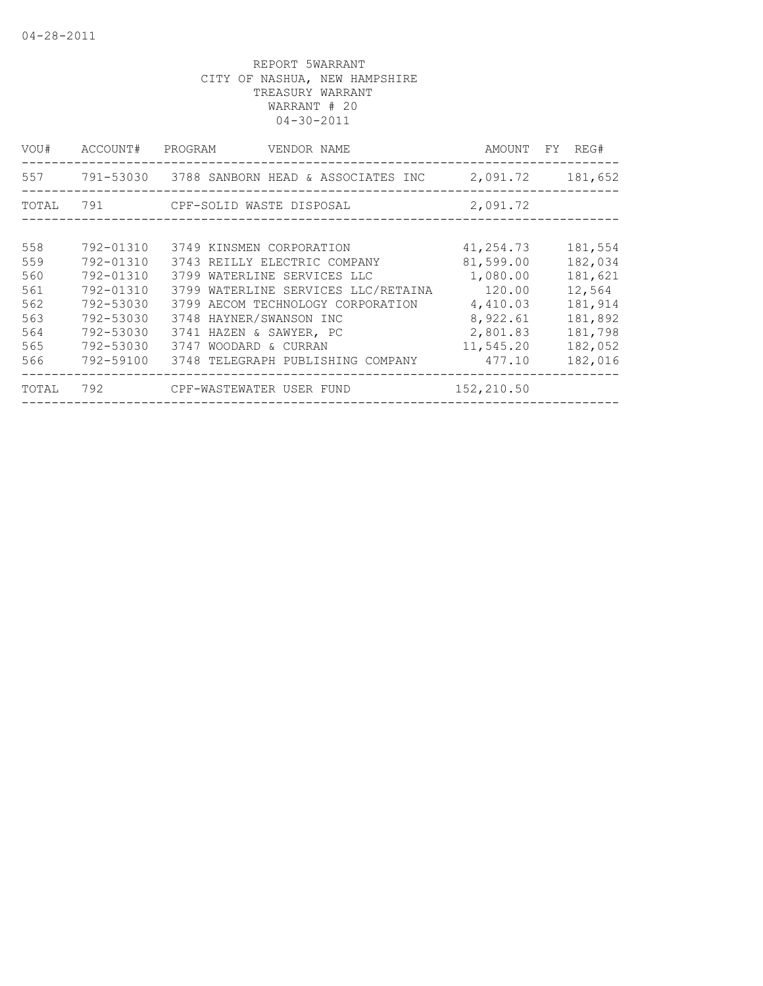| VOU#  | ACCOUNT#  | PROGRAM<br>VENDOR NAME                       | AMOUNT     | REG#<br>FY.      |
|-------|-----------|----------------------------------------------|------------|------------------|
|       |           |                                              |            | 2,091.72 181,652 |
| TOTAL |           |                                              | 2,091.72   |                  |
|       |           |                                              |            |                  |
| 558   | 792-01310 | 3749 KINSMEN CORPORATION                     | 41,254.73  | 181,554          |
| 559   | 792-01310 | 3743 REILLY ELECTRIC COMPANY                 | 81,599.00  | 182,034          |
| 560   | 792-01310 | 3799 WATERLINE SERVICES LLC                  | 1,080.00   | 181,621          |
| 561   | 792-01310 | 3799 WATERLINE SERVICES LLC/RETAINA          | 120.00     | 12,564           |
| 562   | 792-53030 | 3799 AECOM TECHNOLOGY CORPORATION            | 4,410.03   | 181,914          |
| 563   | 792-53030 | 3748 HAYNER/SWANSON INC                      | 8,922.61   | 181,892          |
| 564   | 792-53030 | 3741 HAZEN & SAWYER, PC                      | 2,801.83   | 181,798          |
| 565   | 792-53030 | 3747 WOODARD & CURRAN                        | 11,545.20  | 182,052          |
| 566   | 792-59100 | 3748 TELEGRAPH PUBLISHING COMPANY            | 477.10     | 182,016          |
| TOTAL |           | 792                 CPF-WASTEWATER USER FUND | 152,210.50 |                  |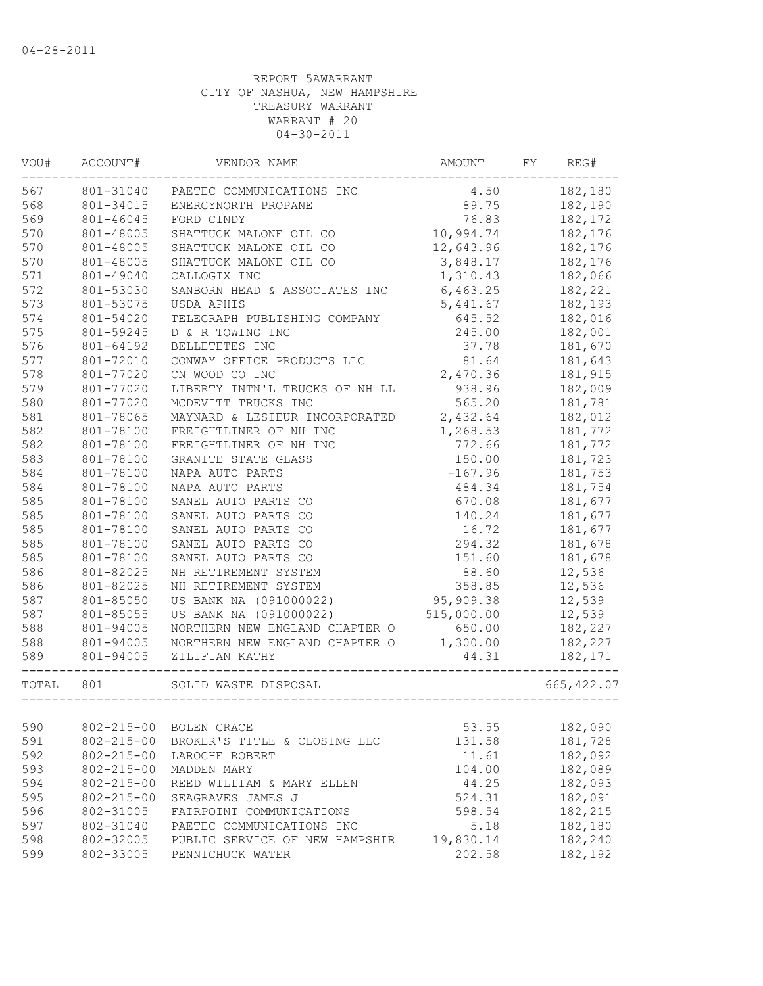| VOU#  | ACCOUNT#         | VENDOR NAME                    | AMOUNT     | FY | REG#        |
|-------|------------------|--------------------------------|------------|----|-------------|
| 567   | 801-31040        | PAETEC COMMUNICATIONS INC      | 4.50       |    | 182,180     |
| 568   | 801-34015        | ENERGYNORTH PROPANE            | 89.75      |    | 182,190     |
| 569   | 801-46045        | FORD CINDY                     | 76.83      |    | 182,172     |
| 570   | 801-48005        | SHATTUCK MALONE OIL CO         | 10,994.74  |    | 182,176     |
| 570   | 801-48005        | SHATTUCK MALONE OIL CO         | 12,643.96  |    | 182,176     |
| 570   | 801-48005        | SHATTUCK MALONE OIL CO         | 3,848.17   |    | 182,176     |
| 571   | 801-49040        | CALLOGIX INC                   | 1,310.43   |    | 182,066     |
| 572   | 801-53030        | SANBORN HEAD & ASSOCIATES INC  | 6,463.25   |    | 182,221     |
| 573   | 801-53075        | USDA APHIS                     | 5,441.67   |    | 182,193     |
| 574   | 801-54020        | TELEGRAPH PUBLISHING COMPANY   | 645.52     |    | 182,016     |
| 575   | 801-59245        | D & R TOWING INC               | 245.00     |    | 182,001     |
| 576   | 801-64192        | BELLETETES INC                 | 37.78      |    | 181,670     |
| 577   | 801-72010        | CONWAY OFFICE PRODUCTS LLC     | 81.64      |    | 181,643     |
| 578   | 801-77020        | CN WOOD CO INC                 | 2,470.36   |    | 181,915     |
| 579   | 801-77020        | LIBERTY INTN'L TRUCKS OF NH LL | 938.96     |    | 182,009     |
| 580   | 801-77020        | MCDEVITT TRUCKS INC            | 565.20     |    | 181,781     |
| 581   | 801-78065        | MAYNARD & LESIEUR INCORPORATED | 2,432.64   |    | 182,012     |
| 582   | 801-78100        | FREIGHTLINER OF NH INC         | 1,268.53   |    | 181,772     |
| 582   | 801-78100        | FREIGHTLINER OF NH INC         | 772.66     |    | 181,772     |
| 583   | 801-78100        | GRANITE STATE GLASS            | 150.00     |    | 181,723     |
| 584   | 801-78100        | NAPA AUTO PARTS                | $-167.96$  |    | 181,753     |
| 584   | 801-78100        | NAPA AUTO PARTS                | 484.34     |    | 181,754     |
| 585   | 801-78100        | SANEL AUTO PARTS CO            | 670.08     |    | 181,677     |
| 585   | 801-78100        | SANEL AUTO PARTS CO            | 140.24     |    | 181,677     |
| 585   | 801-78100        | SANEL AUTO PARTS CO            | 16.72      |    | 181,677     |
| 585   | 801-78100        | SANEL AUTO PARTS CO            | 294.32     |    | 181,678     |
| 585   | 801-78100        | SANEL AUTO PARTS CO            | 151.60     |    | 181,678     |
| 586   | 801-82025        | NH RETIREMENT SYSTEM           | 88.60      |    | 12,536      |
| 586   | 801-82025        | NH RETIREMENT SYSTEM           | 358.85     |    | 12,536      |
| 587   | 801-85050        | US BANK NA (091000022)         | 95,909.38  |    | 12,539      |
| 587   | 801-85055        | US BANK NA (091000022)         | 515,000.00 |    | 12,539      |
| 588   | 801-94005        | NORTHERN NEW ENGLAND CHAPTER O | 650.00     |    | 182,227     |
| 588   | 801-94005        | NORTHERN NEW ENGLAND CHAPTER O | 1,300.00   |    | 182,227     |
| 589   | 801-94005        | ZILIFIAN KATHY                 | 44.31      |    | 182,171     |
| TOTAL | 801              | SOLID WASTE DISPOSAL           |            |    | 665, 422.07 |
|       |                  |                                |            |    |             |
| 590   | $802 - 215 - 00$ | BOLEN GRACE                    | 53.55      |    | 182,090     |
| 591   | $802 - 215 - 00$ | BROKER'S TITLE & CLOSING LLC   | 131.58     |    | 181,728     |
| 592   | $802 - 215 - 00$ | LAROCHE ROBERT                 | 11.61      |    | 182,092     |
| 593   | $802 - 215 - 00$ | MADDEN MARY                    | 104.00     |    | 182,089     |
| 594   | $802 - 215 - 00$ | REED WILLIAM & MARY ELLEN      | 44.25      |    | 182,093     |
| 595   | $802 - 215 - 00$ | SEAGRAVES JAMES J              | 524.31     |    | 182,091     |
| 596   | 802-31005        | FAIRPOINT COMMUNICATIONS       | 598.54     |    | 182,215     |
| 597   | 802-31040        | PAETEC COMMUNICATIONS INC      | 5.18       |    | 182,180     |
| 598   | 802-32005        | PUBLIC SERVICE OF NEW HAMPSHIR | 19,830.14  |    | 182,240     |
| 599   | 802-33005        | PENNICHUCK WATER               | 202.58     |    | 182,192     |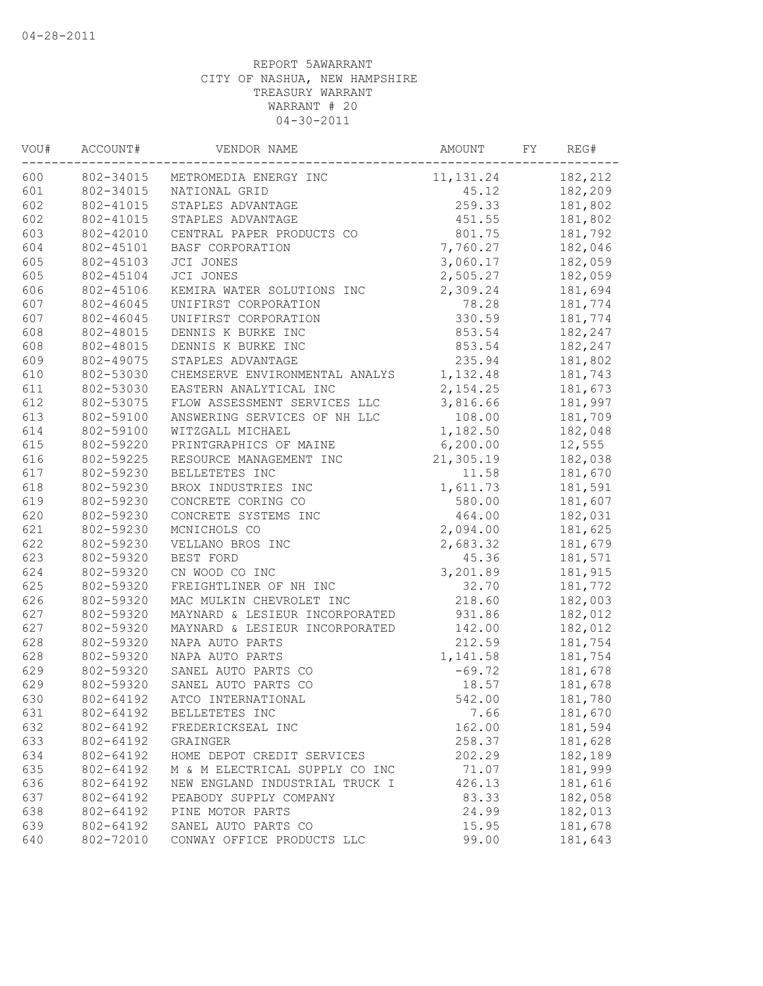| VOU# | ACCOUNT#  | VENDOR NAME                    | AMOUNT     | FY | REG#    |
|------|-----------|--------------------------------|------------|----|---------|
| 600  | 802-34015 | METROMEDIA ENERGY INC          | 11, 131.24 |    | 182,212 |
| 601  | 802-34015 | NATIONAL GRID                  | 45.12      |    | 182,209 |
| 602  | 802-41015 | STAPLES ADVANTAGE              | 259.33     |    | 181,802 |
| 602  | 802-41015 | STAPLES ADVANTAGE              | 451.55     |    | 181,802 |
| 603  | 802-42010 | CENTRAL PAPER PRODUCTS CO      | 801.75     |    | 181,792 |
| 604  | 802-45101 | BASF CORPORATION               | 7,760.27   |    | 182,046 |
| 605  | 802-45103 | JCI JONES                      | 3,060.17   |    | 182,059 |
| 605  | 802-45104 | JCI JONES                      | 2,505.27   |    | 182,059 |
| 606  | 802-45106 | KEMIRA WATER SOLUTIONS INC     | 2,309.24   |    | 181,694 |
| 607  | 802-46045 | UNIFIRST CORPORATION           | 78.28      |    | 181,774 |
| 607  | 802-46045 | UNIFIRST CORPORATION           | 330.59     |    | 181,774 |
| 608  | 802-48015 | DENNIS K BURKE INC             | 853.54     |    | 182,247 |
| 608  | 802-48015 | DENNIS K BURKE INC             | 853.54     |    | 182,247 |
| 609  | 802-49075 | STAPLES ADVANTAGE              | 235.94     |    | 181,802 |
| 610  | 802-53030 | CHEMSERVE ENVIRONMENTAL ANALYS | 1,132.48   |    | 181,743 |
| 611  | 802-53030 | EASTERN ANALYTICAL INC         | 2,154.25   |    | 181,673 |
| 612  | 802-53075 | FLOW ASSESSMENT SERVICES LLC   | 3,816.66   |    | 181,997 |
| 613  | 802-59100 | ANSWERING SERVICES OF NH LLC   | 108.00     |    | 181,709 |
| 614  | 802-59100 | WITZGALL MICHAEL               | 1,182.50   |    | 182,048 |
| 615  | 802-59220 | PRINTGRAPHICS OF MAINE         | 6, 200.00  |    | 12,555  |
| 616  | 802-59225 | RESOURCE MANAGEMENT INC        | 21,305.19  |    | 182,038 |
| 617  | 802-59230 | BELLETETES INC                 | 11.58      |    | 181,670 |
| 618  | 802-59230 | BROX INDUSTRIES INC            | 1,611.73   |    | 181,591 |
| 619  | 802-59230 | CONCRETE CORING CO             | 580.00     |    | 181,607 |
| 620  | 802-59230 | CONCRETE SYSTEMS INC           | 464.00     |    | 182,031 |
| 621  | 802-59230 | MCNICHOLS CO                   | 2,094.00   |    | 181,625 |
| 622  | 802-59230 | VELLANO BROS INC               | 2,683.32   |    | 181,679 |
| 623  | 802-59320 | BEST FORD                      | 45.36      |    | 181,571 |
| 624  | 802-59320 | CN WOOD CO INC                 | 3,201.89   |    | 181,915 |
| 625  | 802-59320 | FREIGHTLINER OF NH INC         | 32.70      |    | 181,772 |
| 626  | 802-59320 | MAC MULKIN CHEVROLET INC       | 218.60     |    | 182,003 |
| 627  | 802-59320 | MAYNARD & LESIEUR INCORPORATED | 931.86     |    | 182,012 |
| 627  | 802-59320 | MAYNARD & LESIEUR INCORPORATED | 142.00     |    | 182,012 |
| 628  | 802-59320 | NAPA AUTO PARTS                | 212.59     |    | 181,754 |
| 628  | 802-59320 | NAPA AUTO PARTS                | 1,141.58   |    | 181,754 |
| 629  | 802-59320 | SANEL AUTO PARTS CO            | $-69.72$   |    | 181,678 |
| 629  | 802-59320 | SANEL AUTO PARTS CO            | 18.57      |    | 181,678 |
| 630  | 802-64192 | ATCO INTERNATIONAL             | 542.00     |    | 181,780 |
| 631  | 802-64192 | BELLETETES INC                 | 7.66       |    | 181,670 |
| 632  | 802-64192 | FREDERICKSEAL INC              | 162.00     |    | 181,594 |
| 633  | 802-64192 | GRAINGER                       | 258.37     |    | 181,628 |
| 634  | 802-64192 | HOME DEPOT CREDIT SERVICES     | 202.29     |    | 182,189 |
| 635  | 802-64192 | M & M ELECTRICAL SUPPLY CO INC | 71.07      |    | 181,999 |
| 636  | 802-64192 | NEW ENGLAND INDUSTRIAL TRUCK I | 426.13     |    | 181,616 |
| 637  | 802-64192 | PEABODY SUPPLY COMPANY         | 83.33      |    | 182,058 |
| 638  | 802-64192 | PINE MOTOR PARTS               | 24.99      |    | 182,013 |
| 639  | 802-64192 | SANEL AUTO PARTS CO            | 15.95      |    | 181,678 |
| 640  | 802-72010 | CONWAY OFFICE PRODUCTS LLC     | 99.00      |    | 181,643 |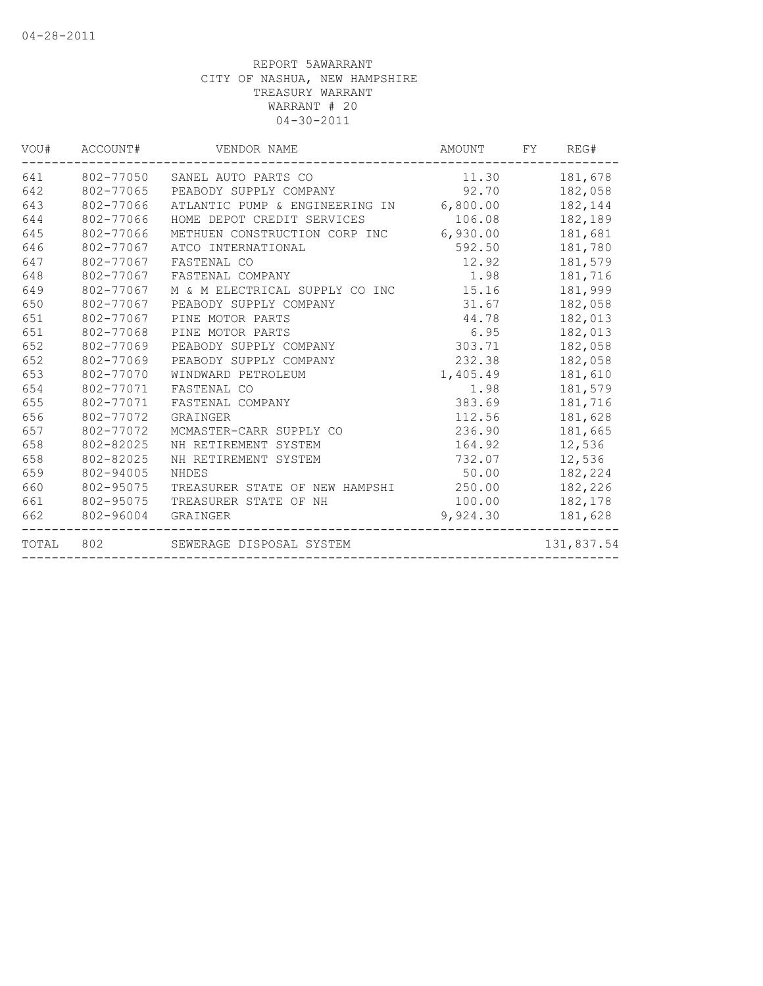|       | VOU# ACCOUNT# | VENDOR NAME                             | AMOUNT FY | REG#       |
|-------|---------------|-----------------------------------------|-----------|------------|
| 641   | 802-77050     | SANEL AUTO PARTS CO                     | 11.30     | 181,678    |
| 642   | 802-77065     | PEABODY SUPPLY COMPANY                  | 92.70     | 182,058    |
| 643   | 802-77066     | ATLANTIC PUMP & ENGINEERING IN 6,800.00 |           | 182,144    |
| 644   | 802-77066     | HOME DEPOT CREDIT SERVICES              | 106.08    | 182,189    |
| 645   | 802-77066     | METHUEN CONSTRUCTION CORP INC 6,930.00  |           | 181,681    |
| 646   | 802-77067     | ATCO INTERNATIONAL                      | 592.50    | 181,780    |
| 647   | 802-77067     | FASTENAL CO                             | 12.92     | 181,579    |
| 648   | 802-77067     | FASTENAL COMPANY                        | 1.98      | 181,716    |
| 649   | 802-77067     | M & M ELECTRICAL SUPPLY CO INC          | 15.16     | 181,999    |
| 650   | 802-77067     | PEABODY SUPPLY COMPANY                  | 31.67     | 182,058    |
| 651   | 802-77067     | PINE MOTOR PARTS                        | 44.78     | 182,013    |
| 651   | 802-77068     | PINE MOTOR PARTS                        | 6.95      | 182,013    |
| 652   | 802-77069     | PEABODY SUPPLY COMPANY                  | 303.71    | 182,058    |
| 652   | 802-77069     | PEABODY SUPPLY COMPANY                  | 232.38    | 182,058    |
| 653   | 802-77070     | WINDWARD PETROLEUM                      | 1,405.49  | 181,610    |
| 654   | 802-77071     | FASTENAL CO                             | 1.98      | 181,579    |
| 655   | 802-77071     | FASTENAL COMPANY                        | 383.69    | 181,716    |
| 656   | 802-77072     | GRAINGER                                | 112.56    | 181,628    |
| 657   | 802-77072     | MCMASTER-CARR SUPPLY CO                 | 236.90    | 181,665    |
| 658   | 802-82025     | NH RETIREMENT SYSTEM                    | 164.92    | 12,536     |
| 658   | 802-82025     | NH RETIREMENT SYSTEM                    | 732.07    | 12,536     |
| 659   | 802-94005     | NHDES                                   | 50.00     | 182,224    |
| 660   | 802-95075     | TREASURER STATE OF NEW HAMPSHI 250.00   |           | 182,226    |
| 661   | 802-95075     | TREASURER STATE OF NH                   | 100.00    | 182,178    |
| 662   | 802-96004     | GRAINGER                                | 9,924.30  | 181,628    |
| TOTAL | 802           | SEWERAGE DISPOSAL SYSTEM                |           | 131,837.54 |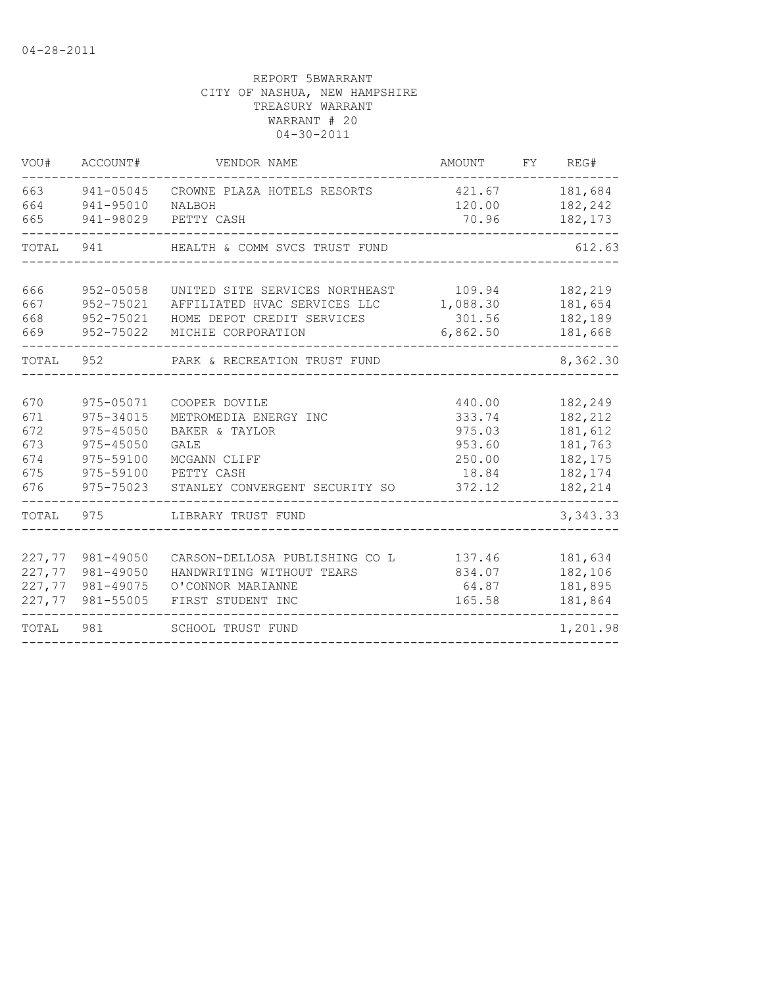| VOU#       | ACCOUNT#               | VENDOR NAME                           | AMOUNT           | FY | REG#               |
|------------|------------------------|---------------------------------------|------------------|----|--------------------|
| 663<br>664 | 941-05045<br>941-95010 | CROWNE PLAZA HOTELS RESORTS<br>NALBOH | 421.67<br>120.00 |    | 181,684<br>182,242 |
| 665        | 941-98029              | PETTY CASH                            | 70.96            |    | 182,173            |
| TOTAL      | 941                    | HEALTH & COMM SVCS TRUST FUND         |                  |    | 612.63             |
| 666        | 952-05058              | UNITED SITE SERVICES NORTHEAST        | 109.94           |    | 182,219            |
| 667        | 952-75021              | AFFILIATED HVAC SERVICES LLC          | 1,088.30         |    | 181,654            |
| 668        | 952-75021              | HOME DEPOT CREDIT SERVICES            | 301.56           |    | 182,189            |
| 669        | 952-75022              | MICHIE CORPORATION                    | 6,862.50         |    | 181,668            |
| TOTAL      | 952                    | PARK & RECREATION TRUST FUND          |                  |    | 8,362.30           |
|            |                        |                                       |                  |    |                    |
| 670        | 975-05071              | COOPER DOVILE                         | 440.00           |    | 182,249            |
| 671        | 975-34015              | METROMEDIA ENERGY INC                 | 333.74           |    | 182,212            |
| 672        | 975-45050              | BAKER & TAYLOR                        | 975.03           |    | 181,612            |
| 673        | $975 - 45050$          | GALE                                  | 953.60           |    | 181,763            |
| 674<br>675 | 975-59100<br>975-59100 | MCGANN CLIFF<br>PETTY CASH            | 250.00<br>18.84  |    | 182,175<br>182,174 |
| 676        | 975-75023              | STANLEY CONVERGENT SECURITY SO        | 372.12           |    | 182,214            |
| TOTAL      | 975                    | LIBRARY TRUST FUND                    |                  |    | 3, 343.33          |
|            |                        |                                       |                  |    |                    |
| 227,77     | 981-49050              | CARSON-DELLOSA PUBLISHING CO L        | 137.46           |    | 181,634            |
| 227,77     | 981-49050              | HANDWRITING WITHOUT TEARS             | 834.07           |    | 182,106            |
|            | 227,77 981-49075       | O'CONNOR MARIANNE                     | 64.87            |    | 181,895            |
|            | 227,77 981-55005       | FIRST STUDENT INC                     | 165.58           |    | 181,864            |
| TOTAL      | 981                    | <b>SCHOOL TRUST FUND</b>              |                  |    | 1,201.98           |
|            |                        |                                       |                  |    |                    |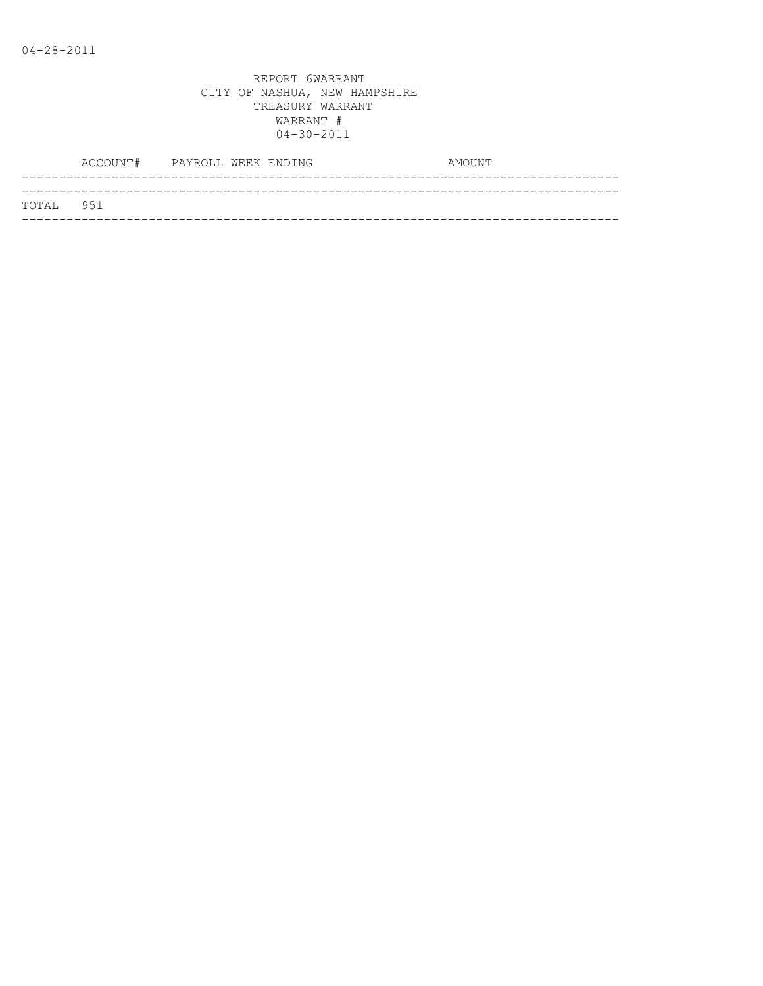| TOTAL 951 |  |  |
|-----------|--|--|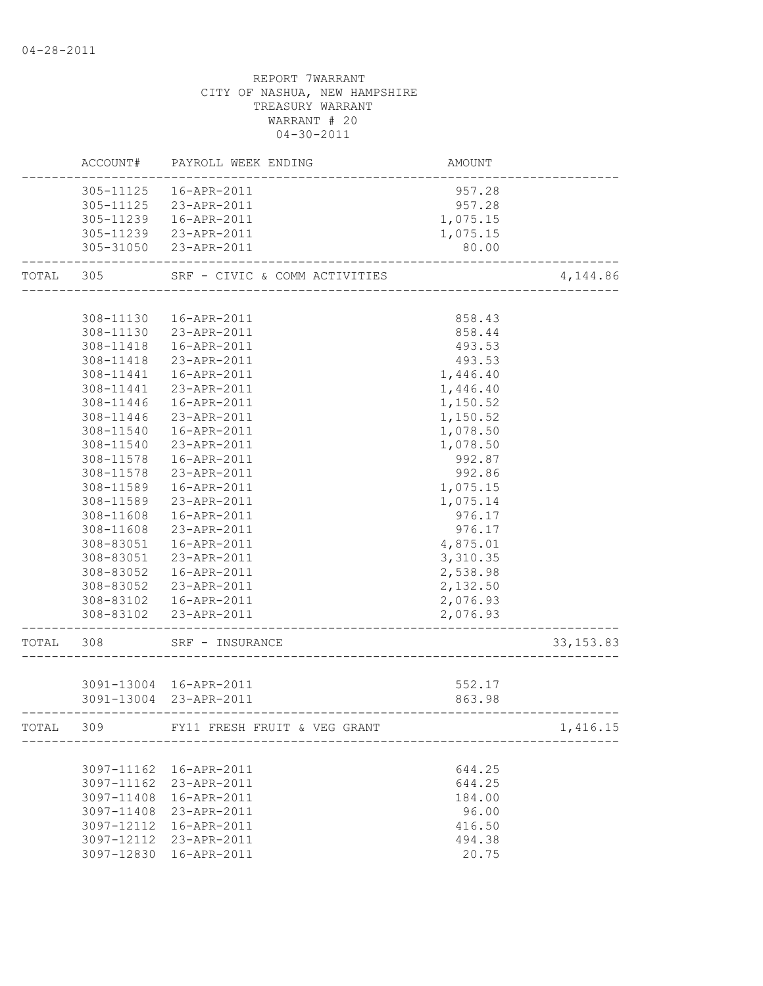|       | ACCOUNT#   | PAYROLL WEEK ENDING           | AMOUNT   |            |
|-------|------------|-------------------------------|----------|------------|
|       | 305-11125  | 16-APR-2011                   | 957.28   |            |
|       |            | 305-11125 23-APR-2011         | 957.28   |            |
|       |            | 305-11239  16-APR-2011        | 1,075.15 |            |
|       |            | 305-11239 23-APR-2011         | 1,075.15 |            |
|       |            | 305-31050 23-APR-2011         | 80.00    |            |
| TOTAL | 305        | SRF - CIVIC & COMM ACTIVITIES |          | 4,144.86   |
|       |            |                               |          |            |
|       | 308-11130  | 16-APR-2011                   | 858.43   |            |
|       |            | 308-11130 23-APR-2011         | 858.44   |            |
|       | 308-11418  | 16-APR-2011                   | 493.53   |            |
|       | 308-11418  | 23-APR-2011                   | 493.53   |            |
|       | 308-11441  | 16-APR-2011                   | 1,446.40 |            |
|       | 308-11441  | 23-APR-2011                   | 1,446.40 |            |
|       | 308-11446  | 16-APR-2011                   | 1,150.52 |            |
|       | 308-11446  | 23-APR-2011                   | 1,150.52 |            |
|       | 308-11540  | 16-APR-2011                   | 1,078.50 |            |
|       | 308-11540  | 23-APR-2011                   | 1,078.50 |            |
|       | 308-11578  | 16-APR-2011                   | 992.87   |            |
|       | 308-11578  | 23-APR-2011                   | 992.86   |            |
|       | 308-11589  | 16-APR-2011                   | 1,075.15 |            |
|       | 308-11589  | 23-APR-2011                   | 1,075.14 |            |
|       | 308-11608  | 16-APR-2011                   | 976.17   |            |
|       | 308-11608  | 23-APR-2011                   | 976.17   |            |
|       |            |                               |          |            |
|       | 308-83051  | 16-APR-2011                   | 4,875.01 |            |
|       | 308-83051  | 23-APR-2011                   | 3,310.35 |            |
|       | 308-83052  | 16-APR-2011                   | 2,538.98 |            |
|       | 308-83052  | 23-APR-2011                   | 2,132.50 |            |
|       |            | 308-83102  16-APR-2011        | 2,076.93 |            |
|       |            | 308-83102 23-APR-2011         | 2,076.93 |            |
| TOTAL | 308        | SRF - INSURANCE               |          | 33, 153.83 |
|       |            |                               |          |            |
|       |            | 3091-13004 16-APR-2011        | 552.17   |            |
|       |            | 3091-13004 23-APR-2011        | 863.98   |            |
| TOTAL | 309        | FY11 FRESH FRUIT & VEG GRANT  |          | 1,416.15   |
|       |            |                               |          |            |
|       | 3097-11162 | 16-APR-2011                   | 644.25   |            |
|       | 3097-11162 | 23-APR-2011                   | 644.25   |            |
|       | 3097-11408 | 16-APR-2011                   | 184.00   |            |
|       | 3097-11408 | 23-APR-2011                   | 96.00    |            |
|       | 3097-12112 | 16-APR-2011                   | 416.50   |            |
|       |            | 3097-12112 23-APR-2011        | 494.38   |            |
|       |            | 3097-12830 16-APR-2011        | 20.75    |            |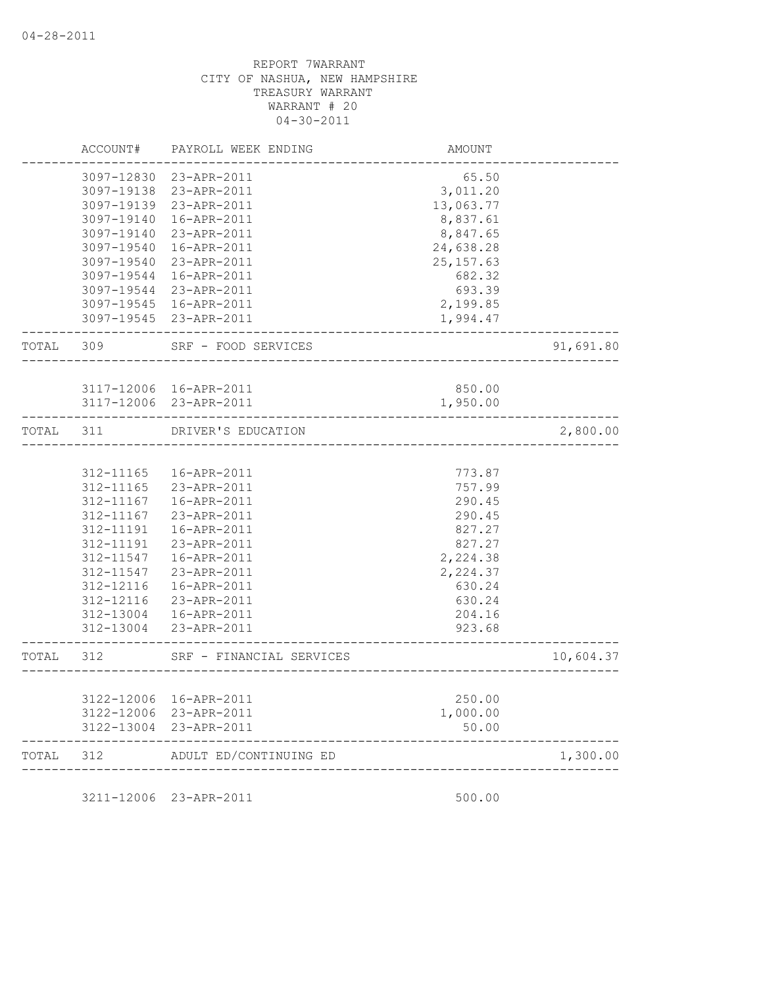|           | ACCOUNT#      | PAYROLL WEEK ENDING                              | AMOUNT                 |           |
|-----------|---------------|--------------------------------------------------|------------------------|-----------|
|           |               | 3097-12830 23-APR-2011                           | 65.50                  |           |
|           | 3097-19138    | 23-APR-2011                                      | 3,011.20               |           |
|           |               | 3097-19139 23-APR-2011                           | 13,063.77              |           |
|           | 3097-19140    | 16-APR-2011                                      | 8,837.61               |           |
|           | 3097-19140    | 23-APR-2011                                      | 8,847.65               |           |
|           | 3097-19540    | 16-APR-2011                                      | 24,638.28              |           |
|           | 3097-19540    | 23-APR-2011                                      | 25, 157.63             |           |
|           | 3097-19544    | 16-APR-2011                                      | 682.32                 |           |
|           | 3097-19544    | 23-APR-2011                                      | 693.39                 |           |
|           | 3097-19545    | 16-APR-2011                                      | 2,199.85               |           |
|           |               | 3097-19545 23-APR-2011                           | 1,994.47               |           |
| TOTAL     | 309           | SRF - FOOD SERVICES                              |                        | 91,691.80 |
|           |               |                                                  |                        |           |
|           |               | 3117-12006 16-APR-2011                           | 850.00                 |           |
|           |               | 3117-12006 23-APR-2011                           | 1,950.00               |           |
| TOTAL     | 311           | DRIVER'S EDUCATION                               |                        | 2,800.00  |
|           |               |                                                  |                        |           |
|           | 312-11165     | 16-APR-2011                                      | 773.87                 |           |
|           | 312-11165     | 23-APR-2011                                      | 757.99                 |           |
|           | 312-11167     | 16-APR-2011                                      | 290.45                 |           |
|           | $312 - 11167$ | 23-APR-2011                                      | 290.45                 |           |
|           | 312-11191     | 16-APR-2011                                      | 827.27                 |           |
|           | 312-11191     | 23-APR-2011                                      | 827.27                 |           |
|           | 312-11547     | 16-APR-2011                                      | 2,224.38               |           |
|           | 312-11547     | 23-APR-2011                                      | 2,224.37               |           |
|           | 312-12116     | 16-APR-2011                                      | 630.24                 |           |
|           | 312-12116     | 23-APR-2011                                      | 630.24                 |           |
|           | 312-13004     | 16-APR-2011                                      | 204.16                 |           |
|           |               | 312-13004 23-APR-2011                            | 923.68<br>____________ |           |
| TOTAL     | 312           | SRF - FINANCIAL SERVICES<br>___________________  |                        | 10,604.37 |
|           |               |                                                  |                        |           |
|           |               | 3122-12006 16-APR-2011                           | 250.00                 |           |
|           |               | 3122-12006 23-APR-2011<br>3122-13004 23-APR-2011 | 1,000.00<br>50.00      |           |
| TOTAL 312 |               | ADULT ED/CONTINUING ED                           |                        | 1,300.00  |
|           |               |                                                  | ---------------------  |           |

3211-12006 23-APR-2011 500.00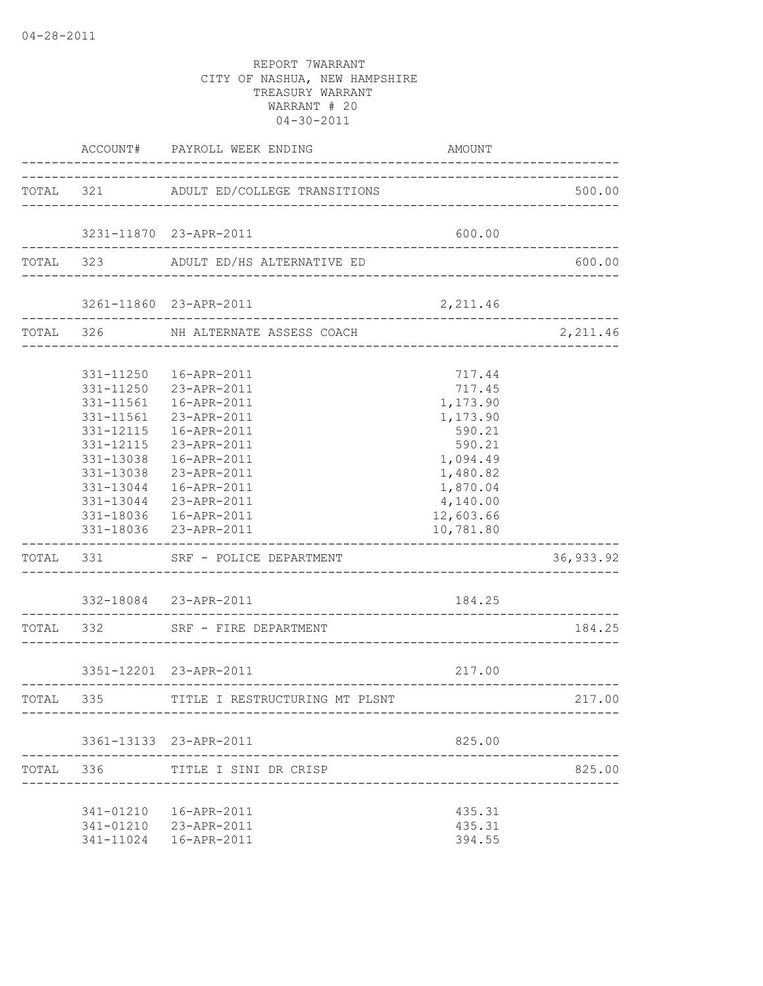|           |                                     | ACCOUNT# PAYROLL WEEK ENDING                                                                                                                                                                                                                                                                                        | AMOUNT                                                                                                                                 |                  |
|-----------|-------------------------------------|---------------------------------------------------------------------------------------------------------------------------------------------------------------------------------------------------------------------------------------------------------------------------------------------------------------------|----------------------------------------------------------------------------------------------------------------------------------------|------------------|
|           |                                     | TOTAL 321 ADULT ED/COLLEGE TRANSITIONS                                                                                                                                                                                                                                                                              |                                                                                                                                        | 500.00           |
|           |                                     | 3231-11870 23-APR-2011                                                                                                                                                                                                                                                                                              | 600.00                                                                                                                                 |                  |
|           |                                     | TOTAL 323 ADULT ED/HS ALTERNATIVE ED                                                                                                                                                                                                                                                                                |                                                                                                                                        | 600.00           |
|           |                                     |                                                                                                                                                                                                                                                                                                                     | 2,211.46                                                                                                                               |                  |
|           | -------------------                 | TOTAL 326 NH ALTERNATE ASSESS COACH                                                                                                                                                                                                                                                                                 |                                                                                                                                        | 2,211.46         |
|           | 331-11561<br>331-11561<br>331-12115 | 331-11250  16-APR-2011<br>331-11250 23-APR-2011<br>16-APR-2011<br>23-APR-2011<br>16-APR-2011<br>331-12115 23-APR-2011<br>331-13038  16-APR-2011<br>331-13038 23-APR-2011<br>331-13044  16-APR-2011<br>331-13044 23-APR-2011<br>331-18036  16-APR-2011<br>331-18036 23-APR-2011<br>TOTAL 331 SRF - POLICE DEPARTMENT | 717.44<br>717.45<br>1,173.90<br>1,173.90<br>590.21<br>590.21<br>1,094.49<br>1,480.82<br>1,870.04<br>4,140.00<br>12,603.66<br>10,781.80 | 36,933.92        |
|           |                                     | 332-18084 23-APR-2011<br>TOTAL 332 SRF - FIRE DEPARTMENT                                                                                                                                                                                                                                                            | 184.25                                                                                                                                 | 184.25           |
|           |                                     | 3351-12201 23-APR-2011                                                                                                                                                                                                                                                                                              | 217.00                                                                                                                                 | ---------------- |
| TOTAL 335 |                                     | TITLE I RESTRUCTURING MT PLSNT                                                                                                                                                                                                                                                                                      |                                                                                                                                        | 217.00           |
|           |                                     | 3361-13133 23-APR-2011                                                                                                                                                                                                                                                                                              | 825.00                                                                                                                                 |                  |
|           | TOTAL 336                           | TITLE I SINI DR CRISP                                                                                                                                                                                                                                                                                               |                                                                                                                                        | 825.00           |
|           |                                     | 341-01210  16-APR-2011<br>341-01210 23-APR-2011<br>341-11024  16-APR-2011                                                                                                                                                                                                                                           | 435.31<br>435.31<br>394.55                                                                                                             |                  |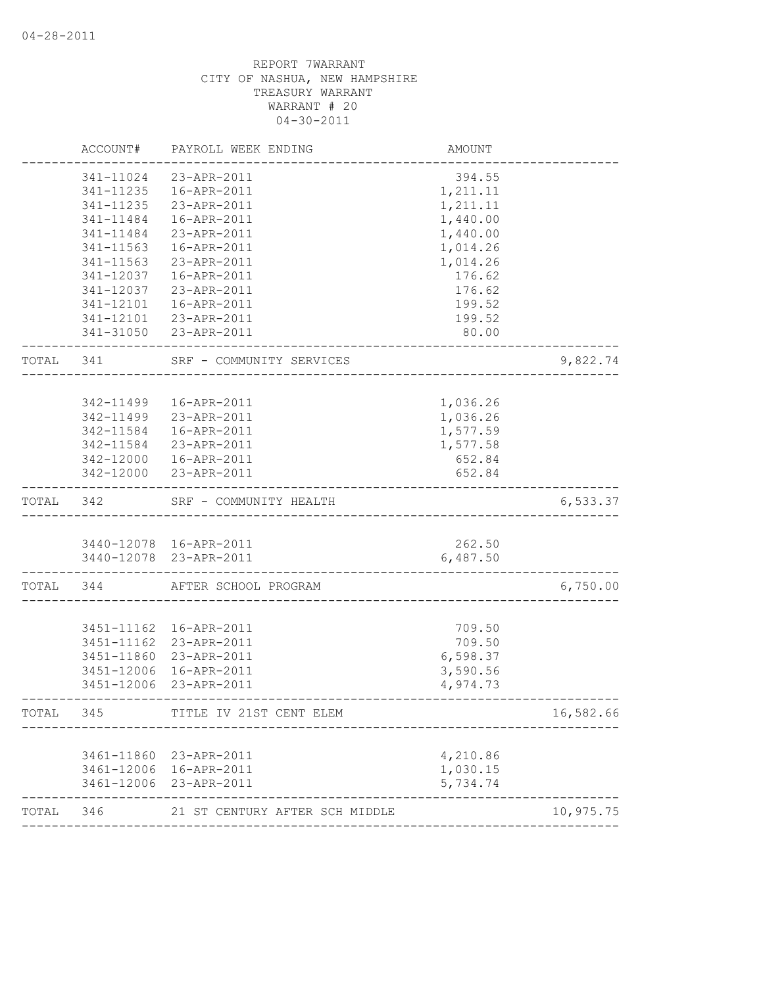|       | ACCOUNT#   | PAYROLL WEEK ENDING                   | AMOUNT               |           |
|-------|------------|---------------------------------------|----------------------|-----------|
|       | 341-11024  | 23-APR-2011                           | 394.55               |           |
|       | 341-11235  | 16-APR-2011                           | 1,211.11             |           |
|       | 341-11235  | 23-APR-2011                           | 1,211.11             |           |
|       | 341-11484  | 16-APR-2011                           | 1,440.00             |           |
|       | 341-11484  | 23-APR-2011                           | 1,440.00             |           |
|       | 341-11563  | 16-APR-2011                           | 1,014.26             |           |
|       | 341-11563  | 23-APR-2011                           | 1,014.26             |           |
|       | 341-12037  | 16-APR-2011                           | 176.62               |           |
|       | 341-12037  | 23-APR-2011                           | 176.62               |           |
|       | 341-12101  | 16-APR-2011                           | 199.52               |           |
|       |            | 341-12101 23-APR-2011                 | 199.52               |           |
|       |            | 341-31050 23-APR-2011                 | 80.00                |           |
| TOTAL | 341        | SRF - COMMUNITY SERVICES              |                      | 9,822.74  |
|       |            |                                       |                      |           |
|       | 342-11499  | 16-APR-2011                           | 1,036.26             |           |
|       | 342-11499  | 23-APR-2011                           | 1,036.26             |           |
|       | 342-11584  | 16-APR-2011                           | 1,577.59             |           |
|       |            | 342-11584 23-APR-2011                 | 1,577.58             |           |
|       |            | 342-12000  16-APR-2011                | 652.84               |           |
|       |            | 342-12000 23-APR-2011                 | 652.84               |           |
| TOTAL | 342        | SRF - COMMUNITY HEALTH                |                      | 6,533.37  |
|       |            |                                       |                      |           |
|       |            | 3440-12078 16-APR-2011                | 262.50               |           |
|       |            | 3440-12078 23-APR-2011                | 6,487.50             |           |
| TOTAL | 344        | AFTER SCHOOL PROGRAM                  |                      | 6,750.00  |
|       |            |                                       |                      |           |
|       |            | 3451-11162  16-APR-2011               | 709.50               |           |
|       | 3451-11162 | 23-APR-2011                           | 709.50               |           |
|       | 3451-11860 | 23-APR-2011                           | 6,598.37             |           |
|       | 3451-12006 | 16-APR-2011<br>3451-12006 23-APR-2011 | 3,590.56<br>4,974.73 |           |
|       |            |                                       |                      |           |
| TOTAL | 345        | TITLE IV 21ST CENT ELEM               |                      | 16,582.66 |
|       |            |                                       |                      |           |
|       | 3461-11860 | 23-APR-2011                           | 4,210.86             |           |
|       | 3461-12006 | 16-APR-2011                           | 1,030.15             |           |
|       | 3461-12006 | 23-APR-2011                           | 5,734.74             |           |
| TOTAL | 346        | 21 ST CENTURY AFTER SCH MIDDLE        |                      | 10,975.75 |
|       |            |                                       |                      |           |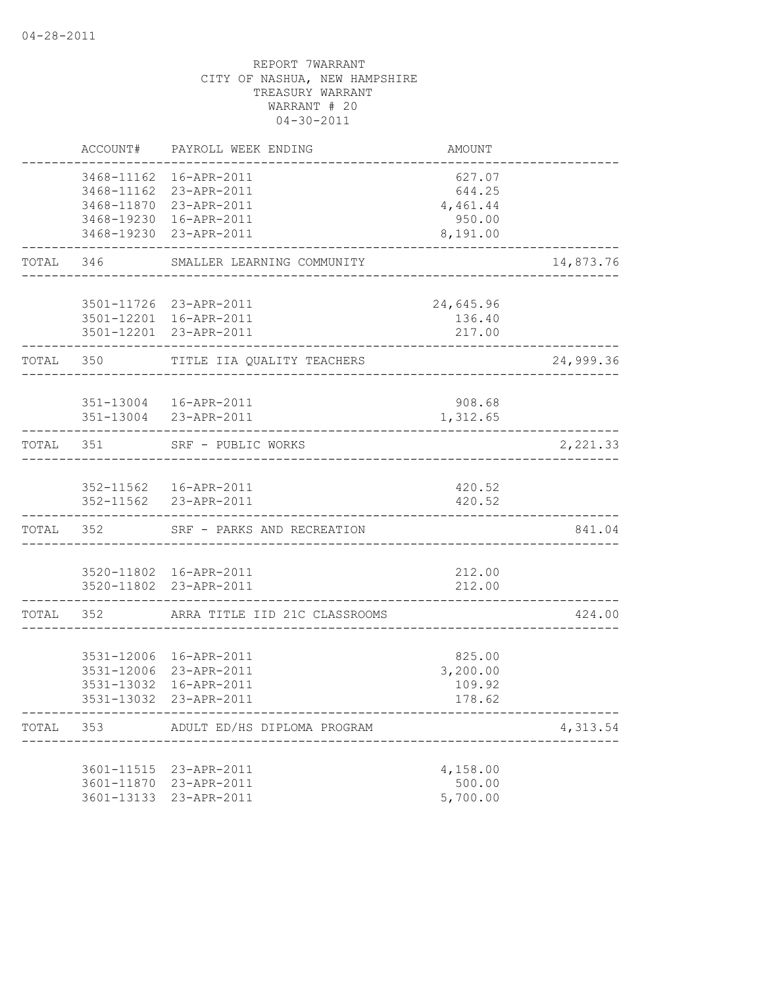|       | ACCOUNT#                 | PAYROLL WEEK ENDING                                                                                                             | AMOUNT                                              |           |
|-------|--------------------------|---------------------------------------------------------------------------------------------------------------------------------|-----------------------------------------------------|-----------|
|       |                          | 3468-11162  16-APR-2011<br>3468-11162 23-APR-2011<br>3468-11870 23-APR-2011<br>3468-19230 16-APR-2011<br>3468-19230 23-APR-2011 | 627.07<br>644.25<br>4,461.44<br>950.00<br>8,191.00  |           |
|       |                          | TOTAL 346 SMALLER LEARNING COMMUNITY                                                                                            | ----------------------------------                  | 14,873.76 |
|       |                          | 3501-11726 23-APR-2011<br>3501-12201 16-APR-2011<br>3501-12201 23-APR-2011                                                      | 24,645.96<br>136.40<br>217.00<br>------------------ |           |
|       | TOTAL 350                | TITLE IIA QUALITY TEACHERS                                                                                                      |                                                     | 24,999.36 |
|       |                          | 351-13004   16-APR-2011<br>351-13004 23-APR-2011                                                                                | 908.68<br>1,312.65                                  |           |
|       |                          | TOTAL 351 SRF - PUBLIC WORKS                                                                                                    |                                                     | 2,221.33  |
|       |                          | 352-11562  16-APR-2011<br>352-11562 23-APR-2011                                                                                 | 420.52<br>420.52                                    |           |
|       | TOTAL 352                | SRF - PARKS AND RECREATION                                                                                                      |                                                     | 841.04    |
|       |                          | 3520-11802 16-APR-2011<br>3520-11802 23-APR-2011                                                                                | 212.00<br>212.00                                    |           |
|       |                          | TOTAL 352 ARRA TITLE IID 21C CLASSROOMS                                                                                         |                                                     | 424.00    |
|       | 3531-13032<br>3531-13032 | 3531-12006 16-APR-2011<br>3531-12006 23-APR-2011<br>16-APR-2011<br>23-APR-2011                                                  | 825.00<br>3,200.00<br>109.92<br>178.62              |           |
| TOTAL | 353                      | ADULT ED/HS DIPLOMA PROGRAM                                                                                                     |                                                     | 4,313.54  |
|       |                          | 3601-11515 23-APR-2011<br>3601-11870 23-APR-2011<br>3601-13133 23-APR-2011                                                      | 4,158.00<br>500.00<br>5,700.00                      |           |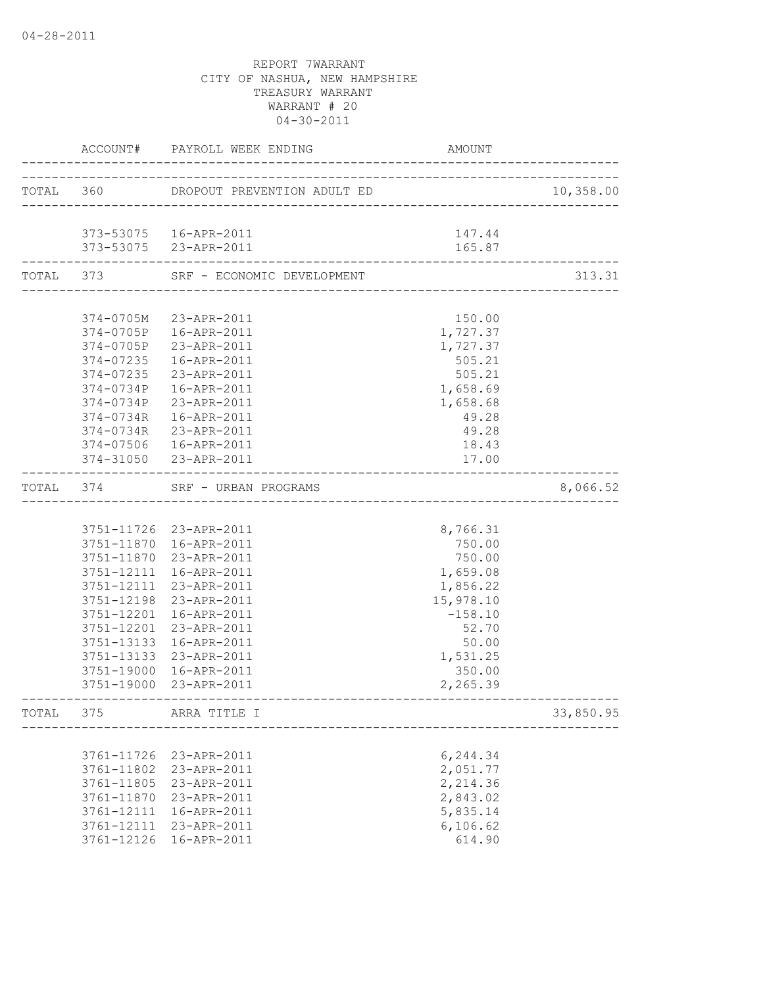|           |                       | ACCOUNT# PAYROLL WEEK ENDING | AMOUNT                       |           |
|-----------|-----------------------|------------------------------|------------------------------|-----------|
|           |                       |                              |                              | 10,358.00 |
|           |                       |                              |                              |           |
|           |                       | 373-53075  16-APR-2011       | 147.44                       |           |
|           | --------------------- | 373-53075 23-APR-2011        | 165.87<br>------------------ |           |
| TOTAL 373 |                       | SRF - ECONOMIC DEVELOPMENT   |                              | 313.31    |
|           |                       |                              |                              |           |
|           | 374-0705M             | 23-APR-2011                  | 150.00                       |           |
|           |                       | 374-0705P 16-APR-2011        | 1,727.37                     |           |
|           |                       | 374-0705P 23-APR-2011        | 1,727.37                     |           |
|           | 374-07235             | 16-APR-2011                  | 505.21                       |           |
|           | 374-07235             | 23-APR-2011                  | 505.21                       |           |
|           | 374-0734P             | 16-APR-2011                  | 1,658.69                     |           |
|           | 374-0734P             | 23-APR-2011                  | 1,658.68                     |           |
|           | 374-0734R             | 16-APR-2011                  | 49.28                        |           |
|           | 374-0734R             | 23-APR-2011                  | 49.28                        |           |
|           |                       | 374-07506  16-APR-2011       | 18.43                        |           |
|           |                       | 374-31050 23-APR-2011        | 17.00                        |           |
| TOTAL 374 |                       | SRF - URBAN PROGRAMS         |                              | 8,066.52  |
|           |                       |                              |                              |           |
|           |                       | 3751-11726 23-APR-2011       | 8,766.31                     |           |
|           |                       | 3751-11870  16-APR-2011      | 750.00                       |           |
|           | 3751-11870            | 23-APR-2011                  | 750.00                       |           |
|           | 3751-12111            | 16-APR-2011                  | 1,659.08                     |           |
|           | 3751-12111            | 23-APR-2011                  | 1,856.22                     |           |
|           | 3751-12198            | 23-APR-2011                  | 15,978.10                    |           |
|           | 3751-12201            | 16-APR-2011                  | $-158.10$                    |           |
|           | 3751-12201            | 23-APR-2011                  | 52.70                        |           |
|           | 3751-13133            | 16-APR-2011                  | 50.00                        |           |
|           | 3751-13133            | 23-APR-2011                  | 1,531.25                     |           |
|           | 3751-19000            | 16-APR-2011                  | 350.00                       |           |
|           | 3751-19000            | 23-APR-2011                  | 2,265.39                     |           |
| TOTAL     | 375                   | ARRA TITLE I                 |                              | 33,850.95 |
|           |                       |                              |                              |           |
|           | 3761-11726            | 23-APR-2011                  | 6,244.34                     |           |
|           | 3761-11802            | 23-APR-2011                  | 2,051.77                     |           |
|           | 3761-11805            | 23-APR-2011                  | 2,214.36                     |           |
|           | 3761-11870            | 23-APR-2011                  | 2,843.02                     |           |
|           | 3761-12111            | 16-APR-2011                  | 5,835.14                     |           |
|           | 3761-12111            | 23-APR-2011                  | 6,106.62                     |           |
|           | 3761-12126            | 16-APR-2011                  | 614.90                       |           |
|           |                       |                              |                              |           |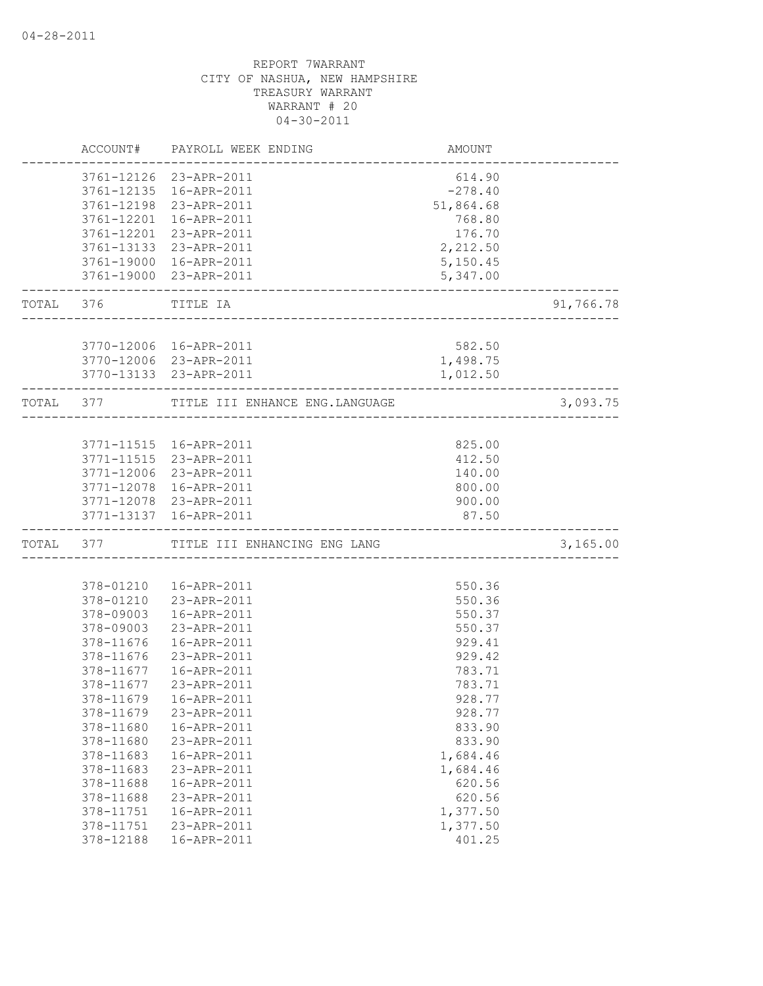|           | ACCOUNT#   | PAYROLL WEEK ENDING            | AMOUNT    |           |
|-----------|------------|--------------------------------|-----------|-----------|
|           |            | 3761-12126 23-APR-2011         | 614.90    |           |
|           |            | 3761-12135 16-APR-2011         | $-278.40$ |           |
|           |            | 3761-12198 23-APR-2011         | 51,864.68 |           |
|           | 3761-12201 | 16-APR-2011                    | 768.80    |           |
|           | 3761-12201 | 23-APR-2011                    | 176.70    |           |
|           |            | 3761-13133 23-APR-2011         | 2,212.50  |           |
|           |            | 3761-19000 16-APR-2011         | 5,150.45  |           |
|           |            | 3761-19000 23-APR-2011         | 5,347.00  |           |
| TOTAL 376 |            | TITLE IA                       |           | 91,766.78 |
|           |            |                                |           |           |
|           |            | 3770-12006 16-APR-2011         | 582.50    |           |
|           |            | 3770-12006 23-APR-2011         | 1,498.75  |           |
|           |            | 3770-13133 23-APR-2011         | 1,012.50  |           |
|           | TOTAL 377  | TITLE III ENHANCE ENG.LANGUAGE |           | 3,093.75  |
|           |            |                                |           |           |
|           |            | 3771-11515  16-APR-2011        | 825.00    |           |
|           |            | 3771-11515 23-APR-2011         | 412.50    |           |
|           |            | 3771-12006 23-APR-2011         | 140.00    |           |
|           |            | 3771-12078 16-APR-2011         | 800.00    |           |
|           |            | 3771-12078 23-APR-2011         | 900.00    |           |
|           |            | 3771-13137 16-APR-2011         | 87.50     |           |
|           | TOTAL 377  | TITLE III ENHANCING ENG LANG   |           | 3,165.00  |
|           |            |                                |           |           |
|           | 378-01210  | 16-APR-2011                    | 550.36    |           |
|           | 378-01210  | 23-APR-2011                    | 550.36    |           |
|           | 378-09003  | 16-APR-2011                    | 550.37    |           |
|           | 378-09003  | 23-APR-2011                    | 550.37    |           |
|           | 378-11676  | 16-APR-2011                    | 929.41    |           |
|           | 378-11676  | 23-APR-2011                    | 929.42    |           |
|           | 378-11677  | 16-APR-2011                    | 783.71    |           |
|           | 378-11677  | 23-APR-2011                    | 783.71    |           |
|           | 378-11679  | 16-APR-2011                    | 928.77    |           |
|           | 378-11679  | 23-APR-2011                    | 928.77    |           |
|           | 378-11680  | 16-APR-2011                    | 833.90    |           |
|           | 378-11680  | 23-APR-2011                    | 833.90    |           |
|           | 378-11683  | 16-APR-2011                    | 1,684.46  |           |
|           | 378-11683  | 23-APR-2011                    | 1,684.46  |           |
|           | 378-11688  | 16-APR-2011                    | 620.56    |           |
|           | 378-11688  | 23-APR-2011                    | 620.56    |           |
|           | 378-11751  | 16-APR-2011                    | 1,377.50  |           |
|           | 378-11751  | 23-APR-2011                    | 1,377.50  |           |
|           | 378-12188  | 16-APR-2011                    | 401.25    |           |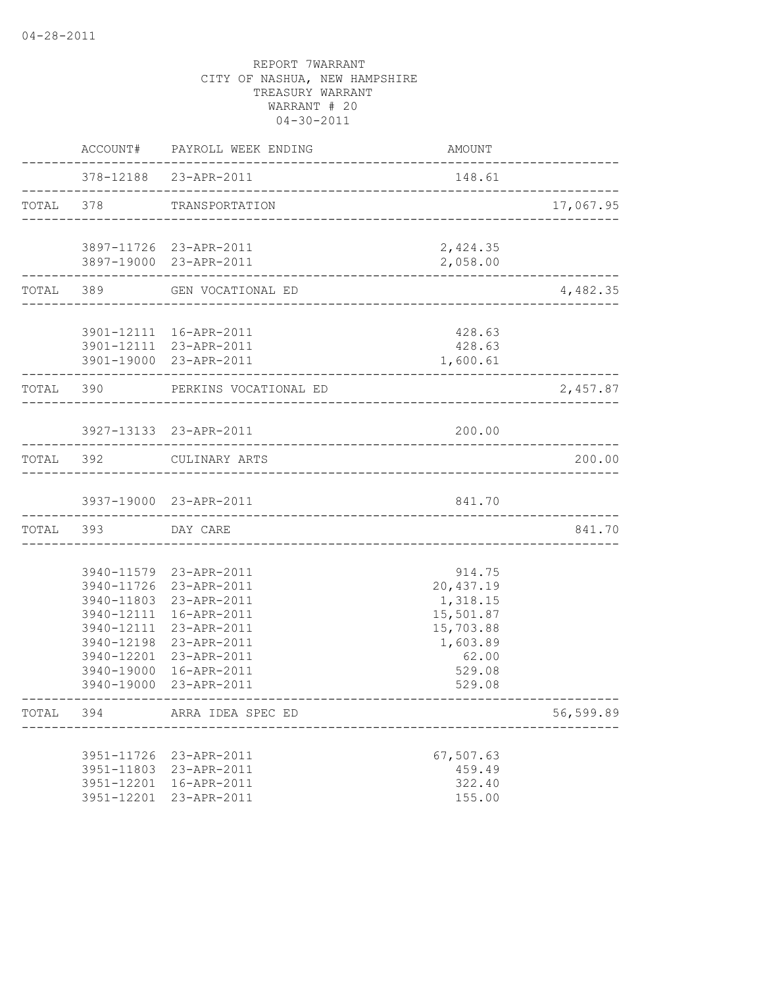|           |            | ACCOUNT# PAYROLL WEEK ENDING                     | AMOUNT              |           |
|-----------|------------|--------------------------------------------------|---------------------|-----------|
|           |            | 378-12188 23-APR-2011                            | 148.61              |           |
| TOTAL 378 |            | TRANSPORTATION                                   |                     | 17,067.95 |
|           |            | 3897-11726 23-APR-2011                           | 2,424.35            |           |
|           |            | 3897-19000 23-APR-2011                           | 2,058.00            |           |
|           | TOTAL 389  | GEN VOCATIONAL ED                                |                     | 4,482.35  |
|           |            | 3901-12111 16-APR-2011                           | 428.63              |           |
|           |            | 3901-12111 23-APR-2011<br>3901-19000 23-APR-2011 | 428.63<br>1,600.61  |           |
|           |            | TOTAL 390 PERKINS VOCATIONAL ED                  |                     | 2,457.87  |
|           |            | 3927-13133 23-APR-2011                           | 200.00              |           |
|           |            |                                                  |                     |           |
| TOTAL 392 |            | CULINARY ARTS                                    |                     | 200.00    |
|           |            | 3937-19000 23-APR-2011                           | 841.70              |           |
| TOTAL 393 |            | DAY CARE                                         |                     | 841.70    |
|           |            |                                                  |                     |           |
|           |            | 3940-11579 23-APR-2011<br>3940-11726 23-APR-2011 | 914.75<br>20,437.19 |           |
|           |            | 3940-11803 23-APR-2011                           | 1,318.15            |           |
|           | 3940-12111 | 16-APR-2011                                      | 15,501.87           |           |
|           | 3940-12111 | 23-APR-2011                                      | 15,703.88           |           |
|           | 3940-12198 | 23-APR-2011                                      | 1,603.89            |           |
|           | 3940-12201 | 23-APR-2011                                      | 62.00               |           |
|           | 3940-19000 | 16-APR-2011                                      | 529.08              |           |
|           | 3940-19000 | 23-APR-2011                                      | 529.08              |           |
| TOTAL     | 394        | ARRA IDEA SPEC ED                                |                     | 56,599.89 |
|           |            | 3951-11726 23-APR-2011                           | 67,507.63           |           |
|           |            | 3951-11803 23-APR-2011                           | 459.49              |           |
|           |            | 3951-12201 16-APR-2011                           | 322.40              |           |
|           |            | 3951-12201 23-APR-2011                           | 155.00              |           |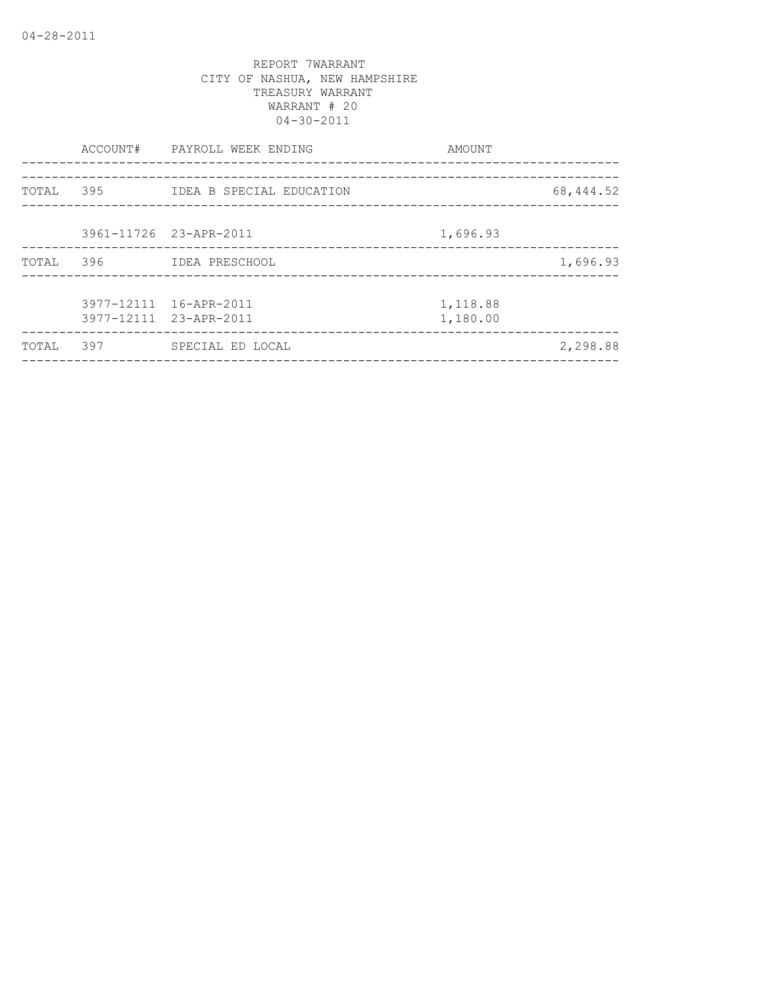|       | ACCOUNT# | PAYROLL WEEK ENDING<br>----------------          | AMOUNT               |           |
|-------|----------|--------------------------------------------------|----------------------|-----------|
|       |          |                                                  |                      |           |
| TOTAL | 395      | IDEA B SPECIAL EDUCATION                         |                      | 68,444.52 |
|       |          |                                                  |                      |           |
|       |          | 3961-11726 23-APR-2011                           | 1,696.93             |           |
| TOTAL | 396      | IDEA PRESCHOOL                                   |                      | 1,696.93  |
|       |          |                                                  |                      |           |
|       |          | 3977-12111 16-APR-2011<br>3977-12111 23-APR-2011 | 1,118.88<br>1,180.00 |           |
|       |          |                                                  |                      |           |
| TOTAL | 397      | SPECIAL ED LOCAL                                 |                      | 2,298.88  |
|       |          |                                                  |                      |           |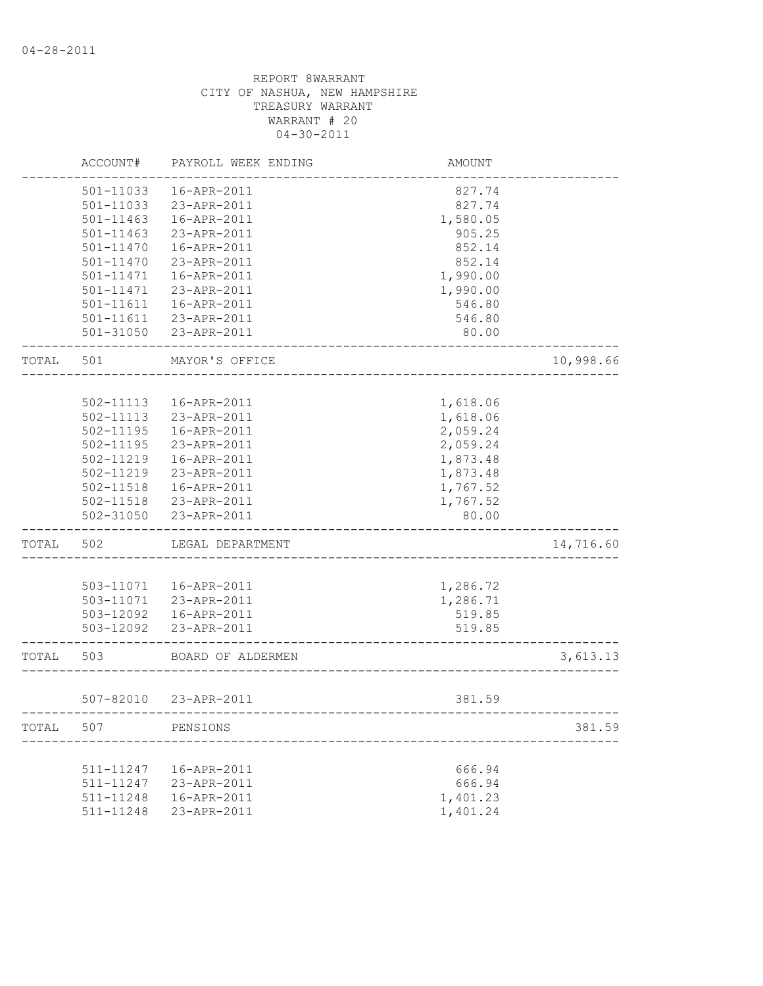|       | ACCOUNT#  | PAYROLL WEEK ENDING   | <b>AMOUNT</b> |           |
|-------|-----------|-----------------------|---------------|-----------|
|       | 501-11033 | 16-APR-2011           | 827.74        |           |
|       | 501-11033 | 23-APR-2011           | 827.74        |           |
|       | 501-11463 | 16-APR-2011           | 1,580.05      |           |
|       | 501-11463 | 23-APR-2011           | 905.25        |           |
|       | 501-11470 | 16-APR-2011           | 852.14        |           |
|       | 501-11470 | 23-APR-2011           | 852.14        |           |
|       | 501-11471 | 16-APR-2011           | 1,990.00      |           |
|       | 501-11471 | 23-APR-2011           | 1,990.00      |           |
|       | 501-11611 | 16-APR-2011           | 546.80        |           |
|       | 501-11611 | 23-APR-2011           | 546.80        |           |
|       | 501-31050 | 23-APR-2011           | 80.00         |           |
| TOTAL | 501       | MAYOR'S OFFICE        |               | 10,998.66 |
|       |           |                       |               |           |
|       | 502-11113 | 16-APR-2011           | 1,618.06      |           |
|       | 502-11113 | 23-APR-2011           | 1,618.06      |           |
|       | 502-11195 | 16-APR-2011           | 2,059.24      |           |
|       | 502-11195 | 23-APR-2011           | 2,059.24      |           |
|       | 502-11219 | 16-APR-2011           | 1,873.48      |           |
|       | 502-11219 | 23-APR-2011           | 1,873.48      |           |
|       | 502-11518 | 16-APR-2011           | 1,767.52      |           |
|       | 502-11518 | 23-APR-2011           | 1,767.52      |           |
|       | 502-31050 | 23-APR-2011           | 80.00         |           |
| TOTAL | 502       | LEGAL DEPARTMENT      |               | 14,716.60 |
|       |           |                       |               |           |
|       | 503-11071 | 16-APR-2011           | 1,286.72      |           |
|       | 503-11071 | 23-APR-2011           | 1,286.71      |           |
|       | 503-12092 | 16-APR-2011           | 519.85        |           |
|       | 503-12092 | 23-APR-2011           | 519.85        |           |
| TOTAL | 503       | BOARD OF ALDERMEN     |               | 3,613.13  |
|       |           | 507-82010 23-APR-2011 | 381.59        |           |
| TOTAL | 507       | PENSIONS              |               | 381.59    |
|       |           |                       |               |           |
|       | 511-11247 | 16-APR-2011           | 666.94        |           |
|       | 511-11247 | 23-APR-2011           | 666.94        |           |
|       | 511-11248 | 16-APR-2011           | 1,401.23      |           |
|       | 511-11248 | 23-APR-2011           | 1,401.24      |           |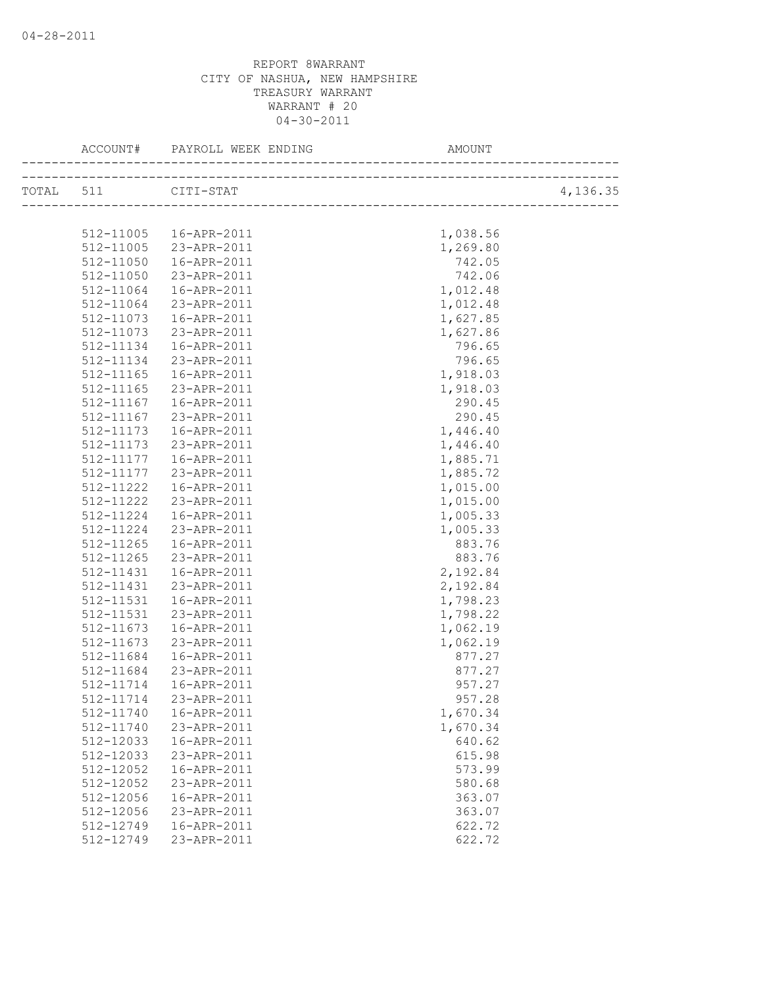| TOTAL 511 CITI-STAT<br>1,038.56<br>512-11005  16-APR-2011<br>512-11005 23-APR-2011<br>1,269.80<br>512-11050<br>16-APR-2011<br>742.05<br>23-APR-2011<br>742.06<br>512-11050<br>16-APR-2011<br>1,012.48<br>512-11064<br>512-11064<br>23-APR-2011<br>1,012.48<br>512-11073<br>16-APR-2011<br>1,627.85<br>23-APR-2011<br>512-11073<br>1,627.86<br>796.65<br>512-11134<br>16-APR-2011<br>796.65<br>512-11134<br>23-APR-2011<br>1,918.03<br>512-11165<br>16-APR-2011<br>1,918.03<br>512-11165<br>23-APR-2011<br>512-11167<br>290.45<br>16-APR-2011<br>23-APR-2011<br>512-11167<br>290.45<br>1,446.40<br>$512 - 11173$<br>16-APR-2011<br>512-11173<br>23-APR-2011<br>1,446.40<br>512-11177  16-APR-2011<br>1,885.71<br>1,885.72<br>512-11177<br>23-APR-2011<br>512-11222<br>16-APR-2011<br>1,015.00<br>512-11222<br>23-APR-2011<br>1,015.00<br>512-11224<br>1,005.33<br>16-APR-2011<br>23-APR-2011<br>1,005.33<br>512-11224<br>16-APR-2011<br>512-11265<br>883.76<br>23-APR-2011<br>883.76<br>512-11265<br>512-11431<br>16-APR-2011<br>2,192.84<br>23-APR-2011<br>512-11431<br>2,192.84<br>1,798.23<br>512-11531<br>16-APR-2011<br>1,798.22<br>512-11531<br>23-APR-2011<br>1,062.19<br>512-11673<br>16-APR-2011<br>1,062.19<br>512-11673<br>23-APR-2011<br>512-11684<br>877.27<br>16-APR-2011<br>23-APR-2011<br>512-11684<br>877.27<br>957.27<br>512-11714<br>16-APR-2011<br>512-11714 23-APR-2011<br>957.28<br>512-11740<br>16-APR-2011<br>1,670.34<br>512-11740<br>23-APR-2011<br>1,670.34<br>512-12033<br>640.62<br>16-APR-2011<br>512-12033<br>23-APR-2011<br>615.98<br>512-12052<br>16-APR-2011<br>573.99<br>512-12052<br>23-APR-2011<br>580.68<br>512-12056<br>363.07<br>16-APR-2011<br>512-12056<br>23-APR-2011<br>363.07<br>512-12749<br>16-APR-2011<br>622.72<br>512-12749<br>23-APR-2011<br>622.72 |  |  |          |
|-------------------------------------------------------------------------------------------------------------------------------------------------------------------------------------------------------------------------------------------------------------------------------------------------------------------------------------------------------------------------------------------------------------------------------------------------------------------------------------------------------------------------------------------------------------------------------------------------------------------------------------------------------------------------------------------------------------------------------------------------------------------------------------------------------------------------------------------------------------------------------------------------------------------------------------------------------------------------------------------------------------------------------------------------------------------------------------------------------------------------------------------------------------------------------------------------------------------------------------------------------------------------------------------------------------------------------------------------------------------------------------------------------------------------------------------------------------------------------------------------------------------------------------------------------------------------------------------------------------------------------------------------------------------------------------------------------------------------------------------------------------------------------------------------------|--|--|----------|
|                                                                                                                                                                                                                                                                                                                                                                                                                                                                                                                                                                                                                                                                                                                                                                                                                                                                                                                                                                                                                                                                                                                                                                                                                                                                                                                                                                                                                                                                                                                                                                                                                                                                                                                                                                                                       |  |  | 4,136.35 |
|                                                                                                                                                                                                                                                                                                                                                                                                                                                                                                                                                                                                                                                                                                                                                                                                                                                                                                                                                                                                                                                                                                                                                                                                                                                                                                                                                                                                                                                                                                                                                                                                                                                                                                                                                                                                       |  |  |          |
|                                                                                                                                                                                                                                                                                                                                                                                                                                                                                                                                                                                                                                                                                                                                                                                                                                                                                                                                                                                                                                                                                                                                                                                                                                                                                                                                                                                                                                                                                                                                                                                                                                                                                                                                                                                                       |  |  |          |
|                                                                                                                                                                                                                                                                                                                                                                                                                                                                                                                                                                                                                                                                                                                                                                                                                                                                                                                                                                                                                                                                                                                                                                                                                                                                                                                                                                                                                                                                                                                                                                                                                                                                                                                                                                                                       |  |  |          |
|                                                                                                                                                                                                                                                                                                                                                                                                                                                                                                                                                                                                                                                                                                                                                                                                                                                                                                                                                                                                                                                                                                                                                                                                                                                                                                                                                                                                                                                                                                                                                                                                                                                                                                                                                                                                       |  |  |          |
|                                                                                                                                                                                                                                                                                                                                                                                                                                                                                                                                                                                                                                                                                                                                                                                                                                                                                                                                                                                                                                                                                                                                                                                                                                                                                                                                                                                                                                                                                                                                                                                                                                                                                                                                                                                                       |  |  |          |
|                                                                                                                                                                                                                                                                                                                                                                                                                                                                                                                                                                                                                                                                                                                                                                                                                                                                                                                                                                                                                                                                                                                                                                                                                                                                                                                                                                                                                                                                                                                                                                                                                                                                                                                                                                                                       |  |  |          |
|                                                                                                                                                                                                                                                                                                                                                                                                                                                                                                                                                                                                                                                                                                                                                                                                                                                                                                                                                                                                                                                                                                                                                                                                                                                                                                                                                                                                                                                                                                                                                                                                                                                                                                                                                                                                       |  |  |          |
|                                                                                                                                                                                                                                                                                                                                                                                                                                                                                                                                                                                                                                                                                                                                                                                                                                                                                                                                                                                                                                                                                                                                                                                                                                                                                                                                                                                                                                                                                                                                                                                                                                                                                                                                                                                                       |  |  |          |
|                                                                                                                                                                                                                                                                                                                                                                                                                                                                                                                                                                                                                                                                                                                                                                                                                                                                                                                                                                                                                                                                                                                                                                                                                                                                                                                                                                                                                                                                                                                                                                                                                                                                                                                                                                                                       |  |  |          |
|                                                                                                                                                                                                                                                                                                                                                                                                                                                                                                                                                                                                                                                                                                                                                                                                                                                                                                                                                                                                                                                                                                                                                                                                                                                                                                                                                                                                                                                                                                                                                                                                                                                                                                                                                                                                       |  |  |          |
|                                                                                                                                                                                                                                                                                                                                                                                                                                                                                                                                                                                                                                                                                                                                                                                                                                                                                                                                                                                                                                                                                                                                                                                                                                                                                                                                                                                                                                                                                                                                                                                                                                                                                                                                                                                                       |  |  |          |
|                                                                                                                                                                                                                                                                                                                                                                                                                                                                                                                                                                                                                                                                                                                                                                                                                                                                                                                                                                                                                                                                                                                                                                                                                                                                                                                                                                                                                                                                                                                                                                                                                                                                                                                                                                                                       |  |  |          |
|                                                                                                                                                                                                                                                                                                                                                                                                                                                                                                                                                                                                                                                                                                                                                                                                                                                                                                                                                                                                                                                                                                                                                                                                                                                                                                                                                                                                                                                                                                                                                                                                                                                                                                                                                                                                       |  |  |          |
|                                                                                                                                                                                                                                                                                                                                                                                                                                                                                                                                                                                                                                                                                                                                                                                                                                                                                                                                                                                                                                                                                                                                                                                                                                                                                                                                                                                                                                                                                                                                                                                                                                                                                                                                                                                                       |  |  |          |
|                                                                                                                                                                                                                                                                                                                                                                                                                                                                                                                                                                                                                                                                                                                                                                                                                                                                                                                                                                                                                                                                                                                                                                                                                                                                                                                                                                                                                                                                                                                                                                                                                                                                                                                                                                                                       |  |  |          |
|                                                                                                                                                                                                                                                                                                                                                                                                                                                                                                                                                                                                                                                                                                                                                                                                                                                                                                                                                                                                                                                                                                                                                                                                                                                                                                                                                                                                                                                                                                                                                                                                                                                                                                                                                                                                       |  |  |          |
|                                                                                                                                                                                                                                                                                                                                                                                                                                                                                                                                                                                                                                                                                                                                                                                                                                                                                                                                                                                                                                                                                                                                                                                                                                                                                                                                                                                                                                                                                                                                                                                                                                                                                                                                                                                                       |  |  |          |
|                                                                                                                                                                                                                                                                                                                                                                                                                                                                                                                                                                                                                                                                                                                                                                                                                                                                                                                                                                                                                                                                                                                                                                                                                                                                                                                                                                                                                                                                                                                                                                                                                                                                                                                                                                                                       |  |  |          |
|                                                                                                                                                                                                                                                                                                                                                                                                                                                                                                                                                                                                                                                                                                                                                                                                                                                                                                                                                                                                                                                                                                                                                                                                                                                                                                                                                                                                                                                                                                                                                                                                                                                                                                                                                                                                       |  |  |          |
|                                                                                                                                                                                                                                                                                                                                                                                                                                                                                                                                                                                                                                                                                                                                                                                                                                                                                                                                                                                                                                                                                                                                                                                                                                                                                                                                                                                                                                                                                                                                                                                                                                                                                                                                                                                                       |  |  |          |
|                                                                                                                                                                                                                                                                                                                                                                                                                                                                                                                                                                                                                                                                                                                                                                                                                                                                                                                                                                                                                                                                                                                                                                                                                                                                                                                                                                                                                                                                                                                                                                                                                                                                                                                                                                                                       |  |  |          |
|                                                                                                                                                                                                                                                                                                                                                                                                                                                                                                                                                                                                                                                                                                                                                                                                                                                                                                                                                                                                                                                                                                                                                                                                                                                                                                                                                                                                                                                                                                                                                                                                                                                                                                                                                                                                       |  |  |          |
|                                                                                                                                                                                                                                                                                                                                                                                                                                                                                                                                                                                                                                                                                                                                                                                                                                                                                                                                                                                                                                                                                                                                                                                                                                                                                                                                                                                                                                                                                                                                                                                                                                                                                                                                                                                                       |  |  |          |
|                                                                                                                                                                                                                                                                                                                                                                                                                                                                                                                                                                                                                                                                                                                                                                                                                                                                                                                                                                                                                                                                                                                                                                                                                                                                                                                                                                                                                                                                                                                                                                                                                                                                                                                                                                                                       |  |  |          |
|                                                                                                                                                                                                                                                                                                                                                                                                                                                                                                                                                                                                                                                                                                                                                                                                                                                                                                                                                                                                                                                                                                                                                                                                                                                                                                                                                                                                                                                                                                                                                                                                                                                                                                                                                                                                       |  |  |          |
|                                                                                                                                                                                                                                                                                                                                                                                                                                                                                                                                                                                                                                                                                                                                                                                                                                                                                                                                                                                                                                                                                                                                                                                                                                                                                                                                                                                                                                                                                                                                                                                                                                                                                                                                                                                                       |  |  |          |
|                                                                                                                                                                                                                                                                                                                                                                                                                                                                                                                                                                                                                                                                                                                                                                                                                                                                                                                                                                                                                                                                                                                                                                                                                                                                                                                                                                                                                                                                                                                                                                                                                                                                                                                                                                                                       |  |  |          |
|                                                                                                                                                                                                                                                                                                                                                                                                                                                                                                                                                                                                                                                                                                                                                                                                                                                                                                                                                                                                                                                                                                                                                                                                                                                                                                                                                                                                                                                                                                                                                                                                                                                                                                                                                                                                       |  |  |          |
|                                                                                                                                                                                                                                                                                                                                                                                                                                                                                                                                                                                                                                                                                                                                                                                                                                                                                                                                                                                                                                                                                                                                                                                                                                                                                                                                                                                                                                                                                                                                                                                                                                                                                                                                                                                                       |  |  |          |
|                                                                                                                                                                                                                                                                                                                                                                                                                                                                                                                                                                                                                                                                                                                                                                                                                                                                                                                                                                                                                                                                                                                                                                                                                                                                                                                                                                                                                                                                                                                                                                                                                                                                                                                                                                                                       |  |  |          |
|                                                                                                                                                                                                                                                                                                                                                                                                                                                                                                                                                                                                                                                                                                                                                                                                                                                                                                                                                                                                                                                                                                                                                                                                                                                                                                                                                                                                                                                                                                                                                                                                                                                                                                                                                                                                       |  |  |          |
|                                                                                                                                                                                                                                                                                                                                                                                                                                                                                                                                                                                                                                                                                                                                                                                                                                                                                                                                                                                                                                                                                                                                                                                                                                                                                                                                                                                                                                                                                                                                                                                                                                                                                                                                                                                                       |  |  |          |
|                                                                                                                                                                                                                                                                                                                                                                                                                                                                                                                                                                                                                                                                                                                                                                                                                                                                                                                                                                                                                                                                                                                                                                                                                                                                                                                                                                                                                                                                                                                                                                                                                                                                                                                                                                                                       |  |  |          |
|                                                                                                                                                                                                                                                                                                                                                                                                                                                                                                                                                                                                                                                                                                                                                                                                                                                                                                                                                                                                                                                                                                                                                                                                                                                                                                                                                                                                                                                                                                                                                                                                                                                                                                                                                                                                       |  |  |          |
|                                                                                                                                                                                                                                                                                                                                                                                                                                                                                                                                                                                                                                                                                                                                                                                                                                                                                                                                                                                                                                                                                                                                                                                                                                                                                                                                                                                                                                                                                                                                                                                                                                                                                                                                                                                                       |  |  |          |
|                                                                                                                                                                                                                                                                                                                                                                                                                                                                                                                                                                                                                                                                                                                                                                                                                                                                                                                                                                                                                                                                                                                                                                                                                                                                                                                                                                                                                                                                                                                                                                                                                                                                                                                                                                                                       |  |  |          |
|                                                                                                                                                                                                                                                                                                                                                                                                                                                                                                                                                                                                                                                                                                                                                                                                                                                                                                                                                                                                                                                                                                                                                                                                                                                                                                                                                                                                                                                                                                                                                                                                                                                                                                                                                                                                       |  |  |          |
|                                                                                                                                                                                                                                                                                                                                                                                                                                                                                                                                                                                                                                                                                                                                                                                                                                                                                                                                                                                                                                                                                                                                                                                                                                                                                                                                                                                                                                                                                                                                                                                                                                                                                                                                                                                                       |  |  |          |
|                                                                                                                                                                                                                                                                                                                                                                                                                                                                                                                                                                                                                                                                                                                                                                                                                                                                                                                                                                                                                                                                                                                                                                                                                                                                                                                                                                                                                                                                                                                                                                                                                                                                                                                                                                                                       |  |  |          |
|                                                                                                                                                                                                                                                                                                                                                                                                                                                                                                                                                                                                                                                                                                                                                                                                                                                                                                                                                                                                                                                                                                                                                                                                                                                                                                                                                                                                                                                                                                                                                                                                                                                                                                                                                                                                       |  |  |          |
|                                                                                                                                                                                                                                                                                                                                                                                                                                                                                                                                                                                                                                                                                                                                                                                                                                                                                                                                                                                                                                                                                                                                                                                                                                                                                                                                                                                                                                                                                                                                                                                                                                                                                                                                                                                                       |  |  |          |
|                                                                                                                                                                                                                                                                                                                                                                                                                                                                                                                                                                                                                                                                                                                                                                                                                                                                                                                                                                                                                                                                                                                                                                                                                                                                                                                                                                                                                                                                                                                                                                                                                                                                                                                                                                                                       |  |  |          |
|                                                                                                                                                                                                                                                                                                                                                                                                                                                                                                                                                                                                                                                                                                                                                                                                                                                                                                                                                                                                                                                                                                                                                                                                                                                                                                                                                                                                                                                                                                                                                                                                                                                                                                                                                                                                       |  |  |          |
|                                                                                                                                                                                                                                                                                                                                                                                                                                                                                                                                                                                                                                                                                                                                                                                                                                                                                                                                                                                                                                                                                                                                                                                                                                                                                                                                                                                                                                                                                                                                                                                                                                                                                                                                                                                                       |  |  |          |
|                                                                                                                                                                                                                                                                                                                                                                                                                                                                                                                                                                                                                                                                                                                                                                                                                                                                                                                                                                                                                                                                                                                                                                                                                                                                                                                                                                                                                                                                                                                                                                                                                                                                                                                                                                                                       |  |  |          |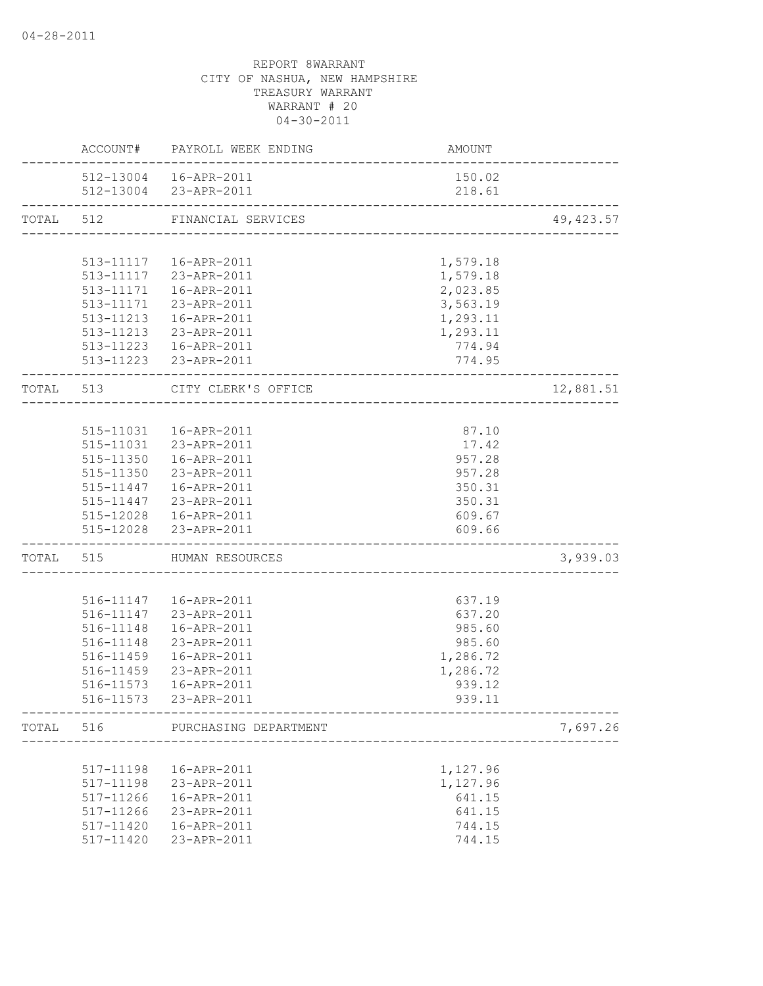|       |           | ACCOUNT# PAYROLL WEEK ENDING | AMOUNT                |            |
|-------|-----------|------------------------------|-----------------------|------------|
|       |           | 512-13004  16-APR-2011       | 150.02                |            |
|       |           | 512-13004 23-APR-2011        | 218.61                |            |
| TOTAL | 512       | FINANCIAL SERVICES           |                       | 49, 423.57 |
|       |           |                              |                       |            |
|       |           | 513-11117  16-APR-2011       | 1,579.18              |            |
|       |           | 513-11117 23-APR-2011        | 1,579.18              |            |
|       |           | 513-11171  16-APR-2011       | 2,023.85              |            |
|       |           | 513-11171 23-APR-2011        | 3,563.19              |            |
|       |           | 513-11213  16-APR-2011       | 1,293.11              |            |
|       |           | 513-11213 23-APR-2011        | 1,293.11              |            |
|       |           | 513-11223  16-APR-2011       | 774.94                |            |
|       |           | 513-11223 23-APR-2011        | 774.95                |            |
|       | TOTAL 513 | CITY CLERK'S OFFICE          | ____________________  | 12,881.51  |
|       |           |                              |                       |            |
|       |           | 515-11031  16-APR-2011       | 87.10                 |            |
|       |           | 515-11031 23-APR-2011        | 17.42                 |            |
|       |           | 515-11350  16-APR-2011       | 957.28                |            |
|       |           | 515-11350 23-APR-2011        | 957.28                |            |
|       |           | 515-11447  16-APR-2011       | 350.31                |            |
|       |           | 515-11447 23-APR-2011        | 350.31                |            |
|       |           | 515-12028  16-APR-2011       | 609.67                |            |
|       |           | 515-12028 23-APR-2011        | 609.66                |            |
|       |           | TOTAL 515 HUMAN RESOURCES    |                       | 3,939.03   |
|       |           |                              |                       |            |
|       |           | 516-11147  16-APR-2011       | 637.19                |            |
|       |           | 516-11147 23-APR-2011        | 637.20                |            |
|       | 516-11148 | 16-APR-2011                  | 985.60                |            |
|       | 516-11148 | 23-APR-2011                  | 985.60                |            |
|       | 516-11459 | 16-APR-2011                  | 1,286.72              |            |
|       | 516-11459 | 23-APR-2011                  | 1,286.72              |            |
|       | 516-11573 | 16-APR-2011                  | 939.12                |            |
|       |           | 516-11573 23-APR-2011        | 939.11                |            |
| TOTAL | 516       | PURCHASING DEPARTMENT        |                       | 7,697.26   |
|       |           |                              | --------------------- |            |
|       | 517-11198 | 16-APR-2011                  | 1,127.96              |            |
|       | 517-11198 | 23-APR-2011                  | 1,127.96              |            |
|       | 517-11266 | 16-APR-2011                  | 641.15                |            |
|       | 517-11266 | 23-APR-2011                  | 641.15                |            |
|       | 517-11420 | 16-APR-2011                  | 744.15                |            |
|       | 517-11420 | 23-APR-2011                  | 744.15                |            |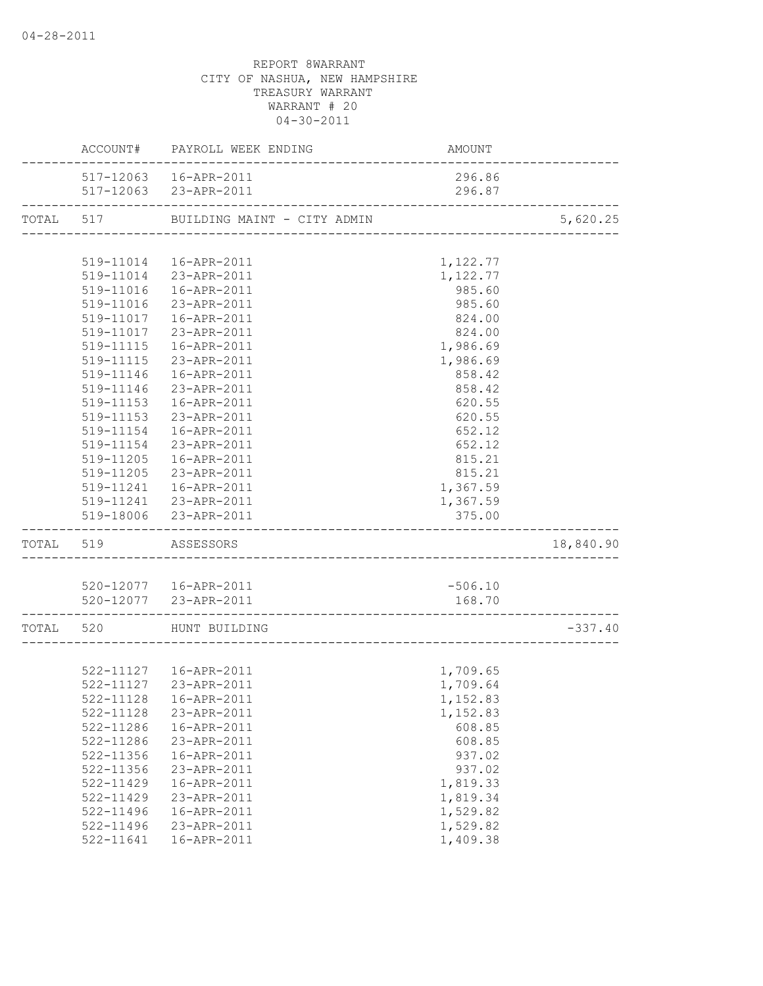|           |                  | ACCOUNT# PAYROLL WEEK ENDING                           | AMOUNT                               |           |
|-----------|------------------|--------------------------------------------------------|--------------------------------------|-----------|
|           |                  | 517-12063  16-APR-2011                                 | 296.86                               |           |
|           | ---------------- | 517-12063 23-APR-2011                                  | 296.87                               |           |
| TOTAL     |                  | 517 BUILDING MAINT - CITY ADMIN                        |                                      | 5,620.25  |
|           |                  |                                                        | ____________________________________ |           |
|           |                  | 519-11014  16-APR-2011                                 | 1,122.77                             |           |
|           |                  | 519-11014 23-APR-2011                                  | 1,122.77                             |           |
|           |                  | 519-11016  16-APR-2011                                 | 985.60                               |           |
|           |                  | 519-11016 23-APR-2011                                  | 985.60                               |           |
|           | 519-11017        | 16-APR-2011                                            | 824.00                               |           |
|           |                  | 519-11017 23-APR-2011                                  | 824.00                               |           |
|           |                  | 519-11115  16-APR-2011                                 | 1,986.69                             |           |
|           |                  | 519-11115 23-APR-2011                                  | 1,986.69                             |           |
|           |                  | 519-11146  16-APR-2011                                 | 858.42                               |           |
|           | 519-11146        | 23-APR-2011                                            | 858.42                               |           |
|           | 519-11153        | 16-APR-2011                                            | 620.55                               |           |
|           | 519-11153        | 23-APR-2011                                            | 620.55                               |           |
|           | 519-11154        | 16-APR-2011                                            | 652.12                               |           |
|           | 519-11154        | 23-APR-2011                                            | 652.12                               |           |
|           | 519-11205        | 16-APR-2011                                            | 815.21                               |           |
|           |                  | 519-11205 23-APR-2011                                  | 815.21                               |           |
|           |                  | 519-11241  16-APR-2011                                 | 1,367.59                             |           |
|           |                  | 519-11241 23-APR-2011                                  | 1,367.59                             |           |
|           |                  | 519-18006 23-APR-2011                                  | 375.00                               |           |
| TOTAL     | 519              | ASSESSORS                                              |                                      | 18,840.90 |
|           |                  |                                                        |                                      |           |
|           |                  | 520-12077  16-APR-2011                                 | $-506.10$                            |           |
|           |                  | 520-12077 23-APR-2011<br>----------------------------- | 168.70                               |           |
| TOTAL 520 |                  | HUNT BUILDING                                          |                                      | $-337.40$ |
|           |                  |                                                        |                                      |           |
|           |                  | 522-11127  16-APR-2011                                 | 1,709.65                             |           |
|           |                  | 522-11127 23-APR-2011                                  | 1,709.64                             |           |
|           |                  | 522-11128  16-APR-2011                                 | 1,152.83                             |           |
|           | 522-11128        | 23-APR-2011                                            | 1,152.83                             |           |
|           | 522-11286        | 16-APR-2011                                            | 608.85                               |           |
|           | 522-11286        | 23-APR-2011                                            | 608.85                               |           |
|           | 522-11356        | 16-APR-2011                                            | 937.02                               |           |
|           | 522-11356        | 23-APR-2011                                            | 937.02                               |           |
|           | 522-11429        | 16-APR-2011                                            | 1,819.33                             |           |
|           | 522-11429        | 23-APR-2011                                            | 1,819.34                             |           |
|           | 522-11496        | 16-APR-2011                                            | 1,529.82                             |           |
|           | $522 - 11496$    | 23-APR-2011                                            | 1,529.82                             |           |
|           | 522-11641        | 16-APR-2011                                            | 1,409.38                             |           |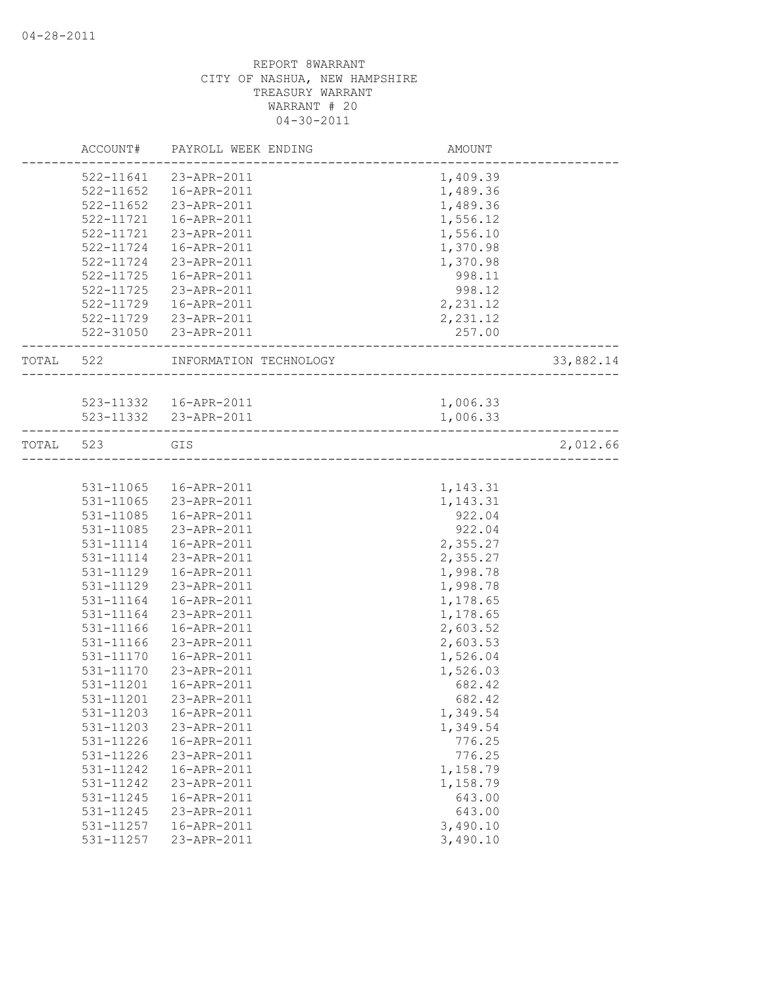|           | ACCOUNT#      | PAYROLL WEEK ENDING                                   | AMOUNT   |           |
|-----------|---------------|-------------------------------------------------------|----------|-----------|
|           |               | 522-11641 23-APR-2011                                 | 1,409.39 |           |
|           | $522 - 11652$ | 16-APR-2011                                           | 1,489.36 |           |
|           | 522-11652     | 23-APR-2011                                           | 1,489.36 |           |
|           | 522-11721     | 16-APR-2011                                           | 1,556.12 |           |
|           | 522-11721     | 23-APR-2011                                           | 1,556.10 |           |
|           | 522-11724     | 16-APR-2011                                           | 1,370.98 |           |
|           | 522-11724     | 23-APR-2011                                           | 1,370.98 |           |
|           | 522-11725     | 16-APR-2011                                           | 998.11   |           |
|           | 522-11725     | 23-APR-2011                                           | 998.12   |           |
|           |               | 522-11729  16-APR-2011                                | 2,231.12 |           |
|           |               | 522-11729 23-APR-2011                                 | 2,231.12 |           |
|           |               | 522-31050 23-APR-2011                                 | 257.00   |           |
| TOTAL 522 |               | INFORMATION TECHNOLOGY                                |          | 33,882.14 |
|           |               |                                                       |          |           |
|           |               | 523-11332  16-APR-2011                                | 1,006.33 |           |
|           |               | 523-11332 23-APR-2011<br>---------------------------- | 1,006.33 |           |
| TOTAL 523 |               | GIS                                                   |          | 2,012.66  |
|           |               |                                                       |          |           |
|           |               | 531-11065  16-APR-2011                                | 1,143.31 |           |
|           | 531-11065     | 23-APR-2011                                           | 1,143.31 |           |
|           | 531-11085     | 16-APR-2011                                           | 922.04   |           |
|           | 531-11085     | 23-APR-2011                                           | 922.04   |           |
|           | 531-11114     | 16-APR-2011                                           | 2,355.27 |           |
|           | 531-11114     | 23-APR-2011                                           | 2,355.27 |           |
|           | 531-11129     | 16-APR-2011                                           | 1,998.78 |           |
|           | 531-11129     | 23-APR-2011                                           | 1,998.78 |           |
|           | 531-11164     | 16-APR-2011                                           | 1,178.65 |           |
|           | 531-11164     | 23-APR-2011                                           | 1,178.65 |           |
|           | 531-11166     | 16-APR-2011                                           | 2,603.52 |           |
|           | 531-11166     | 23-APR-2011                                           | 2,603.53 |           |
|           | 531-11170     | 16-APR-2011                                           | 1,526.04 |           |
|           | 531-11170     | 23-APR-2011                                           | 1,526.03 |           |
|           | 531-11201     | 16-APR-2011                                           | 682.42   |           |
|           | 531-11201     | 23-APR-2011                                           | 682.42   |           |
|           | 531-11203     | 16-APR-2011                                           | 1,349.54 |           |
|           | 531-11203     | 23-APR-2011                                           | 1,349.54 |           |
|           | 531-11226     | 16-APR-2011                                           | 776.25   |           |
|           | 531-11226     | 23-APR-2011                                           | 776.25   |           |
|           | 531-11242     | 16-APR-2011                                           | 1,158.79 |           |
|           | 531-11242     | 23-APR-2011                                           | 1,158.79 |           |
|           | 531-11245     | $16 - APR - 2011$                                     | 643.00   |           |
|           | 531-11245     | 23-APR-2011                                           | 643.00   |           |
|           | 531-11257     | 16-APR-2011                                           | 3,490.10 |           |
|           | 531-11257     | 23-APR-2011                                           | 3,490.10 |           |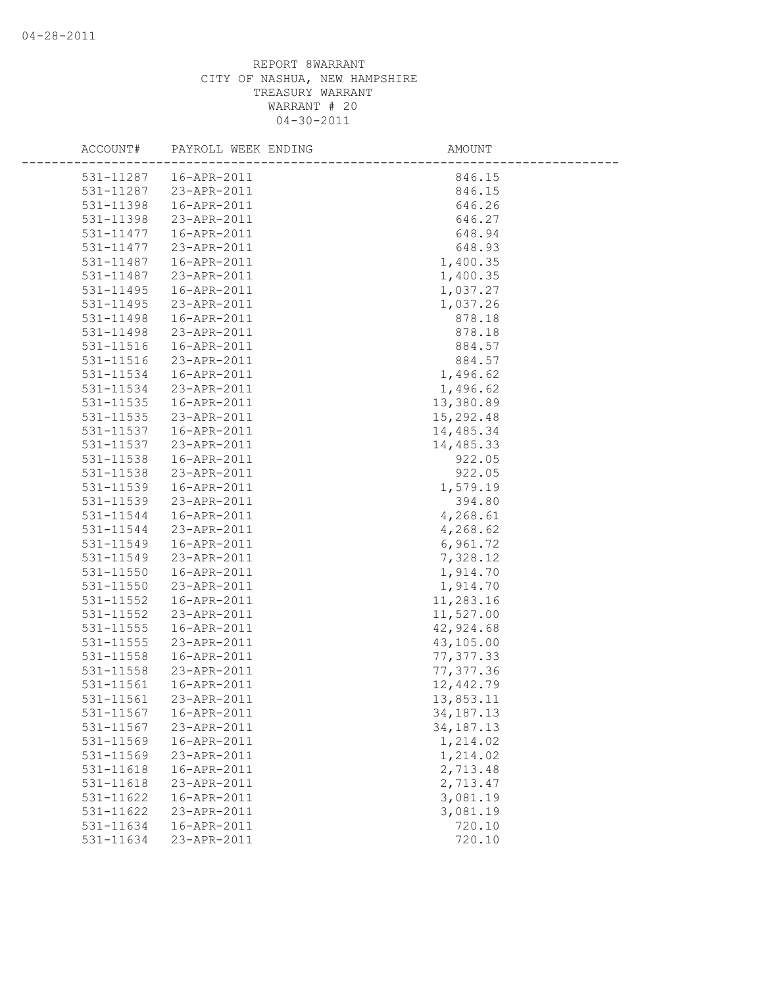| ACCOUNT#               | PAYROLL WEEK ENDING        | AMOUNT               |
|------------------------|----------------------------|----------------------|
|                        | 531-11287  16-APR-2011     | 846.15               |
|                        | 531-11287 23-APR-2011      | 846.15               |
| 531-11398              | 16-APR-2011                | 646.26               |
| 531-11398              | 23-APR-2011                | 646.27               |
| 531-11477              | 16-APR-2011                | 648.94               |
| 531-11477              | 23-APR-2011                | 648.93               |
| 531-11487              | 16-APR-2011                | 1,400.35             |
| 531-11487              | 23-APR-2011                | 1,400.35             |
| 531-11495              | 16-APR-2011                | 1,037.27             |
| 531-11495              | 23-APR-2011                | 1,037.26             |
| 531-11498              | 16-APR-2011                | 878.18               |
| 531-11498              | 23-APR-2011                | 878.18               |
| 531-11516              | 16-APR-2011                | 884.57               |
| 531-11516              | 23-APR-2011                | 884.57               |
| 531-11534              | 16-APR-2011                | 1,496.62             |
| 531-11534              | 23-APR-2011                | 1,496.62             |
| 531-11535              | 16-APR-2011                | 13,380.89            |
| 531-11535              | 23-APR-2011                | 15,292.48            |
| 531-11537              | 16-APR-2011                | 14,485.34            |
| 531-11537              | 23-APR-2011                | 14,485.33            |
| 531-11538              | 16-APR-2011                | 922.05               |
| 531-11538              | 23-APR-2011                | 922.05               |
| 531-11539              | 16-APR-2011                | 1,579.19             |
| 531-11539              | 23-APR-2011                | 394.80               |
| 531-11544              | 16-APR-2011                | 4,268.61             |
| 531-11544              | 23-APR-2011                | 4,268.62             |
| 531-11549              | 16-APR-2011                | 6,961.72             |
| 531-11549              | 23-APR-2011                | 7,328.12             |
| 531-11550              | 16-APR-2011                | 1,914.70             |
| 531-11550              | 23-APR-2011                | 1,914.70             |
| 531-11552              | 16-APR-2011                | 11,283.16            |
| 531-11552              | 23-APR-2011                | 11,527.00            |
| 531-11555              | 16-APR-2011                | 42,924.68            |
| $531 - 11555$          | 23-APR-2011                | 43,105.00            |
| 531-11558              | 16-APR-2011                | 77, 377.33           |
| 531-11558              | 23-APR-2011                | 77, 377.36           |
| 531-11561              | 16-APR-2011                | 12,442.79            |
| 531-11561              | 23-APR-2011                | 13,853.11            |
| 531-11567              | 16-APR-2011                | 34, 187. 13          |
| 531-11567              | 23-APR-2011                | 34, 187. 13          |
| 531-11569              | 16-APR-2011                | 1,214.02             |
| 531-11569              | 23-APR-2011                | 1,214.02             |
| 531-11618              | 16-APR-2011                | 2,713.48             |
| 531-11618              | 23-APR-2011                | 2,713.47             |
| 531-11622              | 16-APR-2011                | 3,081.19<br>3,081.19 |
| 531-11622<br>531-11634 | 23-APR-2011<br>16-APR-2011 | 720.10               |
| 531-11634              | 23-APR-2011                | 720.10               |
|                        |                            |                      |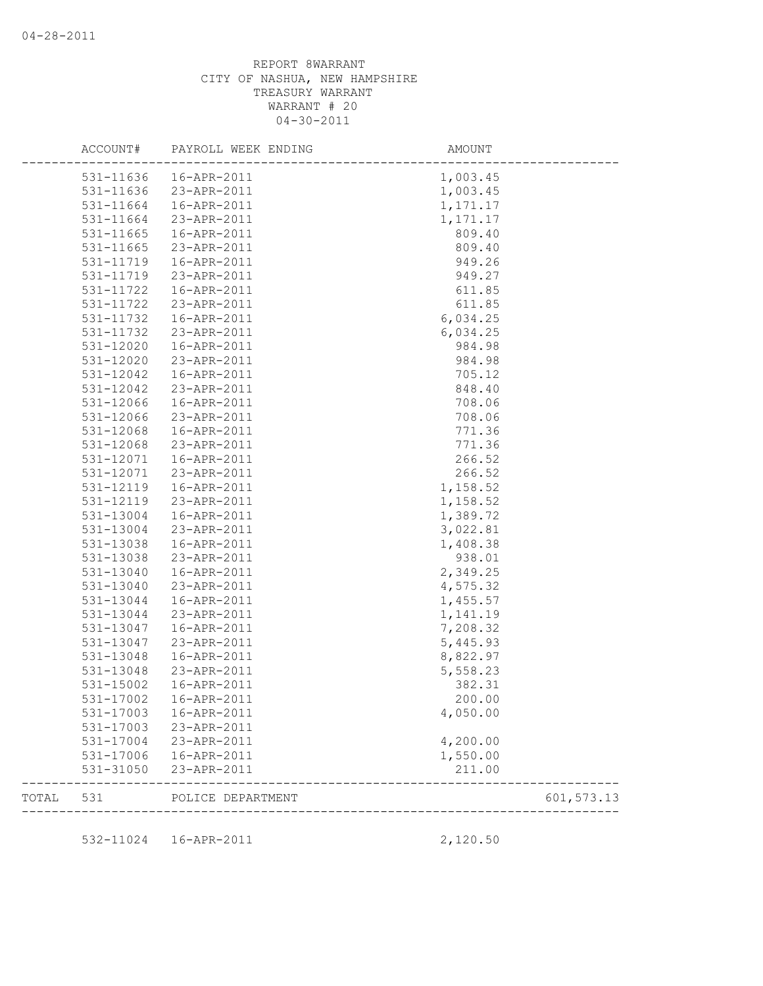|       | ACCOUNT#  | PAYROLL WEEK ENDING | AMOUNT                         |             |
|-------|-----------|---------------------|--------------------------------|-------------|
|       | 531-11636 | 16-APR-2011         | 1,003.45                       |             |
|       | 531-11636 | 23-APR-2011         | 1,003.45                       |             |
|       | 531-11664 | 16-APR-2011         | 1,171.17                       |             |
|       | 531-11664 | 23-APR-2011         | 1, 171.17                      |             |
|       | 531-11665 | 16-APR-2011         | 809.40                         |             |
|       | 531-11665 | 23-APR-2011         | 809.40                         |             |
|       | 531-11719 | 16-APR-2011         | 949.26                         |             |
|       | 531-11719 | 23-APR-2011         | 949.27                         |             |
|       | 531-11722 | 16-APR-2011         | 611.85                         |             |
|       | 531-11722 | 23-APR-2011         | 611.85                         |             |
|       | 531-11732 | 16-APR-2011         | 6,034.25                       |             |
|       | 531-11732 | 23-APR-2011         | 6,034.25                       |             |
|       | 531-12020 | 16-APR-2011         | 984.98                         |             |
|       | 531-12020 | 23-APR-2011         | 984.98                         |             |
|       | 531-12042 | 16-APR-2011         | 705.12                         |             |
|       | 531-12042 | 23-APR-2011         | 848.40                         |             |
|       | 531-12066 | 16-APR-2011         | 708.06                         |             |
|       | 531-12066 | 23-APR-2011         | 708.06                         |             |
|       | 531-12068 | 16-APR-2011         | 771.36                         |             |
|       | 531-12068 | 23-APR-2011         | 771.36                         |             |
|       | 531-12071 | 16-APR-2011         | 266.52                         |             |
|       | 531-12071 | 23-APR-2011         | 266.52                         |             |
|       | 531-12119 |                     | 1,158.52                       |             |
|       | 531-12119 | 16-APR-2011         |                                |             |
|       |           | 23-APR-2011         | 1,158.52                       |             |
|       | 531-13004 | 16-APR-2011         | 1,389.72                       |             |
|       | 531-13004 | 23-APR-2011         | 3,022.81                       |             |
|       | 531-13038 | 16-APR-2011         | 1,408.38                       |             |
|       | 531-13038 | 23-APR-2011         | 938.01                         |             |
|       | 531-13040 | 16-APR-2011         | 2,349.25                       |             |
|       | 531-13040 | 23-APR-2011         | 4,575.32                       |             |
|       | 531-13044 | 16-APR-2011         | 1,455.57                       |             |
|       | 531-13044 | 23-APR-2011         | 1,141.19                       |             |
|       | 531-13047 | 16-APR-2011         | 7,208.32                       |             |
|       | 531-13047 | 23-APR-2011         | 5,445.93                       |             |
|       | 531-13048 | 16-APR-2011         | 8,822.97                       |             |
|       | 531-13048 | 23-APR-2011         | 5,558.23                       |             |
|       | 531-15002 | 16-APR-2011         | 382.31                         |             |
|       | 531-17002 | 16-APR-2011         | 200.00                         |             |
|       | 531-17003 | 16-APR-2011         | 4,050.00                       |             |
|       | 531-17003 | 23-APR-2011         |                                |             |
|       | 531-17004 | 23-APR-2011         | 4,200.00                       |             |
|       | 531-17006 | 16-APR-2011         | 1,550.00                       |             |
|       | 531-31050 | 23-APR-2011         | 211.00                         |             |
| TOTAL | 531       | POLICE DEPARTMENT   | ------------------------------ | 601, 573.13 |
|       |           |                     |                                |             |
|       | 532-11024 | 16-APR-2011         | 2,120.50                       |             |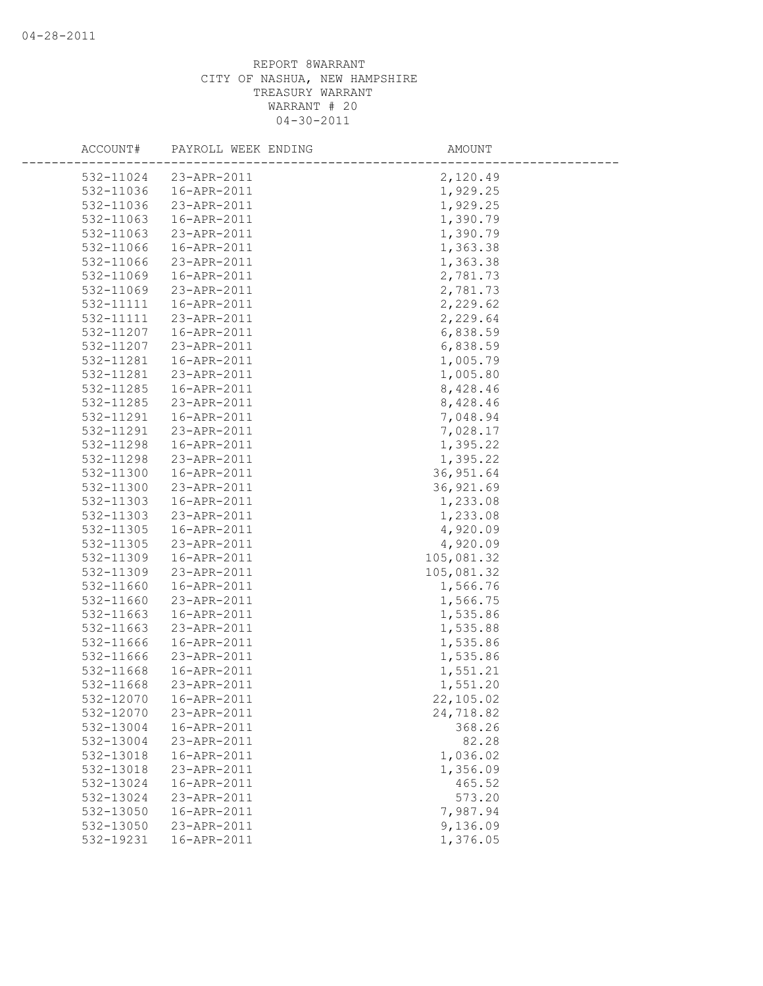| ACCOUNT#               | PAYROLL WEEK ENDING        | AMOUNT               |
|------------------------|----------------------------|----------------------|
| 532-11024              | 23-APR-2011                | 2,120.49             |
| 532-11036              | 16-APR-2011                | 1,929.25             |
| 532-11036              | 23-APR-2011                | 1,929.25             |
| 532-11063              | 16-APR-2011                | 1,390.79             |
| 532-11063              | 23-APR-2011                | 1,390.79             |
| 532-11066              | 16-APR-2011                | 1,363.38             |
| 532-11066              | 23-APR-2011                | 1,363.38             |
| 532-11069              | 16-APR-2011                | 2,781.73             |
| 532-11069              | 23-APR-2011                | 2,781.73             |
| 532-11111              | 16-APR-2011                | 2,229.62             |
| 532-11111              | 23-APR-2011                | 2,229.64             |
| 532-11207              | 16-APR-2011                | 6,838.59             |
| 532-11207              | 23-APR-2011                | 6,838.59             |
| 532-11281              | 16-APR-2011                | 1,005.79             |
| 532-11281              | 23-APR-2011                | 1,005.80             |
| 532-11285              | 16-APR-2011                | 8,428.46             |
| 532-11285              | 23-APR-2011                | 8,428.46             |
| 532-11291              | 16-APR-2011                | 7,048.94             |
| 532-11291              | 23-APR-2011                | 7,028.17             |
| 532-11298              | 16-APR-2011                | 1,395.22             |
| 532-11298              | 23-APR-2011                | 1,395.22             |
| 532-11300              | 16-APR-2011                | 36, 951.64           |
| 532-11300              | 23-APR-2011                | 36, 921.69           |
| 532-11303              | 16-APR-2011                | 1,233.08             |
| 532-11303              | 23-APR-2011                | 1,233.08             |
| 532-11305              | 16-APR-2011                | 4,920.09             |
| 532-11305              | 23-APR-2011                | 4,920.09             |
| 532-11309              | 16-APR-2011                | 105,081.32           |
| 532-11309              | 23-APR-2011                | 105,081.32           |
| 532-11660              | 16-APR-2011                | 1,566.76             |
| 532-11660<br>532-11663 | 23-APR-2011<br>16-APR-2011 | 1,566.75<br>1,535.86 |
| 532-11663              | 23-APR-2011                | 1,535.88             |
| 532-11666              | 16-APR-2011                | 1,535.86             |
| 532-11666              | 23-APR-2011                | 1,535.86             |
| 532-11668              | 16-APR-2011                | 1,551.21             |
| 532-11668              | 23-APR-2011                | 1,551.20             |
| 532-12070              | 16-APR-2011                | 22,105.02            |
| 532-12070              | 23-APR-2011                | 24,718.82            |
| 532-13004              | 16-APR-2011                | 368.26               |
| 532-13004              | 23-APR-2011                | 82.28                |
| 532-13018              | 16-APR-2011                | 1,036.02             |
| 532-13018              | 23-APR-2011                | 1,356.09             |
| 532-13024              | 16-APR-2011                | 465.52               |
| 532-13024              | 23-APR-2011                | 573.20               |
| 532-13050              | 16-APR-2011                | 7,987.94             |
| 532-13050              | 23-APR-2011                | 9,136.09             |
| 532-19231              | 16-APR-2011                | 1,376.05             |
|                        |                            |                      |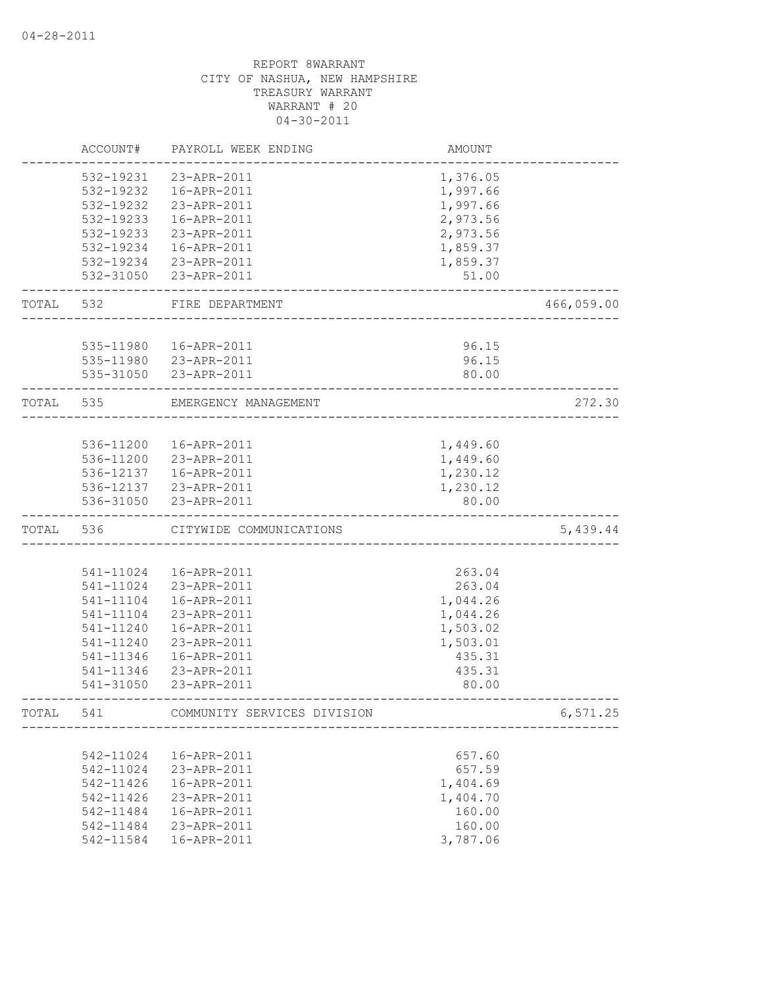|           | ACCOUNT#      | PAYROLL WEEK ENDING         | AMOUNT   |            |
|-----------|---------------|-----------------------------|----------|------------|
|           | 532-19231     | 23-APR-2011                 | 1,376.05 |            |
|           | 532-19232     | 16-APR-2011                 | 1,997.66 |            |
|           | 532-19232     | 23-APR-2011                 | 1,997.66 |            |
|           | 532-19233     | 16-APR-2011                 | 2,973.56 |            |
|           | 532-19233     | 23-APR-2011                 | 2,973.56 |            |
|           | 532-19234     | 16-APR-2011                 | 1,859.37 |            |
|           | 532-19234     | 23-APR-2011                 | 1,859.37 |            |
|           | 532-31050     | 23-APR-2011                 | 51.00    |            |
| TOTAL 532 |               | FIRE DEPARTMENT             |          | 466,059.00 |
|           |               |                             |          |            |
|           | 535-11980     | 16-APR-2011                 | 96.15    |            |
|           |               | 535-11980 23-APR-2011       | 96.15    |            |
|           | 535-31050     | 23-APR-2011                 | 80.00    |            |
| TOTAL 535 |               | EMERGENCY MANAGEMENT        |          | 272.30     |
|           |               |                             |          |            |
|           | 536-11200     | 16-APR-2011                 | 1,449.60 |            |
|           |               | 536-11200 23-APR-2011       | 1,449.60 |            |
|           | 536-12137     | 16-APR-2011                 | 1,230.12 |            |
|           |               | 536-12137 23-APR-2011       | 1,230.12 |            |
|           | 536-31050     | 23-APR-2011                 | 80.00    |            |
| TOTAL     | 536           | CITYWIDE COMMUNICATIONS     |          | 5,439.44   |
|           |               |                             |          |            |
|           | 541-11024     | 16-APR-2011                 | 263.04   |            |
|           | 541-11024     | 23-APR-2011                 | 263.04   |            |
|           | 541-11104     | 16-APR-2011                 | 1,044.26 |            |
|           | 541-11104     | 23-APR-2011                 | 1,044.26 |            |
|           | 541-11240     | 16-APR-2011                 | 1,503.02 |            |
|           | 541-11240     | 23-APR-2011                 | 1,503.01 |            |
|           | 541-11346     | 16-APR-2011                 | 435.31   |            |
|           | 541-11346     | 23-APR-2011                 | 435.31   |            |
|           | 541-31050     | 23-APR-2011                 | 80.00    |            |
| TOTAL     | 541           | COMMUNITY SERVICES DIVISION |          | 6,571.25   |
|           |               |                             |          |            |
|           | 542-11024     | 16-APR-2011                 | 657.60   |            |
|           | 542-11024     | 23-APR-2011                 | 657.59   |            |
|           | $542 - 11426$ | 16-APR-2011                 | 1,404.69 |            |
|           | 542-11426     | 23-APR-2011                 | 1,404.70 |            |
|           | 542-11484     | 16-APR-2011                 | 160.00   |            |
|           | 542-11484     | 23-APR-2011                 | 160.00   |            |
|           | 542-11584     | 16-APR-2011                 | 3,787.06 |            |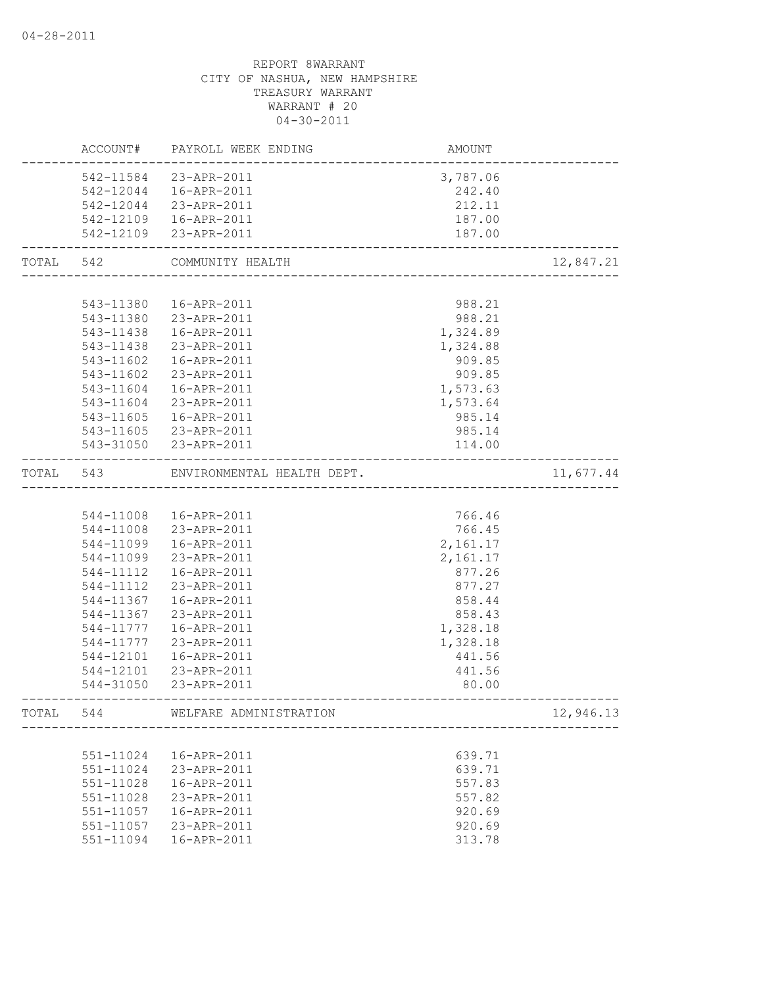|           | ACCOUNT#  | PAYROLL WEEK ENDING                                   | AMOUNT   |           |
|-----------|-----------|-------------------------------------------------------|----------|-----------|
|           | 542-11584 | 23-APR-2011                                           | 3,787.06 |           |
|           | 542-12044 | 16-APR-2011                                           | 242.40   |           |
|           | 542-12044 | 23-APR-2011                                           | 212.11   |           |
|           |           | 542-12109  16-APR-2011                                | 187.00   |           |
|           |           | 542-12109 23-APR-2011                                 | 187.00   |           |
| TOTAL 542 |           | COMMUNITY HEALTH<br>.<br>---------------------------- |          | 12,847.21 |
|           |           |                                                       |          |           |
|           | 543-11380 | 16-APR-2011                                           | 988.21   |           |
|           | 543-11380 | 23-APR-2011                                           | 988.21   |           |
|           | 543-11438 | 16-APR-2011                                           | 1,324.89 |           |
|           | 543-11438 | 23-APR-2011                                           | 1,324.88 |           |
|           | 543-11602 | 16-APR-2011                                           | 909.85   |           |
|           | 543-11602 | 23-APR-2011                                           | 909.85   |           |
|           | 543-11604 | 16-APR-2011                                           | 1,573.63 |           |
|           | 543-11604 | 23-APR-2011                                           | 1,573.64 |           |
|           | 543-11605 | 16-APR-2011                                           | 985.14   |           |
|           | 543-11605 | 23-APR-2011                                           | 985.14   |           |
|           | 543-31050 | 23-APR-2011                                           | 114.00   |           |
| TOTAL     | 543       | ENVIRONMENTAL HEALTH DEPT.                            |          | 11,677.44 |
|           |           |                                                       |          |           |
|           | 544-11008 | 16-APR-2011                                           | 766.46   |           |
|           | 544-11008 | 23-APR-2011                                           | 766.45   |           |
|           | 544-11099 | 16-APR-2011                                           | 2,161.17 |           |
|           | 544-11099 | 23-APR-2011                                           | 2,161.17 |           |
|           | 544-11112 | 16-APR-2011                                           | 877.26   |           |
|           | 544-11112 | 23-APR-2011                                           | 877.27   |           |
|           | 544-11367 | 16-APR-2011                                           | 858.44   |           |
|           | 544-11367 | 23-APR-2011                                           | 858.43   |           |
|           | 544-11777 | 16-APR-2011                                           | 1,328.18 |           |
|           | 544-11777 | 23-APR-2011                                           | 1,328.18 |           |
|           | 544-12101 | 16-APR-2011                                           | 441.56   |           |
|           | 544-12101 | 23-APR-2011                                           | 441.56   |           |
|           | 544-31050 | 23-APR-2011                                           | 80.00    |           |
| TOTAL     | 544       | WELFARE ADMINISTRATION                                |          | 12,946.13 |
|           |           |                                                       |          |           |
|           | 551-11024 | 16-APR-2011                                           | 639.71   |           |
|           | 551-11024 | 23-APR-2011                                           | 639.71   |           |
|           | 551-11028 | 16-APR-2011                                           | 557.83   |           |
|           | 551-11028 | 23-APR-2011                                           | 557.82   |           |
|           | 551-11057 | 16-APR-2011                                           | 920.69   |           |
|           | 551-11057 | 23-APR-2011                                           | 920.69   |           |
|           | 551-11094 | 16-APR-2011                                           | 313.78   |           |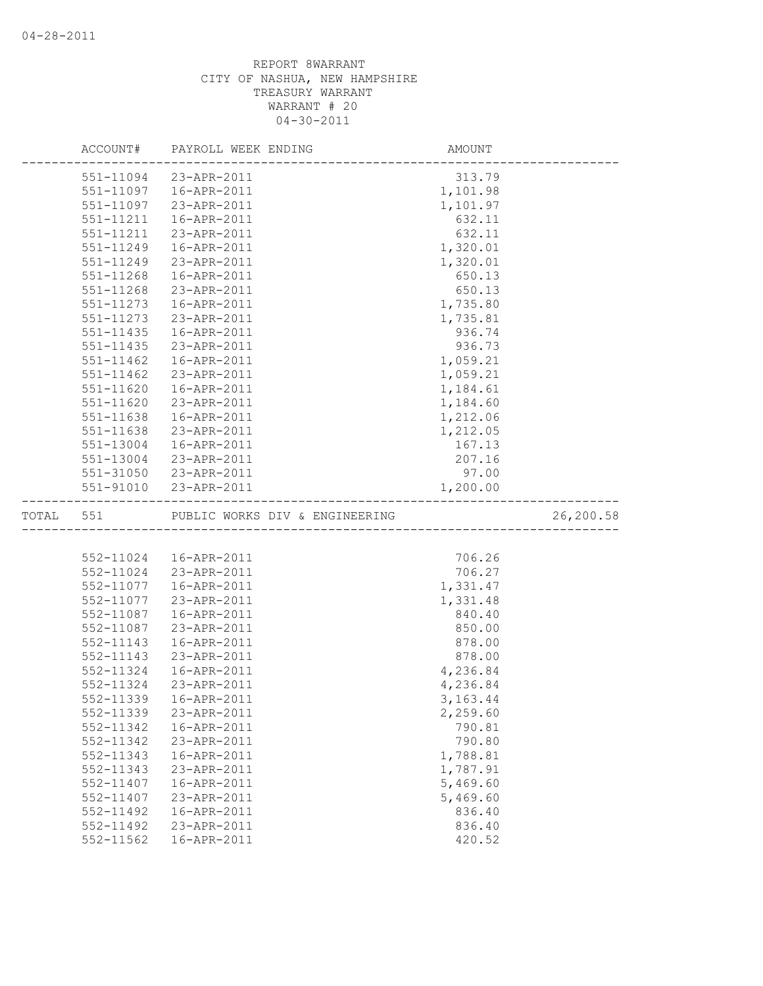|           | ACCOUNT#               | PAYROLL WEEK ENDING                   | AMOUNT           |           |
|-----------|------------------------|---------------------------------------|------------------|-----------|
|           | 551-11094              | 23-APR-2011                           | 313.79           |           |
|           | 551-11097              | 16-APR-2011                           | 1,101.98         |           |
|           | 551-11097              | 23-APR-2011                           | 1,101.97         |           |
|           | 551-11211              | 16-APR-2011                           | 632.11           |           |
|           | $551 - 11211$          | 23-APR-2011                           | 632.11           |           |
|           | 551-11249              | 16-APR-2011                           | 1,320.01         |           |
|           | 551-11249              | 23-APR-2011                           | 1,320.01         |           |
|           | 551-11268              | 16-APR-2011                           | 650.13           |           |
|           | 551-11268              | 23-APR-2011                           | 650.13           |           |
|           | 551-11273              | 16-APR-2011                           | 1,735.80         |           |
|           | 551-11273              | 23-APR-2011                           | 1,735.81         |           |
|           | 551-11435              | 16-APR-2011                           | 936.74           |           |
|           | $551 - 11435$          | 23-APR-2011                           | 936.73           |           |
|           | 551-11462              | 16-APR-2011                           | 1,059.21         |           |
|           | 551-11462              | 23-APR-2011                           | 1,059.21         |           |
|           | 551-11620              | 16-APR-2011                           | 1,184.61         |           |
|           | 551-11620              | 23-APR-2011                           | 1,184.60         |           |
|           | 551-11638              | 16-APR-2011                           | 1,212.06         |           |
|           | 551-11638              | 23-APR-2011                           | 1,212.05         |           |
|           | 551-13004              | 16-APR-2011                           | 167.13           |           |
|           | 551-13004              | 23-APR-2011                           | 207.16           |           |
|           |                        | 551-31050 23-APR-2011                 | 97.00            |           |
|           |                        | 551-91010 23-APR-2011                 | 1,200.00         |           |
|           |                        |                                       |                  |           |
| TOTAL 551 |                        | PUBLIC WORKS DIV & ENGINEERING        |                  | 26,200.58 |
|           |                        | ------------------------------------- |                  |           |
|           |                        | 552-11024  16-APR-2011                | 706.26           |           |
|           |                        | 552-11024 23-APR-2011                 | 706.27           |           |
|           | 552-11077              | 16-APR-2011                           | 1,331.47         |           |
|           | 552-11077              | 23-APR-2011                           | 1,331.48         |           |
|           | 552-11087              | 16-APR-2011                           | 840.40           |           |
|           | 552-11087              | 23-APR-2011                           | 850.00           |           |
|           | 552-11143              | 16-APR-2011                           | 878.00           |           |
|           | 552-11143              | 23-APR-2011                           | 878.00           |           |
|           | 552-11324              | 16-APR-2011                           | 4,236.84         |           |
|           | 552-11324              | 23-APR-2011                           | 4,236.84         |           |
|           |                        | 552-11339  16-APR-2011                | 3, 163. 44       |           |
|           | 552-11339              | 23-APR-2011                           | 2,259.60         |           |
|           | 552-11342              | 16-APR-2011                           | 790.81           |           |
|           | 552-11342              | 23-APR-2011                           | 790.80           |           |
|           | 552-11343              | 16-APR-2011                           | 1,788.81         |           |
|           | 552-11343              | 23-APR-2011                           | 1,787.91         |           |
|           | 552-11407              | 16-APR-2011                           | 5,469.60         |           |
|           | 552-11407              | 23-APR-2011                           | 5,469.60         |           |
|           | 552-11492              | 16-APR-2011                           | 836.40           |           |
|           | 552-11492<br>552-11562 | 23-APR-2011<br>16-APR-2011            | 836.40<br>420.52 |           |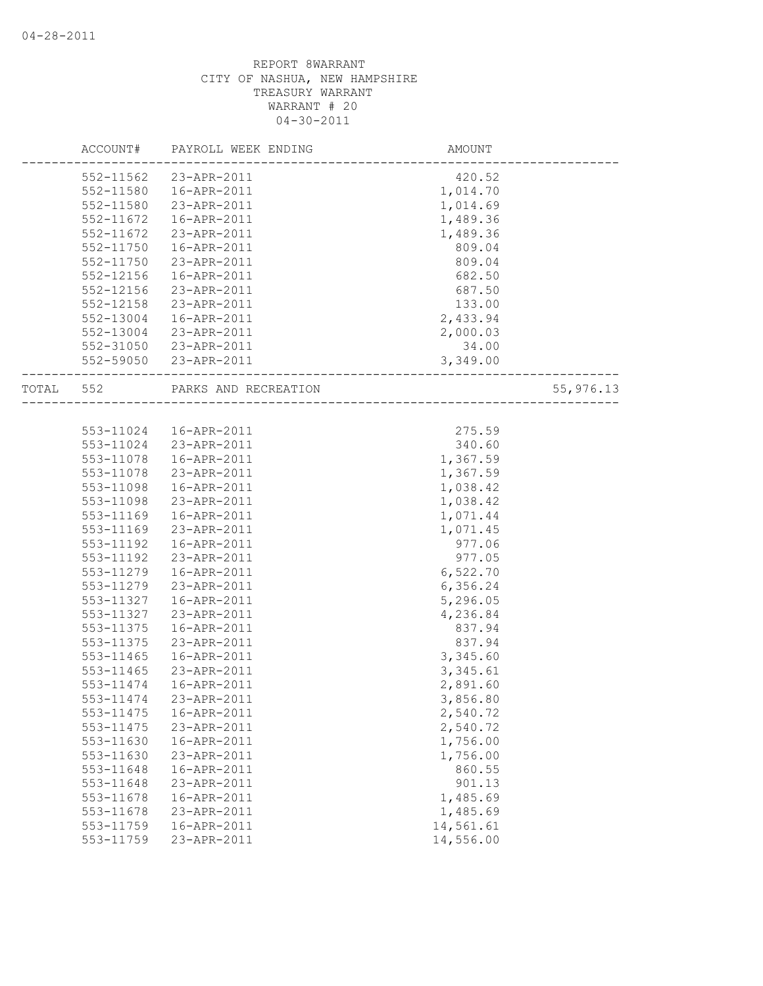|           | ACCOUNT#               | PAYROLL WEEK ENDING        | AMOUNT                |           |
|-----------|------------------------|----------------------------|-----------------------|-----------|
|           | 552-11562              | 23-APR-2011                | 420.52                |           |
|           | 552-11580              | 16-APR-2011                | 1,014.70              |           |
|           | 552-11580              | 23-APR-2011                | 1,014.69              |           |
|           | 552-11672              | 16-APR-2011                | 1,489.36              |           |
|           | 552-11672              | 23-APR-2011                | 1,489.36              |           |
|           | 552-11750              | 16-APR-2011                | 809.04                |           |
|           | 552-11750              | 23-APR-2011                | 809.04                |           |
|           | 552-12156              | 16-APR-2011                | 682.50                |           |
|           | 552-12156              | 23-APR-2011                | 687.50                |           |
|           | 552-12158              | 23-APR-2011                | 133.00                |           |
|           | 552-13004              | 16-APR-2011                | 2,433.94              |           |
|           | 552-13004              | 23-APR-2011                | 2,000.03              |           |
|           | 552-31050              | 23-APR-2011                | 34.00                 |           |
|           |                        | 552-59050 23-APR-2011      | 3,349.00              |           |
|           |                        |                            |                       |           |
| TOTAL 552 |                        | PARKS AND RECREATION       |                       | 55,976.13 |
|           |                        |                            |                       |           |
|           |                        | 553-11024  16-APR-2011     | 275.59                |           |
|           |                        | 553-11024 23-APR-2011      | 340.60                |           |
|           | 553-11078              | 16-APR-2011                | 1,367.59              |           |
|           | 553-11078              | 23-APR-2011                | 1,367.59              |           |
|           | 553-11098              | 16-APR-2011                | 1,038.42              |           |
|           | 553-11098              | 23-APR-2011                | 1,038.42              |           |
|           | 553-11169              | 16-APR-2011                | 1,071.44              |           |
|           | 553-11169              | 23-APR-2011                | 1,071.45              |           |
|           | 553-11192              | 16-APR-2011                | 977.06                |           |
|           | 553-11192              | 23-APR-2011                | 977.05                |           |
|           | 553-11279              | 16-APR-2011                | 6,522.70              |           |
|           | 553-11279              | 23-APR-2011                | 6,356.24              |           |
|           | 553-11327              | 16-APR-2011                | 5,296.05              |           |
|           | 553-11327              | 23-APR-2011                | 4,236.84              |           |
|           | 553-11375              | 16-APR-2011                | 837.94                |           |
|           | 553-11375              | 23-APR-2011                | 837.94                |           |
|           | $553 - 11465$          | 16-APR-2011                | 3,345.60              |           |
|           | 553-11465              | 23-APR-2011                | 3,345.61              |           |
|           | 553-11474              | 16-APR-2011                | 2,891.60              |           |
|           | 553-11474              | 23-APR-2011                | 3,856.80              |           |
|           | 553-11475              | 16-APR-2011                | 2,540.72              |           |
|           | 553-11475              | 23-APR-2011                | 2,540.72              |           |
|           | 553-11630              | 16-APR-2011                | 1,756.00              |           |
|           | 553-11630              | 23-APR-2011                | 1,756.00              |           |
|           | 553-11648              | 16-APR-2011                | 860.55                |           |
|           | 553-11648              | 23-APR-2011                | 901.13                |           |
|           | 553-11678              | 16-APR-2011                | 1,485.69              |           |
|           |                        |                            |                       |           |
|           | 553-11678<br>553-11759 | 23-APR-2011<br>16-APR-2011 | 1,485.69<br>14,561.61 |           |
|           | 553-11759              |                            |                       |           |
|           |                        | 23-APR-2011                | 14,556.00             |           |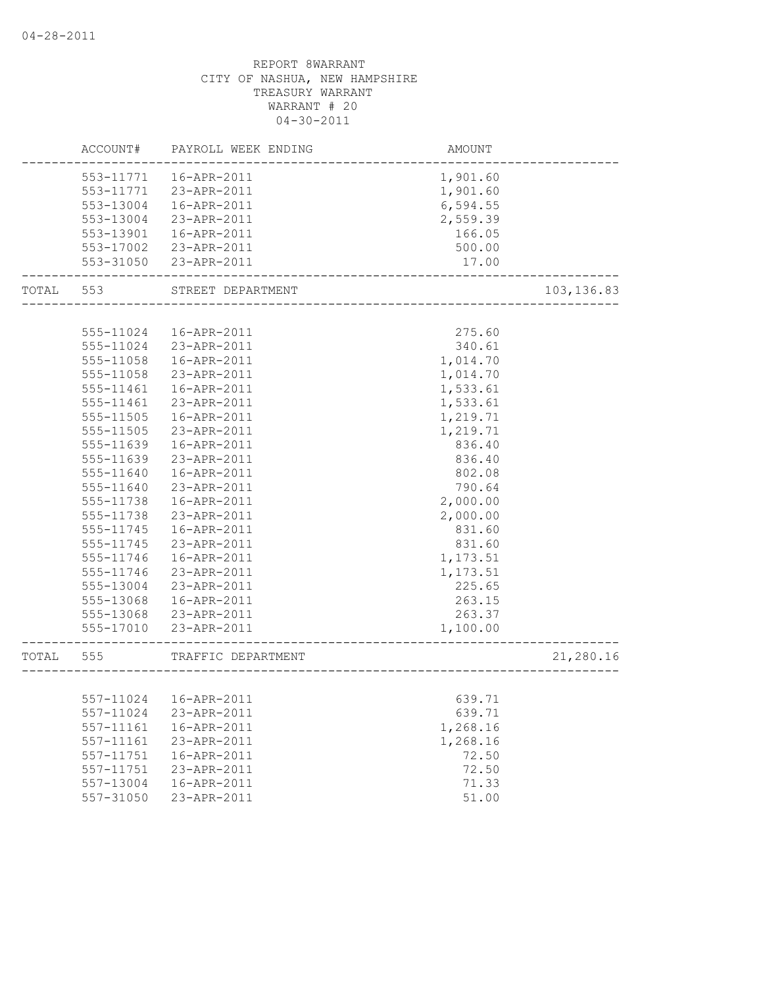|           | ACCOUNT#  | PAYROLL WEEK ENDING     | AMOUNT                              |             |
|-----------|-----------|-------------------------|-------------------------------------|-------------|
|           |           | 553-11771  16-APR-2011  | 1,901.60                            |             |
|           | 553-11771 | 23-APR-2011             | 1,901.60                            |             |
|           | 553-13004 | 16-APR-2011             | 6,594.55                            |             |
|           | 553-13004 | 23-APR-2011             | 2,559.39                            |             |
|           | 553-13901 | 16-APR-2011             | 166.05                              |             |
|           | 553-17002 | 23-APR-2011             | 500.00                              |             |
|           | 553-31050 | 23-APR-2011             | 17.00                               |             |
| TOTAL 553 |           | STREET DEPARTMENT       | ________________________            | 103, 136.83 |
|           |           |                         |                                     |             |
|           | 555-11024 | 16-APR-2011             | 275.60                              |             |
|           | 555-11024 | 23-APR-2011             | 340.61                              |             |
|           | 555-11058 | 16-APR-2011             | 1,014.70                            |             |
|           | 555-11058 | 23-APR-2011             | 1,014.70                            |             |
|           | 555-11461 | 16-APR-2011             | 1,533.61                            |             |
|           | 555-11461 | 23-APR-2011             | 1,533.61                            |             |
|           | 555-11505 | 16-APR-2011             | 1,219.71                            |             |
|           | 555-11505 | 23-APR-2011             | 1,219.71                            |             |
|           | 555-11639 | 16-APR-2011             | 836.40                              |             |
|           | 555-11639 | 23-APR-2011             | 836.40                              |             |
|           | 555-11640 | 16-APR-2011             | 802.08                              |             |
|           | 555-11640 | 23-APR-2011             | 790.64                              |             |
|           | 555-11738 | 16-APR-2011             | 2,000.00                            |             |
|           | 555-11738 | 23-APR-2011             | 2,000.00                            |             |
|           | 555-11745 | 16-APR-2011             | 831.60                              |             |
|           | 555-11745 | 23-APR-2011             | 831.60                              |             |
|           | 555-11746 | 16-APR-2011             | 1,173.51                            |             |
|           | 555-11746 | 23-APR-2011             | 1,173.51                            |             |
|           | 555-13004 | 23-APR-2011             | 225.65                              |             |
|           | 555-13068 | 16-APR-2011             | 263.15                              |             |
|           | 555-13068 | 23-APR-2011             | 263.37                              |             |
|           | 555-17010 | 23-APR-2011             | 1,100.00                            |             |
| TOTAL 555 |           | TRAFFIC DEPARTMENT      | ----------------------------------- | 21,280.16   |
|           |           |                         |                                     |             |
|           |           | 557-11024   16-APR-2011 | 639.71                              |             |
|           | 557-11024 | 23-APR-2011             | 639.71                              |             |
|           | 557-11161 | 16-APR-2011             | 1,268.16                            |             |
|           | 557-11161 | 23-APR-2011             | 1,268.16                            |             |
|           | 557-11751 | 16-APR-2011             | 72.50                               |             |
|           | 557-11751 | 23-APR-2011             | 72.50                               |             |
|           | 557-13004 | 16-APR-2011             | 71.33                               |             |
|           | 557-31050 | 23-APR-2011             | 51.00                               |             |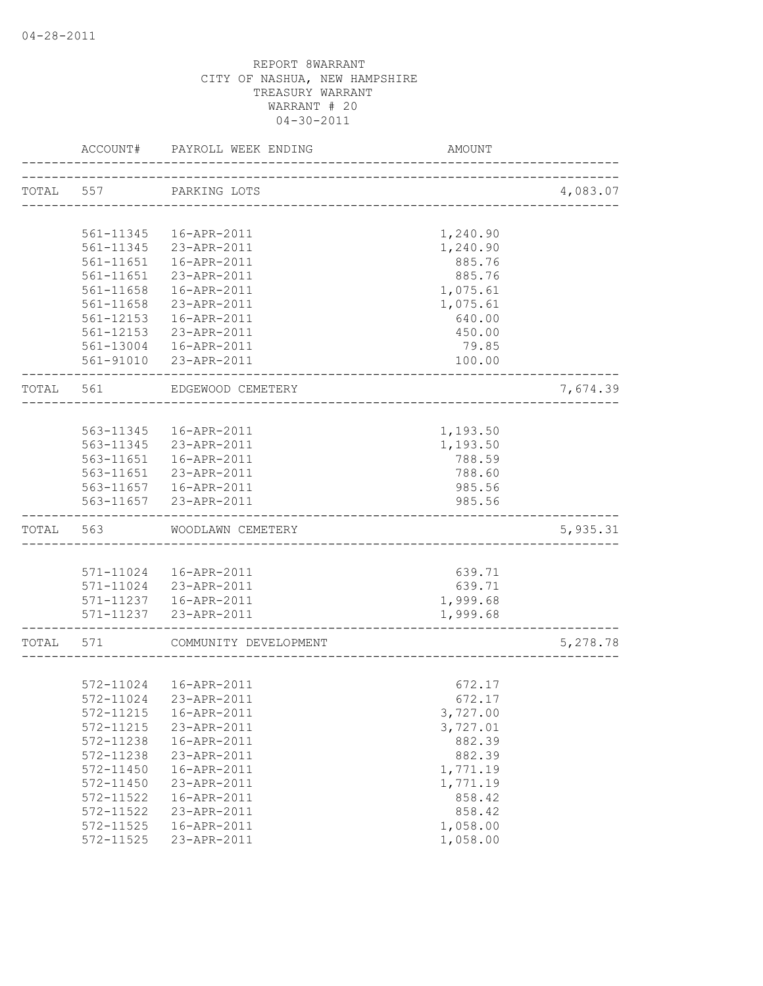|           | ACCOUNT#  | PAYROLL WEEK ENDING      | AMOUNT   |          |
|-----------|-----------|--------------------------|----------|----------|
|           |           | TOTAL 557 PARKING LOTS   |          | 4,083.07 |
|           |           |                          |          |          |
|           | 561-11345 | 16-APR-2011              | 1,240.90 |          |
|           | 561-11345 | 23-APR-2011              | 1,240.90 |          |
|           | 561-11651 | 16-APR-2011              | 885.76   |          |
|           | 561-11651 | 23-APR-2011              | 885.76   |          |
|           | 561-11658 | 16-APR-2011              | 1,075.61 |          |
|           | 561-11658 | 23-APR-2011              | 1,075.61 |          |
|           | 561-12153 | 16-APR-2011              | 640.00   |          |
|           | 561-12153 | 23-APR-2011              | 450.00   |          |
|           |           | 561-13004  16-APR-2011   | 79.85    |          |
|           |           | 561-91010 23-APR-2011    | 100.00   |          |
| TOTAL 561 |           | EDGEWOOD CEMETERY        |          | 7,674.39 |
|           |           |                          |          |          |
|           | 563-11345 | 16-APR-2011              | 1,193.50 |          |
|           | 563-11345 | 23-APR-2011              | 1,193.50 |          |
|           | 563-11651 | 16-APR-2011              | 788.59   |          |
|           | 563-11651 | 23-APR-2011              | 788.60   |          |
|           |           | 563-11657    16-APR-2011 | 985.56   |          |
|           |           | 563-11657 23-APR-2011    | 985.56   |          |
| TOTAL     | 563       | WOODLAWN CEMETERY        |          | 5,935.31 |
|           |           |                          |          |          |
|           |           | 571-11024  16-APR-2011   | 639.71   |          |
|           |           | 571-11024 23-APR-2011    | 639.71   |          |
|           |           | 571-11237  16-APR-2011   | 1,999.68 |          |
|           |           | 571-11237 23-APR-2011    | 1,999.68 |          |
| TOTAL     | 571       | COMMUNITY DEVELOPMENT    |          | 5,278.78 |
|           |           |                          |          |          |
|           |           | 572-11024  16-APR-2011   | 672.17   |          |
|           | 572-11024 | 23-APR-2011              | 672.17   |          |
|           | 572-11215 | 16-APR-2011              | 3,727.00 |          |
|           | 572-11215 | 23-APR-2011              | 3,727.01 |          |
|           | 572-11238 | 16-APR-2011              | 882.39   |          |
|           | 572-11238 | 23-APR-2011              | 882.39   |          |
|           | 572-11450 | 16-APR-2011              | 1,771.19 |          |
|           | 572-11450 | 23-APR-2011              | 1,771.19 |          |
|           | 572-11522 | 16-APR-2011              | 858.42   |          |
|           | 572-11522 | 23-APR-2011              | 858.42   |          |
|           | 572-11525 | 16-APR-2011              | 1,058.00 |          |
|           | 572-11525 | 23-APR-2011              | 1,058.00 |          |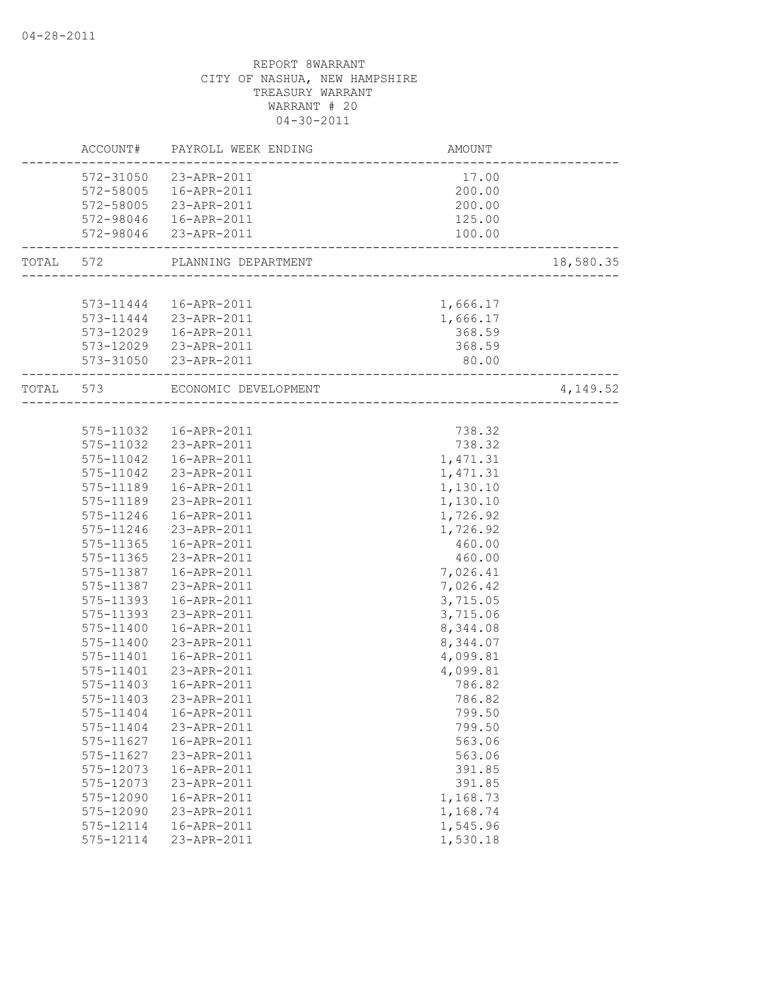|           |           | ACCOUNT# PAYROLL WEEK ENDING   | AMOUNT                                 |           |
|-----------|-----------|--------------------------------|----------------------------------------|-----------|
|           |           | 572-31050 23-APR-2011          | 17.00                                  |           |
|           |           | 572-58005  16-APR-2011         | 200.00                                 |           |
|           |           | 572-58005 23-APR-2011          | 200.00                                 |           |
|           |           | 572-98046  16-APR-2011         | 125.00                                 |           |
|           |           | 572-98046 23-APR-2011          | 100.00                                 |           |
| TOTAL 572 |           | PLANNING DEPARTMENT            |                                        | 18,580.35 |
|           |           |                                |                                        |           |
|           |           | 573-11444   16-APR-2011        | 1,666.17                               |           |
|           |           | 573-11444 23-APR-2011          | 1,666.17                               |           |
|           |           | 573-12029  16-APR-2011         | 368.59                                 |           |
|           |           | 573-12029 23-APR-2011          | 368.59                                 |           |
|           |           | 573-31050 23-APR-2011          | 80.00                                  |           |
|           |           | TOTAL 573 ECONOMIC DEVELOPMENT | <u>. 2000 - 2000 - 2000 - 2000 - 2</u> | 4,149.52  |
|           |           |                                |                                        |           |
|           |           | 575-11032  16-APR-2011         | 738.32                                 |           |
|           |           | 575-11032 23-APR-2011          | 738.32                                 |           |
|           |           | 575-11042  16-APR-2011         | 1,471.31                               |           |
|           |           | 575-11042 23-APR-2011          | 1,471.31                               |           |
|           | 575-11189 | 16-APR-2011                    | 1,130.10                               |           |
|           | 575-11189 | 23-APR-2011                    | 1,130.10                               |           |
|           | 575-11246 | 16-APR-2011                    | 1,726.92                               |           |
|           | 575-11246 | 23-APR-2011                    | 1,726.92                               |           |
|           | 575-11365 | 16-APR-2011                    | 460.00                                 |           |
|           | 575-11365 | 23-APR-2011                    | 460.00                                 |           |
|           |           | 575-11387  16-APR-2011         | 7,026.41                               |           |
|           | 575-11387 | 23-APR-2011                    | 7,026.42                               |           |
|           | 575-11393 | 16-APR-2011                    | 3,715.05                               |           |
|           | 575-11393 | 23-APR-2011                    | 3,715.06                               |           |
|           | 575-11400 | 16-APR-2011                    | 8,344.08                               |           |
|           | 575-11400 | 23-APR-2011                    | 8,344.07                               |           |
|           | 575-11401 | 16-APR-2011                    | 4,099.81                               |           |
|           | 575-11401 | 23-APR-2011                    | 4,099.81                               |           |
|           | 575-11403 | 16-APR-2011                    | 786.82                                 |           |
|           | 575-11403 | 23-APR-2011                    | 786.82                                 |           |
|           | 575-11404 | 16-APR-2011                    | 799.50                                 |           |
|           | 575-11404 | 23-APR-2011                    | 799.50                                 |           |
|           | 575-11627 | 16-APR-2011                    | 563.06                                 |           |
|           | 575-11627 | 23-APR-2011                    | 563.06                                 |           |
|           | 575-12073 | 16-APR-2011                    | 391.85                                 |           |
|           | 575-12073 | 23-APR-2011                    | 391.85                                 |           |
|           | 575-12090 | 16-APR-2011                    | 1,168.73                               |           |
|           | 575-12090 | 23-APR-2011                    | 1,168.74                               |           |
|           | 575-12114 | 16-APR-2011                    | 1,545.96                               |           |
|           | 575-12114 | 23-APR-2011                    | 1,530.18                               |           |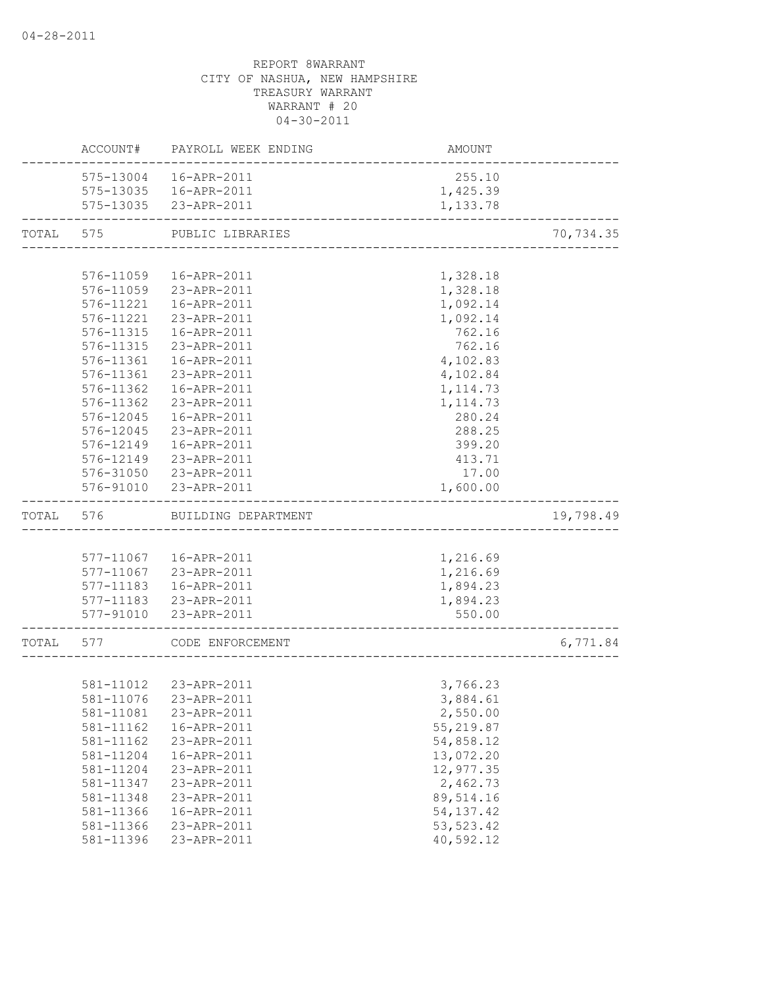|           |                        | ACCOUNT# PAYROLL WEEK ENDING | AMOUNT                   |           |
|-----------|------------------------|------------------------------|--------------------------|-----------|
|           |                        | 575-13004  16-APR-2011       | 255.10                   |           |
|           |                        | 575-13035  16-APR-2011       | 1,425.39                 |           |
|           |                        | 575-13035 23-APR-2011        | 1,133.78                 |           |
| TOTAL     | 575                    | PUBLIC LIBRARIES             |                          | 70,734.35 |
|           |                        |                              |                          |           |
|           | 576-11059              | 16-APR-2011                  | 1,328.18                 |           |
|           |                        | 576-11059 23-APR-2011        | 1,328.18                 |           |
|           | 576-11221              | 16-APR-2011                  | 1,092.14                 |           |
|           |                        | 576-11221 23-APR-2011        | 1,092.14                 |           |
|           |                        | 576-11315  16-APR-2011       | 762.16                   |           |
|           |                        | 576-11315 23-APR-2011        | 762.16                   |           |
|           | 576-11361              | 16-APR-2011                  | 4,102.83                 |           |
|           | 576-11361              | 23-APR-2011                  | 4,102.84                 |           |
|           | 576-11362              | 16-APR-2011                  | 1, 114.73                |           |
|           | 576-11362              | 23-APR-2011                  | 1, 114.73                |           |
|           | 576-12045              | 16-APR-2011                  | 280.24                   |           |
|           | 576-12045              | 23-APR-2011                  | 288.25                   |           |
|           | 576-12149              | 16-APR-2011                  | 399.20                   |           |
|           |                        | 576-12149 23-APR-2011        | 413.71                   |           |
|           |                        | 576-31050 23-APR-2011        | 17.00                    |           |
|           |                        | 576-91010 23-APR-2011        | 1,600.00                 |           |
| TOTAL     | 576                    | BUILDING DEPARTMENT          |                          | 19,798.49 |
|           |                        |                              |                          |           |
|           |                        | 577-11067  16-APR-2011       | 1,216.69                 |           |
|           |                        | 577-11067 23-APR-2011        | 1,216.69                 |           |
|           |                        | 577-11183  16-APR-2011       | 1,894.23                 |           |
|           |                        | 577-11183 23-APR-2011        | 1,894.23                 |           |
|           |                        | 577-91010 23-APR-2011        | 550.00                   |           |
| TOTAL 577 |                        | CODE ENFORCEMENT             |                          | 6,771.84  |
|           |                        |                              |                          |           |
|           |                        | 581-11012  23-APR-2011       | 3,766.23                 |           |
|           |                        | 581-11076 23-APR-2011        | 3,884.61                 |           |
|           | 581-11081              | 23-APR-2011                  | 2,550.00                 |           |
|           | 581-11162              | 16-APR-2011                  | 55,219.87                |           |
|           | 581-11162              | 23-APR-2011                  | 54,858.12                |           |
|           | 581-11204              | 16-APR-2011                  | 13,072.20                |           |
|           | 581-11204              | 23-APR-2011                  | 12,977.35                |           |
|           |                        |                              |                          |           |
|           |                        | 23-APR-2011                  | 2,462.73                 |           |
|           | 581-11347<br>581-11348 | 23-APR-2011                  |                          |           |
|           | 581-11366              | 16-APR-2011                  | 89,514.16<br>54, 137. 42 |           |
|           | 581-11366              | 23-APR-2011                  | 53, 523.42               |           |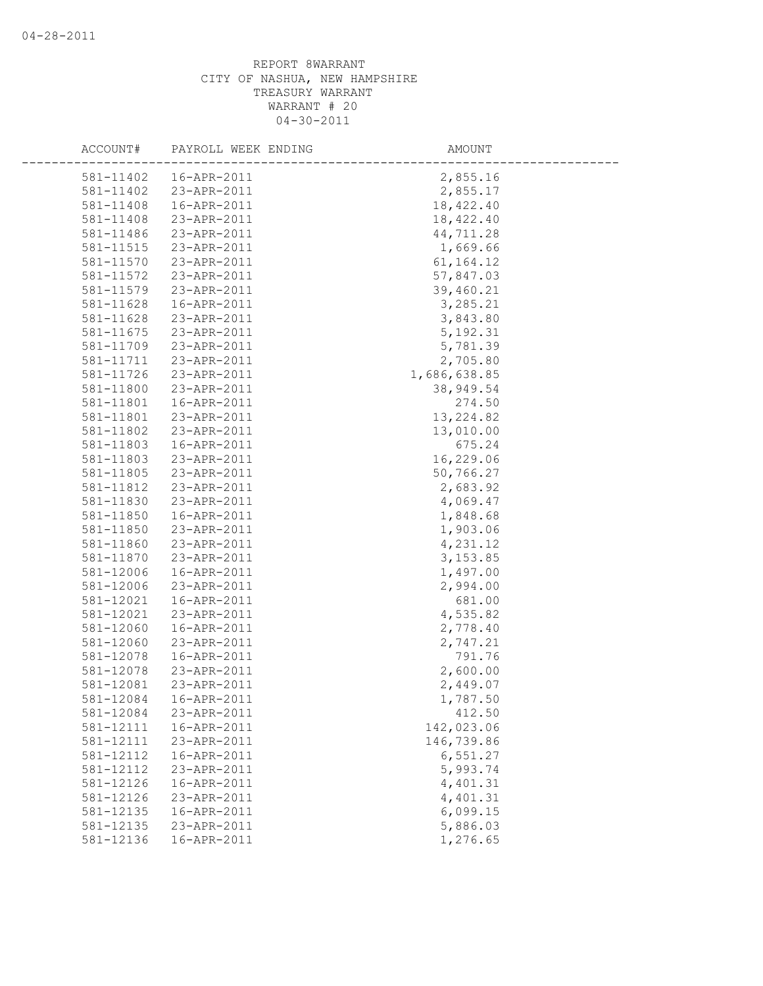| ACCOUNT#  | PAYROLL WEEK ENDING | AMOUNT       |  |
|-----------|---------------------|--------------|--|
| 581-11402 | 16-APR-2011         | 2,855.16     |  |
| 581-11402 | 23-APR-2011         | 2,855.17     |  |
| 581-11408 | 16-APR-2011         | 18, 422.40   |  |
| 581-11408 | 23-APR-2011         | 18,422.40    |  |
| 581-11486 | 23-APR-2011         | 44,711.28    |  |
| 581-11515 | 23-APR-2011         | 1,669.66     |  |
| 581-11570 | 23-APR-2011         | 61, 164. 12  |  |
| 581-11572 | 23-APR-2011         | 57,847.03    |  |
| 581-11579 | 23-APR-2011         | 39,460.21    |  |
| 581-11628 | 16-APR-2011         | 3,285.21     |  |
| 581-11628 | 23-APR-2011         | 3,843.80     |  |
| 581-11675 | 23-APR-2011         | 5, 192.31    |  |
| 581-11709 | 23-APR-2011         | 5,781.39     |  |
| 581-11711 | 23-APR-2011         | 2,705.80     |  |
| 581-11726 | 23-APR-2011         | 1,686,638.85 |  |
| 581-11800 | 23-APR-2011         | 38,949.54    |  |
| 581-11801 | 16-APR-2011         | 274.50       |  |
| 581-11801 | 23-APR-2011         | 13, 224.82   |  |
| 581-11802 | 23-APR-2011         | 13,010.00    |  |
| 581-11803 | 16-APR-2011         | 675.24       |  |
| 581-11803 | 23-APR-2011         | 16,229.06    |  |
| 581-11805 | 23-APR-2011         | 50,766.27    |  |
| 581-11812 | 23-APR-2011         | 2,683.92     |  |
| 581-11830 | 23-APR-2011         | 4,069.47     |  |
| 581-11850 | 16-APR-2011         | 1,848.68     |  |
| 581-11850 | 23-APR-2011         | 1,903.06     |  |
| 581-11860 | 23-APR-2011         | 4,231.12     |  |
| 581-11870 | 23-APR-2011         | 3, 153.85    |  |
| 581-12006 | 16-APR-2011         | 1,497.00     |  |
| 581-12006 | 23-APR-2011         | 2,994.00     |  |
| 581-12021 | 16-APR-2011         | 681.00       |  |
| 581-12021 | 23-APR-2011         | 4,535.82     |  |
| 581-12060 | 16-APR-2011         | 2,778.40     |  |
| 581-12060 | 23-APR-2011         | 2,747.21     |  |
| 581-12078 | 16-APR-2011         | 791.76       |  |
| 581-12078 | 23-APR-2011         | 2,600.00     |  |
| 581-12081 | 23-APR-2011         | 2,449.07     |  |
| 581-12084 | 16-APR-2011         | 1,787.50     |  |
| 581-12084 | 23-APR-2011         | 412.50       |  |
| 581-12111 | 16-APR-2011         | 142,023.06   |  |
| 581-12111 | 23-APR-2011         | 146,739.86   |  |
| 581-12112 | 16-APR-2011         | 6,551.27     |  |
| 581-12112 | 23-APR-2011         | 5,993.74     |  |
| 581-12126 | 16-APR-2011         | 4,401.31     |  |
| 581-12126 | 23-APR-2011         | 4,401.31     |  |
| 581-12135 | 16-APR-2011         | 6,099.15     |  |
| 581-12135 | 23-APR-2011         | 5,886.03     |  |
| 581-12136 | 16-APR-2011         | 1,276.65     |  |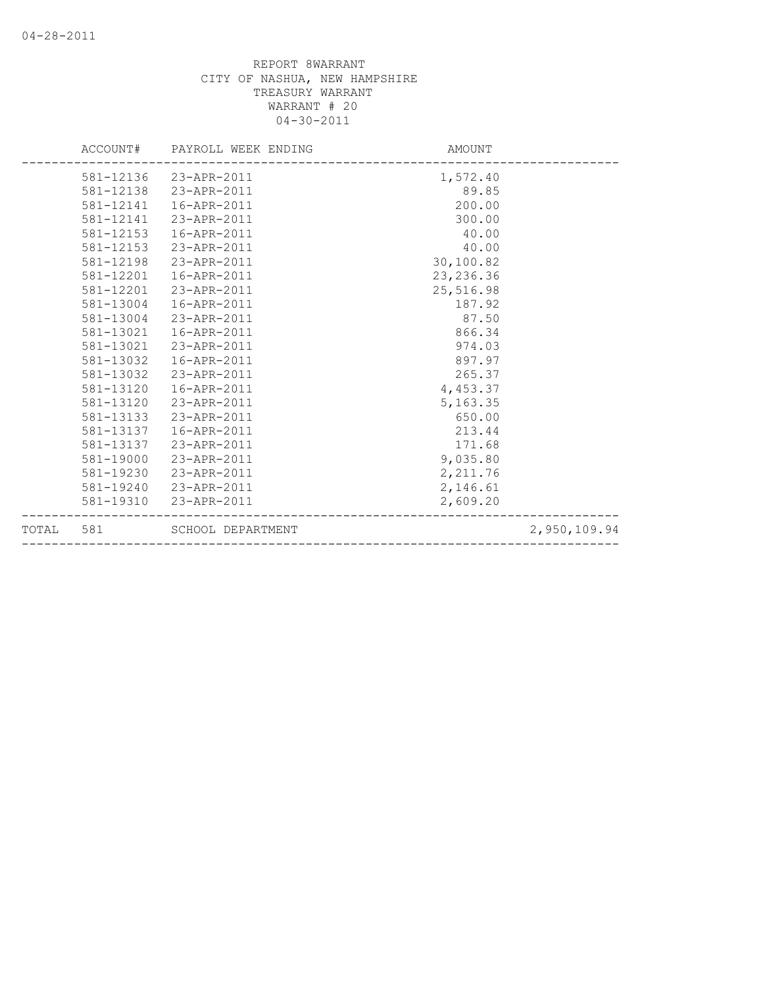|       |           | ACCOUNT# PAYROLL WEEK ENDING | AMOUNT     |              |
|-------|-----------|------------------------------|------------|--------------|
|       |           | 581-12136 23-APR-2011        | 1,572.40   |              |
|       | 581-12138 | 23-APR-2011                  | 89.85      |              |
|       | 581-12141 | 16-APR-2011                  | 200.00     |              |
|       |           | 581-12141 23-APR-2011        | 300.00     |              |
|       | 581-12153 | 16-APR-2011                  | 40.00      |              |
|       | 581-12153 | 23-APR-2011                  | 40.00      |              |
|       | 581-12198 | 23-APR-2011                  | 30,100.82  |              |
|       | 581-12201 | 16-APR-2011                  | 23, 236.36 |              |
|       | 581-12201 | 23-APR-2011                  | 25,516.98  |              |
|       | 581-13004 | 16-APR-2011                  | 187.92     |              |
|       | 581-13004 | 23-APR-2011                  | 87.50      |              |
|       | 581-13021 | 16-APR-2011                  | 866.34     |              |
|       | 581-13021 | 23-APR-2011                  | 974.03     |              |
|       | 581-13032 | 16-APR-2011                  | 897.97     |              |
|       | 581-13032 | 23-APR-2011                  | 265.37     |              |
|       | 581-13120 | 16-APR-2011                  | 4,453.37   |              |
|       | 581-13120 | 23-APR-2011                  | 5, 163.35  |              |
|       | 581-13133 | 23-APR-2011                  | 650.00     |              |
|       | 581-13137 | 16-APR-2011                  | 213.44     |              |
|       |           | 581-13137 23-APR-2011        | 171.68     |              |
|       | 581-19000 | 23-APR-2011                  | 9,035.80   |              |
|       | 581-19230 | 23-APR-2011                  | 2,211.76   |              |
|       |           | 581-19240 23-APR-2011        | 2,146.61   |              |
|       | 581-19310 | 23-APR-2011                  | 2,609.20   |              |
| TOTAL | 581       | SCHOOL DEPARTMENT            |            | 2,950,109.94 |
|       |           |                              |            |              |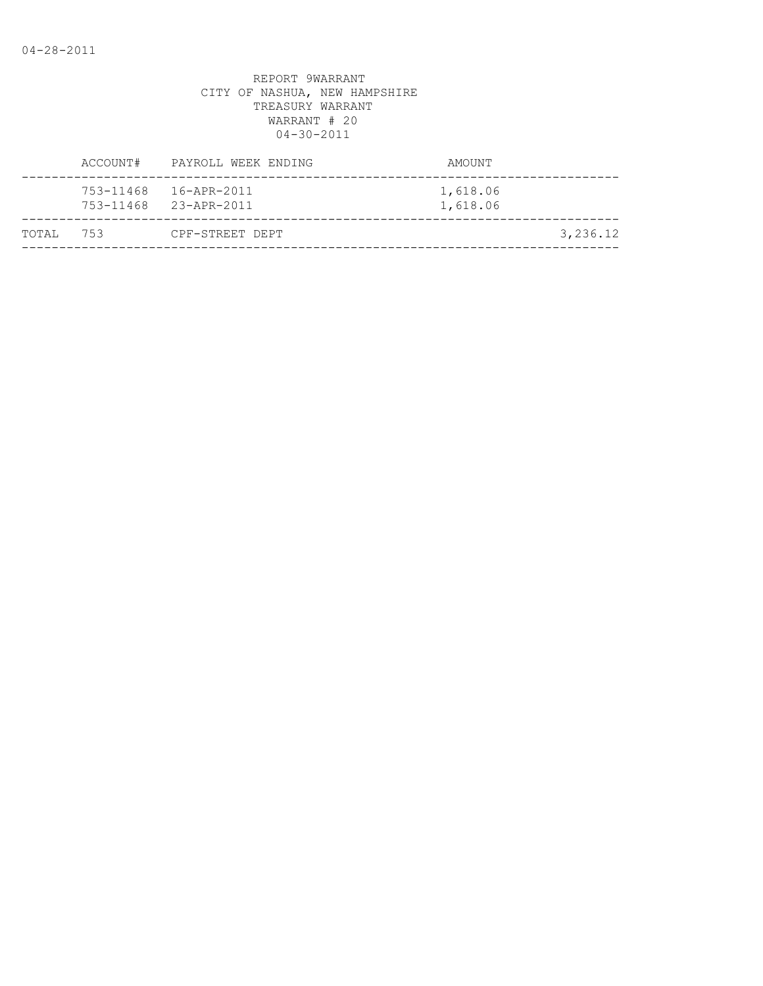|           | ACCOUNT# | PAYROLL WEEK ENDING   | AMOUNT               |          |
|-----------|----------|-----------------------|----------------------|----------|
|           |          | 753-11468 23-APR-2011 | 1,618.06<br>1,618.06 |          |
| TOTAL 753 |          | CPF-STREET DEPT       |                      | 3,236.12 |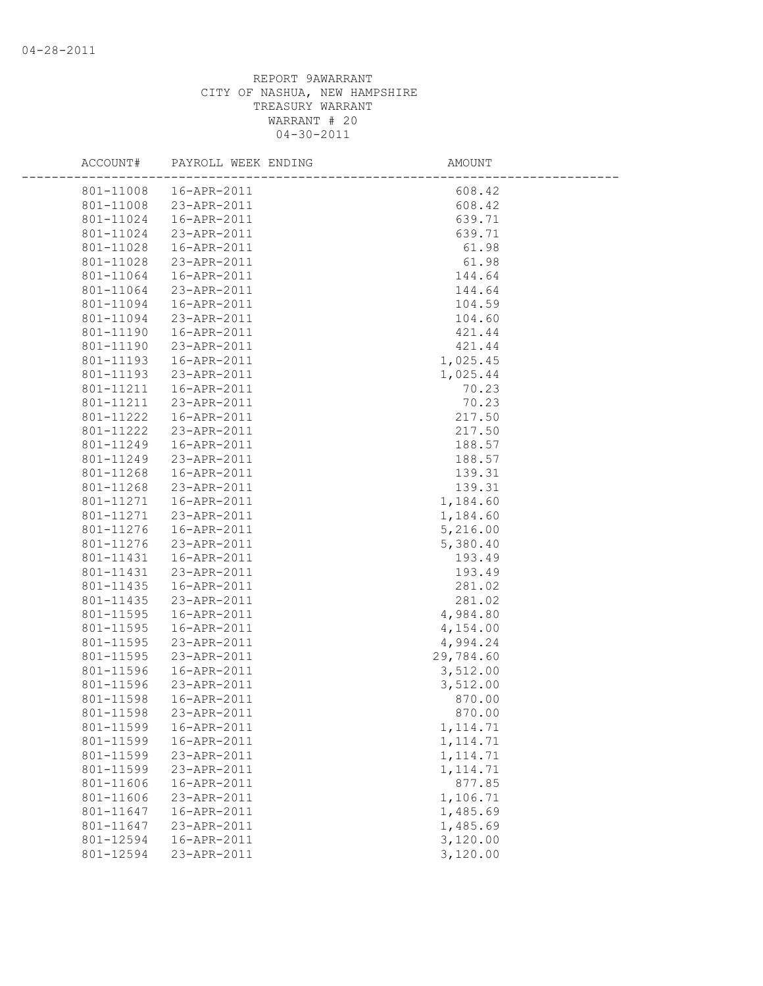| ACCOUNT#  | PAYROLL WEEK ENDING   | <b>AMOUNT</b> |  |
|-----------|-----------------------|---------------|--|
| 801-11008 | 16-APR-2011           | 608.42        |  |
| 801-11008 | 23-APR-2011           | 608.42        |  |
| 801-11024 | 16-APR-2011           | 639.71        |  |
| 801-11024 | 23-APR-2011           | 639.71        |  |
| 801-11028 | 16-APR-2011           | 61.98         |  |
| 801-11028 | 23-APR-2011           | 61.98         |  |
| 801-11064 | 16-APR-2011           | 144.64        |  |
| 801-11064 | 23-APR-2011           | 144.64        |  |
| 801-11094 | 16-APR-2011           | 104.59        |  |
| 801-11094 | 23-APR-2011           | 104.60        |  |
| 801-11190 | 16-APR-2011           | 421.44        |  |
| 801-11190 | 23-APR-2011           | 421.44        |  |
| 801-11193 | 16-APR-2011           | 1,025.45      |  |
| 801-11193 | 23-APR-2011           | 1,025.44      |  |
| 801-11211 | 16-APR-2011           | 70.23         |  |
| 801-11211 | 23-APR-2011           | 70.23         |  |
| 801-11222 | 16-APR-2011           | 217.50        |  |
| 801-11222 | 23-APR-2011           | 217.50        |  |
| 801-11249 | 16-APR-2011           | 188.57        |  |
| 801-11249 | 23-APR-2011           | 188.57        |  |
| 801-11268 | 16-APR-2011           | 139.31        |  |
| 801-11268 | 23-APR-2011           | 139.31        |  |
| 801-11271 | 16-APR-2011           | 1,184.60      |  |
| 801-11271 | 23-APR-2011           | 1,184.60      |  |
| 801-11276 | 16-APR-2011           | 5,216.00      |  |
| 801-11276 | 23-APR-2011           | 5,380.40      |  |
| 801-11431 | 16-APR-2011           | 193.49        |  |
| 801-11431 | 23-APR-2011           | 193.49        |  |
| 801-11435 | 16-APR-2011           | 281.02        |  |
| 801-11435 | 23-APR-2011           | 281.02        |  |
| 801-11595 | 16-APR-2011           | 4,984.80      |  |
| 801-11595 | 16-APR-2011           | 4,154.00      |  |
| 801-11595 | 23-APR-2011           | 4,994.24      |  |
| 801-11595 | 23-APR-2011           | 29,784.60     |  |
| 801-11596 | 16-APR-2011           | 3,512.00      |  |
| 801-11596 | 23-APR-2011           | 3,512.00      |  |
| 801-11598 | 16-APR-2011           | 870.00        |  |
|           | 801-11598 23-APR-2011 | 870.00        |  |
| 801-11599 | 16-APR-2011           | 1, 114.71     |  |
| 801-11599 | 16-APR-2011           | 1, 114.71     |  |
| 801-11599 | 23-APR-2011           | 1, 114.71     |  |
| 801-11599 | 23-APR-2011           | 1, 114.71     |  |
| 801-11606 | 16-APR-2011           | 877.85        |  |
| 801-11606 | 23-APR-2011           | 1,106.71      |  |
| 801-11647 | 16-APR-2011           | 1,485.69      |  |
| 801-11647 | 23-APR-2011           | 1,485.69      |  |
| 801-12594 | 16-APR-2011           | 3,120.00      |  |
| 801-12594 | 23-APR-2011           | 3,120.00      |  |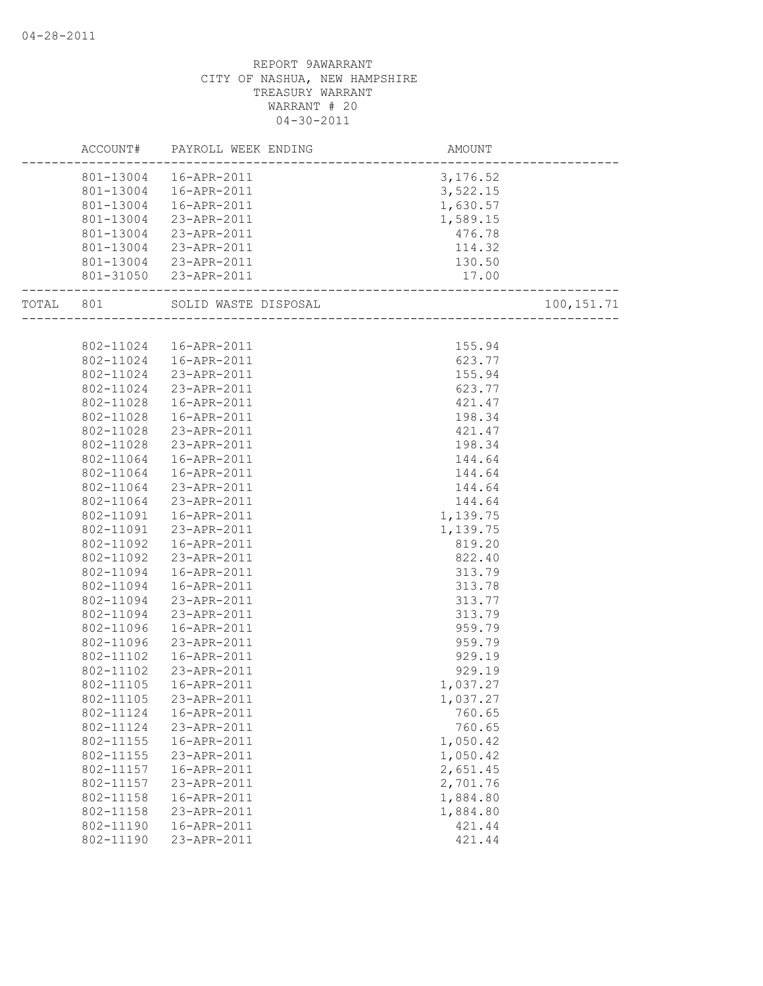|           |           | ACCOUNT# PAYROLL WEEK ENDING                   | AMOUNT<br>------------------------ |             |
|-----------|-----------|------------------------------------------------|------------------------------------|-------------|
|           |           | ----------<br>801-13004  16-APR-2011           | 3,176.52                           |             |
|           |           | 801-13004  16-APR-2011                         | 3,522.15                           |             |
|           |           | 801-13004  16-APR-2011                         | 1,630.57                           |             |
|           | 801-13004 | 23-APR-2011                                    |                                    |             |
|           |           | 23-APR-2011                                    | 1,589.15                           |             |
|           | 801-13004 |                                                | 476.78                             |             |
|           | 801-13004 | 23-APR-2011                                    | 114.32                             |             |
|           |           | 801-13004 23-APR-2011<br>801-31050 23-APR-2011 | 130.50                             |             |
|           |           |                                                | 17.00                              |             |
| TOTAL 801 |           |                                                |                                    | 100, 151.71 |
|           |           |                                                |                                    |             |
|           |           | 802-11024  16-APR-2011                         | 155.94                             |             |
|           | 802-11024 | 16-APR-2011                                    | 623.77                             |             |
|           | 802-11024 | 23-APR-2011                                    | 155.94                             |             |
|           | 802-11024 | 23-APR-2011                                    | 623.77                             |             |
|           | 802-11028 | 16-APR-2011                                    | 421.47                             |             |
|           | 802-11028 | 16-APR-2011                                    | 198.34                             |             |
|           | 802-11028 | 23-APR-2011                                    | 421.47                             |             |
|           | 802-11028 | 23-APR-2011                                    | 198.34                             |             |
|           | 802-11064 | 16-APR-2011                                    | 144.64                             |             |
|           | 802-11064 | 16-APR-2011                                    | 144.64                             |             |
|           | 802-11064 | 23-APR-2011                                    | 144.64                             |             |
|           | 802-11064 | 23-APR-2011                                    | 144.64                             |             |
|           | 802-11091 | 16-APR-2011                                    | 1,139.75                           |             |
|           | 802-11091 | 23-APR-2011                                    | 1,139.75                           |             |
|           | 802-11092 | 16-APR-2011                                    | 819.20                             |             |
|           | 802-11092 | 23-APR-2011                                    | 822.40                             |             |
|           | 802-11094 | 16-APR-2011                                    | 313.79                             |             |
|           | 802-11094 | 16-APR-2011                                    | 313.78                             |             |
|           | 802-11094 | 23-APR-2011                                    | 313.77                             |             |
|           | 802-11094 | 23-APR-2011                                    | 313.79                             |             |
|           | 802-11096 | 16-APR-2011                                    | 959.79                             |             |
|           | 802-11096 | 23-APR-2011                                    | 959.79                             |             |
|           | 802-11102 | 16-APR-2011                                    | 929.19                             |             |
|           | 802-11102 | 23-APR-2011                                    | 929.19                             |             |
|           | 802-11105 | 16-APR-2011                                    | 1,037.27                           |             |
|           | 802-11105 | 23-APR-2011                                    | 1,037.27                           |             |
|           | 802-11124 | 16-APR-2011                                    | 760.65                             |             |
|           | 802-11124 | 23-APR-2011                                    | 760.65                             |             |
|           | 802-11155 | 16-APR-2011                                    | 1,050.42                           |             |
|           | 802-11155 | 23-APR-2011                                    | 1,050.42                           |             |
|           | 802-11157 | 16-APR-2011                                    | 2,651.45                           |             |
|           | 802-11157 | 23-APR-2011                                    | 2,701.76                           |             |
|           | 802-11158 | 16-APR-2011                                    | 1,884.80                           |             |
|           | 802-11158 | 23-APR-2011                                    | 1,884.80                           |             |
|           | 802-11190 | 16-APR-2011                                    | 421.44                             |             |
|           | 802-11190 | 23-APR-2011                                    | 421.44                             |             |
|           |           |                                                |                                    |             |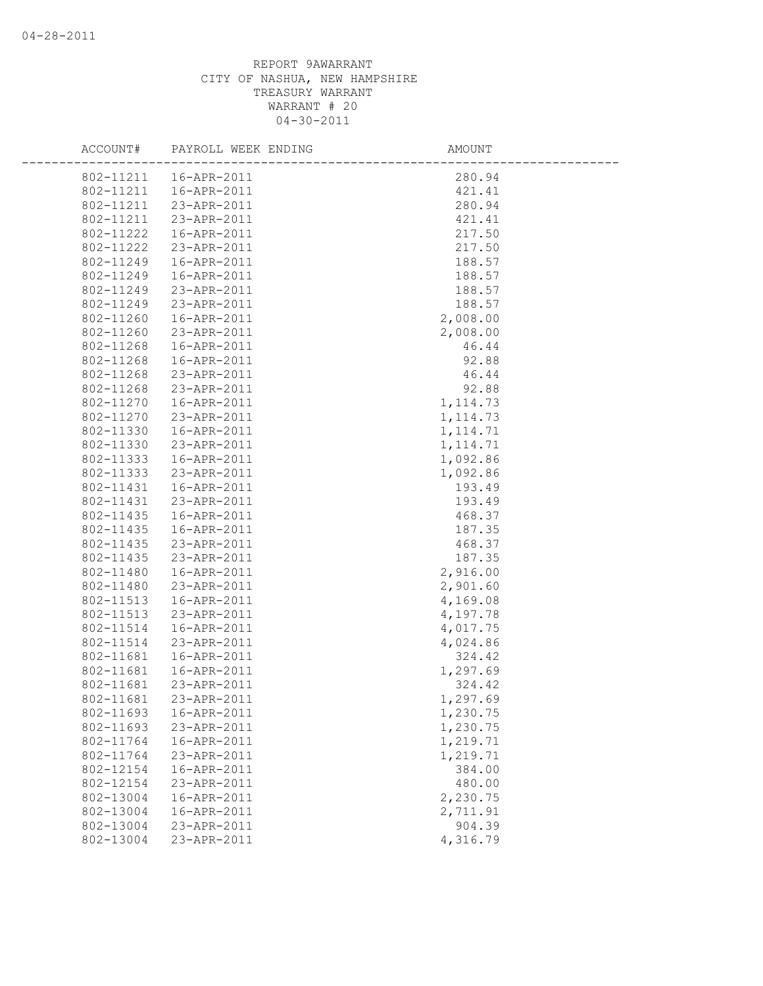| ACCOUNT#               | PAYROLL WEEK ENDING        | AMOUNT               |
|------------------------|----------------------------|----------------------|
|                        | 802-11211  16-APR-2011     | 280.94               |
|                        | 802-11211  16-APR-2011     | 421.41               |
| 802-11211              | 23-APR-2011                | 280.94               |
| 802-11211              | 23-APR-2011                | 421.41               |
| 802-11222              | 16-APR-2011                | 217.50               |
| 802-11222              | 23-APR-2011                | 217.50               |
| 802-11249              | 16-APR-2011                | 188.57               |
| 802-11249              | 16-APR-2011                | 188.57               |
| 802-11249              | 23-APR-2011                | 188.57               |
| 802-11249              | 23-APR-2011                | 188.57               |
| 802-11260              | 16-APR-2011                | 2,008.00             |
| 802-11260              | 23-APR-2011                | 2,008.00             |
| 802-11268              | 16-APR-2011                | 46.44                |
| 802-11268              | 16-APR-2011                | 92.88                |
| 802-11268              | 23-APR-2011                | 46.44                |
| 802-11268              | 23-APR-2011                | 92.88                |
| 802-11270              | 16-APR-2011                | 1, 114.73            |
| 802-11270              | 23-APR-2011                | 1, 114.73            |
| 802-11330              | 16-APR-2011                | 1, 114.71            |
| 802-11330              | 23-APR-2011                | 1, 114.71            |
| 802-11333              | 16-APR-2011                | 1,092.86             |
| 802-11333              | 23-APR-2011                | 1,092.86             |
| 802-11431              | 16-APR-2011                | 193.49               |
| 802-11431              | 23-APR-2011                | 193.49               |
| 802-11435              | 16-APR-2011                | 468.37               |
| 802-11435              | 16-APR-2011                | 187.35               |
| 802-11435              | 23-APR-2011                | 468.37               |
| 802-11435              | 23-APR-2011                | 187.35               |
| 802-11480              | 16-APR-2011                | 2,916.00             |
| 802-11480              | 23-APR-2011                | 2,901.60             |
| 802-11513              | 16-APR-2011                | 4,169.08             |
| 802-11513<br>802-11514 | 23-APR-2011<br>16-APR-2011 | 4,197.78             |
| 802-11514              | 23-APR-2011                | 4,017.75<br>4,024.86 |
| 802-11681              | 16-APR-2011                | 324.42               |
| 802-11681              | 16-APR-2011                | 1,297.69             |
| 802-11681              | 23-APR-2011                | 324.42               |
| 802-11681              | 23-APR-2011                | 1,297.69             |
| 802-11693              | 16-APR-2011                | 1,230.75             |
| 802-11693              | 23-APR-2011                | 1,230.75             |
| 802-11764              | 16-APR-2011                | 1,219.71             |
| 802-11764              | 23-APR-2011                | 1,219.71             |
| 802-12154              | 16-APR-2011                | 384.00               |
| 802-12154              | 23-APR-2011                | 480.00               |
| 802-13004              | 16-APR-2011                | 2,230.75             |
| 802-13004              | 16-APR-2011                | 2,711.91             |
| 802-13004              | 23-APR-2011                | 904.39               |
| 802-13004              | 23-APR-2011                | 4,316.79             |
|                        |                            |                      |